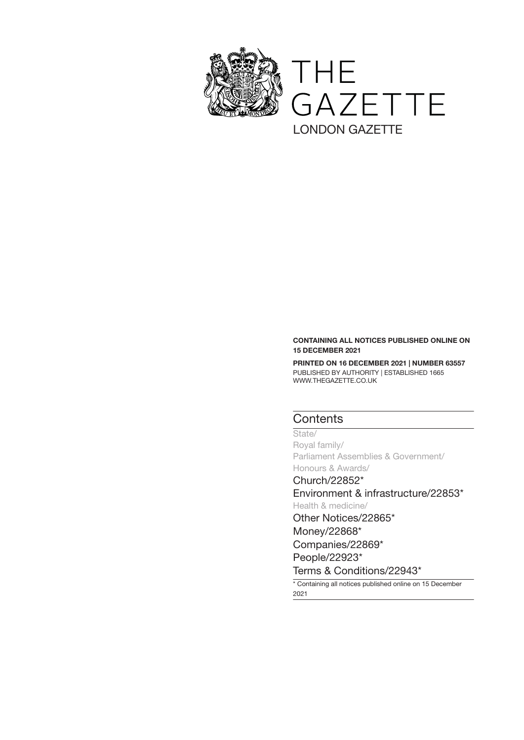

# CONTAINING ALL NOTICES PUBLISHED ONLINE ON 15 DECEMBER 2021

PRINTED ON 16 DECEMBER 2021 | NUMBER 63557 PUBLISHED BY AUTHORITY | ESTABLISHED 1665 WWW.THEGAZETTE.CO.UK

# **Contents**

State/ Royal family/ Parliament Assemblies & Government/ Honours & Awards/

[Church/22852\\*](#page-1-0) [Environment & infrastructure/22853\\*](#page-2-0)

Health & medicine/ [Other Notices/22865\\*](#page-14-0) [Money/22868\\*](#page-17-0) [Companies/22869\\*](#page-18-0)

[People/22923\\*](#page-72-0)

[Terms & Conditions/22943\\*](#page-92-0)

\* Containing all notices published online on 15 December 2021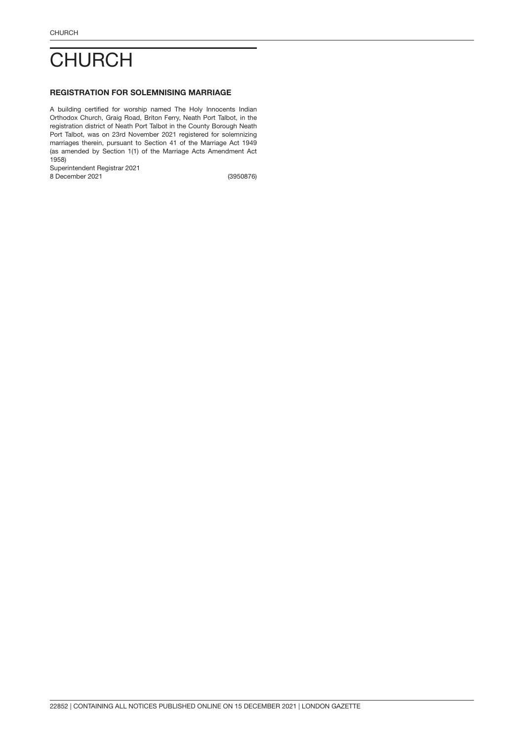# <span id="page-1-0"></span>**CHURCH**

# REGISTRATION FOR SOLEMNISING MARRIAGE

A building certified for worship named The Holy Innocents Indian Orthodox Church, Graig Road, Briton Ferry, Neath Port Talbot, in the registration district of Neath Port Talbot in the County Borough Neath Port Talbot, was on 23rd November 2021 registered for solemnizing marriages therein, pursuant to Section 41 of the Marriage Act 1949 (as amended by Section 1(1) of the Marriage Acts Amendment Act 1958)

Superintendent Registrar 2021

8 December 2021

(3950876)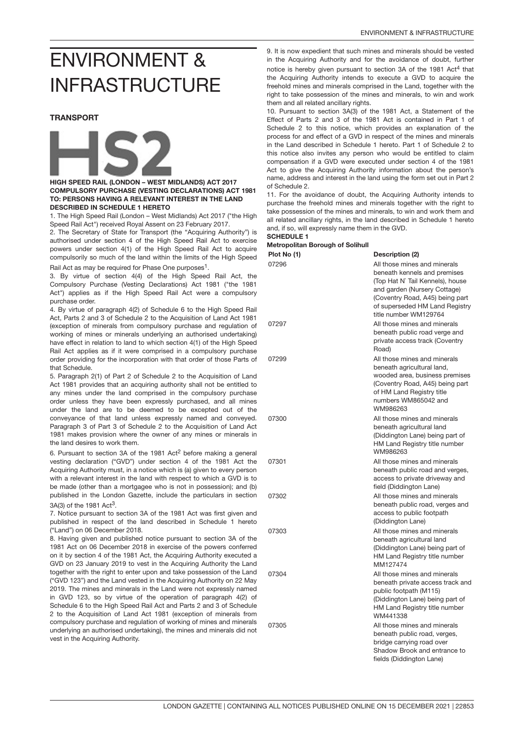# <span id="page-2-0"></span>ENVIRONMENT & INFRASTRUCTURE

### TRANSPORT



### HIGH SPEED RAIL (LONDON – WEST MIDLANDS) ACT 2017 COMPULSORY PURCHASE (VESTING DECLARATIONS) ACT 1981 TO: PERSONS HAVING A RELEVANT INTEREST IN THE LAND DESCRIBED IN SCHEDULE 1 HERETO

1. The High Speed Rail (London – West Midlands) Act 2017 ("the High Speed Rail Act") received Royal Assent on 23 February 2017.

2. The Secretary of State for Transport (the "Acquiring Authority") is authorised under section 4 of the High Speed Rail Act to exercise powers under section 4(1) of the High Speed Rail Act to acquire compulsorily so much of the land within the limits of the High Speed

Rail Act as may be required for Phase One purposes<sup>1</sup>.

3. By virtue of section 4(4) of the High Speed Rail Act, the Compulsory Purchase (Vesting Declarations) Act 1981 ("the 1981 Act") applies as if the High Speed Rail Act were a compulsory purchase order.

4. By virtue of paragraph 4(2) of Schedule 6 to the High Speed Rail Act, Parts 2 and 3 of Schedule 2 to the Acquisition of Land Act 1981 (exception of minerals from compulsory purchase and regulation of working of mines or minerals underlying an authorised undertaking) have effect in relation to land to which section 4(1) of the High Speed Rail Act applies as if it were comprised in a compulsory purchase order providing for the incorporation with that order of those Parts of that Schedule.

5. Paragraph 2(1) of Part 2 of Schedule 2 to the Acquisition of Land Act 1981 provides that an acquiring authority shall not be entitled to any mines under the land comprised in the compulsory purchase order unless they have been expressly purchased, and all mines under the land are to be deemed to be excepted out of the conveyance of that land unless expressly named and conveyed. Paragraph 3 of Part 3 of Schedule 2 to the Acquisition of Land Act 1981 makes provision where the owner of any mines or minerals in the land desires to work them.

6. Pursuant to section 3A of the 1981 Act<sup>2</sup> before making a general vesting declaration ("GVD") under section 4 of the 1981 Act the Acquiring Authority must, in a notice which is (a) given to every person with a relevant interest in the land with respect to which a GVD is to be made (other than a mortgagee who is not in possession); and (b) published in the London Gazette, include the particulars in section 3A(3) of the 1981 Act<sup>3</sup>.

7. Notice pursuant to section 3A of the 1981 Act was first given and published in respect of the land described in Schedule 1 hereto ("Land") on 06 December 2018.

8. Having given and published notice pursuant to section 3A of the 1981 Act on 06 December 2018 in exercise of the powers conferred on it by section 4 of the 1981 Act, the Acquiring Authority executed a GVD on 23 January 2019 to vest in the Acquiring Authority the Land together with the right to enter upon and take possession of the Land ("GVD 123") and the Land vested in the Acquiring Authority on 22 May 2019. The mines and minerals in the Land were not expressly named in GVD 123, so by virtue of the operation of paragraph 4(2) of Schedule 6 to the High Speed Rail Act and Parts 2 and 3 of Schedule 2 to the Acquisition of Land Act 1981 (exception of minerals from compulsory purchase and regulation of working of mines and minerals underlying an authorised undertaking), the mines and minerals did not vest in the Acquiring Authority.

9. It is now expedient that such mines and minerals should be vested in the Acquiring Authority and for the avoidance of doubt, further notice is hereby given pursuant to section 3A of the 1981 Act<sup>4</sup> that the Acquiring Authority intends to execute a GVD to acquire the freehold mines and minerals comprised in the Land, together with the right to take possession of the mines and minerals, to win and work them and all related ancillary rights.

10. Pursuant to section 3A(3) of the 1981 Act, a Statement of the Effect of Parts 2 and 3 of the 1981 Act is contained in Part 1 of Schedule 2 to this notice, which provides an explanation of the process for and effect of a GVD in respect of the mines and minerals in the Land described in Schedule 1 hereto. Part 1 of Schedule 2 to this notice also invites any person who would be entitled to claim compensation if a GVD were executed under section 4 of the 1981 Act to give the Acquiring Authority information about the person's name, address and interest in the land using the form set out in Part 2 of Schedule 2.

11. For the avoidance of doubt, the Acquiring Authority intends to purchase the freehold mines and minerals together with the right to take possession of the mines and minerals, to win and work them and all related ancillary rights, in the land described in Schedule 1 hereto and, if so, will expressly name them in the GVD.

#### SCHEDULE 1 Metropolitan Borough of Solihull

| <br>Plot No (1) | Description (2)                                                                                                                                                                                                                |
|-----------------|--------------------------------------------------------------------------------------------------------------------------------------------------------------------------------------------------------------------------------|
| 07296           | All those mines and minerals<br>beneath kennels and premises<br>(Top Hat N` Tail Kennels), house<br>and garden (Nursery Cottage)<br>(Coventry Road, A45) being part<br>of superseded HM Land Registry<br>title number WM129764 |
| 07297           | All those mines and minerals<br>beneath public road verge and<br>private access track (Coventry<br>Road)                                                                                                                       |
| 07299           | All those mines and minerals<br>beneath agricultural land,<br>wooded area, business premises<br>(Coventry Road, A45) being part<br>of HM Land Registry title<br>numbers WM865042 and<br>WM986263                               |
| 07300           | All those mines and minerals<br>beneath agricultural land<br>(Diddington Lane) being part of<br>HM Land Registry title number<br>WM986263                                                                                      |
| 07301           | All those mines and minerals<br>beneath public road and verges,<br>access to private driveway and<br>field (Diddington Lane)                                                                                                   |
| 07302           | All those mines and minerals<br>beneath public road, verges and<br>access to public footpath<br>(Diddington Lane)                                                                                                              |
| 07303           | All those mines and minerals<br>beneath agricultural land<br>(Diddington Lane) being part of<br>HM Land Registry title number<br>MM127474                                                                                      |
| 07304           | All those mines and minerals<br>beneath private access track and<br>public footpath (M115)<br>(Diddington Lane) being part of<br>HM Land Registry title number<br>WM441338                                                     |
| 07305           | All those mines and minerals<br>beneath public road, verges,<br>bridge carrying road over<br>Shadow Brook and entrance to<br>fields (Diddington Lane)                                                                          |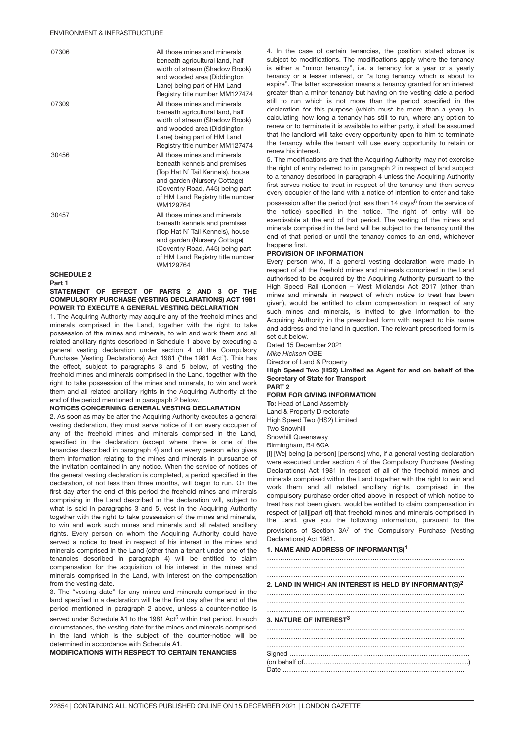| 07306                       | All those mines and minerals<br>beneath agricultural land, half<br>width of stream (Shadow Brook)<br>and wooded area (Diddington<br>Lane) being part of HM Land<br>Registry title number MM127474                   |
|-----------------------------|---------------------------------------------------------------------------------------------------------------------------------------------------------------------------------------------------------------------|
| 07309                       | All those mines and minerals<br>beneath agricultural land, half<br>width of stream (Shadow Brook)<br>and wooded area (Diddington<br>Lane) being part of HM Land<br>Registry title number MM127474                   |
| 30456                       | All those mines and minerals<br>beneath kennels and premises<br>(Top Hat N` Tail Kennels), house<br>and garden (Nursery Cottage)<br>(Coventry Road, A45) being part<br>of HM Land Registry title number<br>WM129764 |
| 30457                       | All those mines and minerals<br>beneath kennels and premises<br>(Top Hat N` Tail Kennels), house<br>and garden (Nursery Cottage)<br>(Coventry Road, A45) being part<br>of HM Land Registry title number<br>WM129764 |
| <b>SCHEDULE 2</b><br>Part 1 |                                                                                                                                                                                                                     |

STATEMENT OF EFFECT OF PARTS 2 AND 3 OF THE COMPULSORY PURCHASE (VESTING DECLARATIONS) ACT 1981 POWER TO EXECUTE A GENERAL VESTING DECLARATION

1. The Acquiring Authority may acquire any of the freehold mines and minerals comprised in the Land, together with the right to take possession of the mines and minerals, to win and work them and all related ancillary rights described in Schedule 1 above by executing a general vesting declaration under section 4 of the Compulsory Purchase (Vesting Declarations) Act 1981 ("the 1981 Act"). This has the effect, subject to paragraphs 3 and 5 below, of vesting the freehold mines and minerals comprised in the Land, together with the right to take possession of the mines and minerals, to win and work them and all related ancillary rights in the Acquiring Authority at the end of the period mentioned in paragraph 2 below.

### NOTICES CONCERNING GENERAL VESTING DECLARATION

2. As soon as may be after the Acquiring Authority executes a general vesting declaration, they must serve notice of it on every occupier of any of the freehold mines and minerals comprised in the Land, specified in the declaration (except where there is one of the tenancies described in paragraph 4) and on every person who gives them information relating to the mines and minerals in pursuance of the invitation contained in any notice. When the service of notices of the general vesting declaration is completed, a period specified in the declaration, of not less than three months, will begin to run. On the first day after the end of this period the freehold mines and minerals comprising in the Land described in the declaration will, subject to what is said in paragraphs 3 and 5, vest in the Acquiring Authority together with the right to take possession of the mines and minerals, to win and work such mines and minerals and all related ancillary rights. Every person on whom the Acquiring Authority could have served a notice to treat in respect of his interest in the mines and minerals comprised in the Land (other than a tenant under one of the tenancies described in paragraph 4) will be entitled to claim compensation for the acquisition of his interest in the mines and minerals comprised in the Land, with interest on the compensation from the vesting date.

3. The "vesting date" for any mines and minerals comprised in the land specified in a declaration will be the first day after the end of the period mentioned in paragraph 2 above, unless a counter-notice is

served under Schedule A1 to the 1981 Act<sup>5</sup> within that period. In such circumstances, the vesting date for the mines and minerals comprised in the land which is the subject of the counter-notice will be determined in accordance with Schedule A1.

### MODIFICATIONS WITH RESPECT TO CERTAIN TENANCIES

4. In the case of certain tenancies, the position stated above is subject to modifications. The modifications apply where the tenancy is either a "minor tenancy", i.e. a tenancy for a year or a yearly tenancy or a lesser interest, or "a long tenancy which is about to expire". The latter expression means a tenancy granted for an interest greater than a minor tenancy but having on the vesting date a period still to run which is not more than the period specified in the declaration for this purpose (which must be more than a year). In calculating how long a tenancy has still to run, where any option to renew or to terminate it is available to either party, it shall be assumed that the landlord will take every opportunity open to him to terminate the tenancy while the tenant will use every opportunity to retain or renew his interest.

5. The modifications are that the Acquiring Authority may not exercise the right of entry referred to in paragraph 2 in respect of land subject to a tenancy described in paragraph 4 unless the Acquiring Authority first serves notice to treat in respect of the tenancy and then serves every occupier of the land with a notice of intention to enter and take

possession after the period (not less than 14 days<sup>6</sup> from the service of the notice) specified in the notice. The right of entry will be exercisable at the end of that period. The vesting of the mines and minerals comprised in the land will be subject to the tenancy until the end of that period or until the tenancy comes to an end, whichever happens first.

### PROVISION OF INFORMATION

Every person who, if a general vesting declaration were made in respect of all the freehold mines and minerals comprised in the Land authorised to be acquired by the Acquiring Authority pursuant to the High Speed Rail (London – West Midlands) Act 2017 (other than mines and minerals in respect of which notice to treat has been given), would be entitled to claim compensation in respect of any such mines and minerals, is invited to give information to the Acquiring Authority in the prescribed form with respect to his name and address and the land in question. The relevant prescribed form is set out below.

Dated 15 December 2021 *Mike Hickson* OBE

Director of Land & Property

High Speed Two (HS2) Limited as Agent for and on behalf of the Secretary of State for Transport

#### PART 2 FORM FOR GIVING INFORMATION

To: Head of Land Assembly Land & Property Directorate

High Speed Two (HS2) Limited Two Snowhill

Snowhill Queensway

Birmingham, B4 6GA

[I] [We] being [a person] [persons] who, if a general vesting declaration were executed under section 4 of the Compulsory Purchase (Vesting Declarations) Act 1981 in respect of all of the freehold mines and minerals comprised within the Land together with the right to win and work them and all related ancillary rights, comprised in the compulsory purchase order cited above in respect of which notice to treat has not been given, would be entitled to claim compensation in respect of [all][part of] that freehold mines and minerals comprised in the Land, give you the following information, pursuant to the provisions of Section  $3A^7$  of the Compulsory Purchase (Vesting Declarations) Act 1981.

#### 1. NAME AND ADDRESS OF INFORMANT(S)<sup>1</sup>

……………………………………………………………………………… ……………………………………………………………………………… ……………………………………………………………………………… 2. LAND IN WHICH AN INTEREST IS HELD BY INFORMANT(S)<sup>2</sup> ………………………………………………………………………………

……………………………………………………………………………… ………………………………………………………………………………

## 3. NATURE OF INTEREST<sup>3</sup>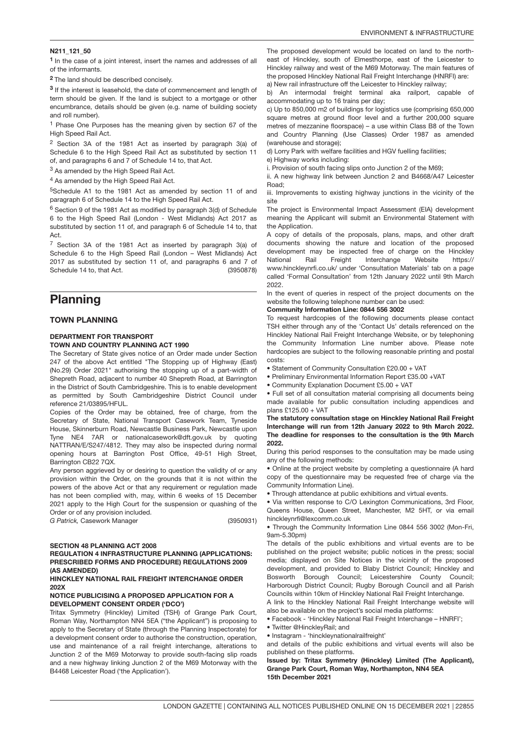### N211\_121\_50

<sup>1</sup> In the case of a joint interest, insert the names and addresses of all of the informants.

<sup>2</sup>The land should be described concisely.

<sup>3</sup> If the interest is leasehold, the date of commencement and length of term should be given. If the land is subject to a mortgage or other encumbrance, details should be given (e.g. name of building society and roll number).

<sup>1</sup> Phase One Purposes has the meaning given by section 67 of the High Speed Rail Act.

<sup>2</sup> Section 3A of the 1981 Act as inserted by paragraph 3(a) of Schedule 6 to the High Speed Rail Act as substituted by section 11 of, and paragraphs 6 and 7 of Schedule 14 to, that Act.

<sup>3</sup> As amended by the High Speed Rail Act.

<sup>4</sup> As amended by the High Speed Rail Act.

<sup>5</sup>Schedule A1 to the 1981 Act as amended by section 11 of and paragraph 6 of Schedule 14 to the High Speed Rail Act.

<sup>6</sup> Section 9 of the 1981 Act as modified by paragraph 3(d) of Schedule 6 to the High Speed Rail (London - West Midlands) Act 2017 as substituted by section 11 of, and paragraph 6 of Schedule 14 to, that Act.

(3950878) <sup>7</sup> Section 3A of the 1981 Act as inserted by paragraph 3(a) of Schedule 6 to the High Speed Rail (London – West Midlands) Act 2017 as substituted by section 11 of, and paragraphs 6 and 7 of Schedule 14 to, that Act.

# Planning

### TOWN PLANNING

### DEPARTMENT FOR TRANSPORT TOWN AND COUNTRY PLANNING ACT 1990

The Secretary of State gives notice of an Order made under Section 247 of the above Act entitled "The Stopping up of Highway (East) (No.29) Order 2021" authorising the stopping up of a part-width of Shepreth Road, adjacent to number 40 Shepreth Road, at Barrington in the District of South Cambridgeshire. This is to enable development as permitted by South Cambridgeshire District Council under reference 21/03895/HFUL.

Copies of the Order may be obtained, free of charge, from the Secretary of State, National Transport Casework Team, Tyneside House, Skinnerburn Road, Newcastle Business Park, Newcastle upon Tyne NE4 7AR or nationalcasework@dft.gov.uk by quoting NATTRAN/E/S247/4812. They may also be inspected during normal opening hours at Barrington Post Office, 49-51 High Street, Barrington CB22 7QX.

Any person aggrieved by or desiring to question the validity of or any provision within the Order, on the grounds that it is not within the powers of the above Act or that any requirement or regulation made has not been complied with, may, within 6 weeks of 15 December 2021 apply to the High Court for the suspension or quashing of the Order or of any provision included.

*G Patrick,* Casework Manager

(3950931)

# SECTION 48 PLANNING ACT 2008

### REGULATION 4 INFRASTRUCTURE PLANNING (APPLICATIONS: PRESCRIBED FORMS AND PROCEDURE) REGULATIONS 2009 (AS AMENDED)

### HINCKLEY NATIONAL RAIL FREIGHT INTERCHANGE ORDER 202X

### NOTICE PUBLICISING A PROPOSED APPLICATION FOR A DEVELOPMENT CONSENT ORDER ('DCO')

Tritax Symmetry (Hinckley) Limited (TSH) of Grange Park Court, Roman Way, Northampton NN4 5EA ("the Applicant") is proposing to apply to the Secretary of State (through the Planning Inspectorate) for a development consent order to authorise the construction, operation, use and maintenance of a rail freight interchange, alterations to Junction 2 of the M69 Motorway to provide south-facing slip roads and a new highway linking Junction 2 of the M69 Motorway with the B4468 Leicester Road ('the Application').

The proposed development would be located on land to the northeast of Hinckley, south of Elmesthorpe, east of the Leicester to Hinckley railway and west of the M69 Motorway. The main features of the proposed Hinckley National Rail Freight Interchange (HNRFI) are: a) New rail infrastructure off the Leicester to Hinckley railway;

b) An intermodal freight terminal aka railport, capable of accommodating up to 16 trains per day;

c) Up to 850,000 m2 of buildings for logistics use (comprising 650,000 square metres at ground floor level and a further 200,000 square metres of mezzanine floorspace) – a use within Class B8 of the Town and Country Planning (Use Classes) Order 1987 as amended (warehouse and storage);

d) Lorry Park with welfare facilities and HGV fuelling facilities;

e) Highway works including:

i. Provision of south facing slips onto Junction 2 of the M69;

ii. A new highway link between Junction 2 and B4668/A47 Leicester Road;

iii. Improvements to existing highway junctions in the vicinity of the site

The project is Environmental Impact Assessment (EIA) development meaning the Applicant will submit an Environmental Statement with the Application.

A copy of details of the proposals, plans, maps, and other draft documents showing the nature and location of the proposed development may be inspected free of charge on the Hinckley National Rail Freight Interchange Website https:// www.hinckleynrfi.co.uk/ under 'Consultation Materials' tab on a page called 'Formal Consultation' from 12th January 2022 until 9th March 2022.

In the event of queries in respect of the project documents on the website the following telephone number can be used:

#### Community Information Line: 0844 556 3002

To request hardcopies of the following documents please contact TSH either through any of the 'Contact Us' details referenced on the Hinckley National Rail Freight Interchange Website, or by telephoning the Community Information Line number above. Please note hardcopies are subject to the following reasonable printing and postal costs:

• Statement of Community Consultation £20.00 + VAT

• Preliminary Environmental Information Report £35.00 +VAT

• Community Explanation Document £5.00 + VAT

• Full set of all consultation material comprising all documents being made available for public consultation including appendices and plans £125.00 + VAT

The statutory consultation stage on Hinckley National Rail Freight Interchange will run from 12th January 2022 to 9th March 2022. The deadline for responses to the consultation is the 9th March 2022.

During this period responses to the consultation may be made using any of the following methods:

• Online at the project website by completing a questionnaire (A hard copy of the questionnaire may be requested free of charge via the Community Information Line).

• Through attendance at public exhibitions and virtual events.

• Via written response to C/O Lexington Communications, 3rd Floor, Queens House, Queen Street, Manchester, M2 5HT, or via email hinckleynrfi@lexcomm.co.uk

• Through the Community Information Line 0844 556 3002 (Mon-Fri, 9am-5.30pm)

The details of the public exhibitions and virtual events are to be published on the project website; public notices in the press; social media; displayed on Site Notices in the vicinity of the proposed development, and provided to Blaby District Council; Hinckley and Bosworth Borough Council; Leicestershire County Council; Harborough District Council; Rugby Borough Council and all Parish Councils within 10km of Hinckley National Rail Freight Interchange.

A link to the Hinckley National Rail Freight Interchange website will also be available on the project's social media platforms:

• Facebook - 'Hinckley National Rail Freight Interchange – HNRFI';

• Twitter @HinckleyRail; and

• Instagram - 'hinckleynationalrailfreight'

and details of the public exhibitions and virtual events will also be published on these platforms.

Issued by: Tritax Symmetry (Hinckley) Limited (The Applicant), Grange Park Court, Roman Way, Northampton, NN4 5EA 15th December 2021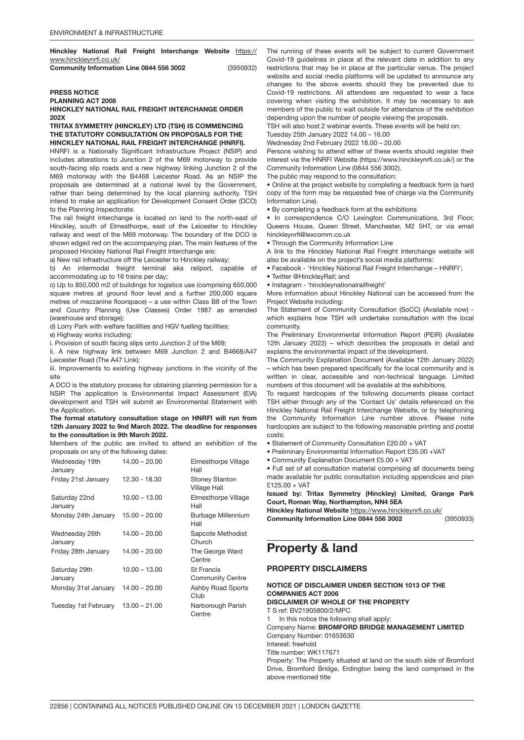Hinckley National Rail Freight Interchange Website [https://](https://www.hinckleynrfi.co.uk/) [www.hinckleynrfi.co.uk/](https://www.hinckleynrfi.co.uk/)

| Community Information Line 0844 556 3002 | (3950932) |
|------------------------------------------|-----------|
|                                          |           |

# PRESS NOTICE

PLANNING ACT 2008

### HINCKLEY NATIONAL RAIL FREIGHT INTERCHANGE ORDER 202X

### TRITAX SYMMETRY (HINCKLEY) LTD (TSH) IS COMMENCING THE STATUTORY CONSULTATION ON PROPOSALS FOR THE HINCKLEY NATIONAL RAIL FREIGHT INTERCHANGE (HNRFI).

HNRFI is a Nationally Significant Infrastructure Project (NSIP) and includes alterations to Junction 2 of the M69 motorway to provide south-facing slip roads and a new highway linking Junction 2 of the M69 motorway with the B4468 Leicester Road. As an NSIP the proposals are determined at a national level by the Government, rather than being determined by the local planning authority. TSH intend to make an application for Development Consent Order (DCO) to the Planning Inspectorate.

The rail freight interchange is located on land to the north-east of Hinckley, south of Elmesthorpe, east of the Leicester to Hinckley railway and west of the M69 motorway. The boundary of the DCO is shown edged red on the accompanying plan. The main features of the proposed Hinckley National Rail Freight Interchange are:

a) New rail infrastructure off the Leicester to Hinckley railway;

b) An intermodal freight terminal aka railport, capable of accommodating up to 16 trains per day;

c) Up to 850,000 m2 of buildings for logistics use (comprising 650,000 square metres at ground floor level and a further 200,000 square metres of mezzanine floorspace) – a use within Class B8 of the Town and Country Planning (Use Classes) Order 1987 as amended (warehouse and storage);

d) Lorry Park with welfare facilities and HGV fuelling facilities;

e) Highway works including:

i. Provision of south facing slips onto Junction 2 of the M69;

ii. A new highway link between M69 Junction 2 and B4668/A47 Leicester Road (The A47 Link);

iii. Improvements to existing highway junctions in the vicinity of the site

A DCO is the statutory process for obtaining planning permission for a NSIP. The application is Environmental Impact Assessment (EIA) development and TSH will submit an Environmental Statement with the Application.

The formal statutory consultation stage on HNRFI will run from 12th January 2022 to 9nd March 2022. The deadline for responses to the consultation is 9th March 2022.

Members of the public are invited to attend an exhibition of the proposals on any of the following dates:

| Wednesday 19th<br>January | $14.00 - 20.00$ | Elmesthorpe Village<br>Hall                  |
|---------------------------|-----------------|----------------------------------------------|
| Friday 21st January       | 12.30 - 18.30   | <b>Stoney Stanton</b><br>Village Hall        |
| Saturday 22nd<br>January  | $10.00 - 13.00$ | Elmesthorpe Village<br>Hall                  |
| Monday 24th January       | $15.00 - 20.00$ | Burbage Millennium<br>Hall                   |
| Wednesday 26th<br>January | $14.00 - 20.00$ | Sapcote Methodist<br>Church                  |
| Friday 28th January       | $14.00 - 20.00$ | The George Ward<br>Centre                    |
| Saturday 29th<br>January  | $10.00 - 13.00$ | <b>St Francis</b><br><b>Community Centre</b> |
| Monday 31st January       | $14.00 - 20.00$ | <b>Ashby Road Sports</b><br>Club             |
| Tuesday 1st February      | $13.00 - 21.00$ | Narborough Parish<br>Centre                  |

The running of these events will be subject to current Government Covid-19 guidelines in place at the relevant date in addition to any restrictions that may be in place at the particular venue. The project website and social media platforms will be updated to announce any changes to the above events should they be prevented due to Covid-19 restrictions. All attendees are requested to wear a face covering when visiting the exhibition. It may be necessary to ask members of the public to wait outside for attendance of the exhibition depending upon the number of people viewing the proposals.

TSH will also host 2 webinar events. These events will be held on:

Tuesday 25th January 2022 14.00 – 16.00

Wednesday 2nd February 2022 18.00 – 20.00

Persons wishing to attend either of these events should register their interest via the HNRFI Website (https://www.hinckleynrfi.co.uk/) or the Community Information Line (0844 556 3002).

The public may respond to the consultation:

• Online at the project website by completing a feedback form (a hard copy of the form may be requested free of charge via the Community Information Line).

• By completing a feedback form at the exhibitions

• In correspondence C/O Lexington Communications, 3rd Floor, Queens House, Queen Street, Manchester, M2 5HT, or via email hinckleynrfi@lexcomm.co.uk

• Through the Community Information Line

A link to the Hinckley National Rail Freight Interchange website will also be available on the project's social media platforms:

- Facebook 'Hinckley National Rail Freight Interchange HNRFI';
- Twitter @HinckleyRail; and
- Instagram 'hinckleynationalrailfreight'

More information about Hinckley National can be accessed from the Project Website including:

The Statement of Community Consultation (SoCC) (Available now) which explains how TSH will undertake consultation with the local community.

The Preliminary Environmental Information Report (PEIR) (Available 12th January 2022) – which describes the proposals in detail and explains the environmental impact of the development.

The Community Explanation Document (Available 12th January 2022) – which has been prepared specifically for the local community and is written in clear, accessible and non-technical language. Limited numbers of this document will be available at the exhibitions.

To request hardcopies of the following documents please contact TSH either through any of the 'Contact Us' details referenced on the Hinckley National Rail Freight Interchange Website, or by telephoning the Community Information Line number above. Please note hardcopies are subject to the following reasonable printing and postal costs:

- Statement of Community Consultation £20.00 + VAT
- Preliminary Environmental Information Report £35.00 +VAT
- Community Explanation Document £5.00 + VAT

• Full set of all consultation material comprising all documents being made available for public consultation including appendices and plan  $£125.00 + VAT$ 

Issued by: Tritax Symmetry (Hinckley) Limited, Grange Park Court, Roman Way, Northampton, NN4 5EA

(3950933) Hinckley National Website <https://www.hinckleynrfi.co.uk/> Community Information Line 0844 556 3002

# Property & land

### **PROPERTY DISCLAIMERS**

# NOTICE OF DISCLAIMER UNDER SECTION 1013 OF THE

COMPANIES ACT 2006 DISCLAIMER OF WHOLE OF THE PROPERTY

T S ref: BV21905800/2/MPC

In this notice the following shall apply:

Company Name: BROMFORD BRIDGE MANAGEMENT LIMITED

Company Number: 01653630

Interest: freehold

Title number: WK117671

Property: The Property situated at land on the south side of Bromford Drive, Bromford Bridge, Erdington being the land comprised in the above mentioned title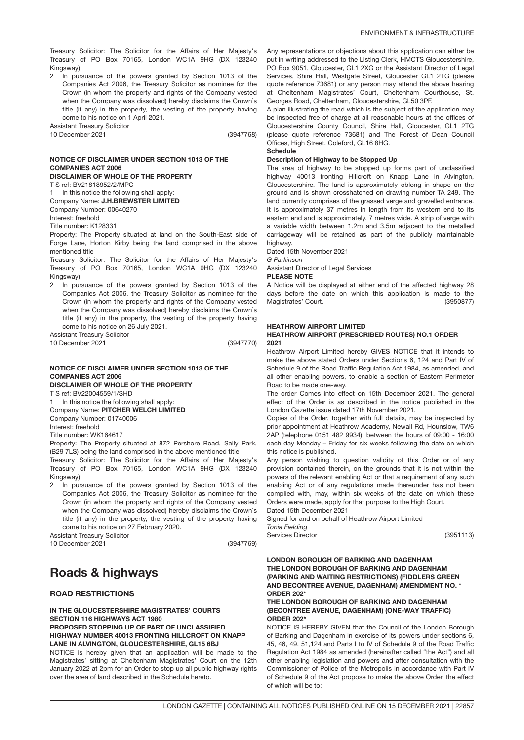In pursuance of the powers granted by Section 1013 of the Companies Act 2006, the Treasury Solicitor as nominee for the Crown (in whom the property and rights of the Company vested when the Company was dissolved) hereby disclaims the Crown`s title (if any) in the property, the vesting of the property having come to his notice on 1 April 2021.

Assistant Treasury Solicitor 10 December 2021

(3947768)

# NOTICE OF DISCLAIMER UNDER SECTION 1013 OF THE COMPANIES ACT 2006

# DISCLAIMER OF WHOLE OF THE PROPERTY

T S ref: BV21818952/2/MPC

1 In this notice the following shall apply:

Company Name: J.H.BREWSTER LIMITED

Company Number: 00640270

Interest: freehold

Title number: K128331

Property: The Property situated at land on the South-East side of Forge Lane, Horton Kirby being the land comprised in the above mentioned title

Treasury Solicitor: The Solicitor for the Affairs of Her Majesty's Treasury of PO Box 70165, London WC1A 9HG (DX 123240 Kingsway).

2 In pursuance of the powers granted by Section 1013 of the Companies Act 2006, the Treasury Solicitor as nominee for the Crown (in whom the property and rights of the Company vested when the Company was dissolved) hereby disclaims the Crown`s title (if any) in the property, the vesting of the property having come to his notice on 26 July 2021.

Assistant Treasury Solicitor

10 December 2021

(3947770)

### NOTICE OF DISCLAIMER UNDER SECTION 1013 OF THE COMPANIES ACT 2006

DISCLAIMER OF WHOLE OF THE PROPERTY

T S ref: BV22004559/1/SHD

1 In this notice the following shall apply: Company Name: PITCHER WELCH LIMITED

Company Number: 01740006

Interest: freehold

Title number: WK164617

Property: The Property situated at 872 Pershore Road, Sally Park, (B29 7LS) being the land comprised in the above mentioned title

Treasury Solicitor: The Solicitor for the Affairs of Her Majesty's Treasury of PO Box 70165, London WC1A 9HG (DX 123240 Kingsway).

2 In pursuance of the powers granted by Section 1013 of the Companies Act 2006, the Treasury Solicitor as nominee for the Crown (in whom the property and rights of the Company vested when the Company was dissolved) hereby disclaims the Crown`s title (if any) in the property, the vesting of the property having come to his notice on 27 February 2020.

Assistant Treasury Solicitor 10 December 2021

(3947769)

# Roads & highways

## ROAD RESTRICTIONS

### IN THE GLOUCESTERSHIRE MAGISTRATES' COURTS SECTION 116 HIGHWAYS ACT 1980 PROPOSED STOPPING UP OF PART OF UNCLASSIFIED HIGHWAY NUMBER 40013 FRONTING HILLCROFT ON KNAPP LANE IN ALVINGTON, GLOUCESTERSHIRE, GL15 6BJ

NOTICE is hereby given that an application will be made to the Magistrates' sitting at Cheltenham Magistrates' Court on the 12th January 2022 at 2pm for an Order to stop up all public highway rights over the area of land described in the Schedule hereto.

Any representations or objections about this application can either be put in writing addressed to the Listing Clerk, HMCTS Gloucestershire, PO Box 9051, Gloucester, GL1 2XG or the Assistant Director of Legal Services, Shire Hall, Westgate Street, Gloucester GL1 2TG (please quote reference 73681) or any person may attend the above hearing at Cheltenham Magistrates' Court, Cheltenham Courthouse, St. Georges Road, Cheltenham, Gloucestershire, GL50 3PF.

A plan illustrating the road which is the subject of the application may be inspected free of charge at all reasonable hours at the offices of Gloucestershire County Council, Shire Hall, Gloucester, GL1 2TG (please quote reference 73681) and The Forest of Dean Council Offices, High Street, Coleford, GL16 8HG.

### **Schedule**

### Description of Highway to be Stopped Up

The area of highway to be stopped up forms part of unclassified highway 40013 fronting Hillcroft on Knapp Lane in Alvington, Gloucestershire. The land is approximately oblong in shape on the ground and is shown crosshatched on drawing number TA 249. The land currently comprises of the grassed verge and gravelled entrance. It is approximately 37 metres in length from its western end to its eastern end and is approximately. 7 metres wide. A strip of verge with a variable width between 1.2m and 3.5m adjacent to the metalled carriageway will be retained as part of the publicly maintainable highway.

Dated 15th November 2021

*G Parkinson*

Assistant Director of Legal Services

**PLEASE NOTE** 

(3950877) A Notice will be displayed at either end of the affected highway 28 days before the date on which this application is made to the Magistrates' Court.

# HEATHROW AIRPORT LIMITED

### HEATHROW AIRPORT (PRESCRIBED ROUTES) NO.1 ORDER 2021

Heathrow Airport Limited hereby GIVES NOTICE that it intends to make the above stated Orders under Sections 6, 124 and Part IV of Schedule 9 of the Road Traffic Regulation Act 1984, as amended, and all other enabling powers, to enable a section of Eastern Perimeter Road to be made one-way.

The order Comes into effect on 15th December 2021. The general effect of the Order is as described in the notice published in the London Gazette issue dated 17th November 2021.

Copies of the Order, together with full details, may be inspected by prior appointment at Heathrow Academy, Newall Rd, Hounslow, TW6 2AP (telephone 0151 482 9934), between the hours of 09:00 - 16:00 each day Monday – Friday for six weeks following the date on which this notice is published.

Any person wishing to question validity of this Order or of any provision contained therein, on the grounds that it is not within the powers of the relevant enabling Act or that a requirement of any such enabling Act or of any regulations made thereunder has not been complied with, may, within six weeks of the date on which these Orders were made, apply for that purpose to the High Court. Dated 15th December 2021

Signed for and on behalf of Heathrow Airport Limited *Tonia Fielding*

Services Director

(3951113)

### LONDON BOROUGH OF BARKING AND DAGENHAM THE LONDON BOROUGH OF BARKING AND DAGENHAM (PARKING AND WAITING RESTRICTIONS) (FIDDLERS GREEN AND BECONTREE AVENUE, DAGENHAM) AMENDMENT NO. \* ORDER 202\*

### THE LONDON BOROUGH OF BARKING AND DAGENHAM (BECONTREE AVENUE, DAGENHAM) (ONE-WAY TRAFFIC) ORDER 202\*

NOTICE IS HEREBY GIVEN that the Council of the London Borough of Barking and Dagenham in exercise of its powers under sections 6, 45, 46, 49, 51,124 and Parts I to IV of Schedule 9 of the Road Traffic Regulation Act 1984 as amended (hereinafter called "the Act") and all other enabling legislation and powers and after consultation with the Commissioner of Police of the Metropolis in accordance with Part IV of Schedule 9 of the Act propose to make the above Order, the effect of which will be to: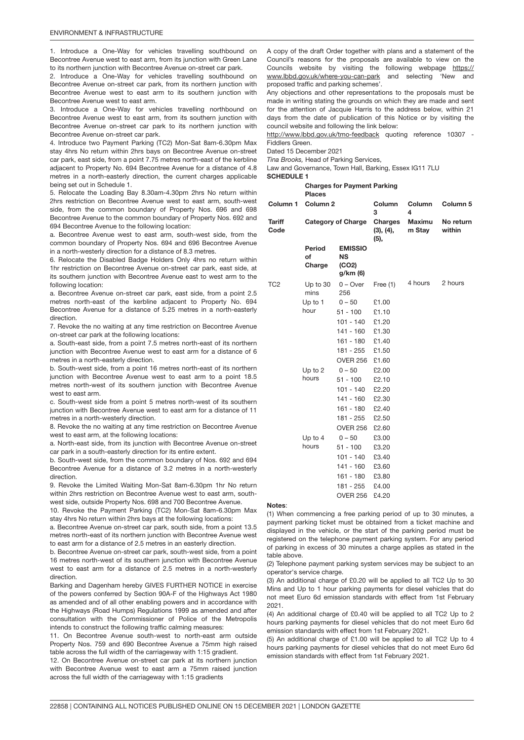1. Introduce a One-Way for vehicles travelling southbound on Becontree Avenue west to east arm, from its junction with Green Lane to its northern junction with Becontree Avenue on-street car park.

2. Introduce a One-Way for vehicles travelling southbound on Becontree Avenue on-street car park, from its northern junction with Becontree Avenue west to east arm to its southern junction with Becontree Avenue west to east arm.

3. Introduce a One-Way for vehicles travelling northbound on Becontree Avenue west to east arm, from its southern junction with Becontree Avenue on-street car park to its northern junction with Becontree Avenue on-street car park.

4. Introduce two Payment Parking (TC2) Mon-Sat 8am-6.30pm Max stay 4hrs No return within 2hrs bays on Becontree Avenue on-street car park, east side, from a point 7.75 metres north-east of the kerbline adjacent to Property No. 694 Becontree Avenue for a distance of 4.8 metres in a north-easterly direction, the current charges applicable being set out in Schedule 1.

5. Relocate the Loading Bay 8.30am-4.30pm 2hrs No return within 2hrs restriction on Becontree Avenue west to east arm, south-west side, from the common boundary of Property Nos. 696 and 698 Becontree Avenue to the common boundary of Property Nos. 692 and 694 Becontree Avenue to the following location:

a. Becontree Avenue west to east arm, south-west side, from the common boundary of Property Nos. 694 and 696 Becontree Avenue in a north-westerly direction for a distance of 8.3 metres.

6. Relocate the Disabled Badge Holders Only 4hrs no return within 1hr restriction on Becontree Avenue on-street car park, east side, at its southern junction with Becontree Avenue east to west arm to the following location:

a. Becontree Avenue on-street car park, east side, from a point 2.5 metres north-east of the kerbline adjacent to Property No. 694 Becontree Avenue for a distance of 5.25 metres in a north-easterly direction.

7. Revoke the no waiting at any time restriction on Becontree Avenue on-street car park at the following locations:

a. South-east side, from a point 7.5 metres north-east of its northern junction with Becontree Avenue west to east arm for a distance of 6 metres in a north-easterly direction.

b. South-west side, from a point 16 metres north-east of its northern junction with Becontree Avenue west to east arm to a point 18.5 metres north-west of its southern junction with Becontree Avenue west to east arm.

c. South-west side from a point 5 metres north-west of its southern junction with Becontree Avenue west to east arm for a distance of 11 metres in a north-westerly direction.

8. Revoke the no waiting at any time restriction on Becontree Avenue west to east arm, at the following locations:

a. North-east side, from its junction with Becontree Avenue on-street car park in a south-easterly direction for its entire extent.

b. South-west side, from the common boundary of Nos. 692 and 694 Becontree Avenue for a distance of 3.2 metres in a north-westerly direction.

9. Revoke the Limited Waiting Mon-Sat 8am-6.30pm 1hr No return within 2hrs restriction on Becontree Avenue west to east arm, southwest side, outside Property Nos. 698 and 700 Becontree Avenue.

10. Revoke the Payment Parking (TC2) Mon-Sat 8am-6.30pm Max stay 4hrs No return within 2hrs bays at the following locations:

a. Becontree Avenue on-street car park, south side, from a point 13.5 metres north-east of its northern junction with Becontree Avenue west to east arm for a distance of 2.5 metres in an easterly direction.

b. Becontree Avenue on-street car park, south-west side, from a point 16 metres north-west of its southern junction with Becontree Avenue west to east arm for a distance of 2.5 metres in a north-westerly direction.

Barking and Dagenham hereby GIVES FURTHER NOTICE in exercise of the powers conferred by Section 90A-F of the Highways Act 1980 as amended and of all other enabling powers and in accordance with the Highways (Road Humps) Regulations 1999 as amended and after consultation with the Commissioner of Police of the Metropolis intends to construct the following traffic calming measures:

11. On Becontree Avenue south-west to north-east arm outside Property Nos. 759 and 690 Becontree Avenue a 75mm high raised table across the full width of the carriageway with 1:15 gradient.

12. On Becontree Avenue on-street car park at its northern junction with Becontree Avenue west to east arm a 75mm raised junction across the full width of the carriageway with 1:15 gradients

A copy of the draft Order together with plans and a statement of the Council's reasons for the proposals are available to view on the Councils website by visiting the following webpage [https://](https://www.lbbd.gov.uk/where-you-can-park) [www.lbbd.gov.uk/where-you-can-park](https://www.lbbd.gov.uk/where-you-can-park) and selecting 'New and proposed traffic and parking schemes'.

Any objections and other representations to the proposals must be made in writing stating the grounds on which they are made and sent for the attention of Jacquie Harris to the address below, within 21 days from the date of publication of this Notice or by visiting the council website and following the link below:

<http://www.lbbd.gov.uk/tmo-feedback> quoting reference 10307 -Fiddlers Green.

Dated 15 December 2021

*Tina Brooks,* Head of Parking Services,

Law and Governance, Town Hall, Barking, Essex IG11 7LU

SCHEDULE 1

Charges for Payment Parking **Places** 

|                       | Column 1 Column 2         |                                                  | Column<br>3                  | Column<br>4             | Column <sub>5</sub> |
|-----------------------|---------------------------|--------------------------------------------------|------------------------------|-------------------------|---------------------|
| <b>Tariff</b><br>Code | <b>Category of Charge</b> |                                                  | Charges<br>(3), (4),<br>(5), | <b>Maximu</b><br>m Stay | No return<br>within |
|                       | Period<br>of<br>Charge    | <b>EMISSIO</b><br><b>NS</b><br>(CO2)<br>g/km (6) |                              |                         |                     |
| TC <sub>2</sub>       | Up to 30<br>mins          | $0 -$ Over<br>256                                | Free $(1)$                   | 4 hours                 | 2 hours             |
|                       | Up to 1                   | $0 - 50$                                         | £1.00                        |                         |                     |
|                       | hour                      | $51 - 100$                                       | £1.10                        |                         |                     |
|                       |                           | $101 - 140$                                      | £1.20                        |                         |                     |
|                       |                           | 141 - 160                                        | £1.30                        |                         |                     |
|                       |                           | 161 - 180                                        | £1.40                        |                         |                     |
|                       |                           | 181 - 255                                        | £1.50                        |                         |                     |
|                       |                           | <b>OVER 256</b>                                  | £1.60                        |                         |                     |
|                       | Up to 2                   | $0 - 50$                                         | £2.00                        |                         |                     |
|                       | hours                     | $51 - 100$                                       | £2.10                        |                         |                     |
|                       |                           | 101 - 140                                        | £2.20                        |                         |                     |
|                       |                           | 141 - 160                                        | £2.30                        |                         |                     |
|                       |                           | 161 - 180                                        | £2.40                        |                         |                     |
|                       |                           | 181 - 255                                        | £2.50                        |                         |                     |
|                       |                           | <b>OVER 256</b>                                  | £2.60                        |                         |                     |
|                       | Up to 4                   | $0 - 50$                                         | £3.00                        |                         |                     |
|                       | hours                     | $51 - 100$                                       | £3.20                        |                         |                     |
|                       |                           | $101 - 140$                                      | £3.40                        |                         |                     |
|                       |                           | 141 - 160                                        | £3.60                        |                         |                     |
|                       |                           | 161 - 180                                        | £3.80                        |                         |                     |
|                       |                           | 181 - 255<br><b>OVER 256</b>                     | £4.00<br>£4.20               |                         |                     |
|                       |                           |                                                  |                              |                         |                     |

### Notes:

(1) When commencing a free parking period of up to 30 minutes, a payment parking ticket must be obtained from a ticket machine and displayed in the vehicle, or the start of the parking period must be registered on the telephone payment parking system. For any period of parking in excess of 30 minutes a charge applies as stated in the table above.

(2) Telephone payment parking system services may be subject to an operator's service charge.

(3) An additional charge of £0.20 will be applied to all TC2 Up to 30 Mins and Up to 1 hour parking payments for diesel vehicles that do not meet Euro 6d emission standards with effect from 1st February 2021.

(4) An additional charge of £0.40 will be applied to all TC2 Up to 2 hours parking payments for diesel vehicles that do not meet Euro 6d emission standards with effect from 1st February 2021.

(5) An additional charge of £1.00 will be applied to all TC2 Up to 4 hours parking payments for diesel vehicles that do not meet Euro 6d emission standards with effect from 1st February 2021.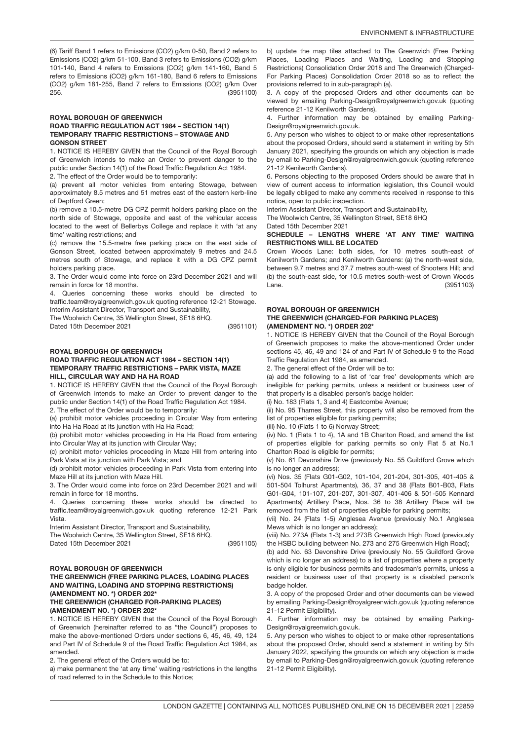(3951100) (6) Tariff Band 1 refers to Emissions (CO2) g/km 0-50, Band 2 refers to Emissions (CO2) g/km 51-100, Band 3 refers to Emissions (CO2) g/km 101-140, Band 4 refers to Emissions (CO2) g/km 141-160, Band 5 refers to Emissions (CO2) g/km 161-180, Band 6 refers to Emissions (CO2) g/km 181-255, Band 7 refers to Emissions (CO2) g/km Over 256.

### ROYAL BOROUGH OF GREENWICH ROAD TRAFFIC REGULATION ACT 1984 – SECTION 14(1) TEMPORARY TRAFFIC RESTRICTIONS – STOWAGE AND GONSON STREET

1. NOTICE IS HEREBY GIVEN that the Council of the Royal Borough of Greenwich intends to make an Order to prevent danger to the public under Section 14(1) of the Road Traffic Regulation Act 1984. 2. The effect of the Order would be to temporarily:

(a) prevent all motor vehicles from entering Stowage, between approximately 8.5 metres and 51 metres east of the eastern kerb-line of Deptford Green;

(b) remove a 10.5-metre DG CPZ permit holders parking place on the north side of Stowage, opposite and east of the vehicular access located to the west of Bellerbys College and replace it with 'at any time' waiting restrictions; and

(c) remove the 15.5-metre free parking place on the east side of Gonson Street, located between approximately 9 metres and 24.5 metres south of Stowage, and replace it with a DG CPZ permit holders parking place.

3. The Order would come into force on 23rd December 2021 and will remain in force for 18 months.

4. Queries concerning these works should be directed to traffic.team@royalgreenwich.gov.uk quoting reference 12-21 Stowage. Interim Assistant Director, Transport and Sustainability,

The Woolwich Centre, 35 Wellington Street, SE18 6HQ.

Dated 15th December 2021

(3951101)

(3951105)

# ROYAL BOROUGH OF GREENWICH

### ROAD TRAFFIC REGULATION ACT 1984 – SECTION 14(1) TEMPORARY TRAFFIC RESTRICTIONS – PARK VISTA, MAZE HILL, CIRCULAR WAY AND HA HA ROAD

1. NOTICE IS HEREBY GIVEN that the Council of the Royal Borough of Greenwich intends to make an Order to prevent danger to the public under Section 14(1) of the Road Traffic Regulation Act 1984. 2. The effect of the Order would be to temporarily:

(a) prohibit motor vehicles proceeding in Circular Way from entering into Ha Ha Road at its junction with Ha Ha Road;

(b) prohibit motor vehicles proceeding in Ha Ha Road from entering into Circular Way at its junction with Circular Way;

(c) prohibit motor vehicles proceeding in Maze Hill from entering into Park Vista at its junction with Park Vista; and

(d) prohibit motor vehicles proceeding in Park Vista from entering into Maze Hill at its junction with Maze Hill.

3. The Order would come into force on 23rd December 2021 and will remain in force for 18 months.

4. Queries concerning these works should be directed to traffic.team@royalgreenwich.gov.uk quoting reference 12-21 Park Vista.

Interim Assistant Director, Transport and Sustainability,

The Woolwich Centre, 35 Wellington Street, SE18 6HQ.

Dated 15th December 2021

ROYAL BOROUGH OF GREENWICH

### THE GREENWICH (FREE PARKING PLACES, LOADING PLACES AND WAITING, LOADING AND STOPPING RESTRICTIONS) (AMENDMENT NO. \*) ORDER 202\* THE GREENWICH (CHARGED FOR-PARKING PLACES) (AMENDMENT NO. \*) ORDER 202\*

### 1. NOTICE IS HEREBY GIVEN that the Council of the Royal Borough of Greenwich (hereinafter referred to as "the Council") proposes to make the above-mentioned Orders under sections 6, 45, 46, 49, 124 and Part IV of Schedule 9 of the Road Traffic Regulation Act 1984, as amended.

2. The general effect of the Orders would be to:

a) make permanent the 'at any time' waiting restrictions in the lengths of road referred to in the Schedule to this Notice;

b) update the map tiles attached to The Greenwich (Free Parking Places, Loading Places and Waiting, Loading and Stopping Restrictions) Consolidation Order 2018 and The Greenwich (Charged-For Parking Places) Consolidation Order 2018 so as to reflect the provisions referred to in sub-paragraph (a).

3. A copy of the proposed Orders and other documents can be viewed by emailing Parking-Design@royalgreenwich.gov.uk (quoting reference 21-12 Kenilworth Gardens).

4. Further information may be obtained by emailing Parking-Design@royalgreenwich.gov.uk.

5. Any person who wishes to object to or make other representations about the proposed Orders, should send a statement in writing by 5th January 2021, specifying the grounds on which any objection is made by email to Parking-Design@royalgreenwich.gov.uk (quoting reference 21-12 Kenilworth Gardens).

6. Persons objecting to the proposed Orders should be aware that in view of current access to information legislation, this Council would be legally obliged to make any comments received in response to this notice, open to public inspection.

Interim Assistant Director, Transport and Sustainability, The Woolwich Centre, 35 Wellington Street, SE18 6HQ

Dated 15th December 2021

### SCHEDULE – LENGTHS WHERE 'AT ANY TIME' WAITING RESTRICTIONS WILL BE LOCATED

(3951103) Crown Woods Lane: both sides, for 10 metres south-east of Kenilworth Gardens; and Kenilworth Gardens: (a) the north-west side, between 9.7 metres and 37.7 metres south-west of Shooters Hill; and (b) the south-east side, for 10.5 metres south-west of Crown Woods Lane.

### ROYAL BOROUGH OF GREENWICH THE GREENWICH (CHARGED-FOR PARKING PLACES) (AMENDMENT NO. \*) ORDER 202\*

1. NOTICE IS HEREBY GIVEN that the Council of the Royal Borough of Greenwich proposes to make the above-mentioned Order under sections 45, 46, 49 and 124 of and Part IV of Schedule 9 to the Road Traffic Regulation Act 1984, as amended.

2. The general effect of the Order will be to:

(a) add the following to a list of 'car free' developments which are ineligible for parking permits, unless a resident or business user of that property is a disabled person's badge holder:

(i) No. 183 (Flats 1, 3 and 4) Eastcombe Avenue;

(ii) No. 95 Thames Street, this property will also be removed from the list of properties eligible for parking permits;

(iii) No. 10 (Flats 1 to 6) Norway Street;

(iv) No. 1 (Flats 1 to 4), 1A and 1B Charlton Road, and amend the list of properties eligible for parking permits so only Flat 5 at No.1 Charlton Road is eligible for permits;

(v) No. 61 Devonshire Drive (previously No. 55 Guildford Grove which is no longer an address);

(vi) Nos. 35 (Flats G01-G02, 101-104, 201-204, 301-305, 401-405 & 501-504 Tolhurst Apartments), 36, 37 and 38 (Flats B01-B03, Flats G01-G04, 101-107, 201-207, 301-307, 401-406 & 501-505 Kennard Apartments) Artillery Place, Nos. 36 to 38 Artillery Place will be removed from the list of properties eligible for parking permits;

(vii) No. 24 (Flats 1-5) Anglesea Avenue (previously No.1 Anglesea Mews which is no longer an address);

(viii) No. 273A (Flats 1-3) and 273B Greenwich High Road (previously the HSBC building between No. 273 and 275 Greenwich High Road);

(b) add No. 63 Devonshire Drive (previously No. 55 Guildford Grove which is no longer an address) to a list of properties where a property is only eligible for business permits and tradesman's permits, unless a resident or business user of that property is a disabled person's badge holder.

3. A copy of the proposed Order and other documents can be viewed by emailing Parking-Design@royalgreenwich.gov.uk (quoting reference 21-12 Permit Eligibility).

4. Further information may be obtained by emailing Parking-Design@royalgreenwich.gov.uk.

5. Any person who wishes to object to or make other representations about the proposed Order, should send a statement in writing by 5th January 2022, specifying the grounds on which any objection is made by email to Parking-Design@royalgreenwich.gov.uk (quoting reference 21-12 Permit Eligibility).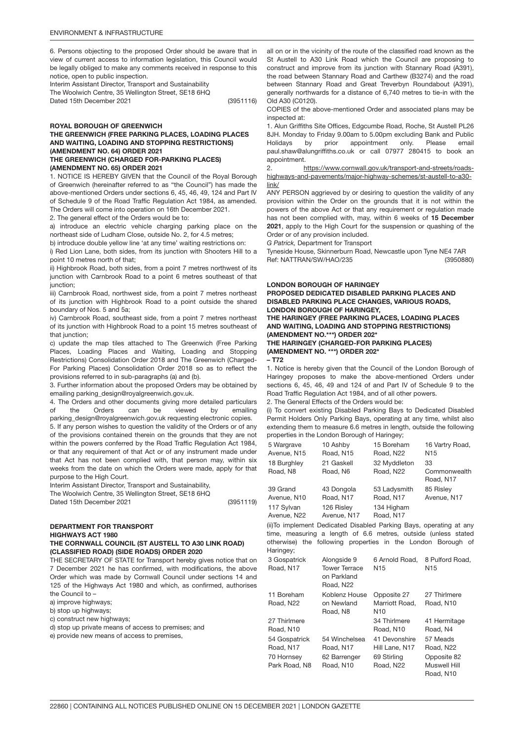6. Persons objecting to the proposed Order should be aware that in view of current access to information legislation, this Council would be legally obliged to make any comments received in response to this notice, open to public inspection.

Interim Assistant Director, Transport and Sustainability The Woolwich Centre, 35 Wellington Street, SE18 6HQ Dated 15th December 2021

(3951116)

### ROYAL BOROUGH OF GREENWICH THE GREENWICH (FREE PARKING PLACES, LOADING PLACES AND WAITING, LOADING AND STOPPING RESTRICTIONS) (AMENDMENT NO. 64) ORDER 2021 THE GREENWICH (CHARGED FOR-PARKING PLACES)

(AMENDMENT NO. 65) ORDER 2021

1. NOTICE IS HEREBY GIVEN that the Council of the Royal Borough of Greenwich (hereinafter referred to as "the Council") has made the above-mentioned Orders under sections 6, 45, 46, 49, 124 and Part IV of Schedule 9 of the Road Traffic Regulation Act 1984, as amended. The Orders will come into operation on 16th December 2021.

2. The general effect of the Orders would be to:

a) introduce an electric vehicle charging parking place on the northeast side of Ludham Close, outside No. 2, for 4.5 metres;

b) introduce double yellow line 'at any time' waiting restrictions on: i) Red Lion Lane, both sides, from its junction with Shooters Hill to a point 10 metres north of that;

ii) Highbrook Road, both sides, from a point 7 metres northwest of its junction with Carnbrook Road to a point 6 metres southeast of that junction;

iii) Carnbrook Road, northwest side, from a point 7 metres northeast of its junction with Highbrook Road to a point outside the shared boundary of Nos. 5 and 5a;

iv) Carnbrook Road, southeast side, from a point 7 metres northeast of its junction with Highbrook Road to a point 15 metres southeast of that junction:

c) update the map tiles attached to The Greenwich (Free Parking Places, Loading Places and Waiting, Loading and Stopping Restrictions) Consolidation Order 2018 and The Greenwich (Charged-For Parking Places) Consolidation Order 2018 so as to reflect the provisions referred to in sub-paragraphs (a) and (b).

3. Further information about the proposed Orders may be obtained by emailing parking\_design@royalgreenwich.gov.uk.

4. The Orders and other documents giving more detailed particulars of the Orders can be viewed by emailing parking\_design@royalgreenwich.gov.uk requesting electronic copies.

5. If any person wishes to question the validity of the Orders or of any of the provisions contained therein on the grounds that they are not within the powers conferred by the Road Traffic Regulation Act 1984, or that any requirement of that Act or of any instrument made under that Act has not been complied with, that person may, within six weeks from the date on which the Orders were made, apply for that purpose to the High Court.

Interim Assistant Director, Transport and Sustainability,

The Woolwich Centre, 35 Wellington Street, SE18 6HQ Dated 15th December 2021

DEPARTMENT FOR TRANSPOR<mark>T</mark> HIGHWAYS ACT 1980 THE CORNWALL COUNCIL (ST AUSTELL TO A30 LINK ROAD)

(CLASSIFIED ROAD) (SIDE ROADS) ORDER 2020

THE SECRETARY OF STATE for Transport hereby gives notice that on 7 December 2021 he has confirmed, with modifications, the above Order which was made by Cornwall Council under sections 14 and 125 of the Highways Act 1980 and which, as confirmed, authorises the Council to –

a) improve highways:

b) stop up highways;

c) construct new highways;

d) stop up private means of access to premises; and

e) provide new means of access to premises,

all on or in the vicinity of the route of the classified road known as the St Austell to A30 Link Road which the Council are proposing to construct and improve from its junction with Stannary Road (A391), the road between Stannary Road and Carthew (B3274) and the road between Stannary Road and Great Treverbyn Roundabout (A391), generally northwards for a distance of 6,740 metres to tie-in with the Old A30 (C0120).

COPIES of the above-mentioned Order and associated plans may be inspected at:

1. Alun Griffiths Site Offices, Edgcumbe Road, Roche, St Austell PL26 8JH. Monday to Friday 9.00am to 5.00pm excluding Bank and Public Holidays by prior appointment only. Please email paul.shaw@alungriffiths.co.uk or call 07977 280415 to book an appointment.

2. [https://www.cornwall.gov.uk/transport-and-streets/roads](https://www.cornwall.gov.uk/transport-and-streets/roads-highways-and-pavements/major-highway-schemes/st-austell-to-a30-link/)[highways-and-pavements/major-highway-schemes/st-austell-to-a30](https://www.cornwall.gov.uk/transport-and-streets/roads-highways-and-pavements/major-highway-schemes/st-austell-to-a30-link/) [link/](https://www.cornwall.gov.uk/transport-and-streets/roads-highways-and-pavements/major-highway-schemes/st-austell-to-a30-link/)

ANY PERSON aggrieved by or desiring to question the validity of any provision within the Order on the grounds that it is not within the powers of the above Act or that any requirement or regulation made has not been complied with, may, within 6 weeks of 15 December 2021, apply to the High Court for the suspension or quashing of the Order or of any provision included.

*G Patrick,* Department for Transport

(3950880) Tyneside House, Skinnerburn Road, Newcastle upon Tyne NE4 7AR Ref: NATTRAN/SW/HAO/235

# LONDON BOROUGH OF HARINGEY

PROPOSED DEDICATED DISABLED PARKING PLACES AND DISABLED PARKING PLACE CHANGES, VARIOUS ROADS, LONDON BOROUGH OF HARINGEY,

THE HARINGEY (FREE PARKING PLACES, LOADING PLACES AND WAITING, LOADING AND STOPPING RESTRICTIONS) (AMENDMENT NO.\*\*\*) ORDER 202\*

THE HARINGEY (CHARGED-FOR PARKING PLACES) (AMENDMENT NO. \*\*\*) ORDER 202\*

– T72

(3951119)

1. Notice is hereby given that the Council of the London Borough of Haringey proposes to make the above-mentioned Orders under sections 6, 45, 46, 49 and 124 of and Part IV of Schedule 9 to the Road Traffic Regulation Act 1984, and of all other powers.

2. The General Effects of the Orders would be:

(i) To convert existing Disabled Parking Bays to Dedicated Disabled Permit Holders Only Parking Bays, operating at any time, whilst also extending them to measure 6.6 metres in length, outside the following properties in the London Borough of Haringey;

| 5 Wargrave  | 10 Ashby    | 15 Boreham   | 16 Vartry Road, |
|-------------|-------------|--------------|-----------------|
| Avenue, N15 | Road, N15   | Road, N22    | N <sub>15</sub> |
| 18 Burghley | 21 Gaskell  | 32 Myddleton | 33              |
| Road, N8    | Road, N6    | Road, N22    | Commonwealth    |
|             |             |              | Road, N17       |
| 39 Grand    | 43 Dongola  | 53 Ladysmith | 85 Risley       |
| Avenue, N10 | Road, N17   | Road, N17    | Avenue, N17     |
| 117 Sylvan  | 126 Risley  | 134 Higham   |                 |
| Avenue, N22 | Avenue, N17 | Road, N17    |                 |

(ii)To implement Dedicated Disabled Parking Bays, operating at any time, measuring a length of 6.6 metres, outside (unless stated otherwise) the following properties in the London Borough of Haringey;

| 3 Gospatrick<br>Road, N17   | Alongside 9<br><b>Tower Terrace</b><br>on Parkland<br>Road, N22 | 6 Arnold Road.<br>N <sub>15</sub>     | 8 Pulford Road.<br>N <sub>15</sub>       |
|-----------------------------|-----------------------------------------------------------------|---------------------------------------|------------------------------------------|
| 11 Boreham                  | Koblenz House                                                   | Opposite 27                           | 27 Thirlmere                             |
| Road, N22                   | on Newland<br>Road, N8                                          | Marriott Road.<br>N <sub>10</sub>     | Road, N10                                |
| 27 Thirlmere<br>Road, N10   |                                                                 | 34 Thirlmere<br>Road, N <sub>10</sub> | 41 Hermitage<br>Road, N4                 |
| 54 Gospatrick<br>Road, N17  | 54 Winchelsea<br>Road, N17                                      | 41 Devonshire<br>Hill Lane, N17       | 57 Meads<br>Road, N22                    |
| 70 Hornsey<br>Park Road, N8 | 62 Barrenger<br>Road, N10                                       | 69 Stirling<br>Road, N22              | Opposite 82<br>Muswell Hill<br>Road, N10 |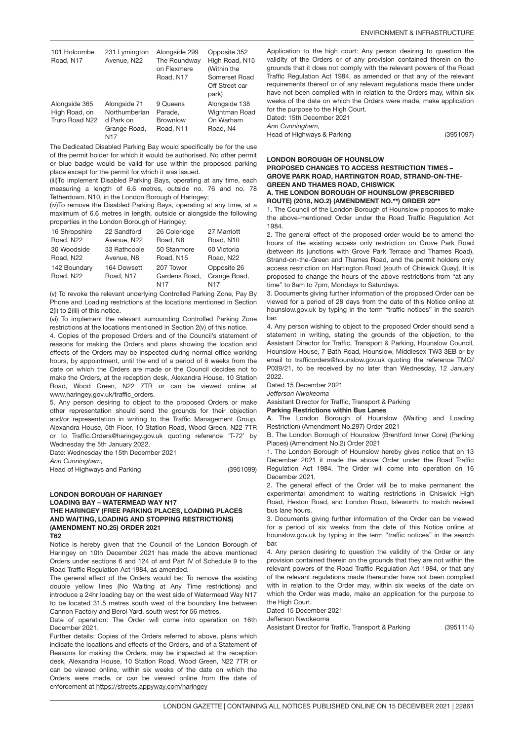| 101 Holcombe<br>Road, N17                        | 231 Lymington<br>Avenue, N22                                      | Alongside 299<br>The Roundway<br>on Flexmere<br>Road, N17 | Opposite 352<br>High Road, N15<br>(Within the<br>Somerset Road<br>Off Street car<br>park) |
|--------------------------------------------------|-------------------------------------------------------------------|-----------------------------------------------------------|-------------------------------------------------------------------------------------------|
| Alongside 365<br>High Road, on<br>Truro Road N22 | Alongside 71<br>Northumberlan<br>d Park on<br>Grange Road,<br>N17 | 9 Queens<br>Parade,<br><b>Brownlow</b><br>Road, N11       | Alongside 138<br>Wightman Road<br>On Warham<br>Road, N4                                   |

The Dedicated Disabled Parking Bay would specifically be for the use of the permit holder for which it would be authorised. No other permit or blue badge would be valid for use within the proposed parking place except for the permit for which it was issued.

(iii)To implement Disabled Parking Bays, operating at any time, each measuring a length of 6.6 metres, outside no. 76 and no. 78 Tetherdown, N10, in the London Borough of Haringey;

(iv)To remove the Disabled Parking Bays, operating at any time, at a maximum of 6.6 metres in length, outside or alongside the following properties in the London Borough of Haringey;

| 16 Shropshire | 22 Sandford  | 26 Coleridge  | 27 Marriott  |
|---------------|--------------|---------------|--------------|
| Road, N22     | Avenue, N22  | Road, N8      | Road, N10    |
| 30 Woodside   | 33 Rathcoole | 50 Stanmore   | 60 Victoria  |
| Road, N22     | Avenue, N8   | Road, N15     | Road, N22    |
| 142 Boundary  | 164 Dowsett  | 207 Tower     | Opposite 26  |
| Road, N22     | Road, N17    | Gardens Road. | Grange Road, |
|               |              | <b>N17</b>    | N17          |

(v) To revoke the relevant underlying Controlled Parking Zone, Pay By Phone and Loading restrictions at the locations mentioned in Section 2(i) to 2(iii) of this notice.

(vi) To implement the relevant surrounding Controlled Parking Zone restrictions at the locations mentioned in Section 2(v) of this notice.

4. Copies of the proposed Orders and of the Council's statement of reasons for making the Orders and plans showing the location and effects of the Orders may be inspected during normal office working hours, by appointment, until the end of a period of 6 weeks from the date on which the Orders are made or the Council decides not to make the Orders, at the reception desk, Alexandra House, 10 Station Road, Wood Green, N22 7TR or can be viewed online at www.haringey.gov.uk/traffic\_orders.

5. Any person desiring to object to the proposed Orders or make other representation should send the grounds for their objection and/or representation in writing to the Traffic Management Group, Alexandra House, 5th Floor, 10 Station Road, Wood Green, N22 7TR or to Traffic.Orders@haringey.gov.uk quoting reference 'T-72' by Wednesday the 5th January 2022.

Date: Wednesday the 15th December 2021

*Ann Cunningham,*

Head of Highways and Parking

(3951099)

### LONDON BOROUGH OF HARINGEY LOADING BAY – WATERMEAD WAY N17 THE HARINGEY (FREE PARKING PLACES, LOADING PLACES AND WAITING, LOADING AND STOPPING RESTRICTIONS) (AMENDMENT NO.25) ORDER 2021 T62

Notice is hereby given that the Council of the London Borough of Haringey on 10th December 2021 has made the above mentioned Orders under sections 6 and 124 of and Part IV of Schedule 9 to the Road Traffic Regulation Act 1984, as amended.

The general effect of the Orders would be: To remove the existing double yellow lines (No Waiting at Any Time restrictions) and introduce a 24hr loading bay on the west side of Watermead Way N17 to be located 31.5 metres south west of the boundary line between Cannon Factory and Berol Yard, south west for 56 metres.

Date of operation: The Order will come into operation on 16th December 2021.

Further details: Copies of the Orders referred to above, plans which indicate the locations and effects of the Orders, and of a Statement of Reasons for making the Orders, may be inspected at the reception desk, Alexandra House, 10 Station Road, Wood Green, N22 7TR or can be viewed online, within six weeks of the date on which the Orders were made, or can be viewed online from the date of enforcement at<https://streets.appyway.com/haringey>

Application to the high court: Any person desiring to question the validity of the Orders or of any provision contained therein on the grounds that it does not comply with the relevant powers of the Road Traffic Regulation Act 1984, as amended or that any of the relevant requirements thereof or of any relevant regulations made there under have not been complied with in relation to the Orders may, within six weeks of the date on which the Orders were made, make application for the purpose to the High Court.

Dated: 15th December 2021 *Ann Cunningham,*

Head of Highways & Parking

(3951097)

### LONDON BOROUGH OF HOUNSLOW

PROPOSED CHANGES TO ACCESS RESTRICTION TIMES – GROVE PARK ROAD, HARTINGTON ROAD, STRAND-ON-THE-GREEN AND THAMES ROAD, CHISWICK A. THE LONDON BOROUGH OF HOUNSLOW (PRESCRIBED

ROUTE) (2018, NO.2) (AMENDMENT NO.\*\*) ORDER 20\*\*

1. The Council of the London Borough of Hounslow proposes to make the above-mentioned Order under the Road Traffic Regulation Act 1984.

2. The general effect of the proposed order would be to amend the hours of the existing access only restriction on Grove Park Road (between its junctions with Grove Park Terrace and Thames Road), Strand-on-the-Green and Thames Road, and the permit holders only access restriction on Hartington Road (south of Chiswick Quay). It is proposed to change the hours of the above restrictions from "at any time" to 8am to 7pm, Mondays to Saturdays.

3. Documents giving further information of the proposed Order can be viewed for a period of 28 days from the date of this Notice online at hounslow.gov.uk by typing in the term "traffic notices" in the search bar.

4. Any person wishing to object to the proposed Order should send a statement in writing, stating the grounds of the objection, to the Assistant Director for Traffic, Transport & Parking, Hounslow Council, Hounslow House, 7 Bath Road, Hounslow, Middlesex TW3 3EB or by email to trafficorders@hounslow.gov.uk quoting the reference TMO/ P039/21, to be received by no later than Wednesday, 12 January 2022.

Dated 15 December 2021

*Jefferson Nwokeoma*

Assistant Director for Traffic, Transport & Parking

Parking Restrictions within Bus Lanes

A. The London Borough of Hounslow (Waiting and Loading Restriction) (Amendment No.297) Order 2021

B. The London Borough of Hounslow (Brentford Inner Core) (Parking Places) (Amendment No.2) Order 2021

1. The London Borough of Hounslow hereby gives notice that on 13 December 2021 it made the above Order under the Road Traffic Regulation Act 1984. The Order will come into operation on 16 December 2021.

2. The general effect of the Order will be to make permanent the experimental amendment to waiting restrictions in Chiswick High Road, Heston Road, and London Road, Isleworth, to match revised bus lane hours.

3. Documents giving further information of the Order can be viewed for a period of six weeks from the date of this Notice online at hounslow.gov.uk by typing in the term "traffic notices" in the search bar.

4. Any person desiring to question the validity of the Order or any provision contained therein on the grounds that they are not within the relevant powers of the Road Traffic Regulation Act 1984, or that any of the relevant regulations made thereunder have not been complied with in relation to the Order may, within six weeks of the date on which the Order was made, make an application for the purpose to the High Court.

(3951114)

Dated 15 December 2021

Jefferson Nwokeoma

Assistant Director for Traffic, Transport & Parking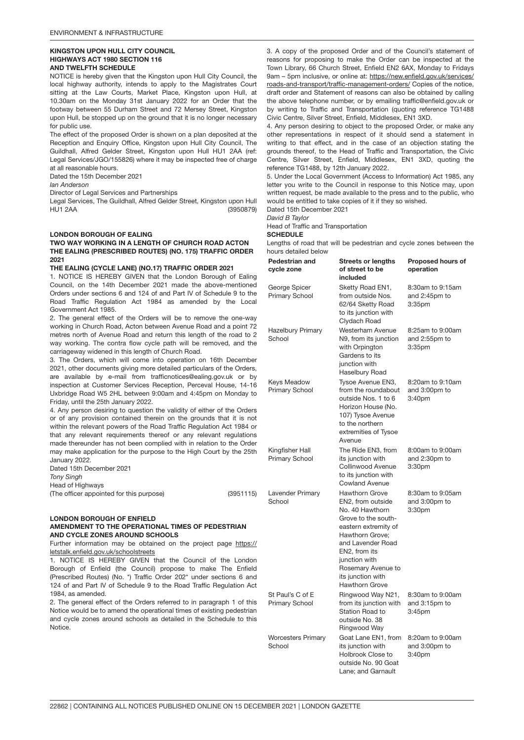### KINGSTON UPON HULL CITY COUNCIL HIGHWAYS ACT 1980 SECTION 116 AND TWELFTH SCHEDULE

NOTICE is hereby given that the Kingston upon Hull City Council, the local highway authority, intends to apply to the Magistrates Court sitting at the Law Courts, Market Place, Kingston upon Hull, at 10.30am on the Monday 31st January 2022 for an Order that the footway between 55 Durham Street and 72 Mersey Street, Kingston upon Hull, be stopped up on the ground that it is no longer necessary for public use.

The effect of the proposed Order is shown on a plan deposited at the Reception and Enquiry Office, Kingston upon Hull City Council, The Guildhall, Alfred Gelder Street, Kingston upon Hull HU1 2AA (ref: Legal Services/JGO/155826) where it may be inspected free of charge at all reasonable hours.

Dated the 15th December 2021

*Ian Anderson*

Director of Legal Services and Partnerships

(3950879) Legal Services, The Guildhall, Alfred Gelder Street, Kingston upon Hull HU1 2AA

# LONDON BOROUGH OF EALING

### TWO WAY WORKING IN A LENGTH OF CHURCH ROAD ACTON THE EALING (PRESCRIBED ROUTES) (NO. 175) TRAFFIC ORDER 2021

### THE EALING (CYCLE LANE) (NO.17) TRAFFIC ORDER 2021

1. NOTICE IS HEREBY GIVEN that the London Borough of Ealing Council, on the 14th December 2021 made the above-mentioned Orders under sections 6 and 124 of and Part IV of Schedule 9 to the Road Traffic Regulation Act 1984 as amended by the Local Government Act 1985.

2. The general effect of the Orders will be to remove the one-way working in Church Road, Acton between Avenue Road and a point 72 metres north of Avenue Road and return this length of the road to 2 way working. The contra flow cycle path will be removed, and the carriageway widened in this length of Church Road.

3. The Orders, which will come into operation on 16th December 2021, other documents giving more detailed particulars of the Orders, are available by e-mail from trafficnotices@ealing.gov.uk or by inspection at Customer Services Reception, Perceval House, 14-16 Uxbridge Road W5 2HL between 9:00am and 4:45pm on Monday to Friday, until the 25th January 2022.

4. Any person desiring to question the validity of either of the Orders or of any provision contained therein on the grounds that it is not within the relevant powers of the Road Traffic Regulation Act 1984 or that any relevant requirements thereof or any relevant regulations made thereunder has not been complied with in relation to the Order may make application for the purpose to the High Court by the 25th January 2022.

Dated 15th December 2021

*Tony Singh*

Head of Highways

(3951115) (The officer appointed for this purpose)

### LONDON BOROUGH OF ENFIELD AMENDMENT TO THE OPERATIONAL TIMES OF PEDESTRIAN AND CYCLE ZONES AROUND SCHOOLS

Further information may be obtained on the project page [https://](https://letstalk.enfield.gov.uk/schoolstreets) [letstalk.enfield.gov.uk/schoolstreets](https://letstalk.enfield.gov.uk/schoolstreets)

1. NOTICE IS HEREBY GIVEN that the Council of the London Borough of Enfield (the Council) propose to make The Enfield (Prescribed Routes) (No. \*) Traffic Order 202\* under sections 6 and 124 of and Part IV of Schedule 9 to the Road Traffic Regulation Act 1984, as amended.

2. The general effect of the Orders referred to in paragraph 1 of this Notice would be to amend the operational times of existing pedestrian and cycle zones around schools as detailed in the Schedule to this Notice.

3. A copy of the proposed Order and of the Council's statement of reasons for proposing to make the Order can be inspected at the Town Library, 66 Church Street, Enfield EN2 6AX, Monday to Fridays 9am – 5pm inclusive, or online at: [https://new.enfield.gov.uk/services/](https://new.enfield.gov.uk/services/roads-and-transport/traffic-management-orders/) [roads-and-transport/traffic-management-orders/](https://new.enfield.gov.uk/services/roads-and-transport/traffic-management-orders/) Copies of the notice, draft order and Statement of reasons can also be obtained by calling the above telephone number, or by emailing traffic@enfield.gov.uk or by writing to Traffic and Transportation (quoting reference TG1488 Civic Centre, Silver Street, Enfield, Middlesex, EN1 3XD.

4. Any person desiring to object to the proposed Order, or make any other representations in respect of it should send a statement in writing to that effect, and in the case of an objection stating the grounds thereof, to the Head of Traffic and Transportation, the Civic Centre, Silver Street, Enfield, Middlesex, EN1 3XD, quoting the reference TG1488, by 12th January 2022.

5. Under the Local Government (Access to Information) Act 1985, any letter you write to the Council in response to this Notice may, upon written request, be made available to the press and to the public, who would be entitled to take copies of it if they so wished.

Dated 15th December 2021

*David B Taylor*

Head of Traffic and Transportation

# **SCHEDULE**

Lengths of road that will be pedestrian and cycle zones between the hours detailed below

| Pedestrian and<br>cycle zone              | <b>Streets or lengths</b><br>of street to be<br>included                                                                                                                                                                                                   | <b>Proposed hours of</b><br>operation                   |
|-------------------------------------------|------------------------------------------------------------------------------------------------------------------------------------------------------------------------------------------------------------------------------------------------------------|---------------------------------------------------------|
| George Spicer<br><b>Primary School</b>    | Sketty Road EN1,<br>from outside Nos.<br>62/64 Sketty Road<br>to its junction with<br>Clydach Road                                                                                                                                                         | 8:30am to 9:15am<br>and 2:45pm to<br>3:35 <sub>pm</sub> |
| <b>Hazelbury Primary</b><br>School        | Westerham Avenue<br>N9, from its junction<br>with Orpington<br>Gardens to its<br>junction with<br>Haselbury Road                                                                                                                                           | 8:25am to 9:00am<br>and 2:55pm to<br>3:35 <sub>pm</sub> |
| Keys Meadow<br><b>Primary School</b>      | Tysoe Avenue EN3,<br>from the roundabout<br>outside Nos. 1 to 6<br>Horizon House (No.<br>107) Tysoe Avenue<br>to the northern<br>extremities of Tysoe<br>Avenue                                                                                            | 8:20am to 9:10am<br>and 3:00pm to<br>3:40pm             |
| Kingfisher Hall<br><b>Primary School</b>  | The Ride EN3, from<br>its junction with<br>Collinwood Avenue<br>to its junction with<br><b>Cowland Avenue</b>                                                                                                                                              | 8:00am to 9:00am<br>and 2:30pm to<br>3:30 <sub>pm</sub> |
| Lavender Primary<br>School                | <b>Hawthorn Grove</b><br>EN2, from outside<br>No. 40 Hawthorn<br>Grove to the south-<br>eastern extremity of<br>Hawthorn Grove:<br>and Lavender Road<br>EN2, from its<br>junction with<br>Rosemary Avenue to<br>its junction with<br><b>Hawthorn Grove</b> | 8:30am to 9:05am<br>and 3:00pm to<br>3:30 <sub>pm</sub> |
| St Paul's C of E<br><b>Primary School</b> | Ringwood Way N21,<br>from its junction with<br><b>Station Road to</b><br>outside No. 38<br>Ringwood Way                                                                                                                                                    | 8:30am to 9:00am<br>and 3:15pm to<br>$3:45$ pm          |
| <b>Worcesters Primary</b><br>School       | Goat Lane EN1, from<br>its junction with<br>Holbrook Close to<br>outside No. 90 Goat<br>Lane; and Garnault                                                                                                                                                 | 8:20am to 9:00am<br>and 3:00pm to<br>3:40pm             |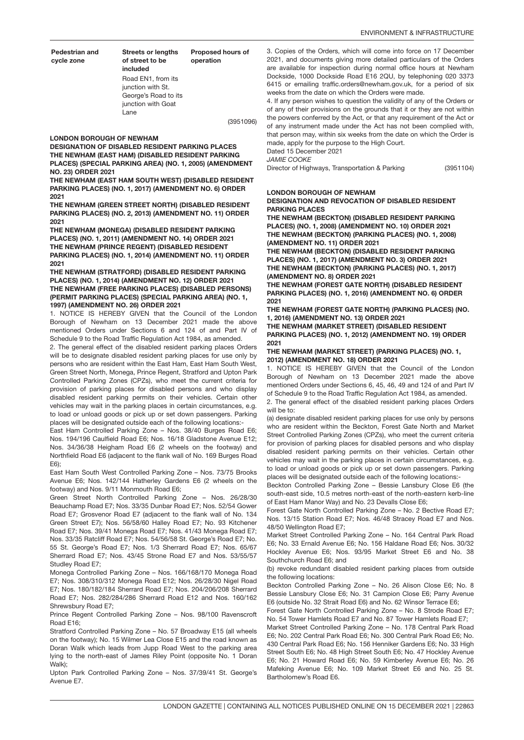(3951104)

Pedestrian and cycle zone

Streets or lengths of street to be included Proposed hours of operation Road EN1, from its junction with St. George's Road to its junction with Goat Lane

(3951096)

LONDON BOROUGH OF NEWHAM

DESIGNATION OF DISABLED RESIDENT PARKING PLACES THE NEWHAM (EAST HAM) (DISABLED RESIDENT PARKING PLACES) (SPECIAL PARKING AREA) (NO. 1, 2005) (AMENDMENT NO. 23) ORDER 2021

THE NEWHAM (EAST HAM SOUTH WEST) (DISABLED RESIDENT PARKING PLACES) (NO. 1, 2017) (AMENDMENT NO. 6) ORDER 2021

THE NEWHAM (GREEN STREET NORTH) (DISABLED RESIDENT PARKING PLACES) (NO. 2, 2013) (AMENDMENT NO. 11) ORDER 2021

THE NEWHAM (MONEGA) (DISABLED RESIDENT PARKING PLACES) (NO. 1, 2011) (AMENDMENT NO. 14) ORDER 2021 THE NEWHAM (PRINCE REGENT) (DISABLED RESIDENT PARKING PLACES) (NO. 1, 2014) (AMENDMENT NO. 11) ORDER 2021

THE NEWHAM (STRATFORD) (DISABLED RESIDENT PARKING PLACES) (NO. 1, 2014) (AMENDMENT NO. 12) ORDER 2021 THE NEWHAM (FREE PARKING PLACES) (DISABLED PERSONS) (PERMIT PARKING PLACES) (SPECIAL PARKING AREA) (NO. 1, 1997) (AMENDMENT NO. 26) ORDER 2021

1. NOTICE IS HEREBY GIVEN that the Council of the London Borough of Newham on 13 December 2021 made the above mentioned Orders under Sections 6 and 124 of and Part IV of Schedule 9 to the Road Traffic Regulation Act 1984, as amended.

2. The general effect of the disabled resident parking places Orders will be to designate disabled resident parking places for use only by persons who are resident within the East Ham, East Ham South West, Green Street North, Monega, Prince Regent, Stratford and Upton Park Controlled Parking Zones (CPZs), who meet the current criteria for provision of parking places for disabled persons and who display disabled resident parking permits on their vehicles. Certain other vehicles may wait in the parking places in certain circumstances, e.g. to load or unload goods or pick up or set down passengers. Parking places will be designated outside each of the following locations:-

East Ham Controlled Parking Zone – Nos. 38/40 Burges Road E6; Nos. 194/196 Caulfield Road E6; Nos. 16/18 Gladstone Avenue E12; Nos. 34/36/38 Heigham Road E6 (2 wheels on the footway) and Northfield Road E6 (adjacent to the flank wall of No. 169 Burges Road E6);

East Ham South West Controlled Parking Zone – Nos. 73/75 Brooks Avenue E6; Nos. 142/144 Hatherley Gardens E6 (2 wheels on the footway) and Nos. 9/11 Monmouth Road E6;

Green Street North Controlled Parking Zone – Nos. 26/28/30 Beauchamp Road E7; Nos. 33/35 Dunbar Road E7; Nos. 52/54 Gower Road E7; Grosvenor Road E7 (adjacent to the flank wall of No. 134 Green Street E7); Nos. 56/58/60 Halley Road E7; No. 93 Kitchener Road E7; Nos. 39/41 Monega Road E7; Nos. 41/43 Monega Road E7; Nos. 33/35 Ratcliff Road E7; Nos. 54/56/58 St. George's Road E7; No. 55 St. George's Road E7; Nos. 1/3 Sherrard Road E7; Nos. 65/67 Sherrard Road E7; Nos. 43/45 Strone Road E7 and Nos. 53/55/57 Studley Road E7;

Monega Controlled Parking Zone – Nos. 166/168/170 Monega Road E7; Nos. 308/310/312 Monega Road E12; Nos. 26/28/30 Nigel Road E7; Nos. 180/182/184 Sherrard Road E7; Nos. 204/206/208 Sherrard Road E7; Nos. 282/284/286 Sherrard Road E12 and Nos. 160/162 Shrewsbury Road E7;

Prince Regent Controlled Parking Zone – Nos. 98/100 Ravenscroft Road E16;

Stratford Controlled Parking Zone – No. 57 Broadway E15 (all wheels on the footway); No. 15 Wilmer Lea Close E15 and the road known as Doran Walk which leads from Jupp Road West to the parking area lying to the north-east of James Riley Point (opposite No. 1 Doran Walk);

Upton Park Controlled Parking Zone – Nos. 37/39/41 St. George's Avenue E7.

3. Copies of the Orders, which will come into force on 17 December 2021, and documents giving more detailed particulars of the Orders are available for inspection during normal office hours at Newham Dockside, 1000 Dockside Road E16 2QU, by telephoning 020 3373 6415 or emailing traffic.orders@newham.gov.uk, for a period of six weeks from the date on which the Orders were made.

4. If any person wishes to question the validity of any of the Orders or of any of their provisions on the grounds that it or they are not within the powers conferred by the Act, or that any requirement of the Act or of any instrument made under the Act has not been complied with, that person may, within six weeks from the date on which the Order is made, apply for the purpose to the High Court. Dated 15 December 2021

*JAMIE COOKE*

Director of Highways, Transportation & Parking

# LONDON BOROUGH OF NEWHAM

### DESIGNATION AND REVOCATION OF DISABLED RESIDENT PARKING PLACES

THE NEWHAM (BECKTON) (DISABLED RESIDENT PARKING PLACES) (NO. 1, 2008) (AMENDMENT NO. 10) ORDER 2021 THE NEWHAM (BECKTON) (PARKING PLACES) (NO. 1, 2008) (AMENDMENT NO. 11) ORDER 2021

THE NEWHAM (BECKTON) (DISABLED RESIDENT PARKING PLACES) (NO. 1, 2017) (AMENDMENT NO. 3) ORDER 2021 THE NEWHAM (BECKTON) (PARKING PLACES) (NO. 1, 2017) (AMENDMENT NO. 8) ORDER 2021

THE NEWHAM (FOREST GATE NORTH) (DISABLED RESIDENT PARKING PLACES) (NO. 1, 2016) (AMENDMENT NO. 6) ORDER 2021

THE NEWHAM (FOREST GATE NORTH) (PARKING PLACES) (NO. 1, 2016) (AMENDMENT NO. 13) ORDER 2021

THE NEWHAM (MARKET STREET) (DISABLED RESIDENT PARKING PLACES) (NO. 1, 2012) (AMENDMENT NO. 19) ORDER 2021

### THE NEWHAM (MARKET STREET) (PARKING PLACES) (NO. 1, 2012) (AMENDMENT NO. 18) ORDER 2021

1. NOTICE IS HEREBY GIVEN that the Council of the London Borough of Newham on 13 December 2021 made the above mentioned Orders under Sections 6, 45, 46, 49 and 124 of and Part IV of Schedule 9 to the Road Traffic Regulation Act 1984, as amended.

2. The general effect of the disabled resident parking places Orders will be to:

(a) designate disabled resident parking places for use only by persons who are resident within the Beckton, Forest Gate North and Market Street Controlled Parking Zones (CPZs), who meet the current criteria for provision of parking places for disabled persons and who display disabled resident parking permits on their vehicles. Certain other vehicles may wait in the parking places in certain circumstances, e.g. to load or unload goods or pick up or set down passengers. Parking places will be designated outside each of the following locations:-

Beckton Controlled Parking Zone – Bessie Lansbury Close E6 (the south-east side, 10.5 metres north-east of the north-eastern kerb-line of East Ham Manor Way) and No. 23 Devalls Close E6;

Forest Gate North Controlled Parking Zone – No. 2 Bective Road E7; Nos. 13/15 Station Road E7; Nos. 46/48 Stracey Road E7 and Nos. 48/50 Wellington Road E7;

Market Street Controlled Parking Zone – No. 164 Central Park Road E6; No. 33 Ernald Avenue E6; No. 156 Haldane Road E6; Nos. 30/32 Hockley Avenue E6; Nos. 93/95 Market Street E6 and No. 38 Southchurch Road E6; and

(b) revoke redundant disabled resident parking places from outside the following locations:

Beckton Controlled Parking Zone – No. 26 Alison Close E6; No. 8 Bessie Lansbury Close E6; No. 31 Campion Close E6; Parry Avenue E6 (outside No. 32 Strait Road E6) and No. 62 Winsor Terrace E6;

Forest Gate North Controlled Parking Zone – No. 8 Strode Road E7; No. 54 Tower Hamlets Road E7 and No. 87 Tower Hamlets Road E7;

Market Street Controlled Parking Zone – No. 178 Central Park Road E6; No. 202 Central Park Road E6; No. 300 Central Park Road E6; No. 430 Central Park Road E6; No. 156 Henniker Gardens E6; No. 33 High Street South E6; No. 48 High Street South E6; No. 47 Hockley Avenue E6; No. 21 Howard Road E6; No. 59 Kimberley Avenue E6; No. 26 Mafeking Avenue E6; No. 109 Market Street E6 and No. 25 St. Bartholomew's Road E6.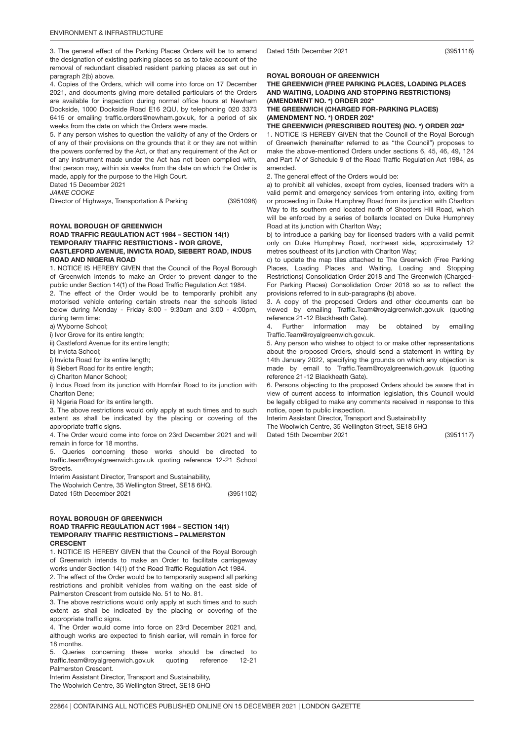3. The general effect of the Parking Places Orders will be to amend the designation of existing parking places so as to take account of the removal of redundant disabled resident parking places as set out in paragraph 2(b) above.

4. Copies of the Orders, which will come into force on 17 December 2021, and documents giving more detailed particulars of the Orders are available for inspection during normal office hours at Newham Dockside, 1000 Dockside Road E16 2QU, by telephoning 020 3373 6415 or emailing traffic.orders@newham.gov.uk, for a period of six weeks from the date on which the Orders were made.

5. If any person wishes to question the validity of any of the Orders or of any of their provisions on the grounds that it or they are not within the powers conferred by the Act, or that any requirement of the Act or of any instrument made under the Act has not been complied with, that person may, within six weeks from the date on which the Order is made, apply for the purpose to the High Court.

Dated 15 December 2021

*JAMIE COOKE*

Director of Highways, Transportation & Parking

(3951098)

### ROYAL BOROUGH OF GREENWICH ROAD TRAFFIC REGULATION ACT 1984 – SECTION 14(1) TEMPORARY TRAFFIC RESTRICTIONS - IVOR GROVE, CASTLEFORD AVENUE, INVICTA ROAD, SIEBERT ROAD, INDUS ROAD AND NIGERIA ROAD

1. NOTICE IS HEREBY GIVEN that the Council of the Royal Borough of Greenwich intends to make an Order to prevent danger to the public under Section 14(1) of the Road Traffic Regulation Act 1984.

2. The effect of the Order would be to temporarily prohibit any motorised vehicle entering certain streets near the schools listed below during Monday - Friday 8:00 - 9:30am and 3:00 - 4:00pm, during term time:

a) Wyborne School;

i) Ivor Grove for its entire length;

ii) Castleford Avenue for its entire length;

b) Invicta School;

i) Invicta Road for its entire length;

ii) Siebert Road for its entire length;

c) Charlton Manor School;

i) Indus Road from its junction with Hornfair Road to its junction with Charlton Dene;

ii) Nigeria Road for its entire length.

3. The above restrictions would only apply at such times and to such extent as shall be indicated by the placing or covering of the appropriate traffic signs.

4. The Order would come into force on 23rd December 2021 and will remain in force for 18 months.

5. Queries concerning these works should be directed to traffic.team@royalgreenwich.gov.uk quoting reference 12-21 School Streets.

Interim Assistant Director, Transport and Sustainability,

The Woolwich Centre, 35 Wellington Street, SE18 6HQ.

(3951102) Dated 15th December 2021

### ROYAL BOROUGH OF GREENWICH ROAD TRAFFIC REGULATION ACT 1984 – SECTION 14(1) TEMPORARY TRAFFIC RESTRICTIONS – PALMERSTON CRESCENT

1. NOTICE IS HEREBY GIVEN that the Council of the Royal Borough of Greenwich intends to make an Order to facilitate carriageway works under Section 14(1) of the Road Traffic Regulation Act 1984.

2. The effect of the Order would be to temporarily suspend all parking restrictions and prohibit vehicles from waiting on the east side of Palmerston Crescent from outside No. 51 to No. 81.

3. The above restrictions would only apply at such times and to such extent as shall be indicated by the placing or covering of the appropriate traffic signs.

4. The Order would come into force on 23rd December 2021 and, although works are expected to finish earlier, will remain in force for 18 months.

5. Queries concerning these works should be directed to traffic.team@royalgreenwich.gov.uk quoting reference 12-21 Palmerston Crescent.

Interim Assistant Director, Transport and Sustainability, The Woolwich Centre, 35 Wellington Street, SE18 6HQ Dated 15th December 2021

(3951118)

# ROYAL BOROUGH OF GREENWICH

THE GREENWICH (FREE PARKING PLACES, LOADING PLACES AND WAITING, LOADING AND STOPPING RESTRICTIONS) (AMENDMENT NO. \*) ORDER 202\* THE GREENWICH (CHARGED FOR-PARKING PLACES) (AMENDMENT NO. \*) ORDER 202\*

THE GREENWICH (PRESCRIBED ROUTES) (NO. \*) ORDER 202\*

1. NOTICE IS HEREBY GIVEN that the Council of the Royal Borough of Greenwich (hereinafter referred to as "the Council") proposes to make the above-mentioned Orders under sections 6, 45, 46, 49, 124 and Part IV of Schedule 9 of the Road Traffic Regulation Act 1984, as amended.

2. The general effect of the Orders would be:

a) to prohibit all vehicles, except from cycles, licensed traders with a valid permit and emergency services from entering into, exiting from or proceeding in Duke Humphrey Road from its junction with Charlton Way to its southern end located north of Shooters Hill Road, which will be enforced by a series of bollards located on Duke Humphrey Road at its junction with Charlton Way;

b) to introduce a parking bay for licensed traders with a valid permit only on Duke Humphrey Road, northeast side, approximately 12 metres southeast of its junction with Charlton Way;

c) to update the map tiles attached to The Greenwich (Free Parking Places, Loading Places and Waiting, Loading and Stopping Restrictions) Consolidation Order 2018 and The Greenwich (Charged-For Parking Places) Consolidation Order 2018 so as to reflect the provisions referred to in sub-paragraphs (b) above.

3. A copy of the proposed Orders and other documents can be viewed by emailing Traffic.Team@royalgreenwich.gov.uk (quoting reference 21-12 Blackheath Gate).

4. Further information may be obtained by emailing Traffic.Team@royalgreenwich.gov.uk.

5. Any person who wishes to object to or make other representations about the proposed Orders, should send a statement in writing by 14th January 2022, specifying the grounds on which any objection is made by email to Traffic.Team@royalgreenwich.gov.uk (quoting reference 21-12 Blackheath Gate).

6. Persons objecting to the proposed Orders should be aware that in view of current access to information legislation, this Council would be legally obliged to make any comments received in response to this notice, open to public inspection.

Interim Assistant Director, Transport and Sustainability The Woolwich Centre, 35 Wellington Street, SE18 6HQ Dated 15th December 2021

(3951117)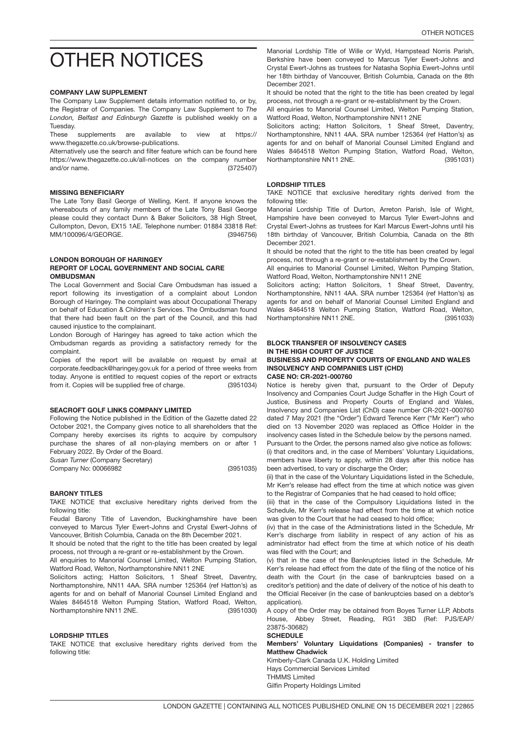# <span id="page-14-0"></span>OTHER NOTICES

# COMPANY LAW SUPPLEMENT

The Company Law Supplement details information notified to, or by, the Registrar of Companies. The Company Law Supplement to *The London, Belfast and Edinburgh Gazette* is published weekly on a Tuesday.

These supplements are available to view at https:// www.thegazette.co.uk/browse-publications.

(3725407) Alternatively use the search and filter feature which can be found here https://www.thegazette.co.uk/all-notices on the company number and/or name.

# MISSING BENEFICIARY

(3946756) The Late Tony Basil George of Welling, Kent. If anyone knows the whereabouts of any family members of the Late Tony Basil George please could they contact Dunn & Baker Solicitors, 38 High Street, Cullompton, Devon, EX15 1AE. Telephone number: 01884 33818 Ref: MM/100096/4/GEORGE.

### LONDON BOROUGH OF HARINGEY REPORT OF LOCAL GOVERNMENT AND SOCIAL CARE **OMBUDSMAN**

The Local Government and Social Care Ombudsman has issued a report following its investigation of a complaint about London Borough of Haringey. The complaint was about Occupational Therapy on behalf of Education & Children's Services. The Ombudsman found that there had been fault on the part of the Council, and this had caused injustice to the complainant.

London Borough of Haringey has agreed to take action which the Ombudsman regards as providing a satisfactory remedy for the complaint.

(3951034) Copies of the report will be available on request by email at corporate.feedback@haringey.gov.uk for a period of three weeks from today. Anyone is entitled to request copies of the report or extracts from it. Copies will be supplied free of charge.

# SEACROFT GOLF LINKS COMPANY LIMITED

Following the Notice published in the Edition of the Gazette dated 22 October 2021, the Company gives notice to all shareholders that the Company hereby exercises its rights to acquire by compulsory purchase the shares of all non-playing members on or after 1 February 2022. By Order of the Board.

*Susan Turner* (Company Secretary)

(3951035) Company No: 00066982

# BARONY TITLES

TAKE NOTICE that exclusive hereditary rights derived from the following title:

Feudal Barony Title of Lavendon, Buckinghamshire have been conveyed to Marcus Tyler Ewert-Johns and Crystal Ewert-Johns of Vancouver, British Columbia, Canada on the 8th December 2021.

It should be noted that the right to the title has been created by legal process, not through a re-grant or re-establishment by the Crown.

All enquiries to Manorial Counsel Limited, Welton Pumping Station, Watford Road, Welton, Northamptonshire NN11 2NE

(3951030) Solicitors acting; Hatton Solicitors, 1 Sheaf Street, Daventry, Northamptonshire, NN11 4AA. SRA number 125364 (ref Hatton's) as agents for and on behalf of Manorial Counsel Limited England and Wales 8464518 Welton Pumping Station, Watford Road, Welton, Northamptonshire NN11 2NE.

# LORDSHIP TITLES

TAKE NOTICE that exclusive hereditary rights derived from the following title:

Manorial Lordship Title of Wille or Wyld, Hampstead Norris Parish, Berkshire have been conveyed to Marcus Tyler Ewert-Johns and Crystal Ewert-Johns as trustees for Natasha Sophia Ewert-Johns until her 18th birthday of Vancouver, British Columbia, Canada on the 8th December 2021.

It should be noted that the right to the title has been created by legal process, not through a re-grant or re-establishment by the Crown.

All enquiries to Manorial Counsel Limited, Welton Pumping Station, Watford Road, Welton, Northamptonshire NN11 2NE

(3951031) Solicitors acting; Hatton Solicitors, 1 Sheaf Street, Daventry, Northamptonshire, NN11 4AA. SRA number 125364 (ref Hatton's) as agents for and on behalf of Manorial Counsel Limited England and Wales 8464518 Welton Pumping Station, Watford Road, Welton, Northamptonshire NN11 2NE.

# LORDSHIP TITLES

TAKE NOTICE that exclusive hereditary rights derived from the following title:

Manorial Lordship Title of Durton, Arreton Parish, Isle of Wight, Hampshire have been conveyed to Marcus Tyler Ewert-Johns and Crystal Ewert-Johns as trustees for Karl Marcus Ewert-Johns until his 18th birthday of Vancouver, British Columbia, Canada on the 8th December 2021.

It should be noted that the right to the title has been created by legal process, not through a re-grant or re-establishment by the Crown.

All enquiries to Manorial Counsel Limited, Welton Pumping Station, Watford Road, Welton, Northamptonshire NN11 2NE

(3951033) Solicitors acting; Hatton Solicitors, 1 Sheaf Street, Daventry, Northamptonshire, NN11 4AA. SRA number 125364 (ref Hatton's) as agents for and on behalf of Manorial Counsel Limited England and Wales 8464518 Welton Pumping Station, Watford Road, Welton, Northamptonshire NN11 2NE.

### BLOCK TRANSFER OF INSOLVENCY CASES IN THE HIGH COURT OF JUSTICE

# BUSINESS AND PROPERTY COURTS OF ENGLAND AND WALES INSOLVENCY AND COMPANIES LIST (CHD)

CASE NO: CR-2021-000760

Notice is hereby given that, pursuant to the Order of Deputy Insolvency and Companies Court Judge Schaffer in the High Court of Justice, Business and Property Courts of England and Wales, Insolvency and Companies List (ChD) case number CR-2021-000760 dated 7 May 2021 (the "Order") Edward Terence Kerr ("Mr Kerr") who died on 13 November 2020 was replaced as Office Holder in the insolvency cases listed in the Schedule below by the persons named.

Pursuant to the Order, the persons named also give notice as follows: (i) that creditors and, in the case of Members' Voluntary Liquidations, members have liberty to apply, within 28 days after this notice has been advertised, to vary or discharge the Order;

(ii) that in the case of the Voluntary Liquidations listed in the Schedule, Mr Kerr's release had effect from the time at which notice was given to the Registrar of Companies that he had ceased to hold office:

(iii) that in the case of the Compulsory Liquidations listed in the Schedule, Mr Kerr's release had effect from the time at which notice was given to the Court that he had ceased to hold office:

(iv) that in the case of the Administrations listed in the Schedule, Mr Kerr's discharge from liability in respect of any action of his as administrator had effect from the time at which notice of his death was filed with the Court; and

(v) that in the case of the Bankruptcies listed in the Schedule, Mr Kerr's release had effect from the date of the filing of the notice of his death with the Court (in the case of bankruptcies based on a creditor's petition) and the date of delivery of the notice of his death to the Official Receiver (in the case of bankruptcies based on a debtor's application).

A copy of the Order may be obtained from Boyes Turner LLP, Abbots House, Abbey Street, Reading, RG1 3BD (Ref: PJS/EAP/ 23875-30682)

### **SCHEDULE**

Members' Voluntary Liquidations (Companies) - transfer to Matthew Chadwick

Kimberly-Clark Canada U.K. Holding Limited Hays Commercial Services Limited THMMS Limited Gilfin Property Holdings Limited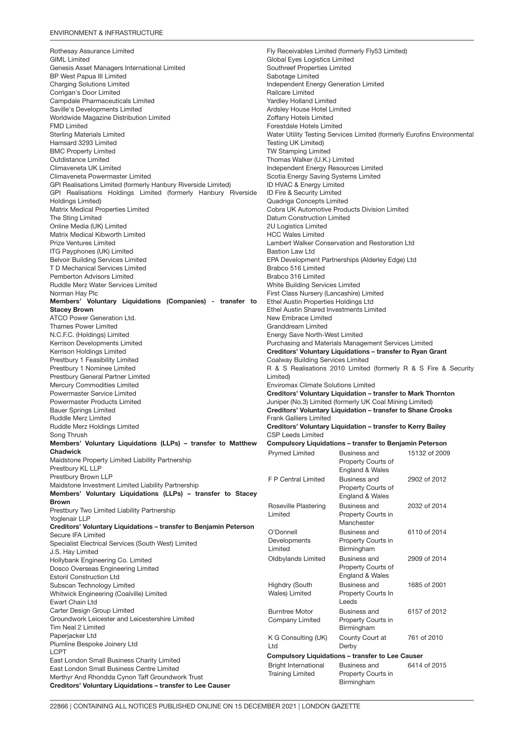### ENVIRONMENT & INFRASTRUCTURE

Rothesay Assurance Limited GIML Limited Genesis Asset Managers International Limited BP West Papua III Limited Charging Solutions Limited Corrigan's Door Limited Campdale Pharmaceuticals Limited Saville's Developments Limited Worldwide Magazine Distribution Limited FMD Limited Sterling Materials Limited Hamsard 3293 Limited BMC Property Limited Outdistance Limited Climaveneta UK Limited Climaveneta Powermaster Limited GPI Realisations Limited (formerly Hanbury Riverside Limited) GPI Realisations Holdings Limited (formerly Hanbury Riverside Holdings Limited) Matrix Medical Properties Limited The Sting Limited Online Media (UK) Limited Matrix Medical Kibworth Limited Prize Ventures Limited ITG Payphones (UK) Limited Belvoir Building Services Limited T D Mechanical Services Limited Pemberton Advisors Limited Ruddle Merz Water Services Limited Norman Hay Plc Members' Voluntary Liquidations (Companies) - transfer to Stacey Brown ATCO Power Generation Ltd. Thames Power Limited N.C.F.C. (Holdings) Limited Kerrison Developments Limited Kerrison Holdings Limited Prestbury 1 Feasibility Limited Prestbury 1 Nominee Limited Prestbury General Partner Limited Mercury Commodities Limited Powermaster Service Limited Powermaster Products Limited Bauer Springs Limited Ruddle Merz Limited Ruddle Merz Holdings Limited Song Thrush Members' Voluntary Liquidations (LLPs) – transfer to Matthew Chadwick Maidstone Property Limited Liability Partnership Prestbury KL LLP Prestbury Brown LLP Maidstone Investment Limited Liability Partnership Members' Voluntary Liquidations (LLPs) – transfer to Stacey Brown Prestbury Two Limited Liability Partnership Yoglenair LLP Creditors' Voluntary Liquidations – transfer to Benjamin Peterson Secure IFA Limited Specialist Electrical Services (South West) Limited J.S. Hay Limited Hollybank Engineering Co. Limited Dosco Overseas Engineering Limited Estoril Construction Ltd Subscan Technology Limited Whitwick Engineering (Coalville) Limited Ewart Chain Ltd Carter Design Group Limited Groundwork Leicester and Leicestershire Limited Tim Neal 2 Limited Paperjacker Ltd Plumline Bespoke Joinery Ltd LCPT East London Small Business Charity Limited East London Small Business Centre Limited Merthyr And Rhondda Cynon Taff Groundwork Trust Creditors' Voluntary Liquidations – transfer to Lee Causer

Fly Receivables Limited (formerly Fly53 Limited) Global Eyes Logistics Limited Southreef Properties Limited Sabotage Limited Independent Energy Generation Limited Railcare Limited Yardley Holland Limited Ardsley House Hotel Limited Zoffany Hotels Limited Forestdale Hotels Limited Water Utility Testing Services Limited (formerly Eurofins Environmental Testing UK Limited) TW Stamping Limited Thomas Walker (U.K.) Limited Independent Energy Resources Limited Scotia Energy Saving Systems Limited ID HVAC & Energy Limited ID Fire & Security Limited Quadriga Concepts Limited Cobra UK Automotive Products Division Limited Datum Construction Limited 2U Logistics Limited HCC Wales Limited Lambert Walker Conservation and Restoration Ltd Bastion Law Ltd EPA Development Partnerships (Alderley Edge) Ltd Brabco 516 Limited Brabco 316 Limited White Building Services Limited First Class Nursery (Lancashire) Limited Ethel Austin Properties Holdings Ltd Ethel Austin Shared Investments Limited New Embrace Limited Granddream Limited Energy Save North-West Limited Purchasing and Materials Management Services Limited Creditors' Voluntary Liquidations – transfer to Ryan Grant Coalway Building Services Limited R & S Realisations 2010 Limited (formerly R & S Fire & Security Limited) Enviromax Climate Solutions Limited Creditors' Voluntary Liquidation – transfer to Mark Thornton Juniper (No.3) Limited (formerly UK Coal Mining Limited) Creditors' Voluntary Liquidation – transfer to Shane Crooks Frank Galliers Limited Creditors' Voluntary Liquidation – transfer to Kerry Bailey CSP Leeds Limited Compulsory Liquidations – transfer to Benjamin Peterson Prymed Limited Business and Property Courts of England & Wales 15132 of 2009 F P Central Limited Business and Property Courts of England & Wales 2902 of 2012 Roseville Plastering Limited Business and Property Courts in Manchester 2032 of 2014 O'Donnell **Developments** Limited Business and Property Courts in Birmingham 6110 of 2014 Oldbylands Limited Business and Property Courts of England & Wales 2909 of 2014 Highdry (South Wales) Limited Business and Property Courts In Leeds 1685 of 2001 Burntree Motor Company Limited Business and Property Courts in Birmingham 6157 of 2012 K G Consulting (UK) Ltd County Court at Derby 761 of 2010 Compulsory Liquidations – transfer to Lee Causer Bright International Training Limited Business and Property Courts in Birmingham 6414 of 2015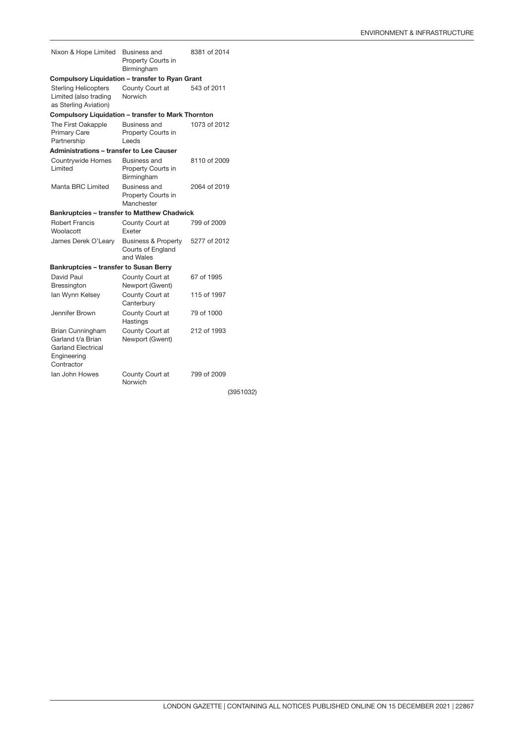| Nixon & Hope Limited                                                                            | <b>Business and</b><br>Property Courts in<br>Birmingham          | 8381 of 2014 |           |
|-------------------------------------------------------------------------------------------------|------------------------------------------------------------------|--------------|-----------|
| Compulsory Liquidation - transfer to Ryan Grant                                                 |                                                                  |              |           |
| <b>Sterling Helicopters</b><br>Limited (also trading<br>as Sterling Aviation)                   | County Court at<br>Norwich                                       | 543 of 2011  |           |
| <b>Compulsory Liquidation - transfer to Mark Thornton</b>                                       |                                                                  |              |           |
| The First Oakapple<br><b>Primary Care</b><br>Partnership                                        | Business and<br>Property Courts in<br>Leeds                      | 1073 of 2012 |           |
| <b>Administrations - transfer to Lee Causer</b>                                                 |                                                                  |              |           |
| Countrywide Homes<br>I imited                                                                   | Business and<br>Property Courts in<br>Birmingham                 | 8110 of 2009 |           |
| Manta BRC Limited                                                                               | <b>Business and</b><br>Property Courts in<br>Manchester          | 2064 of 2019 |           |
| <b>Bankruptcies - transfer to Matthew Chadwick</b>                                              |                                                                  |              |           |
| <b>Robert Francis</b><br>Woolacott                                                              | County Court at<br>Exeter                                        | 799 of 2009  |           |
| James Derek O'Leary                                                                             | <b>Business &amp; Property</b><br>Courts of England<br>and Wales | 5277 of 2012 |           |
| <b>Bankruptcies - transfer to Susan Berry</b>                                                   |                                                                  |              |           |
| David Paul<br>Bressington                                                                       | County Court at<br>Newport (Gwent)                               | 67 of 1995   |           |
| lan Wynn Kelsey                                                                                 | County Court at<br>Canterbury                                    | 115 of 1997  |           |
| Jennifer Brown                                                                                  | County Court at<br>Hastings                                      | 79 of 1000   |           |
| Brian Cunningham<br>Garland t/a Brian<br><b>Garland Electrical</b><br>Engineering<br>Contractor | County Court at<br>Newport (Gwent)                               | 212 of 1993  |           |
| lan John Howes                                                                                  | County Court at<br>Norwich                                       | 799 of 2009  |           |
|                                                                                                 |                                                                  |              | (3951032) |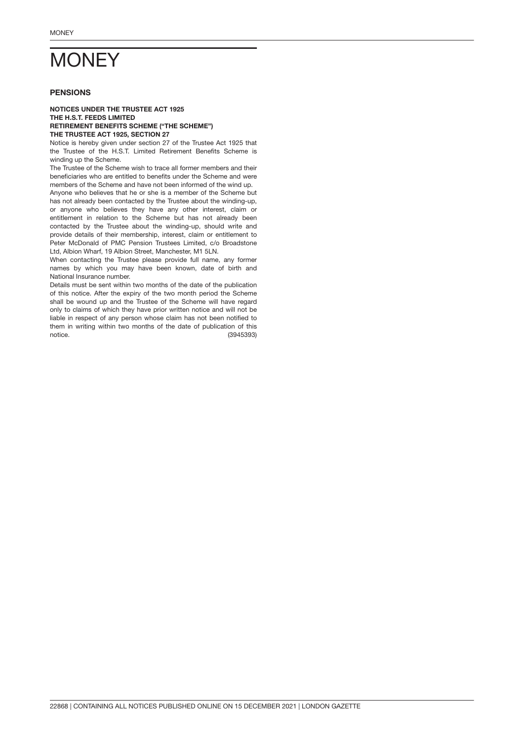# <span id="page-17-0"></span>**MONEY**

# PENSIONS

### NOTICES UNDER THE TRUSTEE ACT 1925 THE H.S.T. FEEDS LIMITED RETIREMENT BENEFITS SCHEME ("THE SCHEME") THE TRUSTEE ACT 1925, SECTION 27

Notice is hereby given under section 27 of the Trustee Act 1925 that the Trustee of the H.S.T. Limited Retirement Benefits Scheme is winding up the Scheme.

The Trustee of the Scheme wish to trace all former members and their beneficiaries who are entitled to benefits under the Scheme and were members of the Scheme and have not been informed of the wind up.

Anyone who believes that he or she is a member of the Scheme but has not already been contacted by the Trustee about the winding-up, or anyone who believes they have any other interest, claim or entitlement in relation to the Scheme but has not already been contacted by the Trustee about the winding-up, should write and provide details of their membership, interest, claim or entitlement to Peter McDonald of PMC Pension Trustees Limited, c/o Broadstone Ltd, Albion Wharf, 19 Albion Street, Manchester, M1 5LN.

When contacting the Trustee please provide full name, any former names by which you may have been known, date of birth and National Insurance number.

(3945393) Details must be sent within two months of the date of the publication of this notice. After the expiry of the two month period the Scheme shall be wound up and the Trustee of the Scheme will have regard only to claims of which they have prior written notice and will not be liable in respect of any person whose claim has not been notified to them in writing within two months of the date of publication of this notice.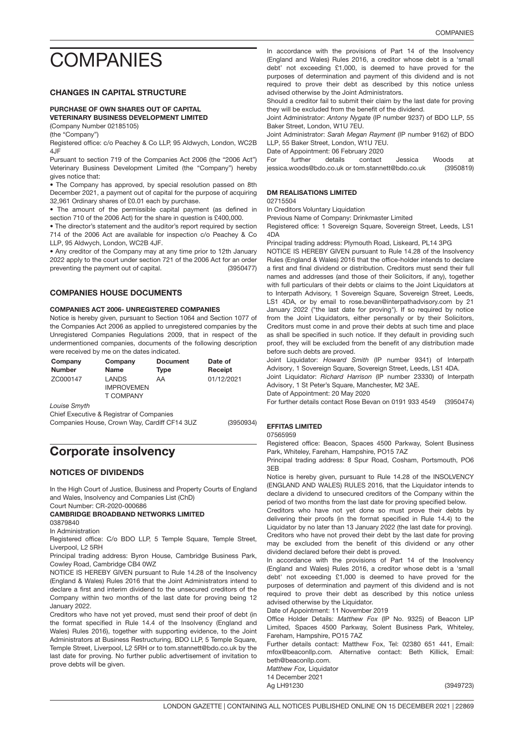# <span id="page-18-0"></span>**COMPANIES**

# CHANGES IN CAPITAL STRUCTURE

### PURCHASE OF OWN SHARES OUT OF CAPITAL VETERINARY BUSINESS DEVELOPMENT LIMITED

(Company Number 02185105)

(the "Company")

Registered office: c/o Peachey & Co LLP, 95 Aldwych, London, WC2B 4JF

Pursuant to section 719 of the Companies Act 2006 (the "2006 Act") Veterinary Business Development Limited (the "Company") hereby gives notice that:

• The Company has approved, by special resolution passed on 8th December 2021, a payment out of capital for the purpose of acquiring 32,961 Ordinary shares of £0.01 each by purchase.

• The amount of the permissible capital payment (as defined in section 710 of the 2006 Act) for the share in question is £400,000.

• The director's statement and the auditor's report required by section 714 of the 2006 Act are available for inspection c/o Peachey & Co LLP, 95 Aldwych, London, WC2B 4JF.

(3950477) • Any creditor of the Company may at any time prior to 12th January 2022 apply to the court under section 721 of the 2006 Act for an order preventing the payment out of capital.

### COMPANIES HOUSE DOCUMENTS

# 3950934 COMPANIES ACT 2006- UNREGISTERED COMPANIES

Notice is hereby given, pursuant to Section 1064 and Section 1077 of the Companies Act 2006 as applied to unregistered companies by the Unregistered Companies Regulations 2009, that in respect of the undermentioned companies, documents of the following description were received by me on the dates indicated.

| Company       | Company                                        | <b>Document</b> | Date of    |
|---------------|------------------------------------------------|-----------------|------------|
| <b>Number</b> | <b>Name</b>                                    | Type            | Receipt    |
| ZC000147      | <b>LANDS</b><br><b>IMPROVEMEN</b><br>T COMPANY | AA              | 01/12/2021 |

*Louise Smyth*

Chief Executive & Registrar of Companies Companies House, Crown Way, Cardiff CF14 3UZ

Corporate insolvency

# NOTICES OF DIVIDENDS

In the High Court of Justice, Business and Property Courts of England and Wales, Insolvency and Companies List (ChD)

Court Number: CR-2020-000686

CAMBRIDGE BROADBAND NETWORKS LIMITED 03879840

In Administration

Registered office: C/o BDO LLP, 5 Temple Square, Temple Street, Liverpool, L2 5RH

Principal trading address: Byron House, Cambridge Business Park, Cowley Road, Cambridge CB4 0WZ

NOTICE IS HEREBY GIVEN pursuant to Rule 14.28 of the Insolvency (England & Wales) Rules 2016 that the Joint Administrators intend to declare a first and interim dividend to the unsecured creditors of the Company within two months of the last date for proving being 12 January 2022.

Creditors who have not yet proved, must send their proof of debt (in the format specified in Rule 14.4 of the Insolvency (England and Wales) Rules 2016), together with supporting evidence, to the Joint Administrators at Business Restructuring, BDO LLP, 5 Temple Square, Temple Street, Liverpool, L2 5RH or to tom.stannett@bdo.co.uk by the last date for proving. No further public advertisement of invitation to prove debts will be given.

In accordance with the provisions of Part 14 of the Insolvency (England and Wales) Rules 2016, a creditor whose debt is a 'small debt' not exceeding £1,000, is deemed to have proved for the purposes of determination and payment of this dividend and is not required to prove their debt as described by this notice unless advised otherwise by the Joint Administrators.

Should a creditor fail to submit their claim by the last date for proving they will be excluded from the benefit of the dividend.

Joint Administrator: *Antony Nygate* (IP number 9237) of BDO LLP, 55 Baker Street, London, W1U 7EU.

Joint Administrator: *Sarah Megan Rayment* (IP number 9162) of BDO LLP, 55 Baker Street, London, W1U 7EU.

Date of Appointment: 06 February 2020

(3950819) For further details contact Jessica Woods at jessica.woods@bdo.co.uk or tom.stannett@bdo.co.uk

# DM REALISATIONS LIMITED

02715504

In Creditors Voluntary Liquidation

Previous Name of Company: Drinkmaster Limited

Registered office: 1 Sovereign Square, Sovereign Street, Leeds, LS1 4DA

Principal trading address: Plymouth Road, Liskeard, PL14 3PG

NOTICE IS HEREBY GIVEN pursuant to Rule 14.28 of the Insolvency Rules (England & Wales) 2016 that the office-holder intends to declare a first and final dividend or distribution. Creditors must send their full names and addresses (and those of their Solicitors, if any), together with full particulars of their debts or claims to the Joint Liquidators at to Interpath Advisory, 1 Sovereign Square, Sovereign Street, Leeds, LS1 4DA, or by email to rose.bevan@interpathadvisory.com by 21 January 2022 ("the last date for proving"). If so required by notice from the Joint Liquidators, either personally or by their Solicitors, Creditors must come in and prove their debts at such time and place as shall be specified in such notice. If they default in providing such proof, they will be excluded from the benefit of any distribution made before such debts are proved.

Joint Liquidator: *Howard Smith* (IP number 9341) of Interpath Advisory, 1 Sovereign Square, Sovereign Street, Leeds, LS1 4DA. Joint Liquidator: *Richard Harrison* (IP number 23330) of Interpath Advisory, 1 St Peter's Square, Manchester, M2 3AE.

Date of Appointment: 20 May 2020

(3950474) For further details contact Rose Bevan on 0191 933 4549

# EFFITAS LIMITED

07565959

(3950934)

Registered office: Beacon, Spaces 4500 Parkway, Solent Business Park, Whiteley, Fareham, Hampshire, PO15 7AZ

Principal trading address: 8 Spur Road, Cosham, Portsmouth, PO6 3EB

Notice is hereby given, pursuant to Rule 14.28 of the INSOLVENCY (ENGLAND AND WALES) RULES 2016, that the Liquidator intends to declare a dividend to unsecured creditors of the Company within the period of two months from the last date for proving specified below.

Creditors who have not yet done so must prove their debts by delivering their proofs (in the format specified in Rule 14.4) to the Liquidator by no later than 13 January 2022 (the last date for proving). Creditors who have not proved their debt by the last date for proving may be excluded from the benefit of this dividend or any other dividend declared before their debt is proved.

In accordance with the provisions of Part 14 of the Insolvency (England and Wales) Rules 2016, a creditor whose debt is a 'small debt' not exceeding £1,000 is deemed to have proved for the purposes of determination and payment of this dividend and is not required to prove their debt as described by this notice unless advised otherwise by the Liquidator.

Date of Appointment: 11 November 2019

Office Holder Details: *Matthew Fox* (IP No. 9325) of Beacon LIP Limited, Spaces 4500 Parkway, Solent Business Park, Whiteley, Fareham, Hampshire, PO15 7AZ

Further details contact: Matthew Fox, Tel: 02380 651 441, Email: mfox@beaconllp.com. Alternative contact: Beth Killick, Email: beth@beaconllp.com.

*Matthew Fox,* Liquidator 14 December 2021

Ag LH91230

(3949723)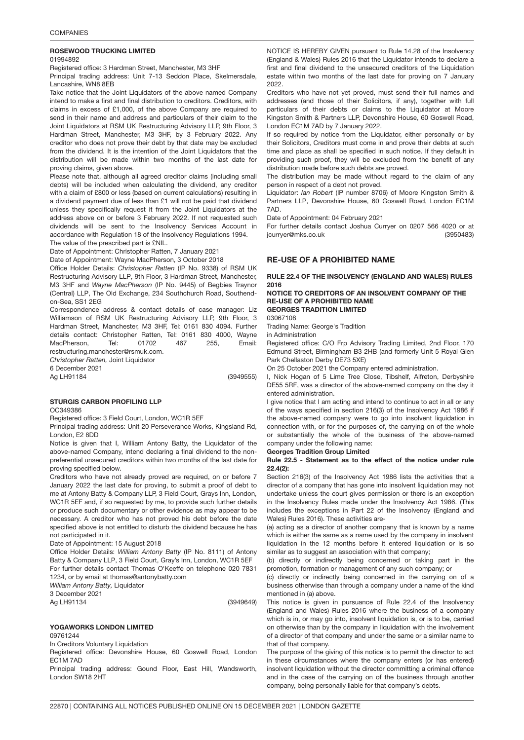# ROSEWOOD TRUCKING LIMITE<mark>D</mark>

### 01994892

Registered office: 3 Hardman Street, Manchester, M3 3HF

Principal trading address: Unit 7-13 Seddon Place, Skelmersdale, Lancashire, WN8 8EB

Take notice that the Joint Liquidators of the above named Company intend to make a first and final distribution to creditors. Creditors, with claims in excess of £1,000, of the above Company are required to send in their name and address and particulars of their claim to the Joint Liquidators at RSM UK Restructuring Advisory LLP, 9th Floor, 3 Hardman Street, Manchester, M3 3HF, by 3 February 2022. Any creditor who does not prove their debt by that date may be excluded from the dividend. It is the intention of the Joint Liquidators that the distribution will be made within two months of the last date for proving claims, given above.

Please note that, although all agreed creditor claims (including small debts) will be included when calculating the dividend, any creditor with a claim of £800 or less (based on current calculations) resulting in a dividend payment due of less than £1 will not be paid that dividend unless they specifically request it from the Joint Liquidators at the address above on or before 3 February 2022. If not requested such dividends will be sent to the Insolvency Services Account in accordance with Regulation 18 of the Insolvency Regulations 1994. The value of the prescribed part is £NIL.

Date of Appointment: Christopher Ratten, 7 January 2021

Date of Appointment: Wayne MacPherson, 3 October 2018

Office Holder Details: *Christopher Ratten* (IP No. 9338) of RSM UK Restructuring Advisory LLP, 9th Floor, 3 Hardman Street, Manchester, M3 3HF and *Wayne MacPherson* (IP No. 9445) of Begbies Traynor (Central) LLP, The Old Exchange, 234 Southchurch Road, Southendon-Sea, SS1 2EG

Correspondence address & contact details of case manager: Liz Williamson of RSM UK Restructuring Advisory LLP, 9th Floor, 3 Hardman Street, Manchester, M3 3HF, Tel: 0161 830 4094. Further details contact: Christopher Ratten, Tel: 0161 830 4000, Wayne MacPherson, Tel: 01702 467 255, Email: restructuring.manchester@rsmuk.com.

*Christopher Ratten,* Joint Liquidator

6 December 2021

Ag LH91184

(3949555)

# STURGIS CARBON PROFILING LLP

OC349386

Registered office: 3 Field Court, London, WC1R 5EF

Principal trading address: Unit 20 Perseverance Works, Kingsland Rd, London, E2 8DD

Notice is given that I, William Antony Batty, the Liquidator of the above-named Company, intend declaring a final dividend to the nonpreferential unsecured creditors within two months of the last date for proving specified below.

Creditors who have not already proved are required, on or before 7 January 2022 the last date for proving, to submit a proof of debt to me at Antony Batty & Company LLP, 3 Field Court, Grays Inn, London, WC1R 5EF and, if so requested by me, to provide such further details or produce such documentary or other evidence as may appear to be necessary. A creditor who has not proved his debt before the date specified above is not entitled to disturb the dividend because he has not participated in it.

Date of Appointment: 15 August 2018

Office Holder Details: *William Antony Batty* (IP No. 8111) of Antony Batty & Company LLP, 3 Field Court, Gray's Inn, London, WC1R 5EF For further details contact Thomas O'Keeffe on telephone 020 7831

1234, or by email at thomas@antonybatty.com

*William Antony Batty,* Liquidator

3 December 2021 Ag LH91134

(3949649)

# YOGAWORKS LONDON LIMIT<mark>ED</mark>

09761244

In Creditors Voluntary Liquidation

Registered office: Devonshire House, 60 Goswell Road, London EC1M 7AD

Principal trading address: Gound Floor, East Hill, Wandsworth, London SW18 2HT

NOTICE IS HEREBY GIVEN pursuant to Rule 14.28 of the Insolvency (England & Wales) Rules 2016 that the Liquidator intends to declare a first and final dividend to the unsecured creditors of the Liquidation estate within two months of the last date for proving on 7 January 2022.

Creditors who have not yet proved, must send their full names and addresses (and those of their Solicitors, if any), together with full particulars of their debts or claims to the Liquidator at Moore Kingston Smith & Partners LLP, Devonshire House, 60 Goswell Road, London EC1M 7AD by 7 January 2022.

If so required by notice from the Liquidator, either personally or by their Solicitors, Creditors must come in and prove their debts at such time and place as shall be specified in such notice. If they default in providing such proof, they will be excluded from the benefit of any distribution made before such debts are proved.

The distribution may be made without regard to the claim of any person in respect of a debt not proved.

Liquidator: *Ian Robert* (IP number 8706) of Moore Kingston Smith & Partners LLP, Devonshire House, 60 Goswell Road, London EC1M 7AD.

Date of Appointment: 04 February 2021

(3950483) For further details contact Joshua Curryer on 0207 566 4020 or at jcurryer@mks.co.uk

### RE-USE OF A PROHIBITED NAME

### RULE 22.4 OF THE INSOLVENCY (ENGLAND AND WALES) RULES 2016

## NOTICE TO CREDITORS OF AN INSOLVENT COMPANY OF THE RE-USE OF A PROHIBITED NAME

GEORGES TRADITION LIMITED

03067108

Trading Name: George's Tradition

in Administration

Registered office: C/O Frp Advisory Trading Limited, 2nd Floor, 170 Edmund Street, Birmingham B3 2HB (and formerly Unit 5 Royal Glen Park Chellaston Derby DE73 5XE)

On 25 October 2021 the Company entered administration.

I, Nick Hogan of 5 Lime Tree Close, Tibshelf, Alfreton, Derbyshire DE55 5RF, was a director of the above-named company on the day it entered administration.

I give notice that I am acting and intend to continue to act in all or any of the ways specified in section 216(3) of the Insolvency Act 1986 if the above-named company were to go into insolvent liquidation in connection with, or for the purposes of, the carrying on of the whole or substantially the whole of the business of the above-named company under the following name:

#### Georges Tradition Group Limited

### Rule 22.5 - Statement as to the effect of the notice under rule 22.4(2):

Section 216(3) of the Insolvency Act 1986 lists the activities that a director of a company that has gone into insolvent liquidation may not undertake unless the court gives permission or there is an exception in the Insolvency Rules made under the Insolvency Act 1986. (This includes the exceptions in Part 22 of the Insolvency (England and Wales) Rules 2016). These activities are-

(a) acting as a director of another company that is known by a name which is either the same as a name used by the company in insolvent liquidation in the 12 months before it entered liquidation or is so similar as to suggest an association with that company;

(b) directly or indirectly being concerned or taking part in the promotion, formation or management of any such company; or

(c) directly or indirectly being concerned in the carrying on of a business otherwise than through a company under a name of the kind mentioned in (a) above.

This notice is given in pursuance of Rule 22.4 of the Insolvency (England and Wales) Rules 2016 where the business of a company which is in, or may go into, insolvent liquidation is, or is to be, carried on otherwise than by the company in liquidation with the involvement of a director of that company and under the same or a similar name to that of that company.

The purpose of the giving of this notice is to permit the director to act in these circumstances where the company enters (or has entered) insolvent liquidation without the director committing a criminal offence and in the case of the carrying on of the business through another company, being personally liable for that company's debts.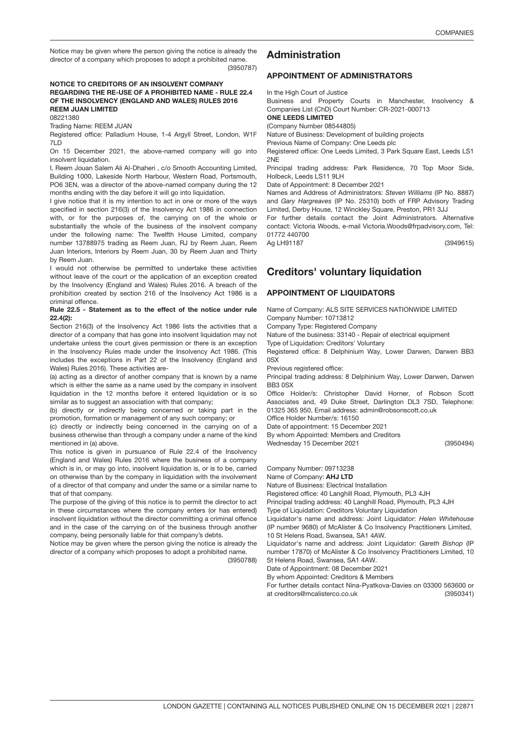(3950787) Notice may be given where the person giving the notice is already the director of a company which proposes to adopt a prohibited name.

### NOTICE TO CREDITORS OF AN INSOLVENT COMPANY REGARDING THE RE-USE OF A PROHIBITED NAME - RULE 22.4 OF THE INSOLVENCY (ENGLAND AND WALES) RULES 2016 REEM JUAN LIMITED

08221380

Trading Name: REEM JUAN

Registered office: Palladium House, 1-4 Argyll Street, London, W1F 7LD

On 15 December 2021, the above-named company will go into insolvent liquidation.

I, Reem Jouan Salem Ali Al-Dhaheri , c/o Smooth Accounting Limited, Building 1000, Lakeside North Harbour, Western Road, Portsmouth, PO6 3EN, was a director of the above-named company during the 12 months ending with the day before it will go into liquidation.

I give notice that it is my intention to act in one or more of the ways specified in section 216(3) of the Insolvency Act 1986 in connection with, or for the purposes of, the carrying on of the whole or substantially the whole of the business of the insolvent company under the following name: The Twelfth House Limited, company number 13788975 trading as Reem Juan, RJ by Reem Juan, Reem Juan Interiors, Interiors by Reem Juan, 30 by Reem Juan and Thirty by Reem Juan.

I would not otherwise be permitted to undertake these activities without leave of the court or the application of an exception created by the Insolvency (England and Wales) Rules 2016. A breach of the prohibition created by section 216 of the Insolvency Act 1986 is a criminal offence.

### Rule 22.5 - Statement as to the effect of the notice under rule 22.4(2):

Section 216(3) of the Insolvency Act 1986 lists the activities that a director of a company that has gone into insolvent liquidation may not undertake unless the court gives permission or there is an exception in the Insolvency Rules made under the Insolvency Act 1986. (This includes the exceptions in Part 22 of the Insolvency (England and Wales) Rules 2016). These activities are-

(a) acting as a director of another company that is known by a name which is either the same as a name used by the company in insolvent liquidation in the 12 months before it entered liquidation or is so similar as to suggest an association with that company;

(b) directly or indirectly being concerned or taking part in the promotion, formation or management of any such company; or

(c) directly or indirectly being concerned in the carrying on of a business otherwise than through a company under a name of the kind mentioned in (a) above.

This notice is given in pursuance of Rule 22.4 of the Insolvency (England and Wales) Rules 2016 where the business of a company which is in, or may go into, insolvent liquidation is, or is to be, carried on otherwise than by the company in liquidation with the involvement of a director of that company and under the same or a similar name to that of that company.

The purpose of the giving of this notice is to permit the director to act in these circumstances where the company enters (or has entered) insolvent liquidation without the director committing a criminal offence and in the case of the carrying on of the business through another company, being personally liable for that company's debts.

Notice may be given where the person giving the notice is already the director of a company which proposes to adopt a prohibited name.

(3950788)

# Administration

### APPOINTMENT OF ADMINISTRATORS

In the High Court of Justice

Business and Property Courts in Manchester, Insolvency & Companies List (ChD) Court Number: CR-2021-000713

ONE LEEDS LIMITED

(Company Number 08544805)

Nature of Business: Development of building projects

Previous Name of Company: One Leeds plc

Registered office: One Leeds Limited, 3 Park Square East, Leeds LS1 2NE

Principal trading address: Park Residence, 70 Top Moor Side, Holbeck, Leeds LS11 9LH

Date of Appointment: 8 December 2021

Names and Address of Administrators: *Steven Williams* (IP No. 8887) and *Gary Hargreaves* (IP No. 25310) both of FRP Advisory Trading Limited, Derby House, 12 Winckley Square, Preston, PR1 3JJ

For further details contact the Joint Administrators. Alternative contact: Victoria Woods, e-mail Victoria.Woods@frpadvisory.com, Tel: 01772 440700

(3949615)

# Creditors' voluntary liquidation

### APPOINTMENT OF LIQUIDATORS

Name of Company: ALS SITE SERVICES NATIONWIDE LIMITED Company Number: 10713812

Company Type: Registered Company

Nature of the business: 33140 - Repair of electrical equipment

Type of Liquidation: Creditors' Voluntary

Registered office: 8 Delphinium Way, Lower Darwen, Darwen BB3 0SX

Previous registered office:

Ag LH91187

Principal trading address: 8 Delphinium Way, Lower Darwen, Darwen BB3 0SX

Office Holder/s: Christopher David Horner, of Robson Scott Associates and, 49 Duke Street, Darlington DL3 7SD, Telephone: 01325 365 950, Email address: admin@robsonscott.co.uk

Office Holder Number/s: 16150

Date of appointment: 15 December 2021

By whom Appointed: Members and Creditors Wednesday 15 December 2021

(3950494)

Company Number: 09713238

Name of Company: AHJ LTD

Nature of Business: Electrical Installation

Registered office: 40 Langhill Road, Plymouth, PL3 4JH

Principal trading address: 40 Langhill Road, Plymouth, PL3 4JH

Type of Liquidation: Creditors Voluntary Liquidation

Liquidator's name and address: Joint Liquidator: *Helen Whitehouse* (IP number 9680) of McAlister & Co Insolvency Practitioners Limited, 10 St Helens Road, Swansea, SA1 4AW.

Liquidator's name and address: Joint Liquidator: *Gareth Bishop* (IP number 17870) of McAlister & Co Insolvency Practitioners Limited, 10 St Helens Road, Swansea, SA1 4AW.

Date of Appointment: 08 December 2021

By whom Appointed: Creditors & Members

(3950341) For further details contact Nina-Pyatkova-Davies on 03300 563600 or at creditors@mcalisterco.co.uk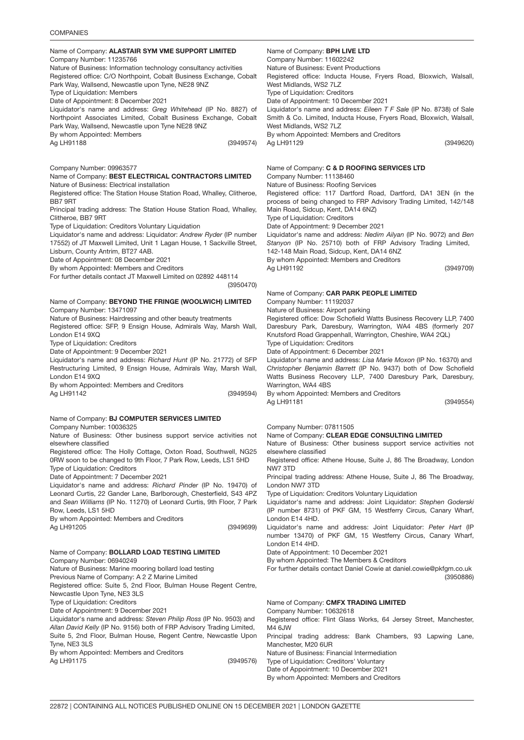| Name of Company: ALASTAIR SYM VME SUPPORT LIMITED                                                                                                                                                                                                                                                                                                                                                                                                                                                                                                                                                                                                                                        | Name of Company: <b>BPH LIVE LTD</b>                                                                                                                                                                                                                                                                                                                                                                                                                                                                                                                                                                                                                                                              |
|------------------------------------------------------------------------------------------------------------------------------------------------------------------------------------------------------------------------------------------------------------------------------------------------------------------------------------------------------------------------------------------------------------------------------------------------------------------------------------------------------------------------------------------------------------------------------------------------------------------------------------------------------------------------------------------|---------------------------------------------------------------------------------------------------------------------------------------------------------------------------------------------------------------------------------------------------------------------------------------------------------------------------------------------------------------------------------------------------------------------------------------------------------------------------------------------------------------------------------------------------------------------------------------------------------------------------------------------------------------------------------------------------|
| Company Number: 11235766                                                                                                                                                                                                                                                                                                                                                                                                                                                                                                                                                                                                                                                                 | Company Number: 11602242                                                                                                                                                                                                                                                                                                                                                                                                                                                                                                                                                                                                                                                                          |
| Nature of Business: Information technology consultancy activities                                                                                                                                                                                                                                                                                                                                                                                                                                                                                                                                                                                                                        | Nature of Business: Event Productions                                                                                                                                                                                                                                                                                                                                                                                                                                                                                                                                                                                                                                                             |
| Registered office: C/O Northpoint, Cobalt Business Exchange, Cobalt                                                                                                                                                                                                                                                                                                                                                                                                                                                                                                                                                                                                                      | Registered office: Inducta House, Fryers Road, Bloxwich, Walsall,                                                                                                                                                                                                                                                                                                                                                                                                                                                                                                                                                                                                                                 |
| Park Way, Wallsend, Newcastle upon Tyne, NE28 9NZ                                                                                                                                                                                                                                                                                                                                                                                                                                                                                                                                                                                                                                        | West Midlands, WS2 7LZ                                                                                                                                                                                                                                                                                                                                                                                                                                                                                                                                                                                                                                                                            |
| Type of Liquidation: Members                                                                                                                                                                                                                                                                                                                                                                                                                                                                                                                                                                                                                                                             | Type of Liquidation: Creditors                                                                                                                                                                                                                                                                                                                                                                                                                                                                                                                                                                                                                                                                    |
| Date of Appointment: 8 December 2021                                                                                                                                                                                                                                                                                                                                                                                                                                                                                                                                                                                                                                                     | Date of Appointment: 10 December 2021                                                                                                                                                                                                                                                                                                                                                                                                                                                                                                                                                                                                                                                             |
| Liquidator's name and address: Greg Whitehead (IP No. 8827) of                                                                                                                                                                                                                                                                                                                                                                                                                                                                                                                                                                                                                           | Liquidator's name and address: Eileen T F Sale (IP No. 8738) of Sale                                                                                                                                                                                                                                                                                                                                                                                                                                                                                                                                                                                                                              |
| Northpoint Associates Limited, Cobalt Business Exchange, Cobalt                                                                                                                                                                                                                                                                                                                                                                                                                                                                                                                                                                                                                          | Smith & Co. Limited, Inducta House, Fryers Road, Bloxwich, Walsall,                                                                                                                                                                                                                                                                                                                                                                                                                                                                                                                                                                                                                               |
| Park Way, Wallsend, Newcastle upon Tyne NE28 9NZ                                                                                                                                                                                                                                                                                                                                                                                                                                                                                                                                                                                                                                         | West Midlands, WS2 7LZ                                                                                                                                                                                                                                                                                                                                                                                                                                                                                                                                                                                                                                                                            |
| By whom Appointed: Members                                                                                                                                                                                                                                                                                                                                                                                                                                                                                                                                                                                                                                                               | By whom Appointed: Members and Creditors                                                                                                                                                                                                                                                                                                                                                                                                                                                                                                                                                                                                                                                          |
| (3949574)                                                                                                                                                                                                                                                                                                                                                                                                                                                                                                                                                                                                                                                                                | (3949620)                                                                                                                                                                                                                                                                                                                                                                                                                                                                                                                                                                                                                                                                                         |
| Ag LH91188                                                                                                                                                                                                                                                                                                                                                                                                                                                                                                                                                                                                                                                                               | Ag LH91129                                                                                                                                                                                                                                                                                                                                                                                                                                                                                                                                                                                                                                                                                        |
| Company Number: 09963577                                                                                                                                                                                                                                                                                                                                                                                                                                                                                                                                                                                                                                                                 | Name of Company: C & D ROOFING SERVICES LTD                                                                                                                                                                                                                                                                                                                                                                                                                                                                                                                                                                                                                                                       |
| Name of Company: BEST ELECTRICAL CONTRACTORS LIMITED                                                                                                                                                                                                                                                                                                                                                                                                                                                                                                                                                                                                                                     | Company Number: 11138460                                                                                                                                                                                                                                                                                                                                                                                                                                                                                                                                                                                                                                                                          |
| Nature of Business: Electrical installation                                                                                                                                                                                                                                                                                                                                                                                                                                                                                                                                                                                                                                              | Nature of Business: Roofing Services                                                                                                                                                                                                                                                                                                                                                                                                                                                                                                                                                                                                                                                              |
| Registered office: The Station House Station Road, Whalley, Clitheroe,                                                                                                                                                                                                                                                                                                                                                                                                                                                                                                                                                                                                                   | Registered office: 117 Dartford Road, Dartford, DA1 3EN (in the                                                                                                                                                                                                                                                                                                                                                                                                                                                                                                                                                                                                                                   |
| BB7 9RT                                                                                                                                                                                                                                                                                                                                                                                                                                                                                                                                                                                                                                                                                  | process of being changed to FRP Advisory Trading Limited, 142/148                                                                                                                                                                                                                                                                                                                                                                                                                                                                                                                                                                                                                                 |
| Principal trading address: The Station House Station Road, Whalley,                                                                                                                                                                                                                                                                                                                                                                                                                                                                                                                                                                                                                      | Main Road, Sidcup, Kent, DA14 6NZ)                                                                                                                                                                                                                                                                                                                                                                                                                                                                                                                                                                                                                                                                |
| Clitheroe, BB7 9RT                                                                                                                                                                                                                                                                                                                                                                                                                                                                                                                                                                                                                                                                       | Type of Liquidation: Creditors                                                                                                                                                                                                                                                                                                                                                                                                                                                                                                                                                                                                                                                                    |
| Type of Liquidation: Creditors Voluntary Liquidation                                                                                                                                                                                                                                                                                                                                                                                                                                                                                                                                                                                                                                     | Date of Appointment: 9 December 2021                                                                                                                                                                                                                                                                                                                                                                                                                                                                                                                                                                                                                                                              |
| Liquidator's name and address: Liquidator: Andrew Ryder (IP number                                                                                                                                                                                                                                                                                                                                                                                                                                                                                                                                                                                                                       | Liquidator's name and address: Nedim Ailyan (IP No. 9072) and Ben                                                                                                                                                                                                                                                                                                                                                                                                                                                                                                                                                                                                                                 |
| 17552) of JT Maxwell Limited, Unit 1 Lagan House, 1 Sackville Street,                                                                                                                                                                                                                                                                                                                                                                                                                                                                                                                                                                                                                    | Stanyon (IP No. 25710) both of FRP Advisory Trading Limited,                                                                                                                                                                                                                                                                                                                                                                                                                                                                                                                                                                                                                                      |
| Lisburn, County Antrim, BT27 4AB.                                                                                                                                                                                                                                                                                                                                                                                                                                                                                                                                                                                                                                                        | 142-148 Main Road, Sidcup, Kent, DA14 6NZ                                                                                                                                                                                                                                                                                                                                                                                                                                                                                                                                                                                                                                                         |
| Date of Appointment: 08 December 2021                                                                                                                                                                                                                                                                                                                                                                                                                                                                                                                                                                                                                                                    | By whom Appointed: Members and Creditors                                                                                                                                                                                                                                                                                                                                                                                                                                                                                                                                                                                                                                                          |
| By whom Appointed: Members and Creditors                                                                                                                                                                                                                                                                                                                                                                                                                                                                                                                                                                                                                                                 | Ag LH91192                                                                                                                                                                                                                                                                                                                                                                                                                                                                                                                                                                                                                                                                                        |
| For further details contact JT Maxwell Limited on 02892 448114                                                                                                                                                                                                                                                                                                                                                                                                                                                                                                                                                                                                                           | (3949709)                                                                                                                                                                                                                                                                                                                                                                                                                                                                                                                                                                                                                                                                                         |
| (3950470)<br>Name of Company: BEYOND THE FRINGE (WOOLWICH) LIMITED<br>Company Number: 13471097<br>Nature of Business: Hairdressing and other beauty treatments<br>Registered office: SFP, 9 Ensign House, Admirals Way, Marsh Wall,<br>London E14 9XQ<br>Type of Liquidation: Creditors<br>Date of Appointment: 9 December 2021<br>Liquidator's name and address: Richard Hunt (IP No. 21772) of SFP<br>Restructuring Limited, 9 Ensign House, Admirals Way, Marsh Wall,<br>London E14 9XQ<br>By whom Appointed: Members and Creditors<br>Ag LH91142<br>(3949594)                                                                                                                        | Name of Company: CAR PARK PEOPLE LIMITED<br>Company Number: 11192037<br>Nature of Business: Airport parking<br>Registered office: Dow Schofield Watts Business Recovery LLP, 7400<br>Daresbury Park, Daresbury, Warrington, WA4 4BS (formerly 207<br>Knutsford Road Grappenhall, Warrington, Cheshire, WA4 2QL)<br>Type of Liquidation: Creditors<br>Date of Appointment: 6 December 2021<br>Liquidator's name and address: Lisa Marie Moxon (IP No. 16370) and<br>Christopher Benjamin Barrett (IP No. 9437) both of Dow Schofield<br>Watts Business Recovery LLP, 7400 Daresbury Park, Daresbury,<br>Warrington, WA4 4BS<br>By whom Appointed: Members and Creditors<br>(3949554)<br>Ag LH91181 |
| Name of Company: <b>BJ COMPUTER SERVICES LIMITED</b>                                                                                                                                                                                                                                                                                                                                                                                                                                                                                                                                                                                                                                     | Company Number: 07811505                                                                                                                                                                                                                                                                                                                                                                                                                                                                                                                                                                                                                                                                          |
| Company Number: 10036325                                                                                                                                                                                                                                                                                                                                                                                                                                                                                                                                                                                                                                                                 | Name of Company: CLEAR EDGE CONSULTING LIMITED                                                                                                                                                                                                                                                                                                                                                                                                                                                                                                                                                                                                                                                    |
| Nature of Business: Other business support service activities not                                                                                                                                                                                                                                                                                                                                                                                                                                                                                                                                                                                                                        | Nature of Business: Other business support service activities not                                                                                                                                                                                                                                                                                                                                                                                                                                                                                                                                                                                                                                 |
| elsewhere classified                                                                                                                                                                                                                                                                                                                                                                                                                                                                                                                                                                                                                                                                     | elsewhere classified                                                                                                                                                                                                                                                                                                                                                                                                                                                                                                                                                                                                                                                                              |
| Registered office: The Holly Cottage, Oxton Road, Southwell, NG25                                                                                                                                                                                                                                                                                                                                                                                                                                                                                                                                                                                                                        | Registered office: Athene House, Suite J, 86 The Broadway, London                                                                                                                                                                                                                                                                                                                                                                                                                                                                                                                                                                                                                                 |
| 0RW soon to be changed to 9th Floor, 7 Park Row, Leeds, LS1 5HD                                                                                                                                                                                                                                                                                                                                                                                                                                                                                                                                                                                                                          | NW7 3TD                                                                                                                                                                                                                                                                                                                                                                                                                                                                                                                                                                                                                                                                                           |
| Type of Liquidation: Creditors                                                                                                                                                                                                                                                                                                                                                                                                                                                                                                                                                                                                                                                           | Principal trading address: Athene House, Suite J, 86 The Broadway,                                                                                                                                                                                                                                                                                                                                                                                                                                                                                                                                                                                                                                |
| Date of Appointment: 7 December 2021                                                                                                                                                                                                                                                                                                                                                                                                                                                                                                                                                                                                                                                     | London NW7 3TD                                                                                                                                                                                                                                                                                                                                                                                                                                                                                                                                                                                                                                                                                    |
| Liquidator's name and address: Richard Pinder (IP No. 19470) of                                                                                                                                                                                                                                                                                                                                                                                                                                                                                                                                                                                                                          | Type of Liquidation: Creditors Voluntary Liquidation                                                                                                                                                                                                                                                                                                                                                                                                                                                                                                                                                                                                                                              |
| Leonard Curtis, 22 Gander Lane, Barlborough, Chesterfield, S43 4PZ                                                                                                                                                                                                                                                                                                                                                                                                                                                                                                                                                                                                                       | Liquidator's name and address: Joint Liquidator: Stephen Goderski                                                                                                                                                                                                                                                                                                                                                                                                                                                                                                                                                                                                                                 |
| and Sean Williams (IP No. 11270) of Leonard Curtis, 9th Floor, 7 Park                                                                                                                                                                                                                                                                                                                                                                                                                                                                                                                                                                                                                    | (IP number 8731) of PKF GM, 15 Westferry Circus, Canary Wharf,                                                                                                                                                                                                                                                                                                                                                                                                                                                                                                                                                                                                                                    |
| Row, Leeds, LS1 5HD                                                                                                                                                                                                                                                                                                                                                                                                                                                                                                                                                                                                                                                                      | London E14 4HD.                                                                                                                                                                                                                                                                                                                                                                                                                                                                                                                                                                                                                                                                                   |
| By whom Appointed: Members and Creditors                                                                                                                                                                                                                                                                                                                                                                                                                                                                                                                                                                                                                                                 | Liquidator's name and address: Joint Liquidator: Peter Hart (IP                                                                                                                                                                                                                                                                                                                                                                                                                                                                                                                                                                                                                                   |
| (3949699)                                                                                                                                                                                                                                                                                                                                                                                                                                                                                                                                                                                                                                                                                | number 13470) of PKF GM, 15 Westferry Circus, Canary Wharf,                                                                                                                                                                                                                                                                                                                                                                                                                                                                                                                                                                                                                                       |
| Ag LH91205                                                                                                                                                                                                                                                                                                                                                                                                                                                                                                                                                                                                                                                                               | London E14 4HD.                                                                                                                                                                                                                                                                                                                                                                                                                                                                                                                                                                                                                                                                                   |
| Name of Company: <b>BOLLARD LOAD TESTING LIMITED</b><br>Company Number: 06940249<br>Nature of Business: Marine mooring bollard load testing<br>Previous Name of Company: A 2 Z Marine Limited<br>Registered office: Suite 5, 2nd Floor, Bulman House Regent Centre,<br>Newcastle Upon Tyne, NE3 3LS<br>Type of Liquidation: Creditors<br>Date of Appointment: 9 December 2021<br>Liquidator's name and address: Steven Philip Ross (IP No. 9503) and<br>Allan David Kelly (IP No. 9156) both of FRP Advisory Trading Limited,<br>Suite 5, 2nd Floor, Bulman House, Regent Centre, Newcastle Upon<br>Tyne, NE3 3LS<br>By whom Appointed: Members and Creditors<br>Ag LH91175<br>(3949576) | Date of Appointment: 10 December 2021<br>By whom Appointed: The Members & Creditors<br>For further details contact Daniel Cowie at daniel.cowie@pkfgm.co.uk<br>(3950886)<br>Name of Company: CMFX TRADING LIMITED<br>Company Number: 10632618<br>Registered office: Flint Glass Works, 64 Jersey Street, Manchester,<br>M4 6JW<br>Principal trading address: Bank Chambers, 93 Lapwing Lane,<br>Manchester, M20 6UR<br>Nature of Business: Financial Intermediation<br>Type of Liquidation: Creditors' Voluntary<br>Date of Appointment: 10 December 2021                                                                                                                                         |

By whom Appointed: Members and Creditors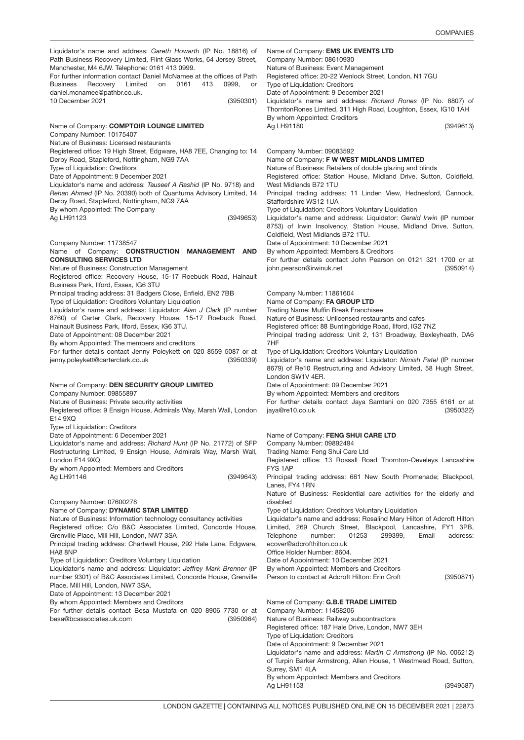(3950301) Name of Company: COMPTOIR LOUNGE LIMITED (3949653) Company Number: 11738547 (3950339) Name of Company: DEN SECURITY GROUP LIMITED (3949643) Company Number: 07600278 (3950964) Name of Company: **EMS UK EVENTS LTD** (3949613) Company Number: 09083592 (3950914) Company Number: 11861604 (3950322) Name of Company: FENG SHUI CARE LTD (3950871) Name of Company: **G.B.E TRADE LIMITED** (3949587) Liquidator's name and address: *Gareth Howarth* (IP No. 18816) of Path Business Recovery Limited, Flint Glass Works, 64 Jersey Street, Manchester, M4 6JW. Telephone: 0161 413 0999. For further information contact Daniel McNamee at the offices of Path Business Recovery Limited on 0161 413 0999, or daniel.mcnamee@pathbr.co.uk. 10 December 2021 Company Number: 10175407 Nature of Business: Licensed restaurants Registered office: 19 High Street, Edgware, HA8 7EE, Changing to: 14 Derby Road, Stapleford, Nottingham, NG9 7AA Type of Liquidation: Creditors Date of Appointment: 9 December 2021 Liquidator's name and address: *Tauseef A Rashid* (IP No. 9718) and *Rehan Ahmed* (IP No. 20390) both of Quantuma Advisory Limited, 14 Derby Road, Stapleford, Nottingham, NG9 7AA By whom Appointed: The Company Ag LH91123 Name of Company: CONSTRUCTION MANAGEMENT AND CONSULTING SERVICES LTD Nature of Business: Construction Management Registered office: Recovery House, 15-17 Roebuck Road, Hainault Business Park, Ilford, Essex, IG6 3TU Principal trading address: 31 Badgers Close, Enfield, EN2 7BB Type of Liquidation: Creditors Voluntary Liquidation Liquidator's name and address: Liquidator: *Alan J Clark* (IP number 8760) of Carter Clark, Recovery House, 15-17 Roebuck Road, Hainault Business Park, Ilford, Essex, IG6 3TU. Date of Appointment: 08 December 2021 By whom Appointed: The members and creditors For further details contact Jenny Poleykett on 020 8559 5087 or at jenny.poleykett@carterclark.co.uk Company Number: 09855897 Nature of Business: Private security activities Registered office: 9 Ensign House, Admirals Way, Marsh Wall, London E14 9XQ Type of Liquidation: Creditors Date of Appointment: 6 December 2021 Liquidator's name and address: *Richard Hunt* (IP No. 21772) of SFP Restructuring Limited, 9 Ensign House, Admirals Way, Marsh Wall, London E14 9XQ By whom Appointed: Members and Creditors Ag LH91146 Name of Company: DYNAMIC STAR LIMITED Nature of Business: Information technology consultancy activities Registered office: C/o B&C Associates Limited, Concorde House, Grenville Place, Mill Hill, London, NW7 3SA Principal trading address: Chartwell House, 292 Hale Lane, Edgware, HA8 8NP Type of Liquidation: Creditors Voluntary Liquidation Liquidator's name and address: Liquidator: *Jeffrey Mark Brenner* (IP number 9301) of B&C Associates Limited, Concorde House, Grenville Place, Mill Hill, London, NW7 3SA. Date of Appointment: 13 December 2021 By whom Appointed: Members and Creditors For further details contact Besa Mustafa on 020 8906 7730 or at besa@bcassociates.uk.com Company Number: 08610930 Nature of Business: Event Management Registered office: 20-22 Wenlock Street, London, N1 7GU Type of Liquidation: Creditors Date of Appointment: 9 December 2021 Liquidator's name and address: *Richard Rones* (IP No. 8807) of ThorntonRones Limited, 311 High Road, Loughton, Essex, IG10 1AH By whom Appointed: Creditors Ag LH91180 Name of Company: F W WEST MIDLANDS LIMITED Nature of Business: Retailers of double glazing and blinds Registered office: Station House, Midland Drive, Sutton, Coldfield, West Midlands B72 1TU Principal trading address: 11 Linden View, Hednesford, Cannock, Staffordshire WS12 1UA Type of Liquidation: Creditors Voluntary Liquidation Liquidator's name and address: Liquidator: *Gerald Irwin* (IP number 8753) of Irwin Insolvency, Station House, Midland Drive, Sutton, Coldfield, West Midlands B72 1TU. Date of Appointment: 10 December 2021 By whom Appointed: Members & Creditors For further details contact John Pearson on 0121 321 1700 or at john.pearson@irwinuk.net Name of Company: FA GROUP LTD Trading Name: Muffin Break Franchisee Nature of Business: Unlicensed restaurants and cafes Registered office: 88 Buntingbridge Road, Ilford, IG2 7NZ Principal trading address: Unit 2, 131 Broadway, Bexleyheath, DA6 7HF Type of Liquidation: Creditors Voluntary Liquidation Liquidator's name and address: Liquidator: *Nimish Patel* (IP number 8679) of Re10 Restructuring and Advisory Limited, 58 Hugh Street, London SW1V 4ER. Date of Appointment: 09 December 2021 By whom Appointed: Members and creditors For further details contact Jaya Samtani on 020 7355 6161 or at jaya@re10.co.uk Company Number: 09892494 Trading Name: Feng Shui Care Ltd Registered office: 13 Rossall Road Thornton-Oeveleys Lancashire FYS 1AP Principal trading address: 661 New South Promenade; Blackpool, Lanes, FY4 1RN Nature of Business: Residential care activities for the elderly and disabled Type of Liquidation: Creditors Voluntary Liquidation Liquidator's name and address: Rosalind Mary Hilton of Adcroft Hilton Limited, 269 Church Street, Blackpool, Lancashire, FY1 3PB, Telephone number: 01253 299399, Email address: ecover@adcrofthilton.co.uk Office Holder Number: 8604. Date of Appointment: 10 December 2021 By whom Appointed: Members and Creditors Person to contact at Adcroft Hilton: Erin Croft Company Number: 11458206 Nature of Business: Railway subcontractors Registered office: 187 Hale Drive, London, NW7 3EH Type of Liquidation: Creditors Date of Appointment: 9 December 2021 Liquidator's name and address: *Martin C Armstrong* (IP No. 006212) of Turpin Barker Armstrong, Allen House, 1 Westmead Road, Sutton, Surrey, SM1 4LA By whom Appointed: Members and Creditors Ag LH91153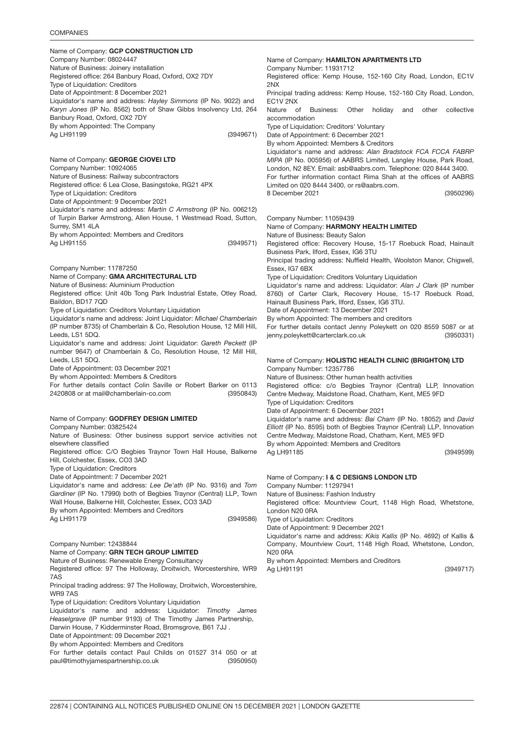### **COMPANIES**

Name of Company: GCP CONSTRUCTION LTD (3949671) Name of Company: **GEORGE CIOVEI LTD** (3949571) Company Number: 11787250 (3950843) Name of Company: **GODFREY DESIGN LIMITED** (3949586) Company Number: 12438844 (3950950) Name of Company: HAMILTON APARTMENTS LTD Company Number: 08024447 Nature of Business: Joinery installation Registered office: 264 Banbury Road, Oxford, OX2 7DY Type of Liquidation: Creditors Date of Appointment: 8 December 2021 Liquidator's name and address: *Hayley Simmons* (IP No. 9022) and *Karyn Jones* (IP No. 8562) both of Shaw Gibbs Insolvency Ltd, 264 Banbury Road, Oxford, OX2 7DY By whom Appointed: The Company Ag LH91199 Company Number: 10924065 Nature of Business: Railway subcontractors Registered office: 6 Lea Close, Basingstoke, RG21 4PX Type of Liquidation: Creditors Date of Appointment: 9 December 2021 Liquidator's name and address: *Martin C Armstrong* (IP No. 006212) of Turpin Barker Armstrong, Allen House, 1 Westmead Road, Sutton, Surrey, SM1 4LA By whom Appointed: Members and Creditors Ag LH91155 Name of Company: GMA ARCHITECTURAL LTD Nature of Business: Aluminium Production Registered office: Unit 40b Tong Park Industrial Estate, Otley Road, Baildon, BD17 7QD Type of Liquidation: Creditors Voluntary Liquidation Liquidator's name and address: Joint Liquidator: *Michael Chamberlain* (IP number 8735) of Chamberlain & Co, Resolution House, 12 Mill Hill, Leeds, LS1 5DQ. Liquidator's name and address: Joint Liquidator: *Gareth Peckett* (IP number 9647) of Chamberlain & Co, Resolution House, 12 Mill Hill, Leeds, LS1 5DQ. Date of Appointment: 03 December 2021 By whom Appointed: Members & Creditors For further details contact Colin Saville or Robert Barker on 0113 2420808 or at mail@chamberlain-co.com Company Number: 03825424 Nature of Business: Other business support service activities not elsewhere classified Registered office: C/O Begbies Traynor Town Hall House, Balkerne Hill, Colchester, Essex, CO3 3AD Type of Liquidation: Creditors Date of Appointment: 7 December 2021 Liquidator's name and address: *Lee De'ath* (IP No. 9316) and *Tom Gardiner* (IP No. 17990) both of Begbies Traynor (Central) LLP, Town Wall House, Balkerne Hill, Colchester, Essex, CO3 3AD By whom Appointed: Members and Creditors Ag LH91179 Name of Company: GRN TECH GROUP LIMITED Nature of Business: Renewable Energy Consultancy Registered office: 97 The Holloway, Droitwich, Worcestershire, WR9 7AS Principal trading address: 97 The Holloway, Droitwich, Worcestershire, WR9 7AS Type of Liquidation: Creditors Voluntary Liquidation Liquidator's name and address: Liquidator: *Timothy James Heaselgrave* (IP number 9193) of The Timothy James Partnership, Darwin House, 7 Kidderminster Road, Bromsgrove, B61 7JJ . Date of Appointment: 09 December 2021 By whom Appointed: Members and Creditors For further details contact Paul Childs on 01527 314 050 or at paul@timothyjamespartnership.co.uk 2NX

(3950296) Company Number: 11059439 (3950331) Name of Company: HOLISTIC HEALTH CLINIC (BRIGHTON) LTD (3949599) Company Number: 11931712 Registered office: Kemp House, 152-160 City Road, London, EC1V Principal trading address: Kemp House, 152-160 City Road, London, EC1V 2NX Nature of Business: Other holiday and other collective accommodation Type of Liquidation: Creditors' Voluntary Date of Appointment: 6 December 2021 By whom Appointed: Members & Creditors Liquidator's name and address: *Alan Bradstock FCA FCCA FABRP MIPA* (IP No. 005956) of AABRS Limited, Langley House, Park Road, London, N2 8EY. Email: asb@aabrs.com. Telephone: 020 8444 3400. For further information contact Rima Shah at the offices of AABRS Limited on 020 8444 3400, or rs@aabrs.com. 8 December 2021 Name of Company: HARMONY HEALTH LIMITED Nature of Business: Beauty Salon Registered office: Recovery House, 15-17 Roebuck Road, Hainault Business Park, Ilford, Essex, IG6 3TU Principal trading address: Nuffield Health, Woolston Manor, Chigwell, Essex, IG7 6BX Type of Liquidation: Creditors Voluntary Liquidation Liquidator's name and address: Liquidator: *Alan J Clark* (IP number 8760) of Carter Clark, Recovery House, 15-17 Roebuck Road, Hainault Business Park, Ilford, Essex, IG6 3TU. Date of Appointment: 13 December 2021 By whom Appointed: The members and creditors For further details contact Jenny Poleykett on 020 8559 5087 or at jenny.poleykett@carterclark.co.uk Company Number: 12357786 Nature of Business: Other human health activities Registered office: c/o Begbies Traynor (Central) LLP, Innovation Centre Medway, Maidstone Road, Chatham, Kent, ME5 9FD Type of Liquidation: Creditors Date of Appointment: 6 December 2021 Liquidator's name and address: *Bai Cham* (IP No. 18052) and *David Elliott* (IP No. 8595) both of Begbies Traynor (Central) LLP, Innovation Centre Medway, Maidstone Road, Chatham, Kent, ME5 9FD By whom Appointed: Members and Creditors Ag LH91185

Name of Company: I & C DESIGNS LONDON LTD (3949717) Company Number: 11297941 Nature of Business: Fashion Industry Registered office: Mountview Court, 1148 High Road, Whetstone, London N20 0RA Type of Liquidation: Creditors Date of Appointment: 9 December 2021 Liquidator's name and address: *Kikis Kallis* (IP No. 4692) of Kallis & Company, Mountview Court, 1148 High Road, Whetstone, London, N20 0RA By whom Appointed: Members and Creditors Ag LH91191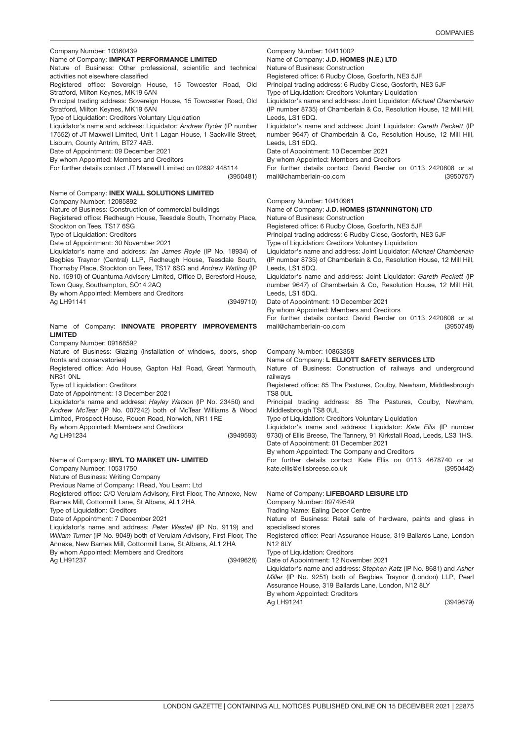(3949679)

| Company Number: 10360439                                                                                            | Company Number: 10411002                                                                                                                            |
|---------------------------------------------------------------------------------------------------------------------|-----------------------------------------------------------------------------------------------------------------------------------------------------|
| Name of Company: IMPKAT PERFORMANCE LIMITED                                                                         | Name of Company: <b>J.D. HOMES (N.E.) LTD</b>                                                                                                       |
| Nature of Business: Other professional, scientific and technical                                                    | Nature of Business: Construction                                                                                                                    |
| activities not elsewhere classified                                                                                 | Registered office: 6 Rudby Close, Gosforth, NE3 5JF                                                                                                 |
| Registered office: Sovereign House, 15 Towcester Road, Old                                                          | Principal trading address: 6 Rudby Close, Gosforth, NE3 5JF                                                                                         |
| Stratford, Milton Keynes, MK19 6AN                                                                                  | Type of Liquidation: Creditors Voluntary Liquidation                                                                                                |
| Principal trading address: Sovereign House, 15 Towcester Road, Old                                                  | Liquidator's name and address: Joint Liquidator: Michael Chamberlain                                                                                |
| Stratford, Milton Keynes, MK19 6AN                                                                                  | (IP number 8735) of Chamberlain & Co, Resolution House, 12 Mill Hill,                                                                               |
| Type of Liquidation: Creditors Voluntary Liquidation                                                                | Leeds, LS1 5DQ.                                                                                                                                     |
| Liquidator's name and address: Liquidator: Andrew Ryder (IP number                                                  | Liquidator's name and address: Joint Liquidator: Gareth Peckett (IP                                                                                 |
| 17552) of JT Maxwell Limited, Unit 1 Lagan House, 1 Sackville Street,                                               | number 9647) of Chamberlain & Co, Resolution House, 12 Mill Hill,                                                                                   |
| Lisburn, County Antrim, BT27 4AB.                                                                                   | Leeds, LS1 5DQ.                                                                                                                                     |
| Date of Appointment: 09 December 2021                                                                               | Date of Appointment: 10 December 2021                                                                                                               |
| By whom Appointed: Members and Creditors                                                                            | By whom Appointed: Members and Creditors                                                                                                            |
| For further details contact JT Maxwell Limited on 02892 448114<br>(3950481)                                         | For further details contact David Render on 0113 2420808 or at<br>mail@chamberlain-co.com<br>(3950757)                                              |
| Name of Company: <b>INEX WALL SOLUTIONS LIMITED</b><br>Company Number: 12085892                                     | Company Number: 10410961                                                                                                                            |
| Nature of Business: Construction of commercial buildings                                                            | Name of Company: J.D. HOMES (STANNINGTON) LTD                                                                                                       |
| Registered office: Redheugh House, Teesdale South, Thornaby Place,                                                  | Nature of Business: Construction                                                                                                                    |
| Stockton on Tees, TS17 6SG                                                                                          | Registered office: 6 Rudby Close, Gosforth, NE3 5JF                                                                                                 |
| Type of Liquidation: Creditors                                                                                      | Principal trading address: 6 Rudby Close, Gosforth, NE3 5JF                                                                                         |
| Date of Appointment: 30 November 2021                                                                               | Type of Liquidation: Creditors Voluntary Liquidation                                                                                                |
| Liquidator's name and address: <i>Ian James Royle</i> (IP No. 18934) of                                             | Liquidator's name and address: Joint Liquidator: Michael Chamberlain                                                                                |
| Begbies Traynor (Central) LLP, Redheugh House, Teesdale South,                                                      | (IP number 8735) of Chamberlain & Co, Resolution House, 12 Mill Hill,                                                                               |
| Thornaby Place, Stockton on Tees, TS17 6SG and Andrew Watling (IP                                                   | Leeds, LS1 5DQ.                                                                                                                                     |
| No. 15910) of Quantuma Advisory Limited, Office D, Beresford House,                                                 | Liquidator's name and address: Joint Liquidator: Gareth Peckett (IP                                                                                 |
| Town Quay, Southampton, SO14 2AQ                                                                                    | number 9647) of Chamberlain & Co, Resolution House, 12 Mill Hill,                                                                                   |
| By whom Appointed: Members and Creditors                                                                            | Leeds, LS1 5DQ.                                                                                                                                     |
| Ag LH91141<br>(3949710)                                                                                             | Date of Appointment: 10 December 2021<br>By whom Appointed: Members and Creditors<br>For further details contact David Render on 0113 2420808 or at |
| Name of Company: INNOVATE PROPERTY IMPROVEMENTS                                                                     | mail@chamberlain-co.com                                                                                                                             |
| <b>LIMITED</b>                                                                                                      | (3950748)                                                                                                                                           |
| Company Number: 09168592                                                                                            |                                                                                                                                                     |
| Nature of Business: Glazing (installation of windows, doors, shop                                                   | Company Number: 10863358                                                                                                                            |
| fronts and conservatories)                                                                                          | Name of Company: L ELLIOTT SAFETY SERVICES LTD                                                                                                      |
| Registered office: Ado House, Gapton Hall Road, Great Yarmouth,                                                     | Nature of Business: Construction of railways and underground                                                                                        |
| NR31 ONL                                                                                                            | railways                                                                                                                                            |
| Type of Liquidation: Creditors                                                                                      | Registered office: 85 The Pastures, Coulby, Newham, Middlesbrough                                                                                   |
| Date of Appointment: 13 December 2021                                                                               | TS8 OUL                                                                                                                                             |
| Liquidator's name and address: Hayley Watson (IP No. 23450) and                                                     | Principal trading address: 85 The Pastures, Coulby, Newham,                                                                                         |
| Andrew McTear (IP No. 007242) both of McTear Williams & Wood                                                        | Middlesbrough TS8 0UL                                                                                                                               |
| Limited, Prospect House, Rouen Road, Norwich, NR1 1RE                                                               | Type of Liquidation: Creditors Voluntary Liquidation                                                                                                |
| By whom Appointed: Members and Creditors                                                                            | Liquidator's name and address: Liquidator: Kate Ellis (IP number                                                                                    |
| (3949593)                                                                                                           | 9730) of Ellis Breese, The Tannery, 91 Kirkstall Road, Leeds, LS3 1HS.                                                                              |
| Ag LH91234                                                                                                          | Date of Appointment: 01 December 2021                                                                                                               |
| Name of Company: IRYL TO MARKET UN- LIMITED                                                                         | By whom Appointed: The Company and Creditors<br>For further details contact Kate Ellis on 0113 4678740 or at<br>(3950442)                           |
| Company Number: 10531750<br>Nature of Business: Writing Company<br>Previous Name of Company: I Read, You Learn: Ltd | kate.ellis@ellisbreese.co.uk                                                                                                                        |
| Registered office: C/O Verulam Advisory, First Floor, The Annexe, New                                               | Name of Company: LIFEBOARD LEISURE LTD                                                                                                              |
| Barnes Mill, Cottonmill Lane, St Albans, AL1 2HA                                                                    | Company Number: 09749549                                                                                                                            |
| Type of Liquidation: Creditors                                                                                      | Trading Name: Ealing Decor Centre                                                                                                                   |
| Date of Appointment: 7 December 2021                                                                                | Nature of Business: Retail sale of hardware, paints and glass in                                                                                    |
| Liquidator's name and address: Peter Wastell (IP No. 9119) and                                                      | specialised stores                                                                                                                                  |
| William Turner (IP No. 9049) both of Verulam Advisory, First Floor, The                                             | Registered office: Pearl Assurance House, 319 Ballards Lane, London                                                                                 |
| Annexe, New Barnes Mill, Cottonmill Lane, St Albans, AL1 2HA                                                        | N12 8LY                                                                                                                                             |
| By whom Appointed: Members and Creditors<br>Ag LH91237<br>(3949628)                                                 | Type of Liquidation: Creditors<br>Date of Appointment: 12 November 2021                                                                             |
|                                                                                                                     | Liquidator's name and address: Stephen Katz (IP No. 8681) and Asher<br>Miller (IP No. 9251) both of Begbies Traynor (London) LLP, Pearl             |

By whom Appointed: Creditors

Ag LH91241

Assurance House, 319 Ballards Lane, London, N12 8LY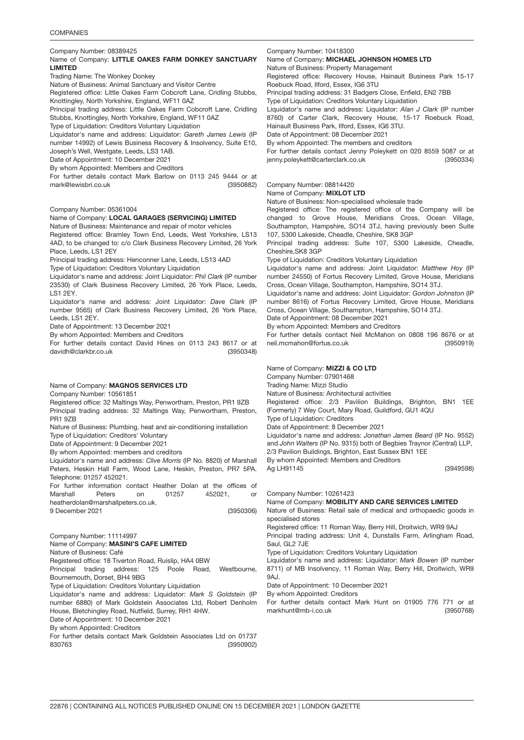Company Number: 08389425

### Name of Company: LITTLE OAKES FARM DONKEY SANCTUARY LIMITED

Trading Name: The Wonkey Donkey

Nature of Business: Animal Sanctuary and Visitor Centre

Registered office: Little Oakes Farm Cobcroft Lane, Cridling Stubbs, Knottingley, North Yorkshire, England, WF11 0AZ

Principal trading address: Little Oakes Farm Cobcroft Lane, Cridling Stubbs, Knottingley, North Yorkshire, England, WF11 0AZ

Type of Liquidation: Creditors Voluntary Liquidation

Liquidator's name and address: Liquidator: *Gareth James Lewis* (IP number 14992) of Lewis Business Recovery & Insolvency, Suite E10, Joseph's Well, Westgate, Leeds, LS3 1AB.

Date of Appointment: 10 December 2021

By whom Appointed: Members and Creditors

(3950882) For further details contact Mark Barlow on 0113 245 9444 or at mark@lewisbri.co.uk

### Company Number: 05361004

### Name of Company: LOCAL GARAGES (SERVICING) LIMITED

Nature of Business: Maintenance and repair of motor vehicles Registered office: Bramley Town End, Leeds, West Yorkshire, LS13 4AD, to be changed to: c/o Clark Business Recovery Limited, 26 York Place, Leeds, LS1 2EY

Principal trading address: Henconner Lane, Leeds, LS13 4AD

Type of Liquidation: Creditors Voluntary Liquidation

Liquidator's name and address: Joint Liquidator: *Phil Clark* (IP number 23530) of Clark Business Recovery Limited, 26 York Place, Leeds, LS1 2EY.

Liquidator's name and address: Joint Liquidator: *Dave Clark* (IP number 9565) of Clark Business Recovery Limited, 26 York Place, Leeds, LS1 2EY.

Date of Appointment: 13 December 2021

By whom Appointed: Members and Creditors

(3950348) For further details contact David Hines on 0113 243 8617 or at davidh@clarkbr.co.uk

# Name of Company: MAGNOS SERVICES LTD

Company Number: 10561851

Registered office: 32 Maltings Way, Penwortham, Preston, PR1 9ZB Principal trading address: 32 Maltings Way, Penwortham, Preston, PR1 9ZB

Nature of Business: Plumbing, heat and air-conditioning installation

Type of Liquidation: Creditors' Voluntary

Date of Appointment: 9 December 2021

By whom Appointed: members and creditors

Liquidator's name and address: *Clive Morris* (IP No. 8820) of Marshall Peters, Heskin Hall Farm, Wood Lane, Heskin, Preston, PR7 5PA. Telephone: 01257 452021.

For further information contact Heather Dolan at the offices of Marshall Peters on 01257 452021, or heatherdolan@marshallpeters.co.uk.

(3950306) 9 December 2021

Company Number: 11114997 (3950902) Name of Company: MASINI'S CAFE LIMITED Nature of Business: Café Registered office: 18 Tiverton Road, Ruislip, HA4 0BW Principal trading address: 125 Poole Road, Westbourne, Bournemouth, Dorset, BH4 9BG Type of Liquidation: Creditors Voluntary Liquidation Liquidator's name and address: Liquidator: *Mark S Goldstein* (IP number 6880) of Mark Goldstein Associates Ltd, Robert Denholm House, Bletchingley Road, Nutfield, Surrey, RH1 4HW. Date of Appointment: 10 December 2021 By whom Appointed: Creditors For further details contact Mark Goldstein Associates Ltd on 01737 830763

Company Number: 10418300

Name of Company: MICHAEL JOHNSON HOMES LTD

Nature of Business: Property Management

Registered office: Recovery House, Hainault Business Park 15-17 Roebuck Road, Ilford, Essex, IG6 3TU

Principal trading address: 31 Badgers Close, Enfield, EN2 7BB

Type of Liquidation: Creditors Voluntary Liquidation

Liquidator's name and address: Liquidator: *Alan J Clark* (IP number 8760) of Carter Clark, Recovery House, 15-17 Roebuck Road, Hainault Business Park, Ilford, Essex, IG6 3TU.

Date of Appointment: 08 December 2021

By whom Appointed: The members and creditors

(3950334) For further details contact Jenny Poleykett on 020 8559 5087 or at jenny.poleykett@carterclark.co.uk

### Company Number: 08814420

Name of Company: MIXLOT LTD

Nature of Business: Non-specialised wholesale trade

Registered office: The registered office of the Company will be changed to Grove House, Meridians Cross, Ocean Village, Southampton, Hampshire, SO14 3TJ, having previously been Suite 107, 5300 Lakeside, Cheadle, Cheshire, SK8 3GP

Principal trading address: Suite 107, 5300 Lakeside, Cheadle, Cheshire,SK8 3GP

Type of Liquidation: Creditors Voluntary Liquidation

Liquidator's name and address: Joint Liquidator: *Matthew Hoy* (IP number 24550) of Fortus Recovery Limited, Grove House, Meridians Cross, Ocean Village, Southampton, Hampshire, SO14 3TJ.

Liquidator's name and address: Joint Liquidator: *Gordon Johnston* (IP number 8616) of Fortus Recovery Limited, Grove House, Meridians Cross, Ocean Village, Southampton, Hampshire, SO14 3TJ.

Date of Appointment: 08 December 2021

By whom Appointed: Members and Creditors

(3950919) For further details contact Neil McMahon on 0808 196 8676 or at neil.mcmahon@fortus.co.uk

### Name of Company: MIZZI & CO LTD

Company Number: 07901468

Trading Name: Mizzi Studio

Nature of Business: Architectural activities

Registered office: 2/3 Pavilion Buildings, Brighton, BN1 1EE (Formerly) 7 Wey Court, Mary Road, Guildford, GU1 4QU

Type of Liquidation: Creditors

Date of Appointment: 8 December 2021

Liquidator's name and address: *Jonathan James Beard* (IP No. 9552) and *John Walters* (IP No. 9315) both of Begbies Traynor (Central) LLP, 2/3 Pavilion Buildings, Brighton, East Sussex BN1 1EE

By whom Appointed: Members and Creditors

(3949598)

Company Number: 10261423

Ag LH91145

Name of Company: MOBILITY AND CARE SERVICES LIMITED

Nature of Business: Retail sale of medical and orthopaedic goods in specialised stores

Registered office: 11 Roman Way, Berry Hill, Droitwich, WR9 9AJ Principal trading address: Unit 4, Dunstalls Farm, Arlingham Road, Saul, GL2 7JE

Type of Liquidation: Creditors Voluntary Liquidation

Liquidator's name and address: Liquidator: *Mark Bowen* (IP number 8711) of MB Insolvency, 11 Roman Way, Berry Hill, Droitwich, WR9 9AJ.

Date of Appointment: 10 December 2021

By whom Appointed: Creditors

(3950768) For further details contact Mark Hunt on 01905 776 771 or at markhunt@mb-i.co.uk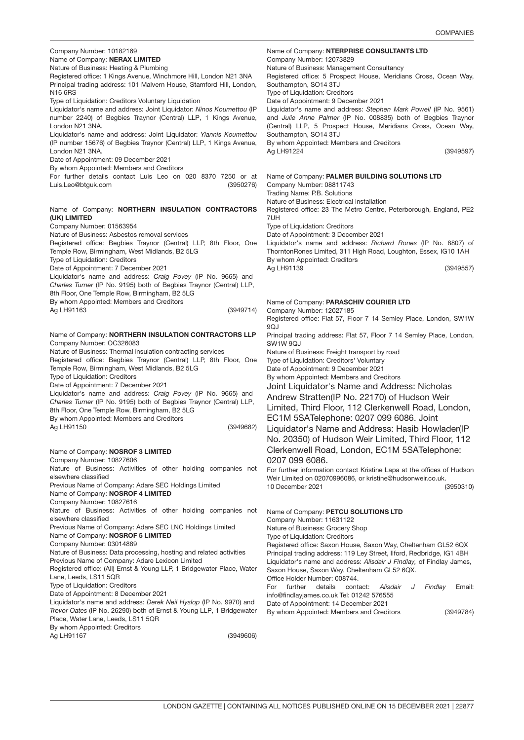| Company Number: 10182169                                                                                                                  | Name of Company: NTERPRISE CONSULTANTS LTD                                                            |
|-------------------------------------------------------------------------------------------------------------------------------------------|-------------------------------------------------------------------------------------------------------|
| Name of Company: NERAX LIMITED<br>Nature of Business: Heating & Plumbing                                                                  | Company Number: 12073829<br>Nature of Business: Management Consultancy                                |
| Registered office: 1 Kings Avenue, Winchmore Hill, London N21 3NA                                                                         | Registered office: 5 Prospect House, Meridians Cross, Ocean Way,                                      |
| Principal trading address: 101 Malvern House, Stamford Hill, London,                                                                      | Southampton, SO14 3TJ                                                                                 |
| N16 6RS                                                                                                                                   | Type of Liquidation: Creditors                                                                        |
| Type of Liquidation: Creditors Voluntary Liquidation                                                                                      | Date of Appointment: 9 December 2021                                                                  |
| Liquidator's name and address: Joint Liquidator: Ninos Koumettou (IP                                                                      | Liquidator's name and address: Stephen Mark Powell (IP No. 9561)                                      |
| number 2240) of Begbies Traynor (Central) LLP, 1 Kings Avenue,                                                                            | and Julie Anne Palmer (IP No. 008835) both of Begbies Traynor                                         |
| London N21 3NA.                                                                                                                           | (Central) LLP, 5 Prospect House, Meridians Cross, Ocean Way,                                          |
| Liquidator's name and address: Joint Liquidator: Yiannis Koumettou<br>(IP number 15676) of Begbies Traynor (Central) LLP, 1 Kings Avenue, | Southampton, SO14 3TJ<br>By whom Appointed: Members and Creditors                                     |
| London N21 3NA.                                                                                                                           | (3949597)<br>Ag LH91224                                                                               |
| Date of Appointment: 09 December 2021                                                                                                     |                                                                                                       |
| By whom Appointed: Members and Creditors                                                                                                  |                                                                                                       |
| For further details contact Luis Leo on 020 8370 7250 or at                                                                               | Name of Company: PALMER BUILDING SOLUTIONS LTD                                                        |
| Luis.Leo@btguk.com<br>(3950276)                                                                                                           | Company Number: 08811743                                                                              |
|                                                                                                                                           | Trading Name: P.B. Solutions                                                                          |
|                                                                                                                                           | Nature of Business: Electrical installation                                                           |
| Name of Company: NORTHERN INSULATION CONTRACTORS                                                                                          | Registered office: 23 The Metro Centre, Peterborough, England, PE2                                    |
| (UK) LIMITED                                                                                                                              | 7UH                                                                                                   |
| Company Number: 01563954                                                                                                                  | Type of Liquidation: Creditors                                                                        |
| Nature of Business: Asbestos removal services<br>Registered office: Begbies Traynor (Central) LLP, 8th Floor, One                         | Date of Appointment: 3 December 2021<br>Liquidator's name and address: Richard Rones (IP No. 8807) of |
| Temple Row, Birmingham, West Midlands, B2 5LG                                                                                             | ThorntonRones Limited, 311 High Road, Loughton, Essex, IG10 1AH                                       |
| Type of Liquidation: Creditors                                                                                                            | By whom Appointed: Creditors                                                                          |
| Date of Appointment: 7 December 2021                                                                                                      | Ag LH91139<br>(3949557)                                                                               |
| Liquidator's name and address: Craig Povey (IP No. 9665) and                                                                              |                                                                                                       |
| Charles Turner (IP No. 9195) both of Begbies Traynor (Central) LLP,                                                                       |                                                                                                       |
| 8th Floor, One Temple Row, Birmingham, B2 5LG                                                                                             |                                                                                                       |
| By whom Appointed: Members and Creditors                                                                                                  | Name of Company: PARASCHIV COURIER LTD                                                                |
| Ag LH91163<br>(3949714)                                                                                                                   | Company Number: 12027185                                                                              |
|                                                                                                                                           | Registered office: Flat 57, Floor 7 14 Semley Place, London, SW1W<br>9QJ                              |
| Name of Company: NORTHERN INSULATION CONTRACTORS LLP<br>Company Number: OC326083                                                          | Principal trading address: Flat 57, Floor 7 14 Semley Place, London,<br>SW1W 9QJ                      |
| Nature of Business: Thermal insulation contracting services                                                                               | Nature of Business: Freight transport by road                                                         |
| Registered office: Begbies Traynor (Central) LLP, 8th Floor, One                                                                          | Type of Liquidation: Creditors' Voluntary                                                             |
| Temple Row, Birmingham, West Midlands, B2 5LG                                                                                             | Date of Appointment: 9 December 2021                                                                  |
| Type of Liquidation: Creditors                                                                                                            | By whom Appointed: Members and Creditors                                                              |
| Date of Appointment: 7 December 2021                                                                                                      | Joint Liquidator's Name and Address: Nicholas                                                         |
| Liquidator's name and address: Craig Povey (IP No. 9665) and                                                                              | Andrew Stratten(IP No. 22170) of Hudson Weir                                                          |
| Charles Turner (IP No. 9195) both of Begbies Traynor (Central) LLP,<br>8th Floor, One Temple Row, Birmingham, B2 5LG                      | Limited, Third Floor, 112 Clerkenwell Road, London,                                                   |
| By whom Appointed: Members and Creditors                                                                                                  | EC1M 5SATelephone: 0207 099 6086. Joint                                                               |
| (3949682)<br>Ag LH91150                                                                                                                   | Liquidator's Name and Address: Hasib Howlader(IP                                                      |
|                                                                                                                                           | No. 20350) of Hudson Weir Limited, Third Floor, 112                                                   |
|                                                                                                                                           |                                                                                                       |
| Name of Company: NOSROF 3 LIMITED                                                                                                         | Clerkenwell Road, London, EC1M 5SATelephone:                                                          |
| Company Number: 10827606                                                                                                                  | 0207 099 6086.                                                                                        |
| Nature of Business: Activities of other holding companies not<br>elsewhere classified                                                     | For further information contact Kristine Lapa at the offices of Hudson                                |
| Previous Name of Company: Adare SEC Holdings Limited                                                                                      | Weir Limited on 02070996086, or kristine@hudsonweir.co.uk.<br>10 December 2021                        |
| Name of Company: NOSROF 4 LIMITED                                                                                                         | (3950310)                                                                                             |
| Company Number: 10827616                                                                                                                  |                                                                                                       |
| Nature of Business: Activities of other holding companies not                                                                             | Name of Company: PETCU SOLUTIONS LTD                                                                  |
| elsewhere classified                                                                                                                      | Company Number: 11631122                                                                              |
| Previous Name of Company: Adare SEC LNC Holdings Limited                                                                                  | Nature of Business: Grocery Shop                                                                      |
| Name of Company: NOSROF 5 LIMITED                                                                                                         | Type of Liquidation: Creditors                                                                        |
| Company Number: 03014889                                                                                                                  | Registered office: Saxon House, Saxon Way, Cheltenham GL52 6QX                                        |
| Nature of Business: Data processing, hosting and related activities<br>Previous Name of Company: Adare Lexicon Limited                    | Principal trading address: 119 Ley Street, Ilford, Redbridge, IG1 4BH                                 |
| Registered office: (All) Ernst & Young LLP, 1 Bridgewater Place, Water                                                                    | Liquidator's name and address: Alisdair J Findlay, of Findlay James,                                  |
| Lane, Leeds, LS11 5QR                                                                                                                     | Saxon House, Saxon Way, Cheltenham GL52 6QX.<br>Office Holder Number: 008744.                         |
| Type of Liquidation: Creditors                                                                                                            | further<br>Findlay<br>For<br>details<br>contact:<br>Alisdair<br>Email:<br>J                           |
| Date of Appointment: 8 December 2021                                                                                                      | info@findlayjames.co.uk Tel: 01242 576555                                                             |
| Liquidator's name and address: Derek Neil Hyslop (IP No. 9970) and                                                                        | Date of Appointment: 14 December 2021                                                                 |
| Trevor Oates (IP No. 26290) both of Ernst & Young LLP, 1 Bridgewater                                                                      | (3949784)<br>By whom Appointed: Members and Creditors                                                 |
| Place, Water Lane, Leeds, LS11 5QR                                                                                                        |                                                                                                       |
| By whom Appointed: Creditors                                                                                                              |                                                                                                       |

Ag LH91167

(3949606)

LONDON GAZETTE | CONTAINING ALL NOTICES PUBLISHED ONLINE ON 15 DECEMBER 2021 | 22877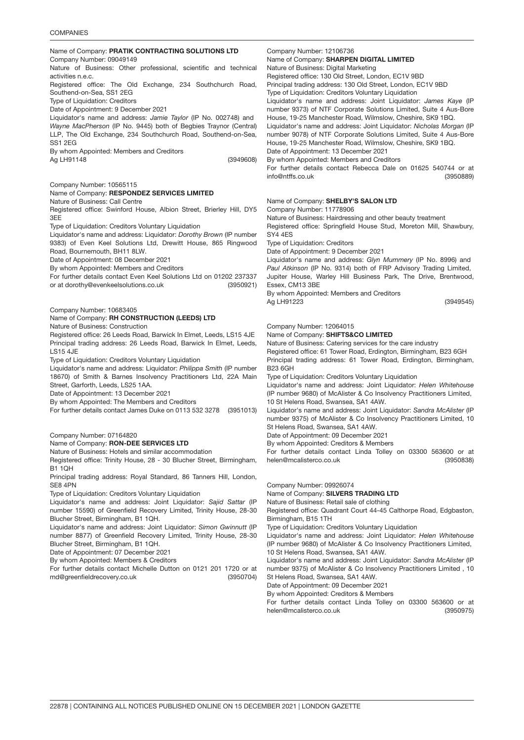### **COMPANIES**

## Name of Company: PRATIK CONTRACTING SOLUTIONS LTD

### Company Number: 09049149 Nature of Business: Other professional, scientific and technical activities n.e.c.

Registered office: The Old Exchange, 234 Southchurch Road, Southend-on-Sea, SS1 2EG

Type of Liquidation: Creditors

Date of Appointment: 9 December 2021

Liquidator's name and address: *Jamie Taylor* (IP No. 002748) and *Wayne MacPherson* (IP No. 9445) both of Begbies Traynor (Central) LLP, The Old Exchange, 234 Southchurch Road, Southend-on-Sea, SS1 2EG

By whom Appointed: Members and Creditors

Ag LH91148

(3949608)

Company Number: 10565115

# Name of Company: RESPONDEZ SERVICES LIMITED

Nature of Business: Call Centre

Registered office: Swinford House, Albion Street, Brierley Hill, DY5 3EE

Type of Liquidation: Creditors Voluntary Liquidation

Liquidator's name and address: Liquidator: *Dorothy Brown* (IP number 9383) of Even Keel Solutions Ltd, Drewitt House, 865 Ringwood Road, Bournemouth, BH11 8LW.

Date of Appointment: 08 December 2021

By whom Appointed: Members and Creditors

(3950921) For further details contact Even Keel Solutions Ltd on 01202 237337 or at dorothy@evenkeelsolutions.co.uk

Company Number: 10683405

# Name of Company: RH CONSTRUCTION (LEEDS) LTD

Nature of Business: Construction

Registered office: 26 Leeds Road, Barwick In Elmet, Leeds, LS15 4JE Principal trading address: 26 Leeds Road, Barwick In Elmet, Leeds, LS15 4JE

Type of Liquidation: Creditors Voluntary Liquidation

Liquidator's name and address: Liquidator: *Philippa Smith* (IP number 18670) of Smith & Barnes Insolvency Practitioners Ltd, 22A Main Street, Garforth, Leeds, LS25 1AA.

Date of Appointment: 13 December 2021

By whom Appointed: The Members and Creditors

(3951013) For further details contact James Duke on 0113 532 3278

Company Number: 07164820

Name of Company: RON-DEE SERVICES LTD Nature of Business: Hotels and similar accommodation

Registered office: Trinity House, 28 - 30 Blucher Street, Birmingham, B1 1QH

Principal trading address: Royal Standard, 86 Tanners Hill, London, SE8 4PN

Type of Liquidation: Creditors Voluntary Liquidation

Liquidator's name and address: Joint Liquidator: *Sajid Sattar* (IP number 15590) of Greenfield Recovery Limited, Trinity House, 28-30 Blucher Street, Birmingham, B1 1QH.

Liquidator's name and address: Joint Liquidator: *Simon Gwinnutt* (IP number 8877) of Greenfield Recovery Limited, Trinity House, 28-30 Blucher Street, Birmingham, B1 1QH.

Date of Appointment: 07 December 2021

By whom Appointed: Members & Creditors

(3950704) For further details contact Michelle Dutton on 0121 201 1720 or at md@greenfieldrecovery.co.uk

Company Number: 12106736

Name of Company: SHARPEN DIGITAL LIMITED Nature of Business: Digital Marketing

Registered office: 130 Old Street, London, EC1V 9BD Principal trading address: 130 Old Street, London, EC1V 9BD

Type of Liquidation: Creditors Voluntary Liquidation

Liquidator's name and address: Joint Liquidator: *James Kaye* (IP number 9373) of NTF Corporate Solutions Limited, Suite 4 Aus-Bore House, 19-25 Manchester Road, Wilmslow, Cheshire, SK9 1BQ.

Liquidator's name and address: Joint Liquidator: *Nicholas Morgan* (IP number 9078) of NTF Corporate Solutions Limited, Suite 4 Aus-Bore House, 19-25 Manchester Road, Wilmslow, Cheshire, SK9 1BQ. Date of Appointment: 13 December 2021

By whom Appointed: Members and Creditors

(3950889) For further details contact Rebecca Dale on 01625 540744 or at info@ntffs.co.uk

### Name of Company: SHELBY'S SALON LTD

Company Number: 11778906

Nature of Business: Hairdressing and other beauty treatment

Registered office: Springfield House Stud, Moreton Mill, Shawbury, SY4 4ES

Type of Liquidation: Creditors

Date of Appointment: 9 December 2021

Liquidator's name and address: *Glyn Mummery* (IP No. 8996) and *Paul Atkinson* (IP No. 9314) both of FRP Advisory Trading Limited, Jupiter House, Warley Hill Business Park, The Drive, Brentwood, Essex, CM13 3BE

By whom Appointed: Members and Creditors Ag LH91223

(3949545)

Company Number: 12064015

Name of Company: SHIFTS&CO LIMITED

Nature of Business: Catering services for the care industry

Registered office: 61 Tower Road, Erdington, Birmingham, B23 6GH Principal trading address: 61 Tower Road, Erdington, Birmingham, B23 6GH

Type of Liquidation: Creditors Voluntary Liquidation

Liquidator's name and address: Joint Liquidator: *Helen Whitehouse* (IP number 9680) of McAlister & Co Insolvency Practitioners Limited, 10 St Helens Road, Swansea, SA1 4AW.

Liquidator's name and address: Joint Liquidator: *Sandra McAlister* (IP number 9375) of McAlister & Co Insolvency Practitioners Limited, 10 St Helens Road, Swansea, SA1 4AW.

Date of Appointment: 09 December 2021

By whom Appointed: Creditors & Members

(3950838) For further details contact Linda Tolley on 03300 563600 or at helen@mcalisterco.co.uk

Company Number: 09926074

Name of Company: SILVERS TRADING LTD

Nature of Business: Retail sale of clothing

Registered office: Quadrant Court 44-45 Calthorpe Road, Edgbaston, Birmingham, B15 1TH

Type of Liquidation: Creditors Voluntary Liquidation

Liquidator's name and address: Joint Liquidator: *Helen Whitehouse* (IP number 9680) of McAlister & Co Insolvency Practitioners Limited,

10 St Helens Road, Swansea, SA1 4AW. Liquidator's name and address: Joint Liquidator: *Sandra McAlister* (IP

number 9375) of McAlister & Co Insolvency Practitioners Limited , 10 St Helens Road, Swansea, SA1 4AW.

Date of Appointment: 09 December 2021

By whom Appointed: Creditors & Members

(3950975) For further details contact Linda Tolley on 03300 563600 or at helen@mcalisterco.co.uk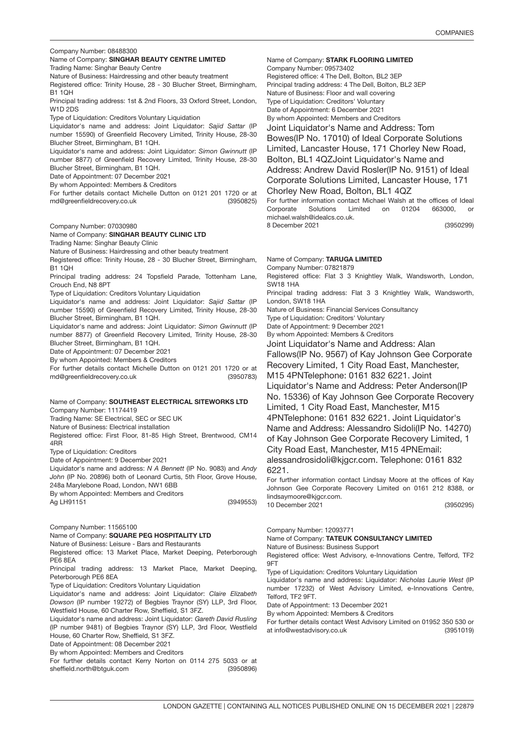|  |  | Company Number: 08488300 |
|--|--|--------------------------|
|--|--|--------------------------|

# Company Number: 08488300<br>Name of Company: **SINGHAR BEAUTY CENTRE LIMITED**

Trading Name: Singhar Beauty Centre

Nature of Business: Hairdressing and other beauty treatment

Registered office: Trinity House, 28 - 30 Blucher Street, Birmingham, B1 1QH

Principal trading address: 1st & 2nd Floors, 33 Oxford Street, London, W1D 2DS

Type of Liquidation: Creditors Voluntary Liquidation

Liquidator's name and address: Joint Liquidator: *Sajid Sattar* (IP number 15590) of Greenfield Recovery Limited, Trinity House, 28-30 Blucher Street, Birmingham, B1 1QH.

Liquidator's name and address: Joint Liquidator: *Simon Gwinnutt* (IP number 8877) of Greenfield Recovery Limited, Trinity House, 28-30 Blucher Street, Birmingham, B1 1QH.

Date of Appointment: 07 December 2021

By whom Appointed: Members & Creditors

(3950825) For further details contact Michelle Dutton on 0121 201 1720 or at md@greenfieldrecovery.co.uk

Company Number: 07030980

# Name of Company: SINGHAR BEAUTY CLINIC LTD

Trading Name: Singhar Beauty Clinic

Nature of Business: Hairdressing and other beauty treatment

Registered office: Trinity House, 28 - 30 Blucher Street, Birmingham, B1 1QH

Principal trading address: 24 Topsfield Parade, Tottenham Lane, Crouch End, N8 8PT

Type of Liquidation: Creditors Voluntary Liquidation

Liquidator's name and address: Joint Liquidator: *Sajid Sattar* (IP number 15590) of Greenfield Recovery Limited, Trinity House, 28-30 Blucher Street, Birmingham, B1 1QH.

Liquidator's name and address: Joint Liquidator: *Simon Gwinnutt* (IP number 8877) of Greenfield Recovery Limited, Trinity House, 28-30 Blucher Street, Birmingham, B1 1QH.

Date of Appointment: 07 December 2021

By whom Appointed: Members & Creditors

(3950783) For further details contact Michelle Dutton on 0121 201 1720 or at md@greenfieldrecovery.co.uk

| Name of Company: SOUTHEAST ELECTRICAL SITEWORKS LTD<br>Company Number: 11174419<br>Trading Name: SE Electrical, SEC or SEC UK<br>Nature of Business: Electrical installation<br>Registered office: First Floor, 81-85 High Street, Brentwood, CM14                                                                            |
|-------------------------------------------------------------------------------------------------------------------------------------------------------------------------------------------------------------------------------------------------------------------------------------------------------------------------------|
| 4RR<br>Type of Liquidation: Creditors<br>Date of Appointment: 9 December 2021<br>Liquidator's name and address: N A Bennett (IP No. 9083) and Andy<br>John (IP No. 20896) both of Leonard Curtis, 5th Floor, Grove House,<br>248a Marylebone Road, London, NW1 6BB<br>By whom Appointed: Members and Creditors                |
| Ag LH91151<br>(3949553)                                                                                                                                                                                                                                                                                                       |
| Company Number: 11565100<br>Name of Company: SQUARE PEG HOSPITALITY LTD<br>Nature of Business: Leisure - Bars and Restaurants<br>Registered office: 13 Market Place, Market Deeping, Peterborough<br>PE6 8EA                                                                                                                  |
| Principal trading address: 13 Market Place, Market Deeping,<br>Peterborough PE6 8EA                                                                                                                                                                                                                                           |
| Type of Liquidation: Creditors Voluntary Liquidation<br>Liquidator's name and address: Joint Liquidator: Claire Elizabeth<br>Dowson (IP number 19272) of Begbies Traynor (SY) LLP, 3rd Floor,<br>Westfield House, 60 Charter Row, Sheffield, S1 3FZ.<br>Liquidator's name and address: Joint Liquidator: Caroth David Pueling |

Liquidator's name and address: Joint Liquidator: *Gareth David Rusling* (IP number 9481) of Begbies Traynor (SY) LLP, 3rd Floor, Westfield House, 60 Charter Row, Sheffield, S1 3FZ.

Date of Appointment: 08 December 2021

By whom Appointed: Members and Creditors

(3950896) For further details contact Kerry Norton on 0114 275 5033 or at sheffield.north@btguk.com

Name of Company: **STARK FLOORING LIMITED** Company Number: 09573402 Registered office: 4 The Dell, Bolton, BL2 3EP Principal trading address: 4 The Dell, Bolton, BL2 3EP Nature of Business: Floor and wall covering Type of Liquidation: Creditors' Voluntary Date of Appointment: 6 December 2021 By whom Appointed: Members and Creditors Joint Liquidator's Name and Address: Tom Bowes(IP No. 17010) of Ideal Corporate Solutions Limited, Lancaster House, 171 Chorley New Road, Bolton, BL1 4QZJoint Liquidator's Name and Address: Andrew David Rosler(IP No. 9151) of Ideal Corporate Solutions Limited, Lancaster House, 171 Chorley New Road, Bolton, BL1 4QZ For further information contact Michael Walsh at the offices of Ideal

(3950299) Corporate Solutions Limited on 01204 663000, michael.walsh@idealcs.co.uk. 8 December 2021

Name of Company: TARUGA LIMITED

Company Number: 07821879

Registered office: Flat 3 3 Knightley Walk, Wandsworth, London, SW18 1HA

Principal trading address: Flat 3 3 Knightley Walk, Wandsworth, London, SW18 1HA

Nature of Business: Financial Services Consultancy

Type of Liquidation: Creditors' Voluntary Date of Appointment: 9 December 2021

By whom Appointed: Members & Creditors

Joint Liquidator's Name and Address: Alan Fallows(IP No. 9567) of Kay Johnson Gee Corporate Recovery Limited, 1 City Road East, Manchester, M15 4PNTelephone: 0161 832 6221. Joint Liquidator's Name and Address: Peter Anderson(IP No. 15336) of Kay Johnson Gee Corporate Recovery Limited, 1 City Road East, Manchester, M15 4PNTelephone: 0161 832 6221. Joint Liquidator's Name and Address: Alessandro Sidoli(IP No. 14270) of Kay Johnson Gee Corporate Recovery Limited, 1 City Road East, Manchester, M15 4PNEmail: alessandrosidoli@kjgcr.com. Telephone: 0161 832 6221.

For further information contact Lindsay Moore at the offices of Kay Johnson Gee Corporate Recovery Limited on 0161 212 8388, or lindsaymoore@kjgcr.com. 10 December 2021

(3950295)

Company Number: 12093771

Name of Company: TATEUK CONSULTANCY LIMITED

Nature of Business: Business Support

Registered office: West Advisory, e-Innovations Centre, Telford, TF2 9FT

Type of Liquidation: Creditors Voluntary Liquidation

Liquidator's name and address: Liquidator: *Nicholas Laurie West* (IP number 17232) of West Advisory Limited, e-Innovations Centre, Telford, TF2 9FT.

Date of Appointment: 13 December 2021

By whom Appointed: Members & Creditors

(3951019) For further details contact West Advisory Limited on 01952 350 530 or at info@westadvisory.co.uk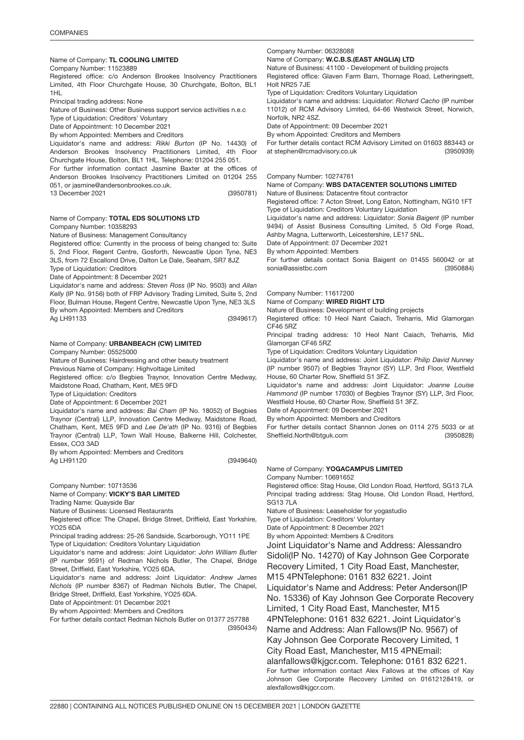# Name of Company: TL COOLING LIMITED

Company Number: 11523889

Registered office: c/o Anderson Brookes Insolvency Practitioners Limited, 4th Floor Churchgate House, 30 Churchgate, Bolton, BL1 1HL

Principal trading address: None

Nature of Business: Other Business support service activities n.e.c

Type of Liquidation: Creditors' Voluntary

Date of Appointment: 10 December 2021

By whom Appointed: Members and Creditors

Liquidator's name and address: *Rikki Burton* (IP No. 14430) of Anderson Brookes Insolvency Practitioners Limited, 4th Floor Churchgate House, Bolton, BL1 1HL. Telephone: 01204 255 051.

(3950781) For further information contact Jasmine Baxter at the offices of Anderson Brookes Insolvency Practitioners Limited on 01204 255 051, or jasmine@andersonbrookes.co.uk. 13 December 2021

### Name of Company: **TOTAL EDS SOLUTIONS LTD**

Company Number: 10358293

Nature of Business: Management Consultancy

Registered office: Currently in the process of being changed to: Suite 5, 2nd Floor, Regent Centre, Gosforth, Newcastle Upon Tyne, NE3 3LS, from 72 Escallond Drive, Dalton Le Dale, Seaham, SR7 8JZ Type of Liquidation: Creditors

Date of Appointment: 8 December 2021

(3949617) Liquidator's name and address: *Steven Ross* (IP No. 9503) and *Allan Kelly* (IP No. 9156) both of FRP Advisory Trading Limited, Suite 5, 2nd Floor, Bulman House, Regent Centre, Newcastle Upon Tyne, NE3 3LS By whom Appointed: Members and Creditors

Ag LH91133

# Name of Company: URBANBEACH (CW) LIMITED

Company Number: 05525000

Nature of Business: Hairdressing and other beauty treatment

Previous Name of Company: Highvoltage Limited

Registered office: c/o Begbies Traynor, Innovation Centre Medway, Maidstone Road, Chatham, Kent, ME5 9FD

Type of Liquidation: Creditors

Date of Appointment: 6 December 2021

Liquidator's name and address: *Bai Cham* (IP No. 18052) of Begbies Traynor (Central) LLP, Innovation Centre Medway, Maidstone Road, Chatham, Kent, ME5 9FD and *Lee De'ath* (IP No. 9316) of Begbies Traynor (Central) LLP, Town Wall House, Balkerne Hill, Colchester, Essex, CO3 3AD

By whom Appointed: Members and Creditors Ag LH91120

(3949640)

### Company Number: 10713536 Name of Company: VICKY'S BAR LIMITED

Trading Name: Quayside Bar

Nature of Business: Licensed Restaurants

Registered office: The Chapel, Bridge Street, Driffield, East Yorkshire, YO25 6DA

Principal trading address: 25-26 Sandside, Scarborough, YO11 1PE Type of Liquidation: Creditors Voluntary Liquidation

Liquidator's name and address: Joint Liquidator: *John William Butler* (IP number 9591) of Redman Nichols Butler, The Chapel, Bridge Street, Driffield, East Yorkshire, YO25 6DA.

Liquidator's name and address: Joint Liquidator: *Andrew James Nichols* (IP number 8367) of Redman Nichols Butler, The Chapel, Bridge Street, Driffield, East Yorkshire, YO25 6DA.

Date of Appointment: 01 December 2021

By whom Appointed: Members and Creditors

(3950434) For further details contact Redman Nichols Butler on 01377 257788

### Company Number: 06328088

Name of Company: W.C.B.S.(EAST ANGLIA) LTD

Nature of Business: 41100 - Development of building projects

Registered office: Glaven Farm Barn, Thornage Road, Letheringsett, Holt NR25 7JE

Type of Liquidation: Creditors Voluntary Liquidation

Liquidator's name and address: Liquidator: *Richard Cacho* (IP number 11012) of RCM Advisory Limited, 64-66 Westwick Street, Norwich, Norfolk, NR2 4SZ.

Date of Appointment: 09 December 2021

By whom Appointed: Creditors and Members

(3950939) For further details contact RCM Advisory Limited on 01603 883443 or at stephen@rcmadvisory.co.uk

# Company Number: 10274761

Name of Company: WBS DATACENTER SOLUTIONS LIMITED

Nature of Business: Datacentre fitout contractor

Registered office: 7 Acton Street, Long Eaton, Nottingham, NG10 1FT Type of Liquidation: Creditors Voluntary Liquidation

Liquidator's name and address: Liquidator: *Sonia Baigent* (IP number 9494) of Assist Business Consulting Limited, 5 Old Forge Road, Ashby Magna, Lutterworth, Leicestershire, LE17 5NL.

Date of Appointment: 07 December 2021

By whom Appointed: Members

(3950884) For further details contact Sonia Baigent on 01455 560042 or at sonia@assistbc.com

# Company Number: 11617200

Name of Company: WIRED RIGHT LTD

Nature of Business: Development of building projects

Registered office: 10 Heol Nant Caiach, Treharris, Mid Glamorgan CF46 5RZ

Principal trading address: 10 Heol Nant Caiach, Treharris, Mid Glamorgan CF46 5RZ

Type of Liquidation: Creditors Voluntary Liquidation

Liquidator's name and address: Joint Liquidator: *Philip David Nunney* (IP number 9507) of Begbies Traynor (SY) LLP, 3rd Floor, Westfield House, 60 Charter Row, Sheffield S1 3FZ.

Liquidator's name and address: Joint Liquidator: *Joanne Louise Hammond* (IP number 17030) of Begbies Traynor (SY) LLP, 3rd Floor, Westfield House, 60 Charter Row, Sheffield S1 3FZ.

Date of Appointment: 09 December 2021

By whom Appointed: Members and Creditors

(3950828) For further details contact Shannon Jones on 0114 275 5033 or at Sheffield.North@btguk.com

# Name of Company: YOGACAMPUS LIMITED

Company Number: 10691652

Registered office: Stag House, Old London Road, Hertford, SG13 7LA Principal trading address: Stag House, Old London Road, Hertford, SG13 7LA

Nature of Business: Leaseholder for yogastudio

Type of Liquidation: Creditors' Voluntary

Date of Appointment: 8 December 2021

By whom Appointed: Members & Creditors

Joint Liquidator's Name and Address: Alessandro Sidoli(IP No. 14270) of Kay Johnson Gee Corporate Recovery Limited, 1 City Road East, Manchester, M15 4PNTelephone: 0161 832 6221. Joint Liquidator's Name and Address: Peter Anderson(IP No. 15336) of Kay Johnson Gee Corporate Recovery Limited, 1 City Road East, Manchester, M15 4PNTelephone: 0161 832 6221. Joint Liquidator's Name and Address: Alan Fallows(IP No. 9567) of Kay Johnson Gee Corporate Recovery Limited, 1 City Road East, Manchester, M15 4PNEmail: alanfallows@kjgcr.com. Telephone: 0161 832 6221. For further information contact Alex Fallows at the offices of Kay Johnson Gee Corporate Recovery Limited on 01612128419, or alexfallows@kjgcr.com.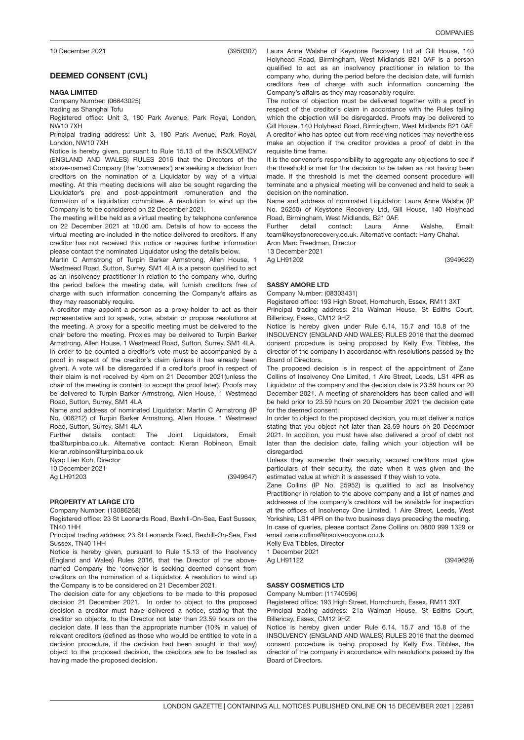DEEMED CONSENT (CVL)

# NAGA LIMITE<mark>D</mark>

Company Number: (06643025)

trading as Shanghai Tofu

Registered office: Unit 3, 180 Park Avenue, Park Royal, London, NW10 7XH

Principal trading address: Unit 3, 180 Park Avenue, Park Royal, London, NW10 7XH

Notice is hereby given, pursuant to Rule 15.13 of the INSOLVENCY (ENGLAND AND WALES) RULES 2016 that the Directors of the above-named Company (the 'conveners') are seeking a decision from creditors on the nomination of a Liquidator by way of a virtual meeting. At this meeting decisions will also be sought regarding the Liquidator's pre and post-appointment remuneration and the formation of a liquidation committee. A resolution to wind up the Company is to be considered on 22 December 2021.

The meeting will be held as a virtual meeting by telephone conference on 22 December 2021 at 10.00 am. Details of how to access the virtual meeting are included in the notice delivered to creditors. If any creditor has not received this notice or requires further information please contact the nominated Liquidator using the details below.

Martin C Armstrong of Turpin Barker Armstrong, Allen House, 1 Westmead Road, Sutton, Surrey, SM1 4LA is a person qualified to act as an insolvency practitioner in relation to the company who, during the period before the meeting date, will furnish creditors free of charge with such information concerning the Company's affairs as they may reasonably require.

A creditor may appoint a person as a proxy-holder to act as their representative and to speak, vote, abstain or propose resolutions at the meeting. A proxy for a specific meeting must be delivered to the chair before the meeting. Proxies may be delivered to Turpin Barker Armstrong, Allen House, 1 Westmead Road, Sutton, Surrey, SM1 4LA. In order to be counted a creditor's vote must be accompanied by a proof in respect of the creditor's claim (unless it has already been given). A vote will be disregarded if a creditor's proof in respect of their claim is not received by 4pm on 21 December 2021(unless the chair of the meeting is content to accept the proof later). Proofs may be delivered to Turpin Barker Armstrong, Allen House, 1 Westmead Road, Sutton, Surrey, SM1 4LA

Name and address of nominated Liquidator: Martin C Armstrong (IP No. 006212) of Turpin Barker Armstrong, Allen House, 1 Westmead Road, Sutton, Surrey, SM1 4LA

Further details contact: The Joint Liquidators, Email: tba@turpinba.co.uk. Alternative contact: Kieran Robinson, Email: kieran.robinson@turpinba.co.uk

Nyap Lien Koh, Director

10 December 2021 Ag LH91203

(3949647)

(3950307)

### 3949622 PROPERTY AT LARGE LTD

Company Number: (13086268)

Registered office: 23 St Leonards Road, Bexhill-On-Sea, East Sussex, TN40 1HH

Principal trading address: 23 St Leonards Road, Bexhill-On-Sea, East Sussex, TN40 1HH

Notice is hereby given, pursuant to Rule 15.13 of the Insolvency (England and Wales) Rules 2016, that the Director of the abovenamed Company the 'convener is seeking deemed consent from creditors on the nomination of a Liquidator. A resolution to wind up the Company is to be considered on 21 December 2021.

The decision date for any objections to be made to this proposed decision 21 December 2021. In order to object to the proposed decision a creditor must have delivered a notice, stating that the creditor so objects, to the Director not later than 23.59 hours on the decision date. If less than the appropriate number (10% in value) of relevant creditors (defined as those who would be entitled to vote in a decision procedure, if the decision had been sought in that way) object to the proposed decision, the creditors are to be treated as having made the proposed decision.

(3949622)

Laura Anne Walshe of Keystone Recovery Ltd at Gill House, 140 Holyhead Road, Birmingham, West Midlands B21 0AF is a person qualified to act as an insolvency practitioner in relation to the company who, during the period before the decision date, will furnish creditors free of charge with such information concerning the Company's affairs as they may reasonably require.

The notice of objection must be delivered together with a proof in respect of the creditor's claim in accordance with the Rules failing which the objection will be disregarded. Proofs may be delivered to Gill House, 140 Holyhead Road, Birmingham, West Midlands B21 0AF. A creditor who has opted out from receiving notices may nevertheless make an objection if the creditor provides a proof of debt in the requisite time frame.

It is the convener's responsibility to aggregate any objections to see if the threshold is met for the decision to be taken as not having been made. If the threshold is met the deemed consent procedure will terminate and a physical meeting will be convened and held to seek a decision on the nomination.

Name and address of nominated Liquidator: Laura Anne Walshe (IP No. 26250) of Keystone Recovery Ltd, Gill House, 140 Holyhead Road, Birmingham, West Midlands, B21 0AF.

Further detail contact: Laura Anne Walshe, Email: team@keystonerecovery.co.uk. Alternative contact: Harry Chahal. Aron Marc Freedman, Director

13 December 2021

Ag LH91202

# SASSY AMORE <mark>LTD</mark>

Company Number: (08303431)

Registered office: 193 High Street, Hornchurch, Essex, RM11 3XT Principal trading address: 21a Walman House, St Ediths Court, Billericay, Essex, CM12 9HZ

Notice is hereby given under Rule 6.14, 15.7 and 15.8 of the INSOLVENCY (ENGLAND AND WALES) RULES 2016 that the deemed consent procedure is being proposed by Kelly Eva Tibbles, the director of the company in accordance with resolutions passed by the Board of Directors.

The proposed decision is in respect of the appointment of Zane Collins of Insolvency One Limited, 1 Aire Street, Leeds, LS1 4PR as Liquidator of the company and the decision date is 23.59 hours on 20 December 2021. A meeting of shareholders has been called and will be held prior to 23.59 hours on 20 December 2021 the decision date for the deemed consent.

In order to object to the proposed decision, you must deliver a notice stating that you object not later than 23.59 hours on 20 December 2021. In addition, you must have also delivered a proof of debt not later than the decision date, failing which your objection will be disregarded.

Unless they surrender their security, secured creditors must give particulars of their security, the date when it was given and the estimated value at which it is assessed if they wish to vote.

Zane Collins (IP No. 25952) is qualified to act as Insolvency Practitioner in relation to the above company and a list of names and addresses of the company's creditors will be available for inspection at the offices of Insolvency One Limited, 1 Aire Street, Leeds, West Yorkshire, LS1 4PR on the two business days preceding the meeting. In case of queries, please contact Zane Collins on 0800 999 1329 or

email zane.collins@insolvencyone.co.uk Kelly Eva Tibbles, Director

1 December 2021

Ag LH91122

(3949629)

# SASSY COSMETICS <mark>LTD</mark>

Company Number: (11740596)

Registered office: 193 High Street, Hornchurch, Essex, RM11 3XT

Principal trading address: 21a Walman House, St Ediths Court, Billericay, Essex, CM12 9HZ

Notice is hereby given under Rule 6.14, 15.7 and 15.8 of the INSOLVENCY (ENGLAND AND WALES) RULES 2016 that the deemed consent procedure is being proposed by Kelly Eva Tibbles, the director of the company in accordance with resolutions passed by the Board of Directors.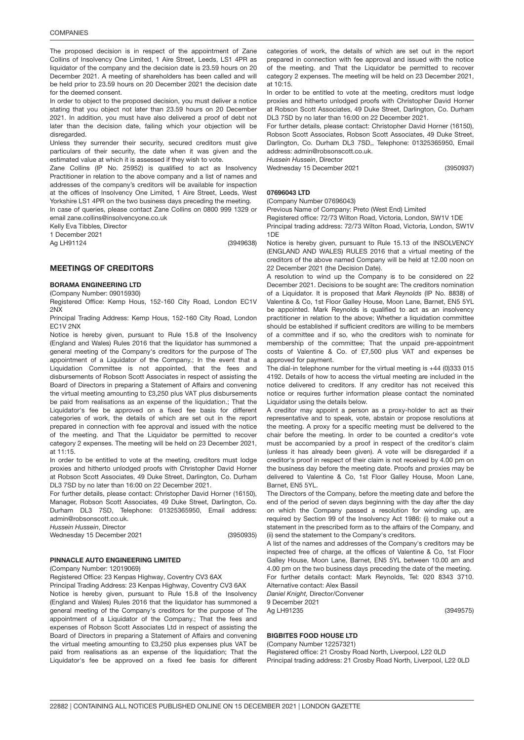The proposed decision is in respect of the appointment of Zane Collins of Insolvency One Limited, 1 Aire Street, Leeds, LS1 4PR as liquidator of the company and the decision date is 23.59 hours on 20 December 2021. A meeting of shareholders has been called and will be held prior to 23.59 hours on 20 December 2021 the decision date for the deemed consent.

In order to object to the proposed decision, you must deliver a notice stating that you object not later than 23.59 hours on 20 December 2021. In addition, you must have also delivered a proof of debt not later than the decision date, failing which your objection will be disregarded.

Unless they surrender their security, secured creditors must give particulars of their security, the date when it was given and the estimated value at which it is assessed if they wish to vote.

Zane Collins (IP No. 25952) is qualified to act as Insolvency Practitioner in relation to the above company and a list of names and addresses of the company's creditors will be available for inspection at the offices of Insolvency One Limited, 1 Aire Street, Leeds, West Yorkshire LS1 4PR on the two business days preceding the meeting.

In case of queries, please contact Zane Collins on 0800 999 1329 or email zane.collins@insolvencyone.co.uk

Kelly Eva Tibbles, Director

1 December 2021

Ag LH91124

(3949638)

### MEETINGS OF CREDITORS

### BORAMA ENGINEERING LTD

(Company Number: 09015930)

Registered Office: Kemp Hous, 152-160 City Road, London EC1V 2NX

Principal Trading Address: Kemp Hous, 152-160 City Road, London EC1V 2NX

Notice is hereby given, pursuant to Rule 15.8 of the Insolvency (England and Wales) Rules 2016 that the liquidator has summoned a general meeting of the Company's creditors for the purpose of The appointment of a Liquidator of the Company.; In the event that a Liquidation Committee is not appointed, that the fees and disbursements of Robson Scott Associates in respect of assisting the Board of Directors in preparing a Statement of Affairs and convening the virtual meeting amounting to £3,250 plus VAT plus disbursements be paid from realisations as an expense of the liquidation.; That the Liquidator's fee be approved on a fixed fee basis for different categories of work, the details of which are set out in the report prepared in connection with fee approval and issued with the notice of the meeting. and That the Liquidator be permitted to recover category 2 expenses. The meeting will be held on 23 December 2021, at 11:15.

In order to be entitled to vote at the meeting, creditors must lodge proxies and hitherto unlodged proofs with Christopher David Horner at Robson Scott Associates, 49 Duke Street, Darlington, Co. Durham DL3 7SD by no later than 16:00 on 22 December 2021.

For further details, please contact: Christopher David Horner (16150), Manager, Robson Scott Associates, 49 Duke Street, Darlington, Co. Durham DL3 7SD, Telephone: 01325365950, Email address: admin@robsonscott.co.uk.

*Hussein Hussein*, Director

Wednesday 15 December 2021

(3950935)

# PINNACLE AUTO ENGINEERING LIMITED

(Company Number: 12019069)

Registered Office: 23 Kenpas Highway, Coventry CV3 6AX

Principal Trading Address: 23 Kenpas Highway, Coventry CV3 6AX Notice is hereby given, pursuant to Rule 15.8 of the Insolvency (England and Wales) Rules 2016 that the liquidator has summoned a general meeting of the Company's creditors for the purpose of The appointment of a Liquidator of the Company.; That the fees and expenses of Robson Scott Associates Ltd in respect of assisting the Board of Directors in preparing a Statement of Affairs and convening the virtual meeting amounting to £3,250 plus expenses plus VAT be paid from realisations as an expense of the liquidation; That the Liquidator's fee be approved on a fixed fee basis for different

categories of work, the details of which are set out in the report prepared in connection with fee approval and issued with the notice of the meeting. and That the Liquidator be permitted to recover category 2 expenses. The meeting will be held on 23 December 2021, at 10:15.

In order to be entitled to vote at the meeting, creditors must lodge proxies and hitherto unlodged proofs with Christopher David Horner at Robson Scott Associates, 49 Duke Street, Darlington, Co. Durham DL3 7SD by no later than 16:00 on 22 December 2021.

For further details, please contact: Christopher David Horner (16150), Robson Scott Associates, Robson Scott Associates, 49 Duke Street, Darlington, Co. Durham DL3 7SD,, Telephone: 01325365950, Email address: admin@robsonscott.co.uk.

*Hussein Hussein*, Director Wednesday 15 December 2021

(3950937)

(3949575)

# 07696043 <mark>LTD</mark>

(Company Number 07696043)

Previous Name of Company: Preto (West End) Limited

Registered office: 72/73 Wilton Road, Victoria, London, SW1V 1DE Principal trading address: 72/73 Wilton Road, Victoria, London, SW1V 1DE

Notice is hereby given, pursuant to Rule 15.13 of the INSOLVENCY (ENGLAND AND WALES) RULES 2016 that a virtual meeting of the creditors of the above named Company will be held at 12.00 noon on 22 December 2021 (the Decision Date).

A resolution to wind up the Company is to be considered on 22 December 2021. Decisions to be sought are: The creditors nomination of a Liquidator. It is proposed that *Mark Reynolds* (IP No. 8838) of Valentine & Co, 1st Floor Galley House, Moon Lane, Barnet, EN5 5YL be appointed. Mark Reynolds is qualified to act as an insolvency practitioner in relation to the above; Whether a liquidation committee should be established if sufficient creditors are willing to be members of a committee and if so, who the creditors wish to nominate for membership of the committee; That the unpaid pre-appointment costs of Valentine & Co. of £7,500 plus VAT and expenses be approved for payment.

The dial-in telephone number for the virtual meeting is +44 (0)333 015 4192. Details of how to access the virtual meeting are included in the notice delivered to creditors. If any creditor has not received this notice or requires further information please contact the nominated Liquidator using the details below.

A creditor may appoint a person as a proxy-holder to act as their representative and to speak, vote, abstain or propose resolutions at the meeting. A proxy for a specific meeting must be delivered to the chair before the meeting. In order to be counted a creditor's vote must be accompanied by a proof in respect of the creditor's claim (unless it has already been given). A vote will be disregarded if a creditor's proof in respect of their claim is not received by 4.00 pm on the business day before the meeting date. Proofs and proxies may be delivered to Valentine & Co, 1st Floor Galley House, Moon Lane, Barnet, EN5 5YL.

The Directors of the Company, before the meeting date and before the end of the period of seven days beginning with the day after the day on which the Company passed a resolution for winding up, are required by Section 99 of the Insolvency Act 1986: (i) to make out a statement in the prescribed form as to the affairs of the Company, and (ii) send the statement to the Company's creditors.

A list of the names and addresses of the Company's creditors may be inspected free of charge, at the offices of Valentine & Co, 1st Floor Galley House, Moon Lane, Barnet, EN5 5YL between 10.00 am and 4.00 pm on the two business days preceding the date of the meeting. For further details contact: Mark Reynolds, Tel: 020 8343 3710. Alternative contact: Alex Bassil

*Daniel Knight,* Director/Convener 9 December 2021

Ag LH91235

# BIGBITES FOOD HOUSE <mark>LTD</mark>

(Company Number 12257321) Registered office: 21 Crosby Road North, Liverpool, L22 0LD Principal trading address: 21 Crosby Road North, Liverpool, L22 0LD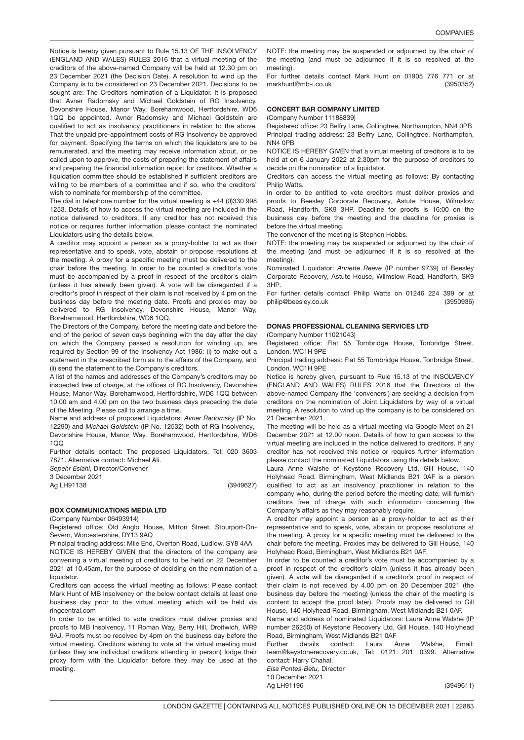Notice is hereby given pursuant to Rule 15.13 OF THE INSOLVENCY (ENGLAND AND WALES) RULES 2016 that a virtual meeting of the creditors of the above-named Company will be held at 12.30 pm on 23 December 2021 (the Decision Date). A resolution to wind up the Company is to be considered on 23 December 2021. Decisions to be sought are: The Creditors nomination of a Liquidator. It is proposed that Avner Radomsky and Michael Goldstein of RG Insolvency, Devonshire House, Manor Way, Borehamwood, Hertfordshire, WD6 1QQ be appointed. Avner Radomsky and Michael Goldstein are qualified to act as insolvency practitioners in relation to the above. That the unpaid pre-appointment costs of RG Insolvency be approved for payment. Specifying the terms on which the liquidators are to be remunerated, and the meeting may receive information about, or be called upon to approve, the costs of preparing the statement of affairs and preparing the financial information report for creditors. Whether a liquidation committee should be established if sufficient creditors are willing to be members of a committee and if so, who the creditors' wish to nominate for membership of the committee.

The dial in telephone number for the virtual meeting is +44 (0)330 998 1253. Details of how to access the virtual meeting are included in the notice delivered to creditors. If any creditor has not received this notice or requires further information please contact the nominated Liquidators using the details below.

A creditor may appoint a person as a proxy-holder to act as their representative and to speak, vote, abstain or propose resolutions at the meeting. A proxy for a specific meeting must be delivered to the chair before the meeting. In order to be counted a creditor's vote must be accompanied by a proof in respect of the creditor's claim (unless it has already been given). A vote will be disregarded if a creditor's proof in respect of their claim is not received by 4 pm on the business day before the meeting date. Proofs and proxies may be delivered to RG Insolvency, Devonshire House, Manor Way, Borehamwood, Hertfordshire, WD6 1QQ.

The Directors of the Company, before the meeting date and before the end of the period of seven days beginning with the day after the day on which the Company passed a resolution for winding up, are required by Section 99 of the Insolvency Act 1986: (i) to make out a statement in the prescribed form as to the affairs of the Company, and (ii) send the statement to the Company's creditors.

A list of the names and addresses of the Company's creditors may be inspected free of charge, at the offices of RG Insolvency, Devonshire House, Manor Way, Borehamwood, Hertfordshire, WD6 1QQ between 10.00 am and 4.00 pm on the two business days preceding the date of the Meeting. Please call to arrange a time.

Name and address of proposed Liquidators: *Avner Radomsky* (IP No. 12290) and *Michael Goldstein* (IP No. 12532) both of RG Insolvency, Devonshire House, Manor Way, Borehamwood, Hertfordshire, WD6 1QQ

Further details contact: The proposed Liquidators, Tel: 020 3603 7871. Alternative contact: Michael Ali.

*Sepehr Eslahi,* Director/Convener

3 December 2021 Ag LH91138

(3949627)

# BOX COMMUNICATIONS MEDIA LTD

(Company Number 06493914)

Registered office: Old Anglo House, Mitton Street, Stourport-On-Severn, Worcestershire, DY13 9AQ

Principal trading address: Mile End, Overton Road, Ludlow, SY8 4AA NOTICE IS HEREBY GIVEN that the directors of the company are convening a virtual meeting of creditors to be held on 22 December 2021 at 10.45am, for the purpose of deciding on the nomination of a liquidator.

Creditors can access the virtual meeting as follows: Please contact Mark Hunt of MB Insolvency on the below contact details at least one business day prior to the virtual meeting which will be held via ringcentral.com

In order to be entitled to vote creditors must deliver proxies and proofs to MB Insolvency, 11 Roman Way, Berry Hill, Droitwich, WR9 9AJ. Proofs must be received by 4pm on the business day before the virtual meeting. Creditors wishing to vote at the virtual meeting must (unless they are individual creditors attending in person) lodge their proxy form with the Liquidator before they may be used at the meeting.

NOTE: the meeting may be suspended or adjourned by the chair of the meeting (and must be adjourned if it is so resolved at the meeting).

(3950352) For further details contact Mark Hunt on 01905 776 771 or at markhunt@mb-i.co.uk

## CONCERT BAR COMPANY LIMITED

(Company Number 11188839)

Registered office: 23 Belfry Lane, Collingtree, Northampton, NN4 0PB Principal trading address: 23 Belfry Lane, Collingtree, Northampton, NN4 0PB

NOTICE IS HEREBY GIVEN that a virtual meeting of creditors is to be held at on 6 January 2022 at 2.30pm for the purpose of creditors to decide on the nomination of a liquidator.

Creditors can access the virtual meeting as follows: By contacting Philip Watts.

In order to be entitled to vote creditors must deliver proxies and proofs to Beesley Corporate Recovery, Astute House, Wilmslow Road, Handforth, SK9 3HP. Deadline for proofs is 16:00 on the business day before the meeting and the deadline for proxies is before the virtual meeting.

The convener of the meeting is Stephen Hobbs.

NOTE: the meeting may be suspended or adjourned by the chair of the meeting (and must be adjourned if it is so resolved at the meeting).

Nominated Liquidator: *Annette Reeve* (IP number 9739) of Beesley Corporate Recovery, Astute House, Wilmslow Road, Handforth, SK9 3HP.

(3950936) For further details contact Philip Watts on 01246 224 399 or at philip@beesley.co.uk

## DONAS PROFESSIONAL CLEANING SERVICES LTD

(Company Number 11021043)

Registered office: Flat 55 Tornbridge House, Tonbridge Street, London, WC1H 9PE

Principal trading address: Flat 55 Tornbridge House, Tonbridge Street, London, WC1H 9PE

Notice is hereby given, pursuant to Rule 15.13 of the INSOLVENCY (ENGLAND AND WALES) RULES 2016 that the Directors of the above-named Company (the 'conveners') are seeking a decision from creditors on the nomination of Joint Liquidators by way of a virtual meeting. A resolution to wind up the company is to be considered on 21 December 2021.

The meeting will be held as a virtual meeting via Google Meet on 21 December 2021 at 12.00 noon. Details of how to gain access to the virtual meeting are included in the notice delivered to creditors. If any creditor has not received this notice or requires further information please contact the nominated Liquidators using the details below.

Laura Anne Walshe of Keystone Recovery Ltd, Gill House, 140 Holyhead Road, Birmingham, West Midlands B21 0AF is a person qualified to act as an insolvency practitioner in relation to the company who, during the period before the meeting date, will furnish creditors free of charge with such information concerning the Company's affairs as they may reasonably require.

A creditor may appoint a person as a proxy-holder to act as their representative and to speak, vote, abstain or propose resolutions at the meeting. A proxy for a specific meeting must be delivered to the chair before the meeting. Proxies may be delivered to Gill House, 140 Holyhead Road, Birmingham, West Midlands B21 0AF.

In order to be counted a creditor's vote must be accompanied by a proof in respect of the creditor's claim (unless it has already been given). A vote will be disregarded if a creditor's proof in respect of their claim is not received by 4.00 pm on 20 December 2021 (the business day before the meeting) (unless the chair of the meeting is content to accept the proof later). Proofs may be delivered to Gill House, 140 Holyhead Road, Birmingham, West Midlands B21 0AF.

Name and address of nominated Liquidators: Laura Anne Walshe (IP number 26250) of Keystone Recovery Ltd, Gill House, 140 Holyhead Road, Birmingham, West Midlands B21 0AF

Further details contact: Laura Anne Walshe, Email: team@keystonerecovery.co.uk, Tel: 0121 201 0399. Alternative contact: Harry Chahal.

*Elsa Pontes-Betu,* Director 10 December 2021 Ag LH91196

(3949611)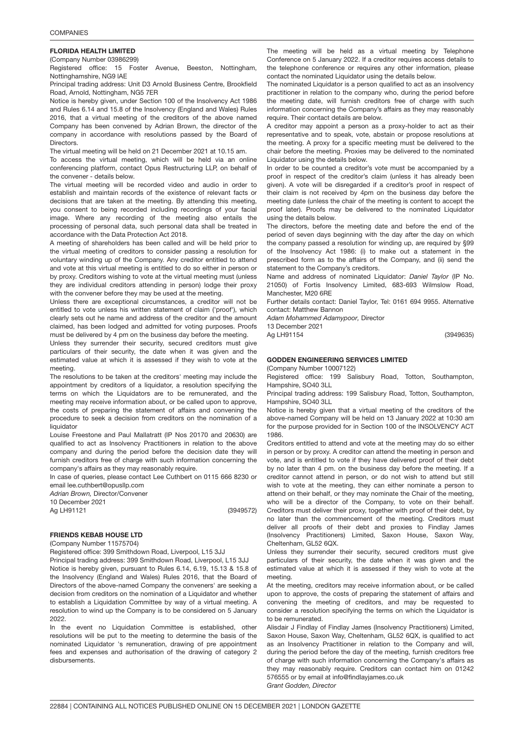## FLORIDA HEALTH LIMITED

(Company Number 03986299)

Registered office: 15 Foster Avenue, Beeston, Nottingham, Nottinghamshire, NG9 lAE

Principal trading address: Unit D3 Arnold Business Centre, Brookfield Road, Arnold, Nottingham, NG5 7ER

Notice is hereby given, under Section 100 of the Insolvency Act 1986 and Rules 6.14 and 15.8 of the Insolvency (England and Wales) Rules 2016, that a virtual meeting of the creditors of the above named Company has been convened by Adrian Brown, the director of the company in accordance with resolutions passed by the Board of **Directors** 

The virtual meeting will be held on 21 December 2021 at 10.15 am.

To access the virtual meeting, which will be held via an online conferencing platform, contact Opus Restructuring LLP, on behalf of the convener - details below.

The virtual meeting will be recorded video and audio in order to establish and maintain records of the existence of relevant facts or decisions that are taken at the meeting. By attending this meeting, you consent to being recorded including recordings of your facial image. Where any recording of the meeting also entails the processing of personal data, such personal data shall be treated in accordance with the Data Protection Act 2018.

A meeting of shareholders has been called and will be held prior to the virtual meeting of creditors to consider passing a resolution for voluntary winding up of the Company. Any creditor entitled to attend and vote at this virtual meeting is entitled to do so either in person or by proxy. Creditors wishing to vote at the virtual meeting must (unless they are individual creditors attending in person) lodge their proxy with the convener before they may be used at the meeting.

Unless there are exceptional circumstances, a creditor will not be entitled to vote unless his written statement of claim ('proof'), which clearly sets out he name and address of the creditor and the amount claimed, has been lodged and admitted for voting purposes. Proofs must be delivered by 4 pm on the business day before the meeting.

Unless they surrender their security, secured creditors must give particulars of their security, the date when it was given and the estimated value at which it is assessed if they wish to vote at the meeting.

The resolutions to be taken at the creditors' meeting may include the appointment by creditors of a liquidator, a resolution specifying the terms on which the Liquidators are to be remunerated, and the meeting may receive information about, or be called upon to approve, the costs of preparing the statement of affairs and convening the procedure to seek a decision from creditors on the nomination of a liquidator

Louise Freestone and Paul Mallatratt (IP Nos 20170 and 20630) are qualified to act as Insolvency Practitioners in relation to the above company and during the period before the decision date they will furnish creditors free of charge with such information concerning the company's affairs as they may reasonably require.

In case of queries, please contact Lee Cuthbert on 0115 666 8230 or email lee.cuthbert@opusllp.com

*Adrian Brown,* Director/Convener

10 December 2021 Ag LH91121

(3949572)

### 3949635 FRIENDS KEBAB HOUSE LTD

(Company Number 11575704)

Registered office: 399 Smithdown Road, Liverpool, L15 3JJ

Principal trading address: 399 Smithdown Road, Liverpool, L15 3JJ Notice is hereby given, pursuant to Rules 6.14, 6.19, 15.13 & 15.8 of the Insolvency (England and Wales) Rules 2016, that the Board of Directors of the above-named Company the conveners' are seeking a decision from creditors on the nomination of a Liquidator and whether to establish a Liquidation Committee by way of a virtual meeting. A resolution to wind up the Company is to be considered on 5 January 2022.

In the event no Liquidation Committee is established, other resolutions will be put to the meeting to determine the basis of the nominated Liquidator 's remuneration, drawing of pre appointment fees and expenses and authorisation of the drawing of category 2 disbursements.

The meeting will be held as a virtual meeting by Telephone Conference on 5 January 2022. If a creditor requires access details to the telephone conference or requires any other information, please contact the nominated Liquidator using the details below.

The nominated Liquidator is a person qualified to act as an insolvency practitioner in relation to the company who, during the period before the meeting date, will furnish creditors free of charge with such information concerning the Company's affairs as they may reasonably require. Their contact details are below.

A creditor may appoint a person as a proxy-holder to act as their representative and to speak, vote, abstain or propose resolutions at the meeting. A proxy for a specific meeting must be delivered to the chair before the meeting. Proxies may be delivered to the nominated Liquidator using the details below.

In order to be counted a creditor's vote must be accompanied by a proof in respect of the creditor's claim (unless it has already been given). A vote will be disregarded if a creditor's proof in respect of their claim is not received by 4pm on the business day before the meeting date (unless the chair of the meeting is content to accept the proof later). Proofs may be delivered to the nominated Liquidator using the details below.

The directors, before the meeting date and before the end of the period of seven days beginning with the day after the day on which the company passed a resolution for winding up, are required by §99 of the Insolvency Act 1986: (i) to make out a statement in the prescribed form as to the affairs of the Company, and (ii) send the statement to the Company's creditors.

Name and address of nominated Liquidator: *Daniel Taylor* (IP No. 21050) of Fortis Insolvency Limited, 683-693 Wilmslow Road, Manchester, M20 6RE

Further details contact: Daniel Taylor, Tel: 0161 694 9955. Alternative contact: Matthew Bannon

(3949635)

*Adam Mohammed Adamypoor,* Director

13 December 2021 Ag LH91154

# GODDEN ENGINEERING SERVICES LIMITED

(Company Number 10007122)

Registered office: 199 Salisbury Road, Totton, Southampton, Hampshire, SO40 3LL

Principal trading address: 199 Salisbury Road, Totton, Southampton, Hampshire, SO40 3LL

Notice is hereby given that a virtual meeting of the creditors of the above-named Company will be held on 13 January 2022 at 10:30 am for the purpose provided for in Section 100 of the INSOLVENCY ACT 1986.

Creditors entitled to attend and vote at the meeting may do so either in person or by proxy. A creditor can attend the meeting in person and vote, and is entitled to vote if they have delivered proof of their debt by no later than 4 pm. on the business day before the meeting. If a creditor cannot attend in person, or do not wish to attend but still wish to vote at the meeting, they can either nominate a person to attend on their behalf, or they may nominate the Chair of the meeting, who will be a director of the Company, to vote on their behalf. Creditors must deliver their proxy, together with proof of their debt, by no later than the commencement of the meeting. Creditors must deliver all proofs of their debt and proxies to Findlay James (Insolvency Practitioners) Limited, Saxon House, Saxon Way, Cheltenham, GL52 6QX.

Unless they surrender their security, secured creditors must give particulars of their security, the date when it was given and the estimated value at which it is assessed if they wish to vote at the meeting.

At the meeting, creditors may receive information about, or be called upon to approve, the costs of preparing the statement of affairs and convening the meeting of creditors, and may be requested to consider a resolution specifying the terms on which the Liquidator is to be remunerated.

Alisdair J Findlay of Findlay James (Insolvency Practitioners) Limited, Saxon House, Saxon Way, Cheltenham, GL52 6QX, is qualified to act as an Insolvency Practitioner in relation to the Company and will, during the period before the day of the meeting, furnish creditors free of charge with such information concerning the Company's affairs as they may reasonably require. Creditors can contact him on 01242 576555 or by email at info@findlayjames.co.uk *Grant Godden, Director*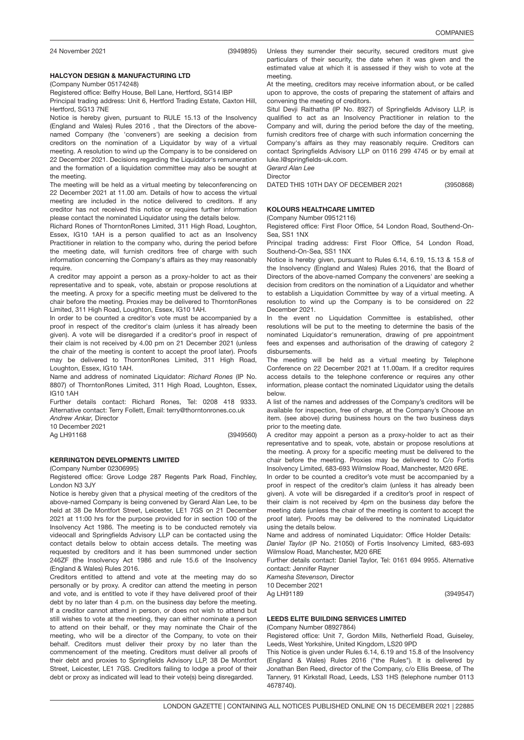(3949895)

# 3949560 HALCYON DESIGN & MANUFACTURING LTD

(Company Number 05174248)

Registered office: Belfry House, Bell Lane, Hertford, SG14 lBP

Principal trading address: Unit 6, Hertford Trading Estate, Caxton Hill, Hertford, SG13 7NE

Notice is hereby given, pursuant to RULE 15.13 of the Insolvency (England and Wales) Rules 2016 , that the Directors of the abovenamed Company (the 'conveners') are seeking a decision from creditors on the nomination of a Liquidator by way of a virtual meeting. A resolution to wind up the Company is to be considered on 22 December 2021. Decisions regarding the Liquidator's remuneration and the formation of a liquidation committee may also be sought at the meeting.

The meeting will be held as a virtual meeting by teleconferencing on 22 December 2021 at 11.00 am. Details of how to access the virtual meeting are included in the notice delivered to creditors. If any creditor has not received this notice or requires further information please contact the nominated Liquidator using the details below.

Richard Rones of ThorntonRones Limited, 311 High Road, Loughton, Essex, IG10 1AH is a person qualified to act as an Insolvency Practitioner in relation to the company who, during the period before the meeting date, will furnish creditors free of charge with such information concerning the Company's affairs as they may reasonably require.

A creditor may appoint a person as a proxy-holder to act as their representative and to speak, vote, abstain or propose resolutions at the meeting. A proxy for a specific meeting must be delivered to the chair before the meeting. Proxies may be delivered to ThorntonRones Limited, 311 High Road, Loughton, Essex, IG10 1AH.

In order to be counted a creditor's vote must be accompanied by a proof in respect of the creditor's claim (unless it has already been given). A vote will be disregarded if a creditor's proof in respect of their claim is not received by 4.00 pm on 21 December 2021 (unless the chair of the meeting is content to accept the proof later). Proofs may be delivered to ThorntonRones Limited, 311 High Road, Loughton, Essex, IG10 1AH.

Name and address of nominated Liquidator: *Richard Rones* (IP No. 8807) of ThorntonRones Limited, 311 High Road, Loughton, Essex, IG10 1AH

Further details contact: Richard Rones, Tel: 0208 418 9333. Alternative contact: Terry Follett, Email: terry@thorntonrones.co.uk

*Andrew Ankar,* Director 10 December 2021

(3949560) Ag LH91168

## KERRINGTON DEVELOPMENTS LIMITED

(Company Number 02306995)

Registered office: Grove Lodge 287 Regents Park Road, Finchley, London N3 3JY

Notice is hereby given that a physical meeting of the creditors of the above-named Company is being convened by Gerard Alan Lee, to be held at 38 De Montfort Street, Leicester, LE1 7GS on 21 December 2021 at 11:00 hrs for the purpose provided for in section 100 of the Insolvency Act 1986. The meeting is to be conducted remotely via videocall and Springfields Advisory LLP can be contacted using the contact details below to obtain access details. The meeting was requested by creditors and it has been summoned under section 246ZF (the Insolvency Act 1986 and rule 15.6 of the Insolvency (England & Wales) Rules 2016.

Creditors entitled to attend and vote at the meeting may do so personally or by proxy. A creditor can attend the meeting in person and vote, and is entitled to vote if they have delivered proof of their debt by no later than 4 p.m. on the business day before the meeting. If a creditor cannot attend in person, or does not wish to attend but still wishes to vote at the meeting, they can either nominate a person to attend on their behalf, or they may nominate the Chair of the meeting, who will be a director of the Company, to vote on their behalf. Creditors must deliver their proxy by no later than the commencement of the meeting. Creditors must deliver all proofs of their debt and proxies to Springfields Advisory LLP, 38 De Montfort Street, Leicester, LE1 7GS. Creditors failing to lodge a proof of their debt or proxy as indicated will lead to their vote(s) being disregarded.

(3950868)

Unless they surrender their security, secured creditors must give particulars of their security, the date when it was given and the estimated value at which it is assessed if they wish to vote at the meeting.

At the meeting, creditors may receive information about, or be called upon to approve, the costs of preparing the statement of affairs and convening the meeting of creditors.

Situl Devji Raithatha (IP No. 8927) of Springfields Advisory LLP, is qualified to act as an Insolvency Practitioner in relation to the Company and will, during the period before the day of the meeting, furnish creditors free of charge with such information concerning the Company's affairs as they may reasonably require. Creditors can contact Springfields Advisory LLP on 0116 299 4745 or by email at luke.l@springfields-uk.com.

*Gerard Alan Lee* **Director** 

DATED THIS 10TH DAY OF DECEMBER 2021

# KOLOURS HEALTHCARE LIMITED

(Company Number 09512116)

Registered office: First Floor Office, 54 London Road, Southend-On-Sea, SS1 1NX

Principal trading address: First Floor Office, 54 London Road, Southend-On-Sea, SS1 1NX

Notice is hereby given, pursuant to Rules 6.14, 6.19, 15.13 & 15.8 of the Insolvency (England and Wales) Rules 2016, that the Board of Directors of the above-named Company the conveners' are seeking a decision from creditors on the nomination of a Liquidator and whether to establish a Liquidation Committee by way of a virtual meeting. A resolution to wind up the Company is to be considered on 22 December 2021.

In the event no Liquidation Committee is established, other resolutions will be put to the meeting to determine the basis of the nominated Liquidator's remuneration, drawing of pre appointment fees and expenses and authorisation of the drawing of category 2 disbursements.

The meeting will be held as a virtual meeting by Telephone Conference on 22 December 2021 at 11.00am. If a creditor requires access details to the telephone conference or requires any other information, please contact the nominated Liquidator using the details below.

A list of the names and addresses of the Company's creditors will be available for inspection, free of charge, at the Company's Choose an item. (see above) during business hours on the two business days prior to the meeting date.

A creditor may appoint a person as a proxy-holder to act as their representative and to speak, vote, abstain or propose resolutions at the meeting. A proxy for a specific meeting must be delivered to the chair before the meeting. Proxies may be delivered to C/o Fortis Insolvency Limited, 683-693 Wilmslow Road, Manchester, M20 6RE.

In order to be counted a creditor's vote must be accompanied by a proof in respect of the creditor's claim (unless it has already been given). A vote will be disregarded if a creditor's proof in respect of their claim is not received by 4pm on the business day before the meeting date (unless the chair of the meeting is content to accept the proof later). Proofs may be delivered to the nominated Liquidator using the details below.

Name and address of nominated Liquidator: Office Holder Details: *Daniel Taylor* (IP No. 21050) of Fortis Insolvency Limited, 683-693 Wilmslow Road, Manchester, M20 6RE

Further details contact: Daniel Taylor, Tel: 0161 694 9955. Alternative contact: Jennifer Rayner

*Kamesha Stevenson,* Director

10 December 2021 Ag LH91189

(3949547)

#### LEEDS ELITE BUILDING SERVICES LIMITED (Company Number 08927864)

Registered office: Unit 7, Gordon Mills, Netherfield Road, Guiseley, Leeds, West Yorkshire, United Kingdom, LS20 9PD

This Notice is given under Rules 6.14, 6.19 and 15.8 of the Insolvency (England & Wales) Rules 2016 ("the Rules"). It is delivered by Jonathan Ben Reed, director of the Company, c/o Ellis Breese, of The Tannery, 91 Kirkstall Road, Leeds, LS3 1HS (telephone number 0113 4678740).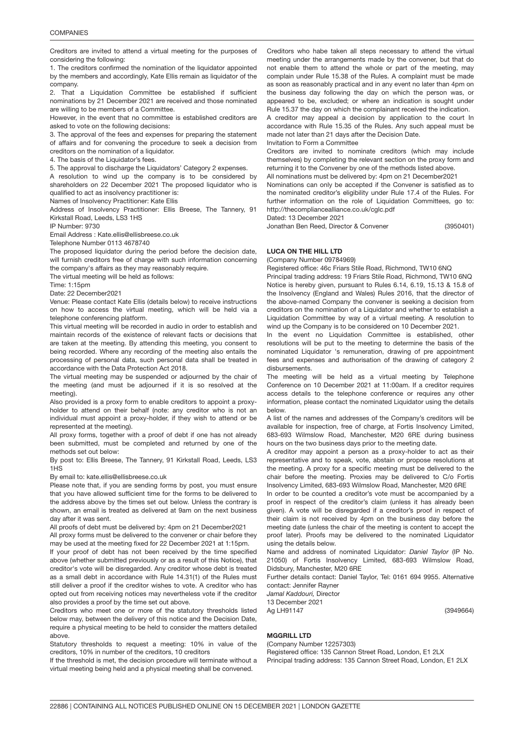Creditors are invited to attend a virtual meeting for the purposes of considering the following:

1. The creditors confirmed the nomination of the liquidator appointed by the members and accordingly, Kate Ellis remain as liquidator of the company.

2. That a Liquidation Committee be established if sufficient nominations by 21 December 2021 are received and those nominated are willing to be members of a Committee.

However, in the event that no committee is established creditors are asked to vote on the following decisions:

3. The approval of the fees and expenses for preparing the statement of affairs and for convening the procedure to seek a decision from creditors on the nomination of a liquidator.

4. The basis of the Liquidator's fees.

5. The approval to discharge the Liquidators' Category 2 expenses.

A resolution to wind up the company is to be considered by shareholders on 22 December 2021 The proposed liquidator who is qualified to act as insolvency practitioner is:

Names of Insolvency Practitioner: Kate Ellis

Address of Insolvency Practitioner: Ellis Breese, The Tannery, 91 Kirkstall Road, Leeds, LS3 1HS

IP Number: 9730

Email Address : Kate.ellis@ellisbreese.co.uk

Telephone Number 0113 4678740

The proposed liquidator during the period before the decision date, will furnish creditors free of charge with such information concerning the company's affairs as they may reasonably require.

The virtual meeting will be held as follows:

Time: 1:15pm

Date: 22 December2021

Venue: Please contact Kate Ellis (details below) to receive instructions on how to access the virtual meeting, which will be held via a telephone conferencing platform.

This virtual meeting will be recorded in audio in order to establish and maintain records of the existence of relevant facts or decisions that are taken at the meeting. By attending this meeting, you consent to being recorded. Where any recording of the meeting also entails the processing of personal data, such personal data shall be treated in accordance with the Data Protection Act 2018.

The virtual meeting may be suspended or adjourned by the chair of the meeting (and must be adjourned if it is so resolved at the meeting).

Also provided is a proxy form to enable creditors to appoint a proxyholder to attend on their behalf (note: any creditor who is not an individual must appoint a proxy-holder, if they wish to attend or be represented at the meeting).

All proxy forms, together with a proof of debt if one has not already been submitted, must be completed and returned by one of the methods set out below:

By post to: Ellis Breese, The Tannery, 91 Kirkstall Road, Leeds, LS3 1HS

By email to: kate.ellis@ellisbreese.co.uk

Please note that, if you are sending forms by post, you must ensure that you have allowed sufficient time for the forms to be delivered to the address above by the times set out below. Unless the contrary is shown, an email is treated as delivered at 9am on the next business day after it was sent.

All proofs of debt must be delivered by: 4pm on 21 December2021

All proxy forms must be delivered to the convener or chair before they may be used at the meeting fixed for 22 December 2021 at 1:15pm.

If your proof of debt has not been received by the time specified above (whether submitted previously or as a result of this Notice), that creditor's vote will be disregarded. Any creditor whose debt is treated as a small debt in accordance with Rule 14.31(1) of the Rules must still deliver a proof if the creditor wishes to vote. A creditor who has opted out from receiving notices may nevertheless vote if the creditor also provides a proof by the time set out above.

Creditors who meet one or more of the statutory thresholds listed below may, between the delivery of this notice and the Decision Date, require a physical meeting to be held to consider the matters detailed above.

Statutory thresholds to request a meeting: 10% in value of the creditors, 10% in number of the creditors, 10 creditors

If the threshold is met, the decision procedure will terminate without a virtual meeting being held and a physical meeting shall be convened.

Creditors who habe taken all steps necessary to attend the virtual meeting under the arrangements made by the convener, but that do not enable them to attend the whole or part of the meeting, may complain under Rule 15.38 of the Rules. A complaint must be made as soon as reasonably practical and in any event no later than 4pm on the business day following the day on which the person was, or appeared to be, excluded; or where an indication is sought under Rule 15.37 the day on which the complainant received the indication.

A creditor may appeal a decision by application to the court In accordance with Rule 15.35 of the Rules. Any such appeal must be made not later than 21 days after the Decision Date.

Invitation to Form a Committee

Creditors are invited to nominate creditors (which may include themselves) by completing the relevant section on the proxy form and returning it to the Convener by one of the methods listed above.

All nominations must be delivered by: 4pm on 21 December2021

Nominations can only be accepted if the Convener is satisfied as to the nominated creditor's eligibility under Rule 17.4 of the Rules. For further information on the role of Liquidation Committees, go to: http://thecompliancealliance.co.uk/cglc.pdf

Dated: 13 December 2021

(3950401) Jonathan Ben Reed, Director & Convener

### LUCA ON THE HILL <mark>LTD</mark>

(Company Number 09784969)

Registered office: 46c Friars Stile Road, Richmond, TW10 6NQ Principal trading address: 19 Friars Stile Road, Richmond, TW10 6NQ Notice is hereby given, pursuant to Rules 6.14, 6.19, 15.13 & 15.8 of the Insolvency (England and Wales) Rules 2016, that the director of the above-named Company the convener is seeking a decision from

creditors on the nomination of a Liquidator and whether to establish a Liquidation Committee by way of a virtual meeting. A resolution to wind up the Company is to be considered on 10 December 2021.

In the event no Liquidation Committee is established, other resolutions will be put to the meeting to determine the basis of the nominated Liquidator 's remuneration, drawing of pre appointment fees and expenses and authorisation of the drawing of category 2 disbursements.

The meeting will be held as a virtual meeting by Telephone Conference on 10 December 2021 at 11:00am. If a creditor requires access details to the telephone conference or requires any other information, please contact the nominated Liquidator using the details below.

A list of the names and addresses of the Company's creditors will be available for inspection, free of charge, at Fortis Insolvency Limited, 683-693 Wilmslow Road, Manchester, M20 6RE during business hours on the two business days prior to the meeting date.

A creditor may appoint a person as a proxy-holder to act as their representative and to speak, vote, abstain or propose resolutions at the meeting. A proxy for a specific meeting must be delivered to the chair before the meeting. Proxies may be delivered to C/o Fortis Insolvency Limited, 683-693 Wilmslow Road, Manchester, M20 6RE

In order to be counted a creditor's vote must be accompanied by a proof in respect of the creditor's claim (unless it has already been given). A vote will be disregarded if a creditor's proof in respect of their claim is not received by 4pm on the business day before the meeting date (unless the chair of the meeting is content to accept the proof later). Proofs may be delivered to the nominated Liquidator using the details below.

Name and address of nominated Liquidator: *Daniel Taylor* (IP No. 21050) of Fortis Insolvency Limited, 683-693 Wilmslow Road, Didsbury, Manchester, M20 6RE

Further details contact: Daniel Taylor, Tel: 0161 694 9955. Alternative contact: Jennifer Rayner

(3949664)

*Jamal Kaddouri,* Director

13 December 2021

Ag LH91147

### MGGRILL <mark>LTD</mark>

(Company Number 12257303)

Registered office: 135 Cannon Street Road, London, E1 2LX Principal trading address: 135 Cannon Street Road, London, E1 2LX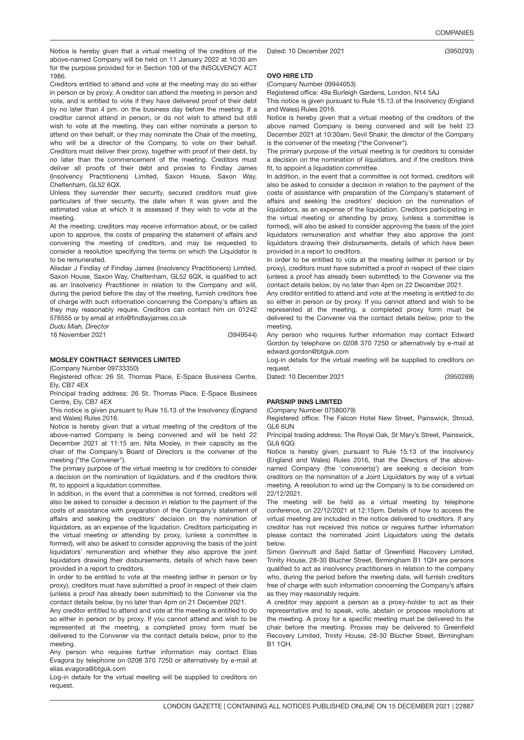(3950293)

Notice is hereby given that a virtual meeting of the creditors of the above-named Company will be held on 11 January 2022 at 10:30 am for the purpose provided for in Section 100 of the INSOLVENCY ACT 1986.

Creditors entitled to attend and vote at the meeting may do so either in person or by proxy. A creditor can attend the meeting in person and vote, and is entitled to vote if they have delivered proof of their debt by no later than 4 pm. on the business day before the meeting. If a creditor cannot attend in person, or do not wish to attend but still wish to vote at the meeting, they can either nominate a person to attend on their behalf, or they may nominate the Chair of the meeting, who will be a director of the Company, to vote on their behalf. Creditors must deliver their proxy, together with proof of their debt, by no later than the commencement of the meeting. Creditors must deliver all proofs of their debt and proxies to Findlay James (Insolvency Practitioners) Limited, Saxon House, Saxon Way, Cheltenham, GL52 6QX.

Unless they surrender their security, secured creditors must give particulars of their security, the date when it was given and the estimated value at which it is assessed if they wish to vote at the meeting.

At the meeting, creditors may receive information about, or be called upon to approve, the costs of preparing the statement of affairs and convening the meeting of creditors, and may be requested to consider a resolution specifying the terms on which the Liquidator is to be remunerated.

Alisdair J Findlay of Findlay James (Insolvency Practitioners) Limited, Saxon House, Saxon Way, Cheltenham, GL52 6QX, is qualified to act as an Insolvency Practitioner in relation to the Company and will, during the period before the day of the meeting, furnish creditors free of charge with such information concerning the Company's affairs as they may reasonably require. Creditors can contact him on 01242 576555 or by email at info@findlayjames.co.uk

*Dudu Miah, Director* 16 November 2021

(3949544)

### MOSLEY CONTRACT SERVICES LIMITED

(Company Number 09733350)

Registered office: 26 St. Thomas Place, E-Space Business Centre, Ely, CB7 4EX

Principal trading address: 26 St. Thomas Place, E-Space Business Centre, Ely, CB7 4EX

This notice is given pursuant to Rule 15.13 of the Insolvency (England and Wales) Rules 2016.

Notice is hereby given that a virtual meeting of the creditors of the above-named Company is being convened and will be held 22 December 2021 at 11:15 am. Nita Mosley, in their capacity as the chair of the Company's Board of Directors is the convener of the meeting ("the Convener").

The primary purpose of the virtual meeting is for creditors to consider a decision on the nomination of liquidators, and if the creditors think fit, to appoint a liquidation committee.

In addition, in the event that a committee is not formed, creditors will also be asked to consider a decision in relation to the payment of the costs of assistance with preparation of the Company's statement of affairs and seeking the creditors' decision on the nomination of liquidators, as an expense of the liquidation. Creditors participating in the virtual meeting or attending by proxy, (unless a committee is formed), will also be asked to consider approving the basis of the joint liquidators' remuneration and whether they also approve the joint liquidators drawing their disbursements, details of which have been provided in a report to creditors.

In order to be entitled to vote at the meeting (either in person or by proxy), creditors must have submitted a proof in respect of their claim (unless a proof has already been submitted) to the Convener via the contact details below, by no later than 4pm on 21 December 2021.

Any creditor entitled to attend and vote at the meeting is entitled to do so either in person or by proxy. If you cannot attend and wish to be represented at the meeting, a completed proxy form must be delivered to the Convener via the contact details below, prior to the meeting.

Any person who requires further information may contact Elias Evagora by telephone on 0208 370 7250 or alternatively by e-mail at elias.evagora@btguk.com

Log-in details for the virtual meeting will be supplied to creditors on request.

## OVO HIRE LTD

(Company Number 09944053)

Dated: 10 December 2021

Registered office: 49a Burleigh Gardens, London, N14 5AJ

This notice is given pursuant to Rule 15.13 of the Insolvency (England and Wales) Rules 2016.

Notice is hereby given that a virtual meeting of the creditors of the above named Company is being convened and will be held 23 December 2021 at 10:30am. Sevil Shakir, the director of the Company is the convener of the meeting ("the Convener").

The primary purpose of the virtual meeting is for creditors to consider a decision on the nomination of liquidators, and if the creditors think fit, to appoint a liquidation committee.

In addition, in the event that a committee is not formed, creditors will also be asked to consider a decision in relation to the payment of the costs of assistance with preparation of the Company's statement of affairs and seeking the creditors' decision on the nomination of liquidators, as an expense of the liquidation. Creditors participating in the virtual meeting or attending by proxy, (unless a committee is formed), will also be asked to consider approving the basis of the joint liquidators remuneration and whether they also approve the joint liquidators drawing their disbursements, details of which have been provided in a report to creditors.

In order to be entitled to vote at the meeting (either in person or by proxy), creditors must have submitted a proof in respect of their claim (unless a proof has already been submitted) to the Convener via the contact details below, by no later than 4pm on 22 December 2021.

Any creditor entitled to attend and vote at the meeting is entitled to do so either in person or by proxy. If you cannot attend and wish to be represented at the meeting, a completed proxy form must be delivered to the Convener via the contact details below, prior to the meeting.

Any person who requires further information may contact Edward Gordon by telephone on 0208 370 7250 or alternatively by e-mail at edward.gordon@btguk.com

Log-in details for the virtual meeting will be supplied to creditors on request.

(3950269) Dated: 10 December 2021

## PARSNIP INNS LIMITED

(Company Number 07580079)

Registered office: The Falcon Hotel New Street, Painswick, Stroud, GL6 6UN

Principal trading address: The Royal Oak, St Mary's Street, Painswick, GL6 6QG

Notice is hereby given, pursuant to Rule 15.13 of the Insolvency (England and Wales) Rules 2016, that the Directors of the abovenamed Company (the 'convener(s)') are seeking a decision from creditors on the nomination of a Joint Liquidators by way of a virtual meeting. A resolution to wind up the Company is to be considered on 22/12/2021.

The meeting will be held as a virtual meeting by telephone conference, on 22/12/2021 at 12:15pm. Details of how to access the virtual meeting are included in the notice delivered to creditors. If any creditor has not received this notice or requires further information please contact the nominated Joint Liquidators using the details below.

Simon Gwinnutt and Sajid Sattar of Greenfield Recovery Limited, Trinity House, 28-30 Blucher Street, Birmingham B1 1QH are persons qualified to act as insolvency practitioners in relation to the company who, during the period before the meeting date, will furnish creditors free of charge with such information concerning the Company's affairs as they may reasonably require.

A creditor may appoint a person as a proxy-holder to act as their representative and to speak, vote, abstain or propose resolutions at the meeting. A proxy for a specific meeting must be delivered to the chair before the meeting. Proxies may be delivered to Greenfield Recovery Limited, Trinity House, 28-30 Blucher Street, Birmingham B1 1QH.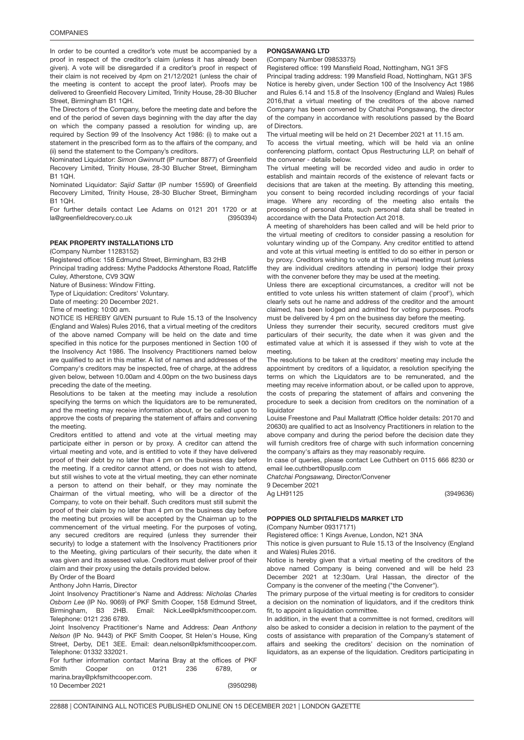In order to be counted a creditor's vote must be accompanied by a proof in respect of the creditor's claim (unless it has already been given). A vote will be disregarded if a creditor's proof in respect of their claim is not received by 4pm on 21/12/2021 (unless the chair of the meeting is content to accept the proof later). Proofs may be delivered to Greenfield Recovery Limited, Trinity House, 28-30 Blucher Street, Birmingham B1 1QH.

The Directors of the Company, before the meeting date and before the end of the period of seven days beginning with the day after the day on which the company passed a resolution for winding up, are required by Section 99 of the Insolvency Act 1986: (i) to make out a statement in the prescribed form as to the affairs of the company, and (ii) send the statement to the Company's creditors.

Nominated Liquidator: *Simon Gwinnutt* (IP number 8877) of Greenfield Recovery Limited, Trinity House, 28-30 Blucher Street, Birmingham B1 1QH.

Nominated Liquidator: *Sajid Sattar* (IP number 15590) of Greenfield Recovery Limited, Trinity House, 28-30 Blucher Street, Birmingham B1 1QH.

(3950394) For further details contact Lee Adams on 0121 201 1720 or at la@greenfieldrecovery.co.uk

### PEAK PROPERTY INSTALLATIONS LTD

(Company Number 11283152)

Registered office: 158 Edmund Street, Birmingham, B3 2HB

Principal trading address: Mythe Paddocks Atherstone Road, Ratcliffe Culey, Atherstone, CV9 3QW

Nature of Business: Window Fitting.

Type of Liquidation: Creditors' Voluntary.

Date of meeting: 20 December 2021.

Time of meeting: 10:00 am.

NOTICE IS HEREBY GIVEN pursuant to Rule 15.13 of the Insolvency (England and Wales) Rules 2016, that a virtual meeting of the creditors of the above named Company will be held on the date and time specified in this notice for the purposes mentioned in Section 100 of the Insolvency Act 1986. The Insolvency Practitioners named below are qualified to act in this matter. A list of names and addresses of the Company's creditors may be inspected, free of charge, at the address given below, between 10.00am and 4.00pm on the two business days preceding the date of the meeting.

Resolutions to be taken at the meeting may include a resolution specifying the terms on which the liquidators are to be remunerated, and the meeting may receive information about, or be called upon to approve the costs of preparing the statement of affairs and convening the meeting.

Creditors entitled to attend and vote at the virtual meeting may participate either in person or by proxy. A creditor can attend the virtual meeting and vote, and is entitled to vote if they have delivered proof of their debt by no later than 4 pm on the business day before the meeting. If a creditor cannot attend, or does not wish to attend, but still wishes to vote at the virtual meeting, they can ether nominate a person to attend on their behalf, or they may nominate the Chairman of the virtual meeting, who will be a director of the Company, to vote on their behalf. Such creditors must still submit the proof of their claim by no later than 4 pm on the business day before the meeting but proxies will be accepted by the Chairman up to the commencement of the virtual meeting. For the purposes of voting, any secured creditors are required (unless they surrender their security) to lodge a statement with the Insolvency Practitioners prior to the Meeting, giving particulars of their security, the date when it was given and its assessed value. Creditors must deliver proof of their claim and their proxy using the details provided below.

#### By Order of the Board

Anthony John Harris, Director

Joint Insolvency Practitioner's Name and Address: *Nicholas Charles Osborn Lee* (IP No. 9069) of PKF Smith Cooper, 158 Edmund Street, Birmingham, B3 2HB. Email: Nick.Lee@pkfsmithcooper.com. Telephone: 0121 236 6789.

Joint Insolvency Practitioner's Name and Address: *Dean Anthony Nelson* (IP No. 9443) of PKF Smith Cooper, St Helen's House, King Street, Derby, DE1 3EE. Email: dean.nelson@pkfsmithcooper.com. Telephone: 01332 332021.

(3950298) For further information contact Marina Bray at the offices of PKF Smith Cooper on 0121 236 6789, or marina.bray@pkfsmithcooper.com. 10 December 2021

### PONGSAWANG <mark>LTD</mark>

(Company Number 09853375)

Registered office: 199 Mansfield Road, Nottingham, NG1 3FS

Principal trading address: 199 Mansfield Road, Nottingham, NG1 3FS Notice is hereby given, under Section 100 of the Insolvency Act 1986 and Rules 6.14 and 15.8 of the Insolvency (England and Wales) Rules 2016,that a virtual meeting of the creditors of the above named Company has been convened by Chatchai Pongsawang, the director of the company in accordance with resolutions passed by the Board of Directors.

The virtual meeting will be held on 21 December 2021 at 11.15 am.

To access the virtual meeting, which will be held via an online conferencing platform, contact Opus Restructuring LLP, on behalf of the convener - details below.

The virtual meeting will be recorded video and audio in order to establish and maintain records of the existence of relevant facts or decisions that are taken at the meeting. By attending this meeting, you consent to being recorded including recordings of your facial image. Where any recording of the meeting also entails the processing of personal data, such personal data shall be treated in accordance with the Data Protection Act 2018.

A meeting of shareholders has been called and will be held prior to the virtual meeting of creditors to consider passing a resolution for voluntary winding up of the Company. Any creditor entitled to attend and vote at this virtual meeting is entitled to do so either in person or by proxy. Creditors wishing to vote at the virtual meeting must (unless they are individual creditors attending in person) lodge their proxy with the convener before they may be used at the meeting.

Unless there are exceptional circumstances, a creditor will not be entitled to vote unless his written statement of claim ('proof'), which clearly sets out he name and address of the creditor and the amount claimed, has been lodged and admitted for voting purposes. Proofs must be delivered by 4 pm on the business day before the meeting.

Unless they surrender their security, secured creditors must give particulars of their security, the date when it was given and the estimated value at which it is assessed if they wish to vote at the meeting.

The resolutions to be taken at the creditors' meeting may include the appointment by creditors of a liquidator, a resolution specifying the terms on which the Liquidators are to be remunerated, and the meeting may receive information about, or be called upon to approve, the costs of preparing the statement of affairs and convening the procedure to seek a decision from creditors on the nomination of a liquidator

Louise Freestone and Paul Mallatratt (Office holder details: 20170 and 20630) are qualified to act as Insolvency Practitioners in relation to the above company and during the period before the decision date they will furnish creditors free of charge with such information concerning the company's affairs as they may reasonably require.

In case of queries, please contact Lee Cuthbert on 0115 666 8230 or email lee.cuthbert@opusllp.com

*Chatchai Pongsawang,* Director/Convener

9 December 2021 Ag LH91125

(3949636)

## POPPIES OLD SPITALFIELDS MARKET LTD

(Company Number 09317171)

Registered office: 1 Kings Avenue, London, N21 3NA

This notice is given pursuant to Rule 15.13 of the Insolvency (England and Wales) Rules 2016.

Notice is hereby given that a virtual meeting of the creditors of the above named Company is being convened and will be held 23 December 2021 at 12:30am. Ural Hassan, the director of the Company is the convener of the meeting ("the Convener").

The primary purpose of the virtual meeting is for creditors to consider a decision on the nomination of liquidators, and if the creditors think fit, to appoint a liquidation committee.

In addition, in the event that a committee is not formed, creditors will also be asked to consider a decision in relation to the payment of the costs of assistance with preparation of the Company's statement of affairs and seeking the creditors' decision on the nomination of liquidators, as an expense of the liquidation. Creditors participating in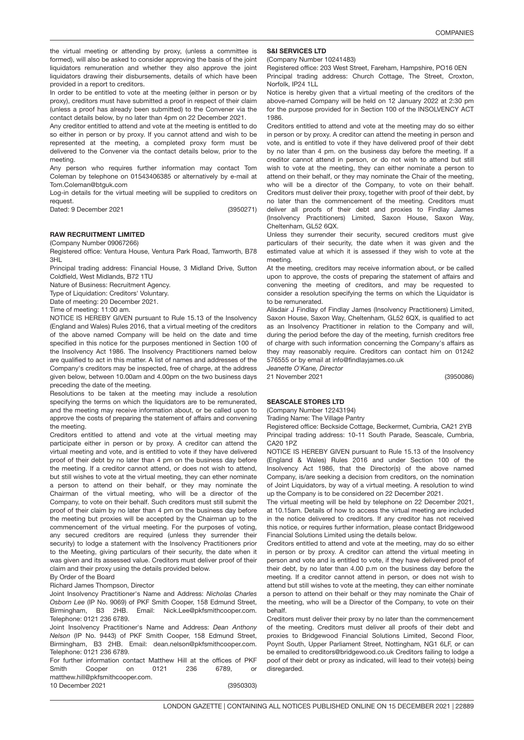(3950086)

the virtual meeting or attending by proxy, (unless a committee is formed), will also be asked to consider approving the basis of the joint liquidators remuneration and whether they also approve the joint liquidators drawing their disbursements, details of which have been provided in a report to creditors.

In order to be entitled to vote at the meeting (either in person or by proxy), creditors must have submitted a proof in respect of their claim (unless a proof has already been submitted) to the Convener via the contact details below, by no later than 4pm on 22 December 2021.

Any creditor entitled to attend and vote at the meeting is entitled to do so either in person or by proxy. If you cannot attend and wish to be represented at the meeting, a completed proxy form must be delivered to the Convener via the contact details below, prior to the meeting.

Any person who requires further information may contact Tom Coleman by telephone on 01543406385 or alternatively by e-mail at Tom.Coleman@btguk.com

Log-in details for the virtual meeting will be supplied to creditors on request.

Dated: 9 December 2021

(3950271)

### RAW RECRUITMENT LIMITED

(Company Number 09067266)

Registered office: Ventura House, Ventura Park Road, Tamworth, B78 3HL

Principal trading address: Financial House, 3 Midland Drive, Sutton Coldfield, West Midlands, B72 1TU

Nature of Business: Recruitment Agency.

Type of Liquidation: Creditors' Voluntary.

Date of meeting: 20 December 2021.

Time of meeting: 11:00 am.

NOTICE IS HEREBY GIVEN pursuant to Rule 15.13 of the Insolvency (England and Wales) Rules 2016, that a virtual meeting of the creditors of the above named Company will be held on the date and time specified in this notice for the purposes mentioned in Section 100 of the Insolvency Act 1986. The Insolvency Practitioners named below are qualified to act in this matter. A list of names and addresses of the Company's creditors may be inspected, free of charge, at the address given below, between 10.00am and 4.00pm on the two business days preceding the date of the meeting.

Resolutions to be taken at the meeting may include a resolution specifying the terms on which the liquidators are to be remunerated, and the meeting may receive information about, or be called upon to approve the costs of preparing the statement of affairs and convening the meeting.

Creditors entitled to attend and vote at the virtual meeting may participate either in person or by proxy. A creditor can attend the virtual meeting and vote, and is entitled to vote if they have delivered proof of their debt by no later than 4 pm on the business day before the meeting. If a creditor cannot attend, or does not wish to attend, but still wishes to vote at the virtual meeting, they can ether nominate a person to attend on their behalf, or they may nominate the Chairman of the virtual meeting, who will be a director of the Company, to vote on their behalf. Such creditors must still submit the proof of their claim by no later than 4 pm on the business day before the meeting but proxies will be accepted by the Chairman up to the commencement of the virtual meeting. For the purposes of voting, any secured creditors are required (unless they surrender their security) to lodge a statement with the Insolvency Practitioners prior to the Meeting, giving particulars of their security, the date when it was given and its assessed value. Creditors must deliver proof of their claim and their proxy using the details provided below.

#### By Order of the Board

Richard James Thompson, Director

Joint Insolvency Practitioner's Name and Address: *Nicholas Charles Osborn Lee* (IP No. 9069) of PKF Smith Cooper, 158 Edmund Street, Birmingham, B3 2HB. Email: Nick.Lee@pkfsmithcooper.com. Telephone: 0121 236 6789.

Joint Insolvency Practitioner's Name and Address: *Dean Anthony Nelson* (IP No. 9443) of PKF Smith Cooper, 158 Edmund Street, Birmingham, B3 2HB. Email: dean.nelson@pkfsmithcooper.com. Telephone: 0121 236 6789.

(3950303) For further information contact Matthew Hill at the offices of PKF Smith Cooper on 0121 236 6789, or matthew.hill@pkfsmithcooper.com. 10 December 2021

## S&I SERVICES L<mark>TD</mark>

(Company Number 10241483)

Registered office: 203 West Street, Fareham, Hampshire, PO16 0EN Principal trading address: Church Cottage, The Street, Croxton, Norfolk, IP24 1LL

Notice is hereby given that a virtual meeting of the creditors of the above-named Company will be held on 12 January 2022 at 2:30 pm for the purpose provided for in Section 100 of the INSOLVENCY ACT 1986.

Creditors entitled to attend and vote at the meeting may do so either in person or by proxy. A creditor can attend the meeting in person and vote, and is entitled to vote if they have delivered proof of their debt by no later than 4 pm. on the business day before the meeting. If a creditor cannot attend in person, or do not wish to attend but still wish to vote at the meeting, they can either nominate a person to attend on their behalf, or they may nominate the Chair of the meeting, who will be a director of the Company, to vote on their behalf. Creditors must deliver their proxy, together with proof of their debt, by no later than the commencement of the meeting. Creditors must deliver all proofs of their debt and proxies to Findlay James (Insolvency Practitioners) Limited, Saxon House, Saxon Way, Cheltenham, GL52 6QX.

Unless they surrender their security, secured creditors must give particulars of their security, the date when it was given and the estimated value at which it is assessed if they wish to vote at the meeting.

At the meeting, creditors may receive information about, or be called upon to approve, the costs of preparing the statement of affairs and convening the meeting of creditors, and may be requested to consider a resolution specifying the terms on which the Liquidator is to be remunerated.

Alisdair J Findlay of Findlay James (Insolvency Practitioners) Limited, Saxon House, Saxon Way, Cheltenham, GL52 6QX, is qualified to act as an Insolvency Practitioner in relation to the Company and will, during the period before the day of the meeting, furnish creditors free of charge with such information concerning the Company's affairs as they may reasonably require. Creditors can contact him on 01242 576555 or by email at info@findlayjames.co.uk

*Jeanette O'Kane, Director*

21 November 2021

## SEASCALE STORES LT<mark>D</mark>

(Company Number 12243194)

Trading Name: The Village Pantry

Registered office: Beckside Cottage, Beckermet, Cumbria, CA21 2YB Principal trading address: 10-11 South Parade, Seascale, Cumbria, CA20 1PZ

NOTICE IS HEREBY GIVEN pursuant to Rule 15.13 of the Insolvency (England & Wales) Rules 2016 and under Section 100 of the Insolvency Act 1986, that the Director(s) of the above named Company, is/are seeking a decision from creditors, on the nomination of Joint Liquidators, by way of a virtual meeting. A resolution to wind up the Company is to be considered on 22 December 2021.

The virtual meeting will be held by telephone on 22 December 2021, at 10.15am. Details of how to access the virtual meeting are included in the notice delivered to creditors. If any creditor has not received this notice, or requires further information, please contact Bridgewood Financial Solutions Limited using the details below.

Creditors entitled to attend and vote at the meeting, may do so either in person or by proxy. A creditor can attend the virtual meeting in person and vote and is entitled to vote, if they have delivered proof of their debt, by no later than 4.00 p.m on the business day before the meeting. If a creditor cannot attend in person, or does not wish to attend but still wishes to vote at the meeting, they can either nominate a person to attend on their behalf or they may nominate the Chair of the meeting, who will be a Director of the Company, to vote on their behalf.

Creditors must deliver their proxy by no later than the commencement of the meeting. Creditors must deliver all proofs of their debt and proxies to Bridgewood Financial Solutions Limited, Second Floor, Poynt South, Upper Parliament Street, Nottingham, NG1 6LF, or can be emailed to creditors@bridgewood.co.uk Creditors failing to lodge a poof of their debt or proxy as indicated, will lead to their vote(s) being disregarded.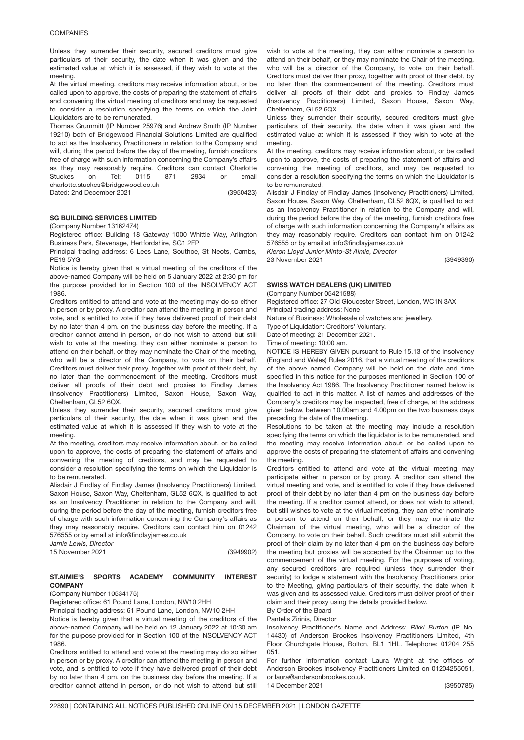Unless they surrender their security, secured creditors must give particulars of their security, the date when it was given and the estimated value at which it is assessed, if they wish to vote at the meeting.

At the virtual meeting, creditors may receive information about, or be called upon to approve, the costs of preparing the statement of affairs and convening the virtual meeting of creditors and may be requested to consider a resolution specifying the terms on which the Joint Liquidators are to be remunerated.

(3950423) Thomas Grummitt (IP Number 25976) and Andrew Smith (IP Number 19210) both of Bridgewood Financial Solutions Limited are qualified to act as the Insolvency Practitioners in relation to the Company and will, during the period before the day of the meeting, furnish creditors free of charge with such information concerning the Company's affairs as they may reasonably require. Creditors can contact Charlotte Stuckes on Tel: 0115 871 2934 or email charlotte.stuckes@bridgewood.co.uk Dated: 2nd December 2021

## SG BUILDING SERVICES LIMITE<mark>D</mark>

### (Company Number 13162474)

Registered office: Building 18 Gateway 1000 Whittle Way, Arlington Business Park, Stevenage, Hertfordshire, SG1 2FP

Principal trading address: 6 Lees Lane, Southoe, St Neots, Cambs, PE19 5YG

Notice is hereby given that a virtual meeting of the creditors of the above-named Company will be held on 5 January 2022 at 2:30 pm for the purpose provided for in Section 100 of the INSOLVENCY ACT 1986.

Creditors entitled to attend and vote at the meeting may do so either in person or by proxy. A creditor can attend the meeting in person and vote, and is entitled to vote if they have delivered proof of their debt by no later than 4 pm. on the business day before the meeting. If a creditor cannot attend in person, or do not wish to attend but still wish to vote at the meeting, they can either nominate a person to attend on their behalf, or they may nominate the Chair of the meeting, who will be a director of the Company, to vote on their behalf. Creditors must deliver their proxy, together with proof of their debt, by no later than the commencement of the meeting. Creditors must deliver all proofs of their debt and proxies to Findlay James (Insolvency Practitioners) Limited, Saxon House, Saxon Way, Cheltenham, GL52 6QX.

Unless they surrender their security, secured creditors must give particulars of their security, the date when it was given and the estimated value at which it is assessed if they wish to vote at the meeting.

At the meeting, creditors may receive information about, or be called upon to approve, the costs of preparing the statement of affairs and convening the meeting of creditors, and may be requested to consider a resolution specifying the terms on which the Liquidator is to be remunerated.

Alisdair J Findlay of Findlay James (Insolvency Practitioners) Limited, Saxon House, Saxon Way, Cheltenham, GL52 6QX, is qualified to act as an Insolvency Practitioner in relation to the Company and will, during the period before the day of the meeting, furnish creditors free of charge with such information concerning the Company's affairs as they may reasonably require. Creditors can contact him on 01242 576555 or by email at info@findlayjames.co.uk

*Jamie Lewis, Director* 15 November 2021

(3949902)

#### **ST.AIMIE'S** SPORTS ACADEMY COMMUNITY INTEREST **COMPANY**

### (Company Number 10534175)

Registered office: 61 Pound Lane, London, NW10 2HH

Principal trading address: 61 Pound Lane, London, NW10 2HH

Notice is hereby given that a virtual meeting of the creditors of the above-named Company will be held on 12 January 2022 at 10:30 am for the purpose provided for in Section 100 of the INSOLVENCY ACT 1986.

Creditors entitled to attend and vote at the meeting may do so either in person or by proxy. A creditor can attend the meeting in person and vote, and is entitled to vote if they have delivered proof of their debt by no later than 4 pm. on the business day before the meeting. If a creditor cannot attend in person, or do not wish to attend but still

wish to vote at the meeting, they can either nominate a person to attend on their behalf, or they may nominate the Chair of the meeting, who will be a director of the Company, to vote on their behalf. Creditors must deliver their proxy, together with proof of their debt, by no later than the commencement of the meeting. Creditors must deliver all proofs of their debt and proxies to Findlay James (Insolvency Practitioners) Limited, Saxon House, Saxon Way, Cheltenham, GL52 6QX.

Unless they surrender their security, secured creditors must give particulars of their security, the date when it was given and the estimated value at which it is assessed if they wish to vote at the meeting.

At the meeting, creditors may receive information about, or be called upon to approve, the costs of preparing the statement of affairs and convening the meeting of creditors, and may be requested to consider a resolution specifying the terms on which the Liquidator is to be remunerated.

Alisdair J Findlay of Findlay James (Insolvency Practitioners) Limited, Saxon House, Saxon Way, Cheltenham, GL52 6QX, is qualified to act as an Insolvency Practitioner in relation to the Company and will, during the period before the day of the meeting, furnish creditors free of charge with such information concerning the Company's affairs as they may reasonably require. Creditors can contact him on 01242 576555 or by email at info@findlayjames.co.uk

*Kieron Lloyd Junior Minto-St Aimie, Director* 23 November 2021

(3949390)

## SWISS WATCH DEALERS (UK) LIMITED

(Company Number 05421588)

Registered office: 27 Old Gloucester Street, London, WC1N 3AX Principal trading address: None

Nature of Business: Wholesale of watches and jewellery.

Type of Liquidation: Creditors' Voluntary.

Date of meeting: 21 December 2021.

Time of meeting: 10:00 am.

NOTICE IS HEREBY GIVEN pursuant to Rule 15.13 of the Insolvency (England and Wales) Rules 2016, that a virtual meeting of the creditors of the above named Company will be held on the date and time specified in this notice for the purposes mentioned in Section 100 of the Insolvency Act 1986. The Insolvency Practitioner named below is qualified to act in this matter. A list of names and addresses of the Company's creditors may be inspected, free of charge, at the address given below, between 10.00am and 4.00pm on the two business days preceding the date of the meeting.

Resolutions to be taken at the meeting may include a resolution specifying the terms on which the liquidator is to be remunerated, and the meeting may receive information about, or be called upon to approve the costs of preparing the statement of affairs and convening the meeting.

Creditors entitled to attend and vote at the virtual meeting may participate either in person or by proxy. A creditor can attend the virtual meeting and vote, and is entitled to vote if they have delivered proof of their debt by no later than 4 pm on the business day before the meeting. If a creditor cannot attend, or does not wish to attend, but still wishes to vote at the virtual meeting, they can ether nominate a person to attend on their behalf, or they may nominate the Chairman of the virtual meeting, who will be a director of the Company, to vote on their behalf. Such creditors must still submit the proof of their claim by no later than 4 pm on the business day before the meeting but proxies will be accepted by the Chairman up to the commencement of the virtual meeting. For the purposes of voting, any secured creditors are required (unless they surrender their security) to lodge a statement with the Insolvency Practitioners prior to the Meeting, giving particulars of their security, the date when it was given and its assessed value. Creditors must deliver proof of their claim and their proxy using the details provided below.

#### By Order of the Board Pantelis Zirinis, Director

Insolvency Practitioner's Name and Address: *Rikki Burton* (IP No. 14430) of Anderson Brookes Insolvency Practitioners Limited, 4th Floor Churchgate House, Bolton, BL1 1HL. Telephone: 01204 255 051.

For further information contact Laura Wright at the offices of Anderson Brookes Insolvency Practitioners Limited on 01204255051, or laura@andersonbrookes.co.uk. 14 December 2021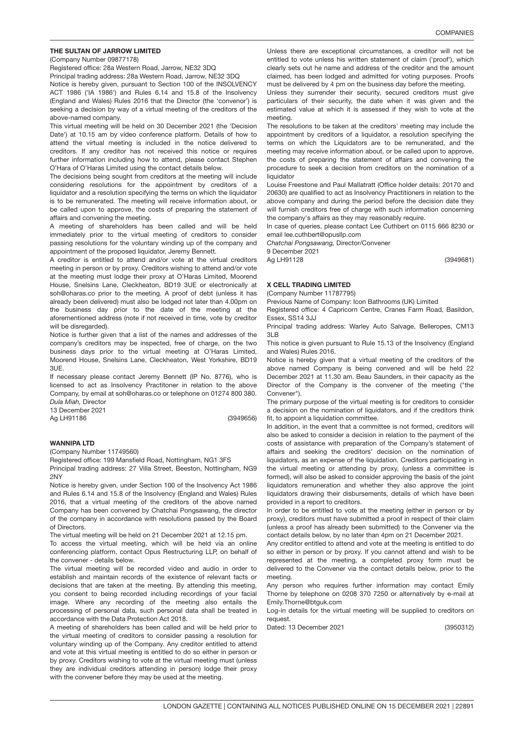## THE SULTAN OF JARROW LIMITED

(Company Number 09877178)

Registered office: 28a Western Road, Jarrow, NE32 3DQ

Principal trading address: 28a Western Road, Jarrow, NE32 3DQ

Notice is hereby given, pursuant to Section 100 of the INSOLVENCY ACT 1986 ('IA 1986') and Rules 6.14 and 15.8 of the Insolvency (England and Wales) Rules 2016 that the Director (the 'convenor') is seeking a decision by way of a virtual meeting of the creditors of the above-named company.

This virtual meeting will be held on 30 December 2021 (the 'Decision Date') at 10.15 am by video conference platform. Details of how to attend the virtual meeting is included in the notice delivered to creditors. If any creditor has not received this notice or requires further information including how to attend, please contact Stephen O'Hara of O'Haras Limited using the contact details below.

The decisions being sought from creditors at the meeting will include considering resolutions for the appointment by creditors of a liquidator and a resolution specifying the terms on which the liquidator is to be remunerated. The meeting will receive information about, or be called upon to approve, the costs of preparing the statement of affairs and convening the meeting.

A meeting of shareholders has been called and will be held immediately prior to the virtual meeting of creditors to consider passing resolutions for the voluntary winding up of the company and appointment of the proposed liquidator, Jeremy Bennett.

A creditor is entitled to attend and/or vote at the virtual creditors meeting in person or by proxy. Creditors wishing to attend and/or vote at the meeting must lodge their proxy at O'Haras Limited, Moorend House, Snelsins Lane, Cleckheaton, BD19 3UE or electronically at soh@oharas.co prior to the meeting. A proof of debt (unless it has already been delivered) must also be lodged not later than 4.00pm on the business day prior to the date of the meeting at the aforementioned address (note if not received in time, vote by creditor will be disregarded).

Notice is further given that a list of the names and addresses of the company's creditors may be inspected, free of charge, on the two business days prior to the virtual meeting at O'Haras Limited, Moorend House, Snelsins Lane, Cleckheaton, West Yorkshire, BD19 3UE.

If necessary please contact Jeremy Bennett (IP No. 8776), who is licensed to act as Insolvency Practitoner in relation to the above Company, by email at soh@oharas.co or telephone on 01274 800 380. *Dula Miah,* Director

13 December 2021

Ag LH91186

(3949656)

### WANNIPA <mark>LTD</mark>

(Company Number 11749560)

Registered office: 199 Mansfield Road, Nottingham, NG1 3FS

Principal trading address: 27 Villa Street, Beeston, Nottingham, NG9 2NY

Notice is hereby given, under Section 100 of the Insolvency Act 1986 and Rules 6.14 and 15.8 of the Insolvency (England and Wales) Rules 2016, that a virtual meeting of the creditors of the above named Company has been convened by Chatchai Pongsawang, the director of the company in accordance with resolutions passed by the Board of Directors.

The virtual meeting will be held on 21 December 2021 at 12.15 pm.

To access the virtual meeting, which will be held via an online conferencing platform, contact Opus Restructuring LLP, on behalf of the convener - details below.

The virtual meeting will be recorded video and audio in order to establish and maintain records of the existence of relevant facts or decisions that are taken at the meeting. By attending this meeting, you consent to being recorded including recordings of your facial image. Where any recording of the meeting also entails the processing of personal data, such personal data shall be treated in accordance with the Data Protection Act 2018.

A meeting of shareholders has been called and will be held prior to the virtual meeting of creditors to consider passing a resolution for voluntary winding up of the Company. Any creditor entitled to attend and vote at this virtual meeting is entitled to do so either in person or by proxy. Creditors wishing to vote at the virtual meeting must (unless they are individual creditors attending in person) lodge their proxy with the convener before they may be used at the meeting.

Unless there are exceptional circumstances, a creditor will not be entitled to vote unless his written statement of claim ('proof'), which clearly sets out he name and address of the creditor and the amount claimed, has been lodged and admitted for voting purposes. Proofs must be delivered by 4 pm on the business day before the meeting.

Unless they surrender their security, secured creditors must give particulars of their security, the date when it was given and the estimated value at which it is assessed if they wish to vote at the meeting.

The resolutions to be taken at the creditors' meeting may include the appointment by creditors of a liquidator, a resolution specifying the terms on which the Liquidators are to be remunerated, and the meeting may receive information about, or be called upon to approve, the costs of preparing the statement of affairs and convening the procedure to seek a decision from creditors on the nomination of a liquidator

Louise Freestone and Paul Mallatratt (Office holder details: 20170 and 20630) are qualified to act as Insolvency Practitioners in relation to the above company and during the period before the decision date they will furnish creditors free of charge with such information concerning the company's affairs as they may reasonably require.

In case of queries, please contact Lee Cuthbert on 0115 666 8230 or email lee.cuthbert@opusllp.com

*Chatchai Pongsawang,* Director/Convener

9 December 2021

Ag LH91128

## X CELL TRADING LIMITED

(Company Number 11787795)

Previous Name of Company: Icon Bathrooms (UK) Limited

Registered office: 4 Capricorn Centre, Cranes Farm Road, Basildon, Essex, SS14 3JJ

Principal trading address: Warley Auto Salvage, Belleropes, CM13 3LB

This notice is given pursuant to Rule 15.13 of the Insolvency (England and Wales) Rules 2016.

Notice is hereby given that a virtual meeting of the creditors of the above named Company is being convened and will be held 22 December 2021 at 11.30 am. Beau Saunders, in their capacity as the Director of the Company is the convener of the meeting ("the Convener").

The primary purpose of the virtual meeting is for creditors to consider a decision on the nomination of liquidators, and if the creditors think fit, to appoint a liquidation committee.

In addition, in the event that a committee is not formed, creditors will also be asked to consider a decision in relation to the payment of the costs of assistance with preparation of the Company's statement of affairs and seeking the creditors' decision on the nomination of liquidators, as an expense of the liquidation. Creditors participating in the virtual meeting or attending by proxy, (unless a committee is formed), will also be asked to consider approving the basis of the joint liquidators remuneration and whether they also approve the joint liquidators drawing their disbursements, details of which have been provided in a report to creditors.

In order to be entitled to vote at the meeting (either in person or by proxy), creditors must have submitted a proof in respect of their claim (unless a proof has already been submitted) to the Convener via the contact details below, by no later than 4pm on 21 December 2021.

Any creditor entitled to attend and vote at the meeting is entitled to do so either in person or by proxy. If you cannot attend and wish to be represented at the meeting, a completed proxy form must be delivered to the Convener via the contact details below, prior to the meeting.

Any person who requires further information may contact Emily Thorne by telephone on 0208 370 7250 or alternatively by e-mail at Emily.Thorne@btguk.com

Log-in details for the virtual meeting will be supplied to creditors on request.

(3950312) Dated: 13 December 2021

### (3949681)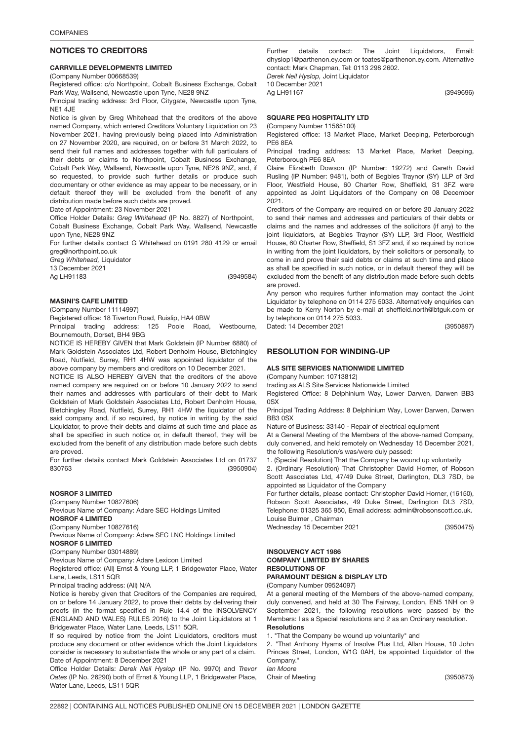### NOTICES TO CREDITORS

## CARRVILLE DEVELOPMENTS LIMITED

(Company Number 00668539)

Registered office: c/o Northpoint, Cobalt Business Exchange, Cobalt Park Way, Wallsend, Newcastle upon Tyne, NE28 9NZ

Principal trading address: 3rd Floor, Citygate, Newcastle upon Tyne, NE1 4JE

Notice is given by Greg Whitehead that the creditors of the above named Company, which entered Creditors Voluntary Liquidation on 23 November 2021, having previously being placed into Administration on 27 November 2020, are required, on or before 31 March 2022, to send their full names and addresses together with full particulars of their debts or claims to Northpoint, Cobalt Business Exchange, Cobalt Park Way, Wallsend, Newcastle upon Tyne, NE28 9NZ, and, if so requested, to provide such further details or produce such documentary or other evidence as may appear to be necessary, or in default thereof they will be excluded from the benefit of any distribution made before such debts are proved.

Date of Appointment: 23 November 2021

Office Holder Details: *Greg Whitehead* (IP No. 8827) of Northpoint, Cobalt Business Exchange, Cobalt Park Way, Wallsend, Newcastle upon Tyne, NE28 9NZ

For further details contact G Whitehead on 0191 280 4129 or email greg@northpoint.co.uk

*Greg Whitehead,* Liquidator

13 December 2021

Ag LH91183

(3949584)

### MASINI'S CAFE LIMITED

(Company Number 11114997)

Registered office: 18 Tiverton Road, Ruislip, HA4 0BW

Principal trading address: 125 Poole Road, Westbourne, Bournemouth, Dorset, BH4 9BG

NOTICE IS HEREBY GIVEN that Mark Goldstein (IP Number 6880) of Mark Goldstein Associates Ltd, Robert Denholm House, Bletchingley Road, Nutfield, Surrey, RH1 4HW was appointed liquidator of the above company by members and creditors on 10 December 2021.

NOTICE IS ALSO HEREBY GIVEN that the creditors of the above named company are required on or before 10 January 2022 to send their names and addresses with particulars of their debt to Mark Goldstein of Mark Goldstein Associates Ltd, Robert Denholm House, Bletchingley Road, Nutfield, Surrey, RH1 4HW the liquidator of the said company and, if so required, by notice in writing by the said Liquidator, to prove their debts and claims at such time and place as shall be specified in such notice or, in default thereof, they will be excluded from the benefit of any distribution made before such debts are proved.

(3950904) For further details contact Mark Goldstein Associates Ltd on 01737 830763

### NOSROF 3 LIMITED

(Company Number 10827606)

Previous Name of Company: Adare SEC Holdings Limited

NOSROF 4 LIMITED (Company Number 10827616)

Previous Name of Company: Adare SEC LNC Holdings Limited

#### NOSROF 5 LIMITED

(Company Number 03014889)

Previous Name of Company: Adare Lexicon Limited

Registered office: (All) Ernst & Young LLP, 1 Bridgewater Place, Water Lane, Leeds, LS11 5QR

Principal trading address: (All) N/A

Notice is hereby given that Creditors of the Companies are required, on or before 14 January 2022, to prove their debts by delivering their proofs (in the format specified in Rule 14.4 of the INSOLVENCY (ENGLAND AND WALES) RULES 2016) to the Joint Liquidators at 1 Bridgewater Place, Water Lane, Leeds, LS11 5QR.

If so required by notice from the Joint Liquidators, creditors must produce any document or other evidence which the Joint Liquidators consider is necessary to substantiate the whole or any part of a claim. Date of Appointment: 8 December 2021

Office Holder Details: *Derek Neil Hyslop* (IP No. 9970) and *Trevor Oates* (IP No. 26290) both of Ernst & Young LLP, 1 Bridgewater Place, Water Lane, Leeds, LS11 5QR

Further details contact: The Joint Liquidators, Email: dhyslop1@parthenon.ey.com or toates@parthenon.ey.com. Alternative contact: Mark Chapman, Tel: 0113 298 2602.

*Derek Neil Hyslop,* Joint Liquidator 10 December 2021 Ag LH91167

## SQUARE PEG HOSPITALITY LT<mark>D</mark>

(Company Number 11565100)

Registered office: 13 Market Place, Market Deeping, Peterborough PE6 8EA

Principal trading address: 13 Market Place, Market Deeping, Peterborough PE6 8EA

Claire Elizabeth Dowson (IP Number: 19272) and Gareth David Rusling (IP Number: 9481), both of Begbies Traynor (SY) LLP of 3rd Floor, Westfield House, 60 Charter Row, Sheffield, S1 3FZ were appointed as Joint Liquidators of the Company on 08 December 2021.

Creditors of the Company are required on or before 20 January 2022 to send their names and addresses and particulars of their debts or claims and the names and addresses of the solicitors (if any) to the joint liquidators, at Begbies Traynor (SY) LLP, 3rd Floor, Westfield House, 60 Charter Row, Sheffield, S1 3FZ and, if so required by notice in writing from the joint liquidators, by their solicitors or personally, to come in and prove their said debts or claims at such time and place as shall be specified in such notice, or in default thereof they will be excluded from the benefit of any distribution made before such debts are proved.

Any person who requires further information may contact the Joint Liquidator by telephone on 0114 275 5033. Alternatively enquiries can be made to Kerry Norton by e-mail at sheffield.north@btguk.com or by telephone on 0114 275 5033. Dated: 14 December 2021

(3950897)

(3949696)

## RESOLUTION FOR WINDING-UP

## ALS SITE SERVICES NATIONWIDE LIMITED

(Company Number: 10713812)

trading as ALS Site Services Nationwide Limited

Registered Office: 8 Delphinium Way, Lower Darwen, Darwen BB3 0SX

Principal Trading Address: 8 Delphinium Way, Lower Darwen, Darwen BB3 0SX

Nature of Business: 33140 - Repair of electrical equipment

At a General Meeting of the Members of the above-named Company, duly convened, and held remotely on Wednesday 15 December 2021, the following Resolution/s was/were duly passed:

1. (Special Resolution) That the Company be wound up voluntarily

2. (Ordinary Resolution) That Christopher David Horner, of Robson Scott Associates Ltd, 47/49 Duke Street, Darlington, DL3 7SD, be appointed as Liquidator of the Company

For further details, please contact: Christopher David Horner, (16150), Robson Scott Associates, 49 Duke Street, Darlington DL3 7SD, Telephone: 01325 365 950, Email address: admin@robsonscott.co.uk. Louise Bulmer , Chairman

Wednesday 15 December 2021

(3950475)

## INSOLVENCY ACT 1986 COMPANY LIMITED BY SHARES RESOLUTIONS OF

#### PARAMOUNT DESIGN & DISPLAY LTD (Company Number 09524097)

At a general meeting of the Members of the above-named company, duly convened, and held at 30 The Fairway, London, EN5 1NH on 9 September 2021, the following resolutions were passed by the Members: I as a Special resolutions and 2 as an Ordinary resolution. Resolutions

1. "That the Company be wound up voluntarily" and

2. "That Anthony Hyams of Insolve Plus Ltd, Allan House, 10 John Princes Street, London, W1G 0AH, be appointed Liquidator of the Company."

*Ian Moore* Chair of Meeting

(3950873)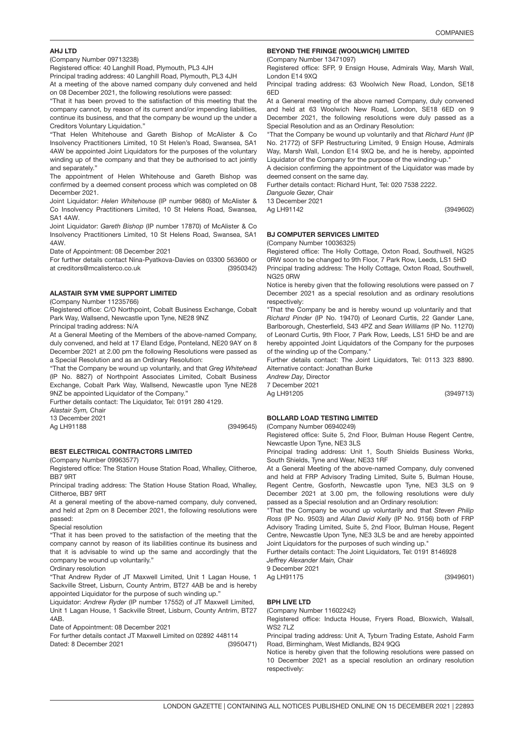## AHJ LTD

(Company Number 09713238)

Registered office: 40 Langhill Road, Plymouth, PL3 4JH

Principal trading address: 40 Langhill Road, Plymouth, PL3 4JH At a meeting of the above named company duly convened and held

on 08 December 2021, the following resolutions were passed:

"That it has been proved to the satisfaction of this meeting that the company cannot, by reason of its current and/or impending liabilities, continue its business, and that the company be wound up the under a Creditors Voluntary Liquidation.'

"That Helen Whitehouse and Gareth Bishop of McAlister & Co Insolvency Practitioners Limited, 10 St Helen's Road, Swansea, SA1 4AW be appointed Joint Liquidators for the purposes of the voluntary winding up of the company and that they be authorised to act jointly and separately."

The appointment of Helen Whitehouse and Gareth Bishop was confirmed by a deemed consent process which was completed on 08 December 2021.

Joint Liquidator: *Helen Whitehouse* (IP number 9680) of McAlister & Co Insolvency Practitioners Limited, 10 St Helens Road, Swansea, SA1 4AW.

Joint Liquidator: *Gareth Bishop* (IP number 17870) of McAlister & Co Insolvency Practitioners Limited, 10 St Helens Road, Swansea, SA1 4AW.

Date of Appointment: 08 December 2021

(3950342) For further details contact Nina-Pyatkova-Davies on 03300 563600 or at creditors@mcalisterco.co.uk

## ALASTAIR SYM VME SUPPORT LIMITE<mark>D</mark>

(Company Number 11235766)

Registered office: C/O Northpoint, Cobalt Business Exchange, Cobalt Park Way, Wallsend, Newcastle upon Tyne, NE28 9NZ

Principal trading address: N/A

At a General Meeting of the Members of the above-named Company, duly convened, and held at 17 Eland Edge, Ponteland, NE20 9AY on 8 December 2021 at 2.00 pm the following Resolutions were passed as a Special Resolution and as an Ordinary Resolution:

"That the Company be wound up voluntarily, and that *Greg Whitehead* (IP No. 8827) of Northpoint Associates Limited, Cobalt Business Exchange, Cobalt Park Way, Wallsend, Newcastle upon Tyne NE28 9NZ be appointed Liquidator of the Company."

Further details contact: The Liquidator, Tel: 0191 280 4129.

*Alastair Sym,* Chair

13 December 2021 Ag LH91188

(3949645)

## BEST ELECTRICAL CONTRACTORS LIMITED

(Company Number 09963577)

Registered office: The Station House Station Road, Whalley, Clitheroe, BB7 9RT

Principal trading address: The Station House Station Road, Whalley, Clitheroe, BB7 9RT

At a general meeting of the above-named company, duly convened, and held at 2pm on 8 December 2021, the following resolutions were passed:

Special resolution

"That it has been proved to the satisfaction of the meeting that the company cannot by reason of its liabilities continue its business and that it is advisable to wind up the same and accordingly that the company be wound up voluntarily."

Ordinary resolution

"That Andrew Ryder of JT Maxwell Limited, Unit 1 Lagan House, 1 Sackville Street, Lisburn, County Antrim, BT27 4AB be and is hereby appointed Liquidator for the purpose of such winding up."

Liquidator: *Andrew Ryder* (IP number 17552) of JT Maxwell Limited, Unit 1 Lagan House, 1 Sackville Street, Lisburn, County Antrim, BT27 4AB.

Date of Appointment: 08 December 2021

(3950471) For further details contact JT Maxwell Limited on 02892 448114 Dated: 8 December 2021

### BEYOND THE FRINGE (WOOLWICH) LIMITED

(Company Number 13471097)

Registered office: SFP, 9 Ensign House, Admirals Way, Marsh Wall, London E14 9XQ

Principal trading address: 63 Woolwich New Road, London, SE18 6ED

At a General meeting of the above named Company, duly convened and held at 63 Woolwich New Road, London, SE18 6ED on 9 December 2021, the following resolutions were duly passed as a Special Resolution and as an Ordinary Resolution:

"That the Company be wound up voluntarily and that *Richard Hunt* (IP No. 21772) of SFP Restructuring Limited, 9 Ensign House, Admirals Way, Marsh Wall, London E14 9XQ be, and he is hereby, appointed Liquidator of the Company for the purpose of the winding-up."

A decision confirming the appointment of the Liquidator was made by deemed consent on the same day.

Further details contact: Richard Hunt, Tel: 020 7538 2222. *Danguole Gezer,* Chair

13 December 2021

Ag LH91142

(3949602)

(3949713)

(3949601)

## BJ COMPUTER SERVICES LIMITED

(Company Number 10036325)

Registered office: The Holly Cottage, Oxton Road, Southwell, NG25 0RW soon to be changed to 9th Floor, 7 Park Row, Leeds, LS1 5HD Principal trading address: The Holly Cottage, Oxton Road, Southwell,

NG25 0RW Notice is hereby given that the following resolutions were passed on 7 December 2021 as a special resolution and as ordinary resolutions respectively:

"That the Company be and is hereby wound up voluntarily and that *Richard Pinder* (IP No. 19470) of Leonard Curtis, 22 Gander Lane, Barlborough, Chesterfield, S43 4PZ and *Sean Williams* (IP No. 11270) of Leonard Curtis, 9th Floor, 7 Park Row, Leeds, LS1 5HD be and are hereby appointed Joint Liquidators of the Company for the purposes of the winding up of the Company."

Further details contact: The Joint Liquidators, Tel: 0113 323 8890. Alternative contact: Jonathan Burke

*Andrew Day,* Director 7 December 2021

Ag LH91205

### BOLLARD LOAD TESTING LIMITED

(Company Number 06940249) Registered office: Suite 5, 2nd Floor, Bulman House Regent Centre, Newcastle Upon Tyne, NE3 3LS

Principal trading address: Unit 1, South Shields Business Works, South Shields, Tyne and Wear, NE33 1RF

At a General Meeting of the above-named Company, duly convened and held at FRP Advisory Trading Limited, Suite 5, Bulman House, Regent Centre, Gosforth, Newcastle upon Tyne, NE3 3LS on 9 December 2021 at 3.00 pm, the following resolutions were duly passed as a Special resolution and an Ordinary resolution:

"That the Company be wound up voluntarily and that *Steven Philip Ross* (IP No. 9503) and *Allan David Kelly* (IP No. 9156) both of FRP Advisory Trading Limited, Suite 5, 2nd Floor, Bulman House, Regent Centre, Newcastle Upon Tyne, NE3 3LS be and are hereby appointed Joint Liquidators for the purposes of such winding up."

Further details contact: The Joint Liquidators, Tel: 0191 8146928

*Jeffrey Alexander Main,* Chair

9 December 2021

Ag LH91175

### BPH LIVE LTD

(Company Number 11602242)

Registered office: Inducta House, Fryers Road, Bloxwich, Walsall, WS<sub>2</sub> 7LZ

Principal trading address: Unit A, Tyburn Trading Estate, Ashold Farm Road, Birmingham, West Midlands, B24 9QG

Notice is hereby given that the following resolutions were passed on 10 December 2021 as a special resolution an ordinary resolution respectively: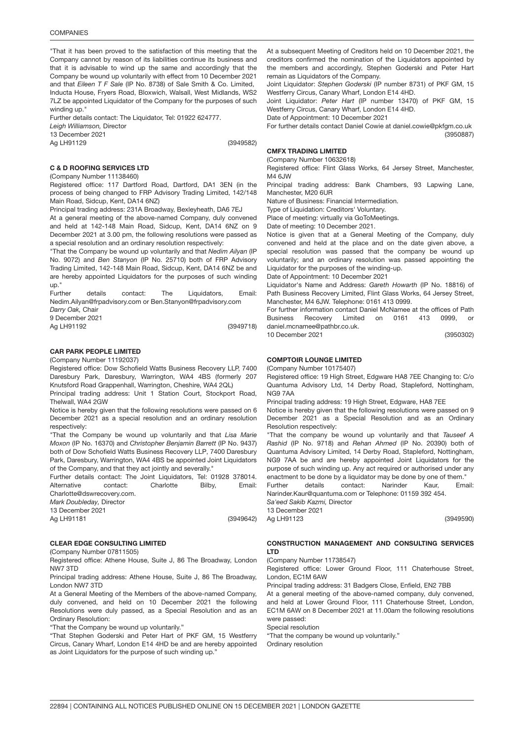"That it has been proved to the satisfaction of this meeting that the Company cannot by reason of its liabilities continue its business and that it is advisable to wind up the same and accordingly that the Company be wound up voluntarily with effect from 10 December 2021 and that *Eileen T F Sale* (IP No. 8738) of Sale Smith & Co. Limited, Inducta House, Fryers Road, Bloxwich, Walsall, West Midlands, WS2 7LZ be appointed Liquidator of the Company for the purposes of such winding up."

Further details contact: The Liquidator, Tel: 01922 624777.

*Leigh Williamson,* Director

13 December 2021

Ag LH91129

(3949582)

## C & D ROOFING SERVICES LTD

(Company Number 11138460)

Registered office: 117 Dartford Road, Dartford, DA1 3EN (in the process of being changed to FRP Advisory Trading Limited, 142/148 Main Road, Sidcup, Kent, DA14 6NZ)

Principal trading address: 231A Broadway, Bexleyheath, DA6 7EJ At a general meeting of the above-named Company, duly convened and held at 142-148 Main Road, Sidcup, Kent, DA14 6NZ on 9 December 2021 at 3.00 pm, the following resolutions were passed as a special resolution and an ordinary resolution respectively:

"That the Company be wound up voluntarily and that *Nedim Ailyan* (IP No. 9072) and *Ben Stanyon* (IP No. 25710) both of FRP Advisory Trading Limited, 142-148 Main Road, Sidcup, Kent, DA14 6NZ be and are hereby appointed Liquidators for the purposes of such winding up."

Further details contact: The Liquidators, Email: Nedim.Ailyan@frpadvisory.com or Ben.Stanyon@frpadvisory.com

*Darry Oak,* Chair

9 December 2021 Ag LH91192

(3949718)

### CAR PARK PEOPLE LIMITED

(Company Number 11192037)

Registered office: Dow Schofield Watts Business Recovery LLP, 7400 Daresbury Park, Daresbury, Warrington, WA4 4BS (formerly 207 Knutsford Road Grappenhall, Warrington, Cheshire, WA4 2QL)

Principal trading address: Unit 1 Station Court, Stockport Road, Thelwall, WA4 2GW

Notice is hereby given that the following resolutions were passed on 6 December 2021 as a special resolution and an ordinary resolution respectively:

"That the Company be wound up voluntarily and that *Lisa Marie Moxon* (IP No. 16370) and *Christopher Benjamin Barrett* (IP No. 9437) both of Dow Schofield Watts Business Recovery LLP, 7400 Daresbury Park, Daresbury, Warrington, WA4 4BS be appointed Joint Liquidators of the Company, and that they act jointly and severally."

Further details contact: The Joint Liquidators, Tel: 01928 378014. Alternative contact: Charlotte Bilby, Email: Charlotte@dswrecovery.com. *Mark Doubleday,* Director

13 December 2021

Ag LH91181

(3949642)

## CLEAR EDGE CONSULTING LIMITE<mark>D</mark>

(Company Number 07811505)

Registered office: Athene House, Suite J, 86 The Broadway, London NW7 3TD

Principal trading address: Athene House, Suite J, 86 The Broadway, London NW7 3TD

At a General Meeting of the Members of the above-named Company, duly convened, and held on 10 December 2021 the following Resolutions were duly passed, as a Special Resolution and as an Ordinary Resolution:

"That the Company be wound up voluntarily."

"That Stephen Goderski and Peter Hart of PKF GM, 15 Westferry Circus, Canary Wharf, London E14 4HD be and are hereby appointed as Joint Liquidators for the purpose of such winding up."

At a subsequent Meeting of Creditors held on 10 December 2021, the creditors confirmed the nomination of the Liquidators appointed by the members and accordingly, Stephen Goderski and Peter Hart remain as Liquidators of the Company.

Joint Liquidator: *Stephen Goderski* (IP number 8731) of PKF GM, 15 Westferry Circus, Canary Wharf, London E14 4HD.

Joint Liquidator: *Peter Hart* (IP number 13470) of PKF GM, 15 Westferry Circus, Canary Wharf, London E14 4HD.

Date of Appointment: 10 December 2021

(3950887) For further details contact Daniel Cowie at daniel.cowie@pkfgm.co.uk

## CMFX TRADING LIMITED

(Company Number 10632618)

Registered office: Flint Glass Works, 64 Jersey Street, Manchester,  $MA$  6. $IW$ 

Principal trading address: Bank Chambers, 93 Lapwing Lane, Manchester, M20 6UR

Nature of Business: Financial Intermediation.

Type of Liquidation: Creditors' Voluntary.

Place of meeting: virtually via GoToMeetings.

Date of meeting: 10 December 2021.

Notice is given that at a General Meeting of the Company, duly convened and held at the place and on the date given above, a special resolution was passed that the company be wound up voluntarily; and an ordinary resolution was passed appointing the Liquidator for the purposes of the winding-up.

Date of Appointment: 10 December 2021

Liquidator's Name and Address: *Gareth Howarth* (IP No. 18816) of Path Business Recovery Limited, Flint Glass Works, 64 Jersey Street, Manchester, M4 6JW. Telephone: 0161 413 0999.

For further information contact Daniel McNamee at the offices of Path Business Recovery Limited on 0161 413 0999, or daniel.mcnamee@pathbr.co.uk.

(3950302)

## COMPTOIR LOUNGE LIMITED

10 December 2021

(Company Number 10175407)

Registered office: 19 High Street, Edgware HA8 7EE Changing to: C/o Quantuma Advisory Ltd, 14 Derby Road, Stapleford, Nottingham, NG9 7AA

Principal trading address: 19 High Street, Edgware, HA8 7EE

Notice is hereby given that the following resolutions were passed on 9 December 2021 as a Special Resolution and as an Ordinary Resolution respectively:

"That the company be wound up voluntarily and that *Tauseef A Rashid* (IP No. 9718) and *Rehan Ahmed* (IP No. 20390) both of Quantuma Advisory Limited, 14 Derby Road, Stapleford, Nottingham, NG9 7AA be and are hereby appointed Joint Liquidators for the purpose of such winding up. Any act required or authorised under any enactment to be done by a liquidator may be done by one of them."

Further details contact: Narinder Kaur, Email: Narinder.Kaur@quantuma.com or Telephone: 01159 392 454. *Sa'eed Sakib Kazmi,* Director

13 December 2021

Ag LH91123

(3949590)

#### CONSTRUCTION MANAGEMENT AND CONSULTING SERVICES LTD

(Company Number 11738547)

Registered office: Lower Ground Floor, 111 Chaterhouse Street, London, EC1M 6AW

Principal trading address: 31 Badgers Close, Enfield, EN2 7BB

At a general meeting of the above-named company, duly convened, and held at Lower Ground Floor, 111 Chaterhouse Street, London, EC1M 6AW on 8 December 2021 at 11.00am the following resolutions were passed:

Special resolution

"That the company be wound up voluntarily."

Ordinary resolution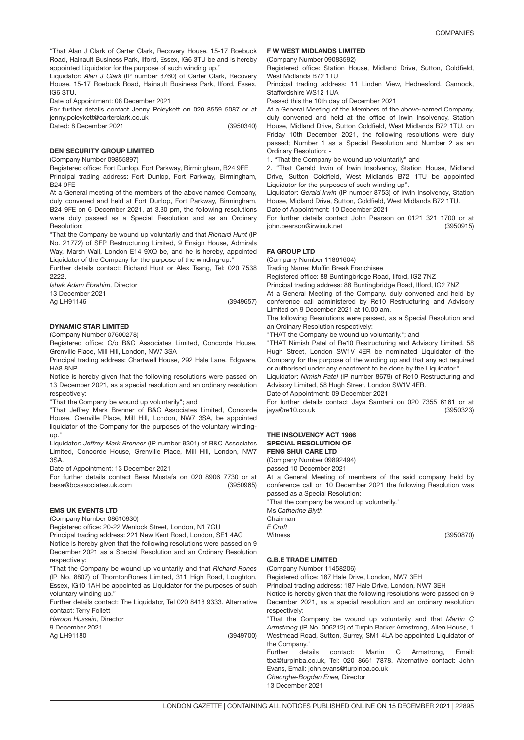"That Alan J Clark of Carter Clark, Recovery House, 15-17 Roebuck Road, Hainault Business Park, Ilford, Essex, IG6 3TU be and is hereby appointed Liquidator for the purpose of such winding up."

Liquidator: *Alan J Clark* (IP number 8760) of Carter Clark, Recovery House, 15-17 Roebuck Road, Hainault Business Park, Ilford, Essex, IG6 3TU.

Date of Appointment: 08 December 2021

For further details contact Jenny Poleykett on 020 8559 5087 or at jenny.poleykett@carterclark.co.uk

(3950340)

### DEN SECURITY GROUP LIMITE<mark>D</mark>

(Company Number 09855897)

Dated: 8 December 2021

Registered office: Fort Dunlop, Fort Parkway, Birmingham, B24 9FE Principal trading address: Fort Dunlop, Fort Parkway, Birmingham, B24 9FE

At a General meeting of the members of the above named Company, duly convened and held at Fort Dunlop, Fort Parkway, Birmingham, B24 9FE on 6 December 2021, at 3.30 pm, the following resolutions were duly passed as a Special Resolution and as an Ordinary Resolution:

"That the Company be wound up voluntarily and that *Richard Hunt* (IP No. 21772) of SFP Restructuring Limited, 9 Ensign House, Admirals Way, Marsh Wall, London E14 9XQ be, and he is hereby, appointed Liquidator of the Company for the purpose of the winding-up."

Further details contact: Richard Hunt or Alex Tsang, Tel: 020 7538 2222.

*Ishak Adam Ebrahim,* Director 13 December 2021

Ag LH91146

(3949657)

### DYNAMIC STAR LIMITED

(Company Number 07600278)

Registered office: C/o B&C Associates Limited, Concorde House, Grenville Place, Mill Hill, London, NW7 3SA

Principal trading address: Chartwell House, 292 Hale Lane, Edgware, HA8 8NP

Notice is hereby given that the following resolutions were passed on 13 December 2021, as a special resolution and an ordinary resolution respectively:

"That the Company be wound up voluntarily"; and

"That Jeffrey Mark Brenner of B&C Associates Limited, Concorde House, Grenville Place, Mill Hill, London, NW7 3SA, be appointed liquidator of the Company for the purposes of the voluntary windingup."

Liquidator: *Jeffrey Mark Brenner* (IP number 9301) of B&C Associates Limited, Concorde House, Grenville Place, Mill Hill, London, NW7 3SA.

Date of Appointment: 13 December 2021

(3950965) For further details contact Besa Mustafa on 020 8906 7730 or at besa@bcassociates.uk.com

### EMS UK EVENTS LT<mark>D</mark>

(Company Number 08610930)

Registered office: 20-22 Wenlock Street, London, N1 7GU

Principal trading address: 221 New Kent Road, London, SE1 4AG

Notice is hereby given that the following resolutions were passed on 9 December 2021 as a Special Resolution and an Ordinary Resolution respectively:

"That the Company be wound up voluntarily and that *Richard Rones* (IP No. 8807) of ThorntonRones Limited, 311 High Road, Loughton, Essex, IG10 1AH be appointed as Liquidator for the purposes of such voluntary winding up."

Further details contact: The Liquidator, Tel 020 8418 9333. Alternative contact: Terry Follett

*Haroon Hussain,* Director 9 December 2021 Ag LH91180

(3949700)

### F W WEST MIDLANDS LIMITED

(Company Number 09083592)

Registered office: Station House, Midland Drive, Sutton, Coldfield, West Midlands B72 1TU

Principal trading address: 11 Linden View, Hednesford, Cannock, Staffordshire WS12 1UA

Passed this the 10th day of December 2021

At a General Meeting of the Members of the above-named Company, duly convened and held at the office of Irwin Insolvency, Station House, Midland Drive, Sutton Coldfield, West Midlands B72 1TU, on Friday 10th December 2021, the following resolutions were duly passed; Number 1 as a Special Resolution and Number 2 as an Ordinary Resolution: -

1. "That the Company be wound up voluntarily" and

2. "That Gerald Irwin of Irwin Insolvency, Station House, Midland Drive, Sutton Coldfield, West Midlands B72 1TU be appointed Liquidator for the purposes of such winding up".

Liquidator: *Gerald Irwin* (IP number 8753) of Irwin Insolvency, Station House, Midland Drive, Sutton, Coldfield, West Midlands B72 1TU.

Date of Appointment: 10 December 2021

(3950915) For further details contact John Pearson on 0121 321 1700 or at john.pearson@irwinuk.net

## FA GROUP <mark>LTD</mark>

(Company Number 11861604)

Trading Name: Muffin Break Franchisee

Registered office: 88 Buntingbridge Road, Ilford, IG2 7NZ

Principal trading address: 88 Buntingbridge Road, Ilford, IG2 7NZ

At a General Meeting of the Company, duly convened and held by conference call administered by Re10 Restructuring and Advisory Limited on 9 December 2021 at 10.00 am.

The following Resolutions were passed, as a Special Resolution and an Ordinary Resolution respectively:

"THAT the Company be wound up voluntarily."; and

"THAT Nimish Patel of Re10 Restructuring and Advisory Limited, 58 Hugh Street, London SW1V 4ER be nominated Liquidator of the Company for the purpose of the winding up and that any act required or authorised under any enactment to be done by the Liquidator."

Liquidator: *Nimish Patel* (IP number 8679) of Re10 Restructuring and Advisory Limited, 58 Hugh Street, London SW1V 4ER.

Date of Appointment: 09 December 2021

(3950323) For further details contact Jaya Samtani on 020 7355 6161 or at jaya@re10.co.uk

#### THE INSOLVENCY ACT 1986 SPECIAL RESOLUTION OF FENG SHUI CARE LTD

(Company Number 09892494)

passed 10 December 2021

At a General Meeting of members of the said company held by conference call on 10 December 2021 the following Resolution was passed as a Special Resolution:

"That the company be wound up voluntarily."

Ms *Catherine Blyth* Chairman

*E Croft*

Witness

(3950870)

### 3949631 G.B.E TRADE LIMITED

(Company Number 11458206)

Registered office: 187 Hale Drive, London, NW7 3EH

Principal trading address: 187 Hale Drive, London, NW7 3EH

Notice is hereby given that the following resolutions were passed on 9 December 2021, as a special resolution and an ordinary resolution respectively:

"That the Company be wound up voluntarily and that *Martin C Armstrong* (IP No. 006212) of Turpin Barker Armstrong, Allen House, 1 Westmead Road, Sutton, Surrey, SM1 4LA be appointed Liquidator of the Company."

Further details contact: Martin C Armstrong, Email: tba@turpinba.co.uk, Tel: 020 8661 7878. Alternative contact: John Evans, Email: john.evans@turpinba.co.uk *Gheorghe-Bogdan Enea,* Director 13 December 2021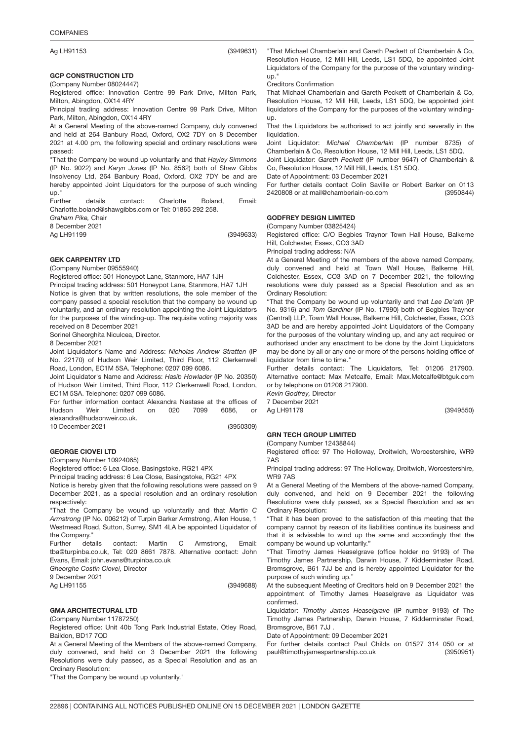## **COMPANIES**

Ag LH91153

(3949631)

### 3949633 GCP CONSTRUCTION LTD

(Company Number 08024447)

Registered office: Innovation Centre 99 Park Drive, Milton Park, Milton, Abingdon, OX14 4RY

Principal trading address: Innovation Centre 99 Park Drive, Milton Park, Milton, Abingdon, OX14 4RY

At a General Meeting of the above-named Company, duly convened and held at 264 Banbury Road, Oxford, OX2 7DY on 8 December 2021 at 4.00 pm, the following special and ordinary resolutions were passed:

"That the Company be wound up voluntarily and that *Hayley Simmons* (IP No. 9022) and *Karyn Jones* (IP No. 8562) both of Shaw Gibbs Insolvency Ltd, 264 Banbury Road, Oxford, OX2 7DY be and are hereby appointed Joint Liquidators for the purpose of such winding up."

Further details contact: Charlotte Boland, Email: Charlotte.boland@shawgibbs.com or Tel: 01865 292 258.

*Graham Pike,* Chair

8 December 2021 Ag LH91199

(3949633)

## GEK CARPENTRY LT<mark>D</mark>

(Company Number 09555940)

Registered office: 501 Honeypot Lane, Stanmore, HA7 1JH

Principal trading address: 501 Honeypot Lane, Stanmore, HA7 1JH Notice is given that by written resolutions, the sole member of the company passed a special resolution that the company be wound up

voluntarily, and an ordinary resolution appointing the Joint Liquidators for the purposes of the winding-up. The requisite voting majority was received on 8 December 2021

Sorinel Gheorghita Niculcea, Director.

8 December 2021

Joint Liquidator's Name and Address: *Nicholas Andrew Stratten* (IP No. 22170) of Hudson Weir Limited, Third Floor, 112 Clerkenwell Road, London, EC1M 5SA. Telephone: 0207 099 6086.

Joint Liquidator's Name and Address: *Hasib Howlader* (IP No. 20350) of Hudson Weir Limited, Third Floor, 112 Clerkenwell Road, London, EC1M 5SA. Telephone: 0207 099 6086.

For further information contact Alexandra Nastase at the offices of Hudson Weir Limited on 020 7099 6086, or alexandra@hudsonweir.co.uk. 10 December 2021

(3950309)

(3949688)

## 3949688 GEORGE CIOVEI LTD

(Company Number 10924065)

Registered office: 6 Lea Close, Basingstoke, RG21 4PX

Principal trading address: 6 Lea Close, Basingstoke, RG21 4PX

Notice is hereby given that the following resolutions were passed on 9 December 2021, as a special resolution and an ordinary resolution respectively:

"That the Company be wound up voluntarily and that *Martin C Armstrong* (IP No. 006212) of Turpin Barker Armstrong, Allen House, 1 Westmead Road, Sutton, Surrey, SM1 4LA be appointed Liquidator of the Company."

Further details contact: Martin C Armstrong, Email: tba@turpinba.co.uk, Tel: 020 8661 7878. Alternative contact: John Evans, Email: john.evans@turpinba.co.uk

*Gheorghe Costin Ciovei,* Director

9 December 2021

Ag LH91155

GMA ARCHITECTURAL <mark>LTD</mark>

(Company Number 11787250)

Registered office: Unit 40b Tong Park Industrial Estate, Otley Road, Baildon, BD17 7QD

At a General Meeting of the Members of the above-named Company, duly convened, and held on 3 December 2021 the following Resolutions were duly passed, as a Special Resolution and as an Ordinary Resolution:

"That the Company be wound up voluntarily."

"That Michael Chamberlain and Gareth Peckett of Chamberlain & Co, Resolution House, 12 Mill Hill, Leeds, LS1 5DQ, be appointed Joint Liquidators of the Company for the purpose of the voluntary windingup."

Creditors Confirmation

That Michael Chamberlain and Gareth Peckett of Chamberlain & Co, Resolution House, 12 Mill Hill, Leeds, LS1 5DQ, be appointed joint liquidators of the Company for the purposes of the voluntary windingup.

That the Liquidators be authorised to act jointly and severally in the liquidation.

Joint Liquidator: *Michael Chamberlain* (IP number 8735) of Chamberlain & Co, Resolution House, 12 Mill Hill, Leeds, LS1 5DQ.

Joint Liquidator: *Gareth Peckett* (IP number 9647) of Chamberlain & Co, Resolution House, 12 Mill Hill, Leeds, LS1 5DQ.

Date of Appointment: 03 December 2021

(3950844) For further details contact Colin Saville or Robert Barker on 0113 2420808 or at mail@chamberlain-co.com

### 3949550 GODFREY DESIGN LIMITED

(Company Number 03825424)

Registered office: C/O Begbies Traynor Town Hall House, Balkerne Hill, Colchester, Essex, CO3 3AD

Principal trading address: N/A

At a General Meeting of the members of the above named Company, duly convened and held at Town Wall House, Balkerne Hill, Colchester, Essex, CO3 3AD on 7 December 2021, the following resolutions were duly passed as a Special Resolution and as an Ordinary Resolution:

"That the Company be wound up voluntarily and that *Lee De'ath* (IP No. 9316) and *Tom Gardiner* (IP No. 17990) both of Begbies Traynor (Central) LLP, Town Wall House, Balkerne Hill, Colchester, Essex, CO3 3AD be and are hereby appointed Joint Liquidators of the Company for the purposes of the voluntary winding up, and any act required or authorised under any enactment to be done by the Joint Liquidators may be done by all or any one or more of the persons holding office of liquidator from time to time."

Further details contact: The Liquidators, Tel: 01206 217900. Alternative contact: Max Metcalfe, Email: Max.Metcalfe@btguk.com or by telephone on 01206 217900.

*Kevin Godfrey,* Director 7 December 2021 Ag LH91179

(3949550)

### 3950951 GRN TECH GROUP LIMITED

## (Company Number 12438844)

Registered office: 97 The Holloway, Droitwich, Worcestershire, WR9 7AS

Principal trading address: 97 The Holloway, Droitwich, Worcestershire, WR9 7AS

At a General Meeting of the Members of the above-named Company, duly convened, and held on 9 December 2021 the following Resolutions were duly passed, as a Special Resolution and as an Ordinary Resolution:

"That it has been proved to the satisfaction of this meeting that the company cannot by reason of its liabilities continue its business and that it is advisable to wind up the same and accordingly that the company be wound up voluntarily."

"That Timothy James Heaselgrave (office holder no 9193) of The Timothy James Partnership, Darwin House, 7 Kidderminster Road, Bromsgrove, B61 7JJ be and is hereby appointed Liquidator for the purpose of such winding up."

At the subsequent Meeting of Creditors held on 9 December 2021 the appointment of Timothy James Heaselgrave as Liquidator was confirmed.

Liquidator: *Timothy James Heaselgrave* (IP number 9193) of The Timothy James Partnership, Darwin House, 7 Kidderminster Road, Bromsgrove, B61 7JJ

Date of Appointment: 09 December 2021

(3950951) For further details contact Paul Childs on 01527 314 050 or at paul@timothyjamespartnership.co.uk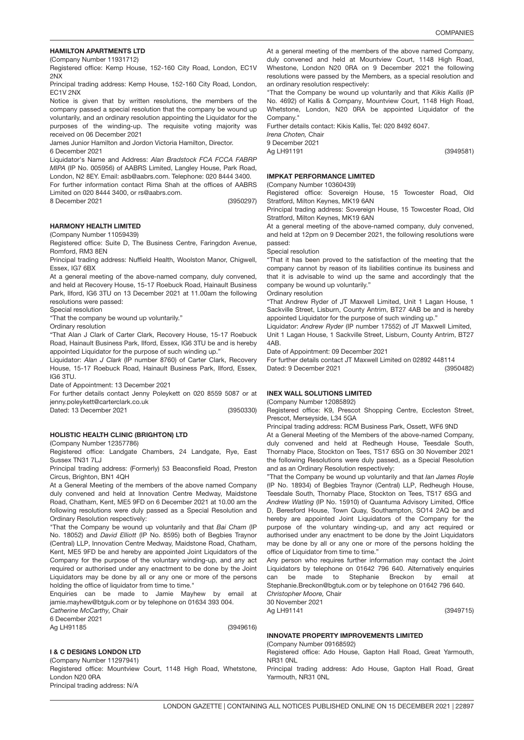## HAMILTON APARTMENTS LTD

(Company Number 11931712)

Registered office: Kemp House, 152-160 City Road, London, EC1V 2NX

Principal trading address: Kemp House, 152-160 City Road, London, EC1V 2NX

Notice is given that by written resolutions, the members of the company passed a special resolution that the company be wound up voluntarily, and an ordinary resolution appointing the Liquidator for the purposes of the winding-up. The requisite voting majority was received on 06 December 2021

James Junior Hamilton and Jordon Victoria Hamilton, Director.

6 December 2021

Liquidator's Name and Address: *Alan Bradstock FCA FCCA FABRP MIPA* (IP No. 005956) of AABRS Limited, Langley House, Park Road, London, N2 8EY. Email: asb@aabrs.com. Telephone: 020 8444 3400.

For further information contact Rima Shah at the offices of AABRS Limited on 020 8444 3400, or rs@aabrs.com.

8 December 2021

(3950297)

### HARMONY HEALTH LIMITED

(Company Number 11059439)

Registered office: Suite D, The Business Centre, Faringdon Avenue, Romford, RM3 8EN

Principal trading address: Nuffield Health, Woolston Manor, Chigwell, Essex, IG7 6BX

At a general meeting of the above-named company, duly convened, and held at Recovery House, 15-17 Roebuck Road, Hainault Business Park, Ilford, IG6 3TU on 13 December 2021 at 11.00am the following resolutions were passed:

Special resolution

"That the company be wound up voluntarily."

Ordinary resolution

"That Alan J Clark of Carter Clark, Recovery House, 15-17 Roebuck Road, Hainault Business Park, Ilford, Essex, IG6 3TU be and is hereby appointed Liquidator for the purpose of such winding up."

Liquidator: *Alan J Clark* (IP number 8760) of Carter Clark, Recovery House, 15-17 Roebuck Road, Hainault Business Park, Ilford, Essex, IG6 3TU.

Date of Appointment: 13 December 2021

(3950330) For further details contact Jenny Poleykett on 020 8559 5087 or at jenny.poleykett@carterclark.co.uk

Dated: 13 December 2021

### 3949616 HOLISTIC HEALTH CLINIC (BRIGHTON) LTD

#### (Company Number 12357786)

Registered office: Landgate Chambers, 24 Landgate, Rye, East Sussex TN31 7LJ

Principal trading address: (Formerly) 53 Beaconsfield Road, Preston Circus, Brighton, BN1 4QH

At a General Meeting of the members of the above named Company duly convened and held at Innovation Centre Medway, Maidstone Road, Chatham, Kent, ME5 9FD on 6 December 2021 at 10.00 am the following resolutions were duly passed as a Special Resolution and Ordinary Resolution respectively:

"That the Company be wound up voluntarily and that *Bai Cham* (IP No. 18052) and *David Elliott* (IP No. 8595) both of Begbies Traynor (Central) LLP, Innovation Centre Medway, Maidstone Road, Chatham, Kent, ME5 9FD be and hereby are appointed Joint Liquidators of the Company for the purpose of the voluntary winding-up, and any act required or authorised under any enactment to be done by the Joint Liquidators may be done by all or any one or more of the persons holding the office of liquidator from time to time."

Enquiries can be made to Jamie Mayhew by email at jamie.mayhew@btguk.com or by telephone on 01634 393 004.

*Catherine McCarthy,* Chair 6 December 2021

Ag LH91185

(3949616)

### I & C DESIGNS LONDON LTD

(Company Number 11297941) Registered office: Mountview Court, 1148 High Road, Whetstone, London N20 0RA Principal trading address: N/A

At a general meeting of the members of the above named Company, duly convened and held at Mountview Court, 1148 High Road, Whestone, London N20 0RA on 9 December 2021 the following resolutions were passed by the Members, as a special resolution and an ordinary resolution respectively:

"That the Company be wound up voluntarily and that *Kikis Kallis* (IP No. 4692) of Kallis & Company, Mountview Court, 1148 High Road, Whetstone, London, N20 0RA be appointed Liquidator of the Company.

Further details contact: Kikis Kallis, Tel: 020 8492 6047.

*Irena Choten,* Chair

9 December 2021 Ag LH91191

(3949581)

(3949715)

## IMPKAT PERFORMANCE LIMITED

(Company Number 10360439)

Registered office: Sovereign House, 15 Towcester Road, Old Stratford, Milton Keynes, MK19 6AN

Principal trading address: Sovereign House, 15 Towcester Road, Old Stratford, Milton Keynes, MK19 6AN

At a general meeting of the above-named company, duly convened, and held at 12pm on 9 December 2021, the following resolutions were passed:

Special resolution

"That it has been proved to the satisfaction of the meeting that the company cannot by reason of its liabilities continue its business and that it is advisable to wind up the same and accordingly that the company be wound up voluntarily."

Ordinary resolution

"That Andrew Ryder of JT Maxwell Limited, Unit 1 Lagan House, 1 Sackville Street, Lisburn, County Antrim, BT27 4AB be and is hereby appointed Liquidator for the purpose of such winding up."

Liquidator: *Andrew Ryder* (IP number 17552) of JT Maxwell Limited, Unit 1 Lagan House, 1 Sackville Street, Lisburn, County Antrim, BT27 4AB.

Date of Appointment: 09 December 2021

(3950482) For further details contact JT Maxwell Limited on 02892 448114 Dated: 9 December 2021

## INEX WALL SOLUTIONS LIMITED

(Company Number 12085892)

Registered office: K9, Prescot Shopping Centre, Eccleston Street, Prescot, Merseyside, L34 5GA

Principal trading address: RCM Business Park, Ossett, WF6 9ND

At a General Meeting of the Members of the above-named Company, duly convened and held at Redheugh House, Teesdale South, Thornaby Place, Stockton on Tees, TS17 6SG on 30 November 2021 the following Resolutions were duly passed, as a Special Resolution and as an Ordinary Resolution respectively:

"That the Company be wound up voluntarily and that *Ian James Royle* (IP No. 18934) of Begbies Traynor (Central) LLP, Redheugh House, Teesdale South, Thornaby Place, Stockton on Tees, TS17 6SG and *Andrew Watling* (IP No. 15910) of Quantuma Advisory Limited, Office D, Beresford House, Town Quay, Southampton, SO14 2AQ be and hereby are appointed Joint Liquidators of the Company for the purpose of the voluntary winding-up, and any act required or authorised under any enactment to be done by the Joint Liquidators may be done by all or any one or more of the persons holding the office of Liquidator from time to time."

Any person who requires further information may contact the Joint Liquidators by telephone on 01642 796 640. Alternatively enquiries can be made to Stephanie Breckon by email Stephanie.Breckon@bgtuk.com or by telephone on 01642 796 640. *Christopher Moore,* Chair

30 November 2021

Ag LH91141

## 3949667 INNOVATE PROPERTY IMPROVEMENTS LIMITED

(Company Number 09168592)

Registered office: Ado House, Gapton Hall Road, Great Yarmouth, NR31 0NL

Principal trading address: Ado House, Gapton Hall Road, Great Yarmouth, NR31 0NL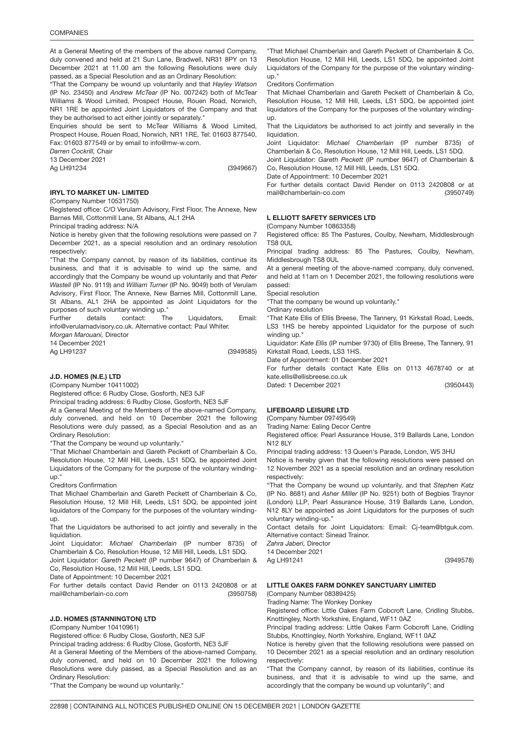At a General Meeting of the members of the above named Company, duly convened and held at 21 Sun Lane, Bradwell, NR31 8PY on 13 December 2021 at 11.00 am the following Resolutions were duly passed, as a Special Resolution and as an Ordinary Resolution:

"That the Company be wound up voluntarily and that *Hayley Watson* (IP No. 23450) and *Andrew McTear* (IP No. 007242) both of McTear Williams & Wood Limited, Prospect House, Rouen Road, Norwich, NR1 1RE be appointed Joint Liquidators of the Company and that they be authorised to act either jointly or separately.

Enquiries should be sent to McTear Williams & Wood Limited, Prospect House, Rouen Road, Norwich, NR1 1RE, Tel: 01603 877540, Fax: 01603 877549 or by email to info@mw-w.com.

*Darren Cockrill,* Chair

13 December 2021

Ag LH91234

(3949667)

#### IRYL TO MARKET UN<mark>- LIMITED</mark> (Company Number 10531750)

Registered office: C/O Verulam Advisory, First Floor, The Annexe, New Barnes Mill, Cottonmill Lane, St Albans, AL1 2HA

Principal trading address: N/A

Notice is hereby given that the following resolutions were passed on 7 December 2021, as a special resolution and an ordinary resolution respectively:

"That the Company cannot, by reason of its liabilities, continue its business, and that it is advisable to wind up the same, and accordingly that the Company be wound up voluntarily and that *Peter Wastell* (IP No. 9119) and *William Turner* (IP No. 9049) both of Verulam Advisory, First Floor, The Annexe, New Barnes Mill, Cottonmill Lane, St Albans, AL1 2HA be appointed as Joint Liquidators for the purposes of such voluntary winding up."

Further details contact: The Liquidators, Email: info@verulamadvisory.co.uk. Alternative contact: Paul Whiter.

*Morgan Marouani,* Director

14 December 2021 Ag LH91237

(3949585)

### 3950758 J.D. HOMES (N.E.) LTD

(Company Number 10411002)

Registered office: 6 Rudby Close, Gosforth, NE3 5JF

Principal trading address: 6 Rudby Close, Gosforth, NE3 5JF

At a General Meeting of the Members of the above-named Company, duly convened, and held on 10 December 2021 the following Resolutions were duly passed, as a Special Resolution and as an Ordinary Resolution:

"That the Company be wound up voluntarily."

"That Michael Chamberlain and Gareth Peckett of Chamberlain & Co, Resolution House, 12 Mill Hill, Leeds, LS1 5DQ, be appointed Joint Liquidators of the Company for the purpose of the voluntary windingup."

Creditors Confirmation

That Michael Chamberlain and Gareth Peckett of Chamberlain & Co, Resolution House, 12 Mill Hill, Leeds, LS1 5DQ, be appointed joint liquidators of the Company for the purposes of the voluntary windingup.

That the Liquidators be authorised to act jointly and severally in the liquidation.

Joint Liquidator: *Michael Chamberlain* (IP number 8735) of Chamberlain & Co, Resolution House, 12 Mill Hill, Leeds, LS1 5DQ.

Joint Liquidator: *Gareth Peckett* (IP number 9647) of Chamberlain & Co, Resolution House, 12 Mill Hill, Leeds, LS1 5DQ.

Date of Appointment: 10 December 2021

(3950758) For further details contact David Render on 0113 2420808 or at mail@chamberlain-co.com

### J.D. HOMES (STANNINGTON) LTD

(Company Number 10410961)

Registered office: 6 Rudby Close, Gosforth, NE3 5JF

Principal trading address: 6 Rudby Close, Gosforth, NE3 5JF At a General Meeting of the Members of the above-named Company, duly convened, and held on 10 December 2021 the following Resolutions were duly passed, as a Special Resolution and as an Ordinary Resolution:

"That the Company be wound up voluntarily."

"That Michael Chamberlain and Gareth Peckett of Chamberlain & Co, Resolution House, 12 Mill Hill, Leeds, LS1 5DQ, be appointed Joint Liquidators of the Company for the purpose of the voluntary windingup."

Creditors Confirmation

That Michael Chamberlain and Gareth Peckett of Chamberlain & Co, Resolution House, 12 Mill Hill, Leeds, LS1 5DQ, be appointed joint liquidators of the Company for the purposes of the voluntary windingup.

That the Liquidators be authorised to act jointly and severally in the liquidation.

Joint Liquidator: *Michael Chamberlain* (IP number 8735) of Chamberlain & Co, Resolution House, 12 Mill Hill, Leeds, LS1 5DQ.

Joint Liquidator: *Gareth Peckett* (IP number 9647) of Chamberlain & Co, Resolution House, 12 Mill Hill, Leeds, LS1 5DQ.

Date of Appointment: 10 December 2021

(3950749) For further details contact David Render on 0113 2420808 or at mail@chamberlain-co.com

### L ELLIOTT SAFETY SERVICES LTD

(Company Number 10863358)

Registered office: 85 The Pastures, Coulby, Newham, Middlesbrough TS8 0UL

Principal trading address: 85 The Pastures, Coulby, Newham, Middlesbrough TS8 0UL

At a general meeting of the above-named :company, duly convened, and held at 11am on 1 December 2021, the following resolutions were passed:

Special resolution

"That the company be wound up voluntarily."

Ordinary resolution

"That Kate Ellis of Ellis Breese, The Tannery, 91 Kirkstall Road, Leeds, LS3 1HS be hereby appointed Liquidator for the purpose of such winding up."

Liquidator: *Kate Ellis* (IP number 9730) of Ellis Breese, The Tannery, 91 Kirkstall Road, Leeds, LS3 1HS.

Date of Appointment: 01 December 2021

For further details contact Kate Ellis on 0113 4678740 or at kate.ellis@ellisbreese.co.uk

(3950443)

## 3949578 LIFEBOARD LEISURE LTD

Dated: 1 December 2021

(Company Number 09749549)

Trading Name: Ealing Decor Centre

Registered office: Pearl Assurance House, 319 Ballards Lane, London N12 8LY

Principal trading address: 13 Queen's Parade, London, W5 3HU

Notice is hereby given that the following resolutions were passed on 12 November 2021 as a special resolution and an ordinary resolution respectively:

"That the Company be wound up voluntarily, and that *Stephen Katz* (IP No. 8681) and *Asher Miller* (IP No. 9251) both of Begbies Traynor (London) LLP, Pearl Assurance House, 319 Ballards Lane, London, N12 8LY be appointed as Joint Liquidators for the purposes of such voluntary winding-up."

Contact details for Joint Liquidators: Email: Cj-team@btguk.com. Alternative contact: Sinead Trainor.

*Zahra Jaberi,* Director

14 December 2021

Ag LH91241

(3949578)

## LITTLE OAKES FARM DONKEY SANCTUARY LIMITED

(Company Number 08389425)

Trading Name: The Wonkey Donkey

Registered office: Little Oakes Farm Cobcroft Lane, Cridling Stubbs, Knottingley, North Yorkshire, England, WF11 0AZ

Principal trading address: Little Oakes Farm Cobcroft Lane, Cridling Stubbs, Knottingley, North Yorkshire, England, WF11 0AZ

Notice is hereby given that the following resolutions were passed on 10 December 2021 as a special resolution and an ordinary resolution respectively:

"That the Company cannot, by reason of its liabilities, continue its business, and that it is advisable to wind up the same, and accordingly that the company be wound up voluntarily"; and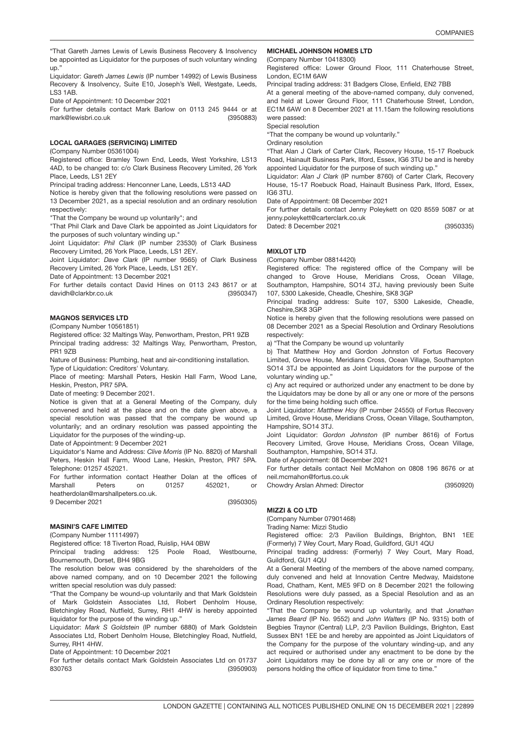"That Gareth James Lewis of Lewis Business Recovery & Insolvency be appointed as Liquidator for the purposes of such voluntary winding up."

Liquidator: *Gareth James Lewis* (IP number 14992) of Lewis Business Recovery & Insolvency, Suite E10, Joseph's Well, Westgate, Leeds, LS3 1AB.

Date of Appointment: 10 December 2021

(3950883) For further details contact Mark Barlow on 0113 245 9444 or at mark@lewisbri.co.uk

### LOCAL GARAGES (SERVICING) LIMITED

(Company Number 05361004)

Registered office: Bramley Town End, Leeds, West Yorkshire, LS13 4AD, to be changed to: c/o Clark Business Recovery Limited, 26 York Place, Leeds, LS1 2EY

Principal trading address: Henconner Lane, Leeds, LS13 4AD

Notice is hereby given that the following resolutions were passed on 13 December 2021, as a special resolution and an ordinary resolution respectively:

"That the Company be wound up voluntarily"; and

"That Phil Clark and Dave Clark be appointed as Joint Liquidators for the purposes of such voluntary winding up."

Joint Liquidator: *Phil Clark* (IP number 23530) of Clark Business Recovery Limited, 26 York Place, Leeds, LS1 2EY.

Joint Liquidator: *Dave Clark* (IP number 9565) of Clark Business Recovery Limited, 26 York Place, Leeds, LS1 2EY.

Date of Appointment: 13 December 2021

(3950347) For further details contact David Hines on 0113 243 8617 or at davidh@clarkbr.co.uk

### MAGNOS SERVICES <mark>LTD</mark>

(Company Number 10561851)

Registered office: 32 Maltings Way, Penwortham, Preston, PR1 9ZB

Principal trading address: 32 Maltings Way, Penwortham, Preston, PR1 9ZB

Nature of Business: Plumbing, heat and air-conditioning installation. Type of Liquidation: Creditors' Voluntary.

Place of meeting: Marshall Peters, Heskin Hall Farm, Wood Lane, Heskin, Preston, PR7 5PA.

Date of meeting: 9 December 2021.

Notice is given that at a General Meeting of the Company, duly convened and held at the place and on the date given above, a special resolution was passed that the company be wound up voluntarily; and an ordinary resolution was passed appointing the Liquidator for the purposes of the winding-up.

Date of Appointment: 9 December 2021

Liquidator's Name and Address: *Clive Morris* (IP No. 8820) of Marshall Peters, Heskin Hall Farm, Wood Lane, Heskin, Preston, PR7 5PA. Telephone: 01257 452021.

(3950305) For further information contact Heather Dolan at the offices of Marshall Peters on 01257 452021, or heatherdolan@marshallpeters.co.uk.

9 December 2021

### MASINI'S CAFE LIMITED

(Company Number 11114997)

Registered office: 18 Tiverton Road, Ruislip, HA4 0BW

Principal trading address: 125 Poole Road, Westbourne, Bournemouth, Dorset, BH4 9BG

The resolution below was considered by the shareholders of the above named company, and on 10 December 2021 the following written special resolution was duly passed:

"That the Company be wound-up voluntarily and that Mark Goldstein of Mark Goldstein Associates Ltd, Robert Denholm House, Bletchingley Road, Nutfield, Surrey, RH1 4HW is hereby appointed liquidator for the purpose of the winding up."

Liquidator: *Mark S Goldstein* (IP number 6880) of Mark Goldstein Associates Ltd, Robert Denholm House, Bletchingley Road, Nutfield, Surrey, RH1 4HW.

Date of Appointment: 10 December 2021

(3950903) For further details contact Mark Goldstein Associates Ltd on 01737 830763

### MICHAEL JOHNSON HOMES LTD

(Company Number 10418300)

Registered office: Lower Ground Floor, 111 Chaterhouse Street, London, EC1M 6AW

Principal trading address: 31 Badgers Close, Enfield, EN2 7BB

At a general meeting of the above-named company, duly convened, and held at Lower Ground Floor, 111 Chaterhouse Street, London, EC1M 6AW on 8 December 2021 at 11.15am the following resolutions were passed:

Special resolution

"That the company be wound up voluntarily."

Ordinary resolution

"That Alan J Clark of Carter Clark, Recovery House, 15-17 Roebuck Road, Hainault Business Park, Ilford, Essex, IG6 3TU be and is hereby appointed Liquidator for the purpose of such winding up."

Liquidator: *Alan J Clark* (IP number 8760) of Carter Clark, Recovery House, 15-17 Roebuck Road, Hainault Business Park, Ilford, Essex, IG6 3TU.

Date of Appointment: 08 December 2021

For further details contact Jenny Poleykett on 020 8559 5087 or at jenny.poleykett@carterclark.co.uk

(3950335) Dated: 8 December 2021

## MIXLOT LTD

(Company Number 08814420)

Registered office: The registered office of the Company will be changed to Grove House, Meridians Cross, Ocean Village, Southampton, Hampshire, SO14 3TJ, having previously been Suite 107, 5300 Lakeside, Cheadle, Cheshire, SK8 3GP

Principal trading address: Suite 107, 5300 Lakeside, Cheadle, Cheshire,SK8 3GP

Notice is hereby given that the following resolutions were passed on 08 December 2021 as a Special Resolution and Ordinary Resolutions respectively:

a) "That the Company be wound up voluntarily

b) That Matthew Hoy and Gordon Johnston of Fortus Recovery Limited, Grove House, Meridians Cross, Ocean Village, Southampton SO14 3TJ be appointed as Joint Liquidators for the purpose of the voluntary winding up."

c) Any act required or authorized under any enactment to be done by the Liquidators may be done by all or any one or more of the persons for the time being holding such office.

Joint Liquidator: *Matthew Hoy* (IP number 24550) of Fortus Recovery Limited, Grove House, Meridians Cross, Ocean Village, Southampton, Hampshire, SO14 3TJ.

Joint Liquidator: *Gordon Johnston* (IP number 8616) of Fortus Recovery Limited, Grove House, Meridians Cross, Ocean Village, Southampton, Hampshire, SO14 3TJ.

Date of Appointment: 08 December 2021

For further details contact Neil McMahon on 0808 196 8676 or at neil.mcmahon@fortus.co.uk

(3950920)

# 3949592 MIZZI & CO LTD

(Company Number 07901468)

Chowdry Arslan Ahmed: Director

Trading Name: Mizzi Studio

Registered office: 2/3 Pavilion Buildings, Brighton, BN1 1EE (Formerly) 7 Wey Court, Mary Road, Guildford, GU1 4QU

Principal trading address: (Formerly) 7 Wey Court, Mary Road, Guildford, GU1 4QU

At a General Meeting of the members of the above named company, duly convened and held at Innovation Centre Medway, Maidstone Road, Chatham, Kent, ME5 9FD on 8 December 2021 the following Resolutions were duly passed, as a Special Resolution and as an Ordinary Resolution respectively:

"That the Company be wound up voluntarily, and that *Jonathan James Beard* (IP No. 9552) and *John Walters* (IP No. 9315) both of Begbies Traynor (Central) LLP, 2/3 Pavilion Buildings, Brighton, East Sussex BN1 1EE be and hereby are appointed as Joint Liquidators of the Company for the purpose of the voluntary winding-up, and any act required or authorised under any enactment to be done by the Joint Liquidators may be done by all or any one or more of the persons holding the office of liquidator from time to time."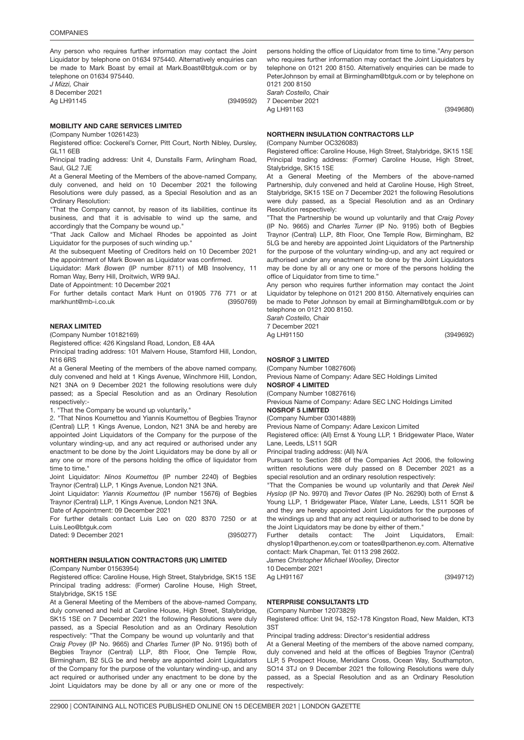Any person who requires further information may contact the Joint Liquidator by telephone on 01634 975440. Alternatively enquiries can be made to Mark Boast by email at Mark.Boast@btguk.com or by telephone on 01634 975440.

*J Mizzi,* Chair 8 December 2021 Ag LH91145

(3949592)

### MOBILITY AND CARE SERVICES LIMITED

(Company Number 10261423) Registered office: Cockerel's Corner, Pitt Court, North Nibley, Dursley, GL11 6EB

Principal trading address: Unit 4, Dunstalls Farm, Arlingham Road, Saul, GL2 7JE

At a General Meeting of the Members of the above-named Company, duly convened, and held on 10 December 2021 the following Resolutions were duly passed, as a Special Resolution and as an Ordinary Resolution:

"That the Company cannot, by reason of its liabilities, continue its business, and that it is advisable to wind up the same, and accordingly that the Company be wound up."

"That Jack Callow and Michael Rhodes be appointed as Joint Liquidator for the purposes of such winding up.'

At the subsequent Meeting of Creditors held on 10 December 2021 the appointment of Mark Bowen as Liquidator was confirmed.

Liquidator: *Mark Bowen* (IP number 8711) of MB Insolvency, 11 Roman Way, Berry Hill, Droitwich, WR9 9AJ.

Date of Appointment: 10 December 2021

(3950769) For further details contact Mark Hunt on 01905 776 771 or at markhunt@mb-i.co.uk

## NERAX LIMITE<mark>D</mark>

(Company Number 10182169)

Registered office: 426 Kingsland Road, London, E8 4AA

Principal trading address: 101 Malvern House, Stamford Hill, London, N16 6RS

At a General Meeting of the members of the above named company, duly convened and held at 1 Kings Avenue, Winchmore Hill, London, N21 3NA on 9 December 2021 the following resolutions were duly passed; as a Special Resolution and as an Ordinary Resolution respectively:-

1. "That the Company be wound up voluntarily."

2. "That Ninos Koumettou and Yiannis Koumettou of Begbies Traynor (Central) LLP, 1 Kings Avenue, London, N21 3NA be and hereby are appointed Joint Liquidators of the Company for the purpose of the voluntary winding-up, and any act required or authorised under any enactment to be done by the Joint Liquidators may be done by all or any one or more of the persons holding the office of liquidator from time to time.

Joint Liquidator: *Ninos Koumettou* (IP number 2240) of Begbies Traynor (Central) LLP, 1 Kings Avenue, London N21 3NA.

Joint Liquidator: *Yiannis Koumettou* (IP number 15676) of Begbies Traynor (Central) LLP, 1 Kings Avenue, London N21 3NA.

Date of Appointment: 09 December 2021

(3950277) For further details contact Luis Leo on 020 8370 7250 or at Luis.Leo@btguk.com

Dated: 9 December 2021

## 3949680 NORTHERN INSULATION CONTRACTORS (UK) LIMITED

(Company Number 01563954)

Registered office: Caroline House, High Street, Stalybridge, SK15 1SE Principal trading address: (Former) Caroline House, High Street, Stalybridge, SK15 1SE

At a General Meeting of the Members of the above-named Company, duly convened and held at Caroline House, High Street, Stalybridge, SK15 1SE on 7 December 2021 the following Resolutions were duly passed, as a Special Resolution and as an Ordinary Resolution respectively: "That the Company be wound up voluntarily and that *Craig Povey* (IP No. 9665) and *Charles Turner* (IP No. 9195) both of Begbies Traynor (Central) LLP, 8th Floor, One Temple Row, Birmingham, B2 5LG be and hereby are appointed Joint Liquidators of the Company for the purpose of the voluntary winding-up, and any act required or authorised under any enactment to be done by the Joint Liquidators may be done by all or any one or more of the

persons holding the office of Liquidator from time to time."Any person who requires further information may contact the Joint Liquidators by telephone on 0121 200 8150. Alternatively enquiries can be made to PeterJohnson by email at Birmingham@btguk.com or by telephone on 0121 200 8150 *Sarah Costello,* Chair

7 December 2021 Ag LH91163

(3949680)

### NORTHERN INSULATION CONTRACTORS LLP

(Company Number OC326083)

Registered office: Caroline House, High Street, Stalybridge, SK15 1SE Principal trading address: (Former) Caroline House, High Street, Stalybridge, SK15 1SE

At a General Meeting of the Members of the above-named Partnership, duly convened and held at Caroline House, High Street, Stalybridge, SK15 1SE on 7 December 2021 the following Resolutions were duly passed, as a Special Resolution and as an Ordinary Resolution respectively:

"That the Partnership be wound up voluntarily and that *Craig Povey* (IP No. 9665) and *Charles Turner* (IP No. 9195) both of Begbies Traynor (Central) LLP, 8th Floor, One Temple Row, Birmingham, B2 5LG be and hereby are appointed Joint Liquidators of the Partnership for the purpose of the voluntary winding-up, and any act required or authorised under any enactment to be done by the Joint Liquidators may be done by all or any one or more of the persons holding the office of Liquidator from time to time."

Any person who requires further information may contact the Joint Liquidator by telephone on 0121 200 8150. Alternatively enquiries can be made to Peter Johnson by email at Birmingham@btguk.com or by telephone on 0121 200 8150.

*Sarah Costello,* Chair 7 December 2021

Ag LH91150

## NOSROF 3 LIMITED

(Company Number 10827606)

Previous Name of Company: Adare SEC Holdings Limited

NOSROF 4 LIMITED

(Company Number 10827616) Previous Name of Company: Adare SEC LNC Holdings Limited NOSROF 5 LIMITED

## (Company Number 03014889)

Previous Name of Company: Adare Lexicon Limited

Registered office: (All) Ernst & Young LLP, 1 Bridgewater Place, Water Lane, Leeds, LS11 5QR

Principal trading address: (All) N/A

Pursuant to Section 288 of the Companies Act 2006, the following written resolutions were duly passed on 8 December 2021 as a special resolution and an ordinary resolution respectively:

"That the Companies be wound up voluntarily and that *Derek Neil Hyslop* (IP No. 9970) and *Trevor Oates* (IP No. 26290) both of Ernst & Young LLP, 1 Bridgewater Place, Water Lane, Leeds, LS11 5QR be and they are hereby appointed Joint Liquidators for the purposes of the windings up and that any act required or authorised to be done by the Joint Liquidators may be done by either of them."

Further details contact: The Joint Liquidators, Email: dhyslop1@parthenon.ey.com or toates@parthenon.ey.com. Alternative contact: Mark Chapman, Tel: 0113 298 2602.

*James Christopher Michael Woolley,* Director

10 December 2021

Ag LH91167

## NTERPRISE CONSULTANTS LTD

(Company Number 12073829)

Registered office: Unit 94, 152-178 Kingston Road, New Malden, KT3 3ST

Principal trading address: Director's residential address

At a General Meeting of the members of the above named company, duly convened and held at the offices of Begbies Traynor (Central) LLP, 5 Prospect House, Meridians Cross, Ocean Way, Southampton, SO14 3TJ on 9 December 2021 the following Resolutions were duly passed, as a Special Resolution and as an Ordinary Resolution respectively:

(3949712)

(3949692)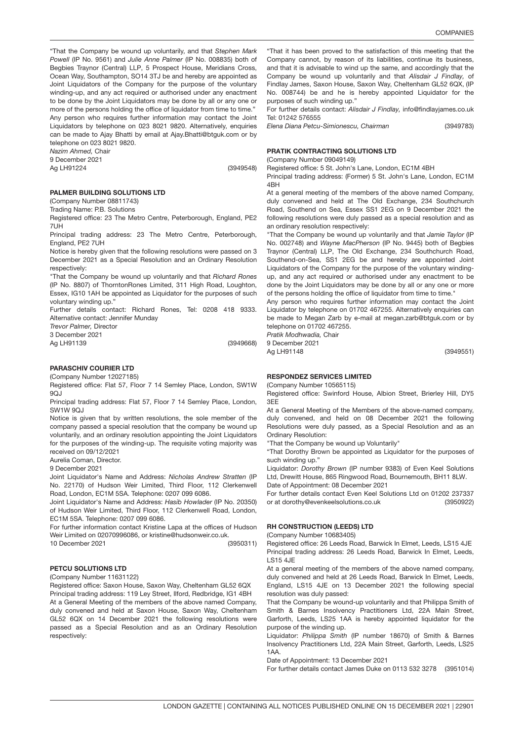"That the Company be wound up voluntarily, and that *Stephen Mark Powell* (IP No. 9561) and *Julie Anne Palmer* (IP No. 008835) both of Begbies Traynor (Central) LLP, 5 Prospect House, Meridians Cross, Ocean Way, Southampton, SO14 3TJ be and hereby are appointed as Joint Liquidators of the Company for the purpose of the voluntary winding-up, and any act required or authorised under any enactment to be done by the Joint Liquidators may be done by all or any one or more of the persons holding the office of liquidator from time to time." Any person who requires further information may contact the Joint Liquidators by telephone on 023 8021 9820. Alternatively, enquiries can be made to Ajay Bhatti by email at Ajay.Bhatti@btguk.com or by telephone on 023 8021 9820.

*Nazim Ahmed,* Chair

9 December 2021 Ag LH91224

(3949548)

### PALMER BUILDING SOLUTIONS LTD

(Company Number 08811743)

Trading Name: P.B. Solutions

Registered office: 23 The Metro Centre, Peterborough, England, PE2 7UH

Principal trading address: 23 The Metro Centre, Peterborough, England, PE2 7UH

Notice is hereby given that the following resolutions were passed on 3 December 2021 as a Special Resolution and an Ordinary Resolution respectively:

"That the Company be wound up voluntarily and that *Richard Rones* (IP No. 8807) of ThorntonRones Limited, 311 High Road, Loughton, Essex, IG10 1AH be appointed as Liquidator for the purposes of such voluntary winding up."

Further details contact: Richard Rones, Tel: 0208 418 9333. Alternative contact: Jennifer Munday

*Trevor Palmer,* Director

3 December 2021

Ag LH91139

(3949668)

(3950311)

### PARASCHIV COURIER <mark>LTD</mark>

(Company Number 12027185)

Registered office: Flat 57, Floor 7 14 Semley Place, London, SW1W  $9O<sub>1</sub>$ 

Principal trading address: Flat 57, Floor 7 14 Semley Place, London, SW1W 9QJ

Notice is given that by written resolutions, the sole member of the company passed a special resolution that the company be wound up voluntarily, and an ordinary resolution appointing the Joint Liquidators for the purposes of the winding-up. The requisite voting majority was received on 09/12/2021

Aurelia Coman, Director.

9 December 2021

Joint Liquidator's Name and Address: *Nicholas Andrew Stratten* (IP No. 22170) of Hudson Weir Limited, Third Floor, 112 Clerkenwell Road, London, EC1M 5SA. Telephone: 0207 099 6086.

Joint Liquidator's Name and Address: *Hasib Howlader* (IP No. 20350) of Hudson Weir Limited, Third Floor, 112 Clerkenwell Road, London, EC1M 5SA. Telephone: 0207 099 6086.

For further information contact Kristine Lapa at the offices of Hudson Weir Limited on 02070996086, or kristine@hudsonweir.co.uk.

10 December 2021

### PETCU SOLUTIONS <mark>LTD</mark>

(Company Number 11631122)

Registered office: Saxon House, Saxon Way, Cheltenham GL52 6QX Principal trading address: 119 Ley Street, Ilford, Redbridge, IG1 4BH At a General Meeting of the members of the above named Company, duly convened and held at Saxon House, Saxon Way, Cheltenham GL52 6QX on 14 December 2021 the following resolutions were passed as a Special Resolution and as an Ordinary Resolution respectively:

"That it has been proved to the satisfaction of this meeting that the Company cannot, by reason of its liabilities, continue its business, and that it is advisable to wind up the same, and accordingly that the Company be wound up voluntarily and that *Alisdair J Findlay,* of Findlay James, Saxon House, Saxon Way, Cheltenham GL52 6QX, (IP No. 008744) be and he is hereby appointed Liquidator for the purposes of such winding up."

For further details contact: *Alisdair J Findlay,* info@findlayjames.co.uk Tel: 01242 576555

(3949783) *Elena Diana Petcu-Simionescu, Chairman*

## PRATIK CONTRACTING SOLUTIONS <mark>LTD</mark>

(Company Number 09049149)

Registered office: 5 St. John's Lane, London, EC1M 4BH

Principal trading address: (Former) 5 St. John's Lane, London, EC1M 4BH

At a general meeting of the members of the above named Company, duly convened and held at The Old Exchange, 234 Southchurch Road, Southend on Sea, Essex SS1 2EG on 9 December 2021 the following resolutions were duly passed as a special resolution and as an ordinary resolution respectively:

"That the Company be wound up voluntarily and that *Jamie Taylor* (IP No. 002748) and *Wayne MacPherson* (IP No. 9445) both of Begbies Traynor (Central) LLP, The Old Exchange, 234 Southchurch Road, Southend-on-Sea, SS1 2EG be and hereby are appointed Joint Liquidators of the Company for the purpose of the voluntary windingup, and any act required or authorised under any enactment to be done by the Joint Liquidators may be done by all or any one or more of the persons holding the office of liquidator from time to time."

Any person who requires further information may contact the Joint Liquidator by telephone on 01702 467255. Alternatively enquiries can be made to Megan Zarb by e-mail at megan.zarb@btguk.com or by telephone on 01702 467255.

*Pratik Modhwadia,* Chair 9 December 2021

Ag LH91148

(3949551)

## RESPONDEZ SERVICES LIMITED

(Company Number 10565115)

Registered office: Swinford House, Albion Street, Brierley Hill, DY5 3EE

At a General Meeting of the Members of the above-named company, duly convened, and held on 08 December 2021 the following Resolutions were duly passed, as a Special Resolution and as an Ordinary Resolution:

"That the Company be wound up Voluntarily"

"That Dorothy Brown be appointed as Liquidator for the purposes of such winding up."

Liquidator: *Dorothy Brown* (IP number 9383) of Even Keel Solutions Ltd, Drewitt House, 865 Ringwood Road, Bournemouth, BH11 8LW. Date of Appointment: 08 December 2021

(3950922) For further details contact Even Keel Solutions Ltd on 01202 237337 or at dorothy@evenkeelsolutions.co.uk

## RH CONSTRUCTION (LEEDS) LTD

(Company Number 10683405)

Registered office: 26 Leeds Road, Barwick In Elmet, Leeds, LS15 4JE Principal trading address: 26 Leeds Road, Barwick In Elmet, Leeds, LS15 4JE

At a general meeting of the members of the above named company, duly convened and held at 26 Leeds Road, Barwick In Elmet, Leeds, England, LS15 4JE on 13 December 2021 the following special resolution was duly passed:

That the Company be wound-up voluntarily and that Philippa Smith of Smith & Barnes Insolvency Practitioners Ltd, 22A Main Street, Garforth, Leeds, LS25 1AA is hereby appointed liquidator for the purpose of the winding up.

Liquidator: *Philippa Smith* (IP number 18670) of Smith & Barnes Insolvency Practitioners Ltd, 22A Main Street, Garforth, Leeds, LS25  $1A$ 

Date of Appointment: 13 December 2021

(3951014) For further details contact James Duke on 0113 532 3278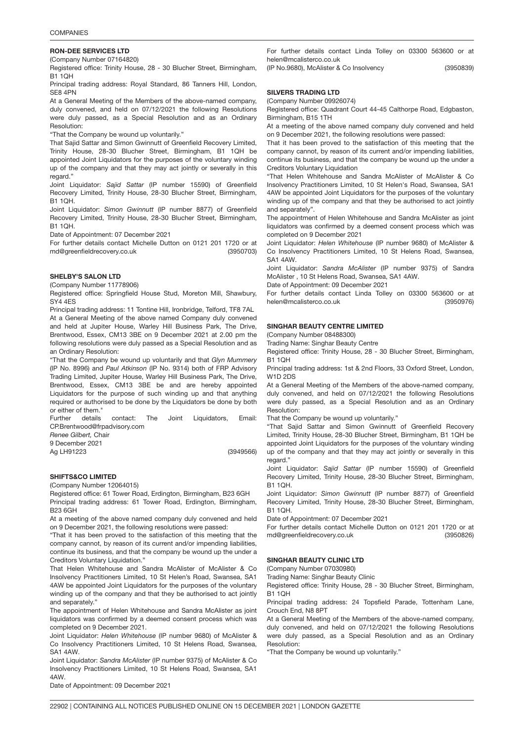### 3950703 RON-DEE SERVICES LTD

(Company Number 07164820)

Registered office: Trinity House, 28 - 30 Blucher Street, Birmingham, B1 1QH

Principal trading address: Royal Standard, 86 Tanners Hill, London, SE8 4PN

At a General Meeting of the Members of the above-named company, duly convened, and held on 07/12/2021 the following Resolutions were duly passed, as a Special Resolution and as an Ordinary Resolution:

"That the Company be wound up voluntarily."

That Sajid Sattar and Simon Gwinnutt of Greenfield Recovery Limited, Trinity House, 28-30 Blucher Street, Birmingham, B1 1QH be appointed Joint Liquidators for the purposes of the voluntary winding up of the company and that they may act jointly or severally in this regard."

Joint Liquidator: *Sajid Sattar* (IP number 15590) of Greenfield Recovery Limited, Trinity House, 28-30 Blucher Street, Birmingham, B1 1QH.

Joint Liquidator: *Simon Gwinnutt* (IP number 8877) of Greenfield Recovery Limited, Trinity House, 28-30 Blucher Street, Birmingham, B1 1QH.

Date of Appointment: 07 December 2021

(3950703) For further details contact Michelle Dutton on 0121 201 1720 or at md@greenfieldrecovery.co.uk

### SHELBY'S SALON LT<mark>D</mark>

(Company Number 11778906)

Registered office: Springfield House Stud, Moreton Mill, Shawbury, SY4 4ES

Principal trading address: 11 Tontine Hill, Ironbridge, Telford, TF8 7AL At a General Meeting of the above named Company duly convened and held at Jupiter House, Warley Hill Business Park, The Drive, Brentwood, Essex, CM13 3BE on 9 December 2021 at 2.00 pm the following resolutions were duly passed as a Special Resolution and as an Ordinary Resolution:

"That the Company be wound up voluntarily and that *Glyn Mummery* (IP No. 8996) and *Paul Atkinson* (IP No. 9314) both of FRP Advisory Trading Limited, Jupiter House, Warley Hill Business Park, The Drive, Brentwood, Essex, CM13 3BE be and are hereby appointed Liquidators for the purpose of such winding up and that anything required or authorised to be done by the Liquidators be done by both or either of them."

Further details contact: The Joint Liquidators, Email: CP.Brentwood@frpadvisory.com

*Renee Gilbert,* Chair 9 December 2021

Ag LH91223

(3949566)

## SHIFTS&CO LIMITE<mark>D</mark>

(Company Number 12064015)

Registered office: 61 Tower Road, Erdington, Birmingham, B23 6GH Principal trading address: 61 Tower Road, Erdington, Birmingham, B23 6GH

At a meeting of the above named company duly convened and held on 9 December 2021, the following resolutions were passed:

"That it has been proved to the satisfaction of this meeting that the company cannot, by reason of its current and/or impending liabilities, continue its business, and that the company be wound up the under a Creditors Voluntary Liquidation."

That Helen Whitehouse and Sandra McAlister of McAlister & Co Insolvency Practitioners Limited, 10 St Helen's Road, Swansea, SA1 4AW be appointed Joint Liquidators for the purposes of the voluntary winding up of the company and that they be authorised to act jointly and separately."

The appointment of Helen Whitehouse and Sandra McAlister as joint liquidators was confirmed by a deemed consent process which was completed on 9 December 2021.

Joint Liquidator: *Helen Whitehouse* (IP number 9680) of McAlister & Co Insolvency Practitioners Limited, 10 St Helens Road, Swansea, SA1 4AW.

Joint Liquidator: *Sandra McAlister* (IP number 9375) of McAlister & Co Insolvency Practitioners Limited, 10 St Helens Road, Swansea, SA1 4AW.

Date of Appointment: 09 December 2021

For further details contact Linda Tolley on 03300 563600 or at helen@mcalisterco.co.uk

(3950839)

(IP No.9680), McAlister & Co Insolvency

## SILVERS TRADING LTD

(Company Number 09926074)

Registered office: Quadrant Court 44-45 Calthorpe Road, Edgbaston, Birmingham, B15 1TH

At a meeting of the above named company duly convened and held on 9 December 2021, the following resolutions were passed:

That it has been proved to the satisfaction of this meeting that the company cannot, by reason of its current and/or impending liabilities, continue its business, and that the company be wound up the under a Creditors Voluntary Liquidation

"That Helen Whitehouse and Sandra McAlister of McAlister & Co Insolvency Practitioners Limited, 10 St Helen's Road, Swansea, SA1 4AW be appointed Joint Liquidators for the purposes of the voluntary winding up of the company and that they be authorised to act jointly and separately".

The appointment of Helen Whitehouse and Sandra McAlister as joint liquidators was confirmed by a deemed consent process which was completed on 9 December 2021

Joint Liquidator: *Helen Whitehouse* (IP number 9680) of McAlister & Co Insolvency Practitioners Limited, 10 St Helens Road, Swansea, SA1 4AW.

Joint Liquidator: *Sandra McAlister* (IP number 9375) of Sandra McAlister , 10 St Helens Road, Swansea, SA1 4AW.

Date of Appointment: 09 December 2021

(3950976) For further details contact Linda Tolley on 03300 563600 or at helen@mcalisterco.co.uk

## SINGHAR BEAUTY CENTRE LIMITED

(Company Number 08488300)

Trading Name: Singhar Beauty Centre

Registered office: Trinity House, 28 - 30 Blucher Street, Birmingham, B1 1QH

Principal trading address: 1st & 2nd Floors, 33 Oxford Street, London, W1D 2DS

At a General Meeting of the Members of the above-named company, duly convened, and held on 07/12/2021 the following Resolutions were duly passed, as a Special Resolution and as an Ordinary Resolution:

That the Company be wound up voluntarily."

"That Sajid Sattar and Simon Gwinnutt of Greenfield Recovery Limited, Trinity House, 28-30 Blucher Street, Birmingham, B1 1QH be appointed Joint Liquidators for the purposes of the voluntary winding up of the company and that they may act jointly or severally in this regard."

Joint Liquidator: *Sajid Sattar* (IP number 15590) of Greenfield Recovery Limited, Trinity House, 28-30 Blucher Street, Birmingham, B1 1QH.

Joint Liquidator: *Simon Gwinnutt* (IP number 8877) of Greenfield Recovery Limited, Trinity House, 28-30 Blucher Street, Birmingham, B1 1QH.

Date of Appointment: 07 December 2021

(3950826) For further details contact Michelle Dutton on 0121 201 1720 or at md@greenfieldrecovery.co.uk

## SINGHAR BEAUTY CLINIC LT<mark>D</mark>

(Company Number 07030980)

Trading Name: Singhar Beauty Clinic

Registered office: Trinity House, 28 - 30 Blucher Street, Birmingham, B1 1QH

Principal trading address: 24 Topsfield Parade, Tottenham Lane, Crouch End, N8 8PT

At a General Meeting of the Members of the above-named company, duly convened, and held on 07/12/2021 the following Resolutions were duly passed, as a Special Resolution and as an Ordinary Resolution:

"That the Company be wound up voluntarily."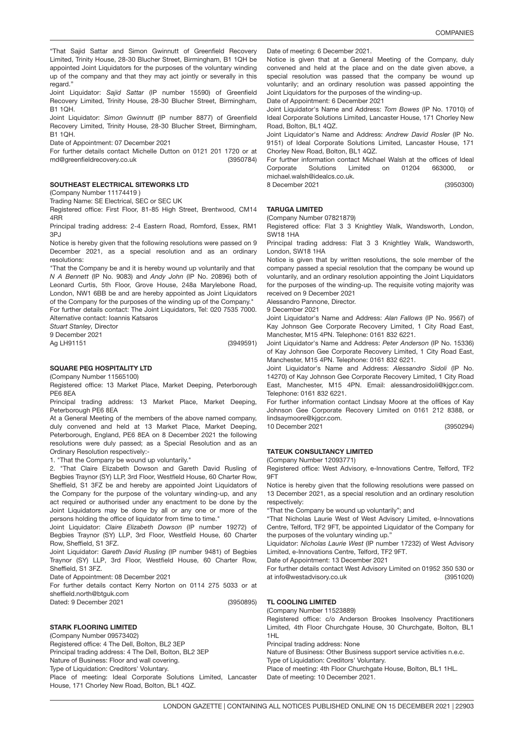"That Sajid Sattar and Simon Gwinnutt of Greenfield Recovery Limited, Trinity House, 28-30 Blucher Street, Birmingham, B1 1QH be appointed Joint Liquidators for the purposes of the voluntary winding up of the company and that they may act jointly or severally in this regard."

Joint Liquidator: *Sajid Sattar* (IP number 15590) of Greenfield Recovery Limited, Trinity House, 28-30 Blucher Street, Birmingham, B1 1QH.

Joint Liquidator: *Simon Gwinnutt* (IP number 8877) of Greenfield Recovery Limited, Trinity House, 28-30 Blucher Street, Birmingham, B1 1QH.

Date of Appointment: 07 December 2021

(3950784) For further details contact Michelle Dutton on 0121 201 1720 or at md@greenfieldrecovery.co.uk

### SOUTHEAST ELECTRICAL SITEWORKS LT<mark>D</mark>

(Company Number 11174419 )

Trading Name: SE Electrical, SEC or SEC UK

Registered office: First Floor, 81-85 High Street, Brentwood, CM14 4RR

Principal trading address: 2-4 Eastern Road, Romford, Essex, RM1  $3P<sub>1</sub>$ 

Notice is hereby given that the following resolutions were passed on 9 December 2021, as a special resolution and as an ordinary resolutions:

"That the Company be and it is hereby wound up voluntarily and that *N A Bennett* (IP No. 9083) and *Andy John* (IP No. 20896) both of Leonard Curtis, 5th Floor, Grove House, 248a Marylebone Road, London, NW1 6BB be and are hereby appointed as Joint Liquidators of the Company for the purposes of the winding up of the Company." For further details contact: The Joint Liquidators, Tel: 020 7535 7000.

Alternative contact: Ioannis Katsaros

*Stuart Stanley,* Director

9 December 2021

Ag LH91151

(3949591)

## SQUARE PEG HOSPITALITY LT<mark>D</mark>

(Company Number 11565100)

Registered office: 13 Market Place, Market Deeping, Peterborough PE6 8EA

Principal trading address: 13 Market Place, Market Deeping, Peterborough PE6 8EA

At a General Meeting of the members of the above named company, duly convened and held at 13 Market Place, Market Deeping, Peterborough, England, PE6 8EA on 8 December 2021 the following resolutions were duly passed; as a Special Resolution and as an Ordinary Resolution respectively:-

1. "That the Company be wound up voluntarily."

2. "That Claire Elizabeth Dowson and Gareth David Rusling of Begbies Traynor (SY) LLP, 3rd Floor, Westfield House, 60 Charter Row, Sheffield, S1 3FZ be and hereby are appointed Joint Liquidators of the Company for the purpose of the voluntary winding-up, and any act required or authorised under any enactment to be done by the Joint Liquidators may be done by all or any one or more of the persons holding the office of liquidator from time to time."

Joint Liquidator: *Claire Elizabeth Dowson* (IP number 19272) of Begbies Traynor (SY) LLP, 3rd Floor, Westfield House, 60 Charter Row, Sheffield, S1 3FZ.

Joint Liquidator: *Gareth David Rusling* (IP number 9481) of Begbies Traynor (SY) LLP, 3rd Floor, Westfield House, 60 Charter Row, Sheffield, S1 3FZ.

Date of Appointment: 08 December 2021

(3950895) For further details contact Kerry Norton on 0114 275 5033 or at sheffield.north@btguk.com Dated: 9 December 2021

STARK FLOORING LIMITED

(Company Number 09573402) Registered office: 4 The Dell, Bolton, BL2 3EP Principal trading address: 4 The Dell, Bolton, BL2 3EP Nature of Business: Floor and wall covering. Type of Liquidation: Creditors' Voluntary. Place of meeting: Ideal Corporate Solutions Limited, Lancaster House, 171 Chorley New Road, Bolton, BL1 4QZ.

Date of meeting: 6 December 2021.

Notice is given that at a General Meeting of the Company, duly convened and held at the place and on the date given above, a special resolution was passed that the company be wound up voluntarily; and an ordinary resolution was passed appointing the Joint Liquidators for the purposes of the winding-up. Date of Appointment: 6 December 2021

Joint Liquidator's Name and Address: *Tom Bowes* (IP No. 17010) of Ideal Corporate Solutions Limited, Lancaster House, 171 Chorley New Road, Bolton, BL1 4QZ.

Joint Liquidator's Name and Address: *Andrew David Rosler* (IP No. 9151) of Ideal Corporate Solutions Limited, Lancaster House, 171 Chorley New Road, Bolton, BL1 4QZ.

For further information contact Michael Walsh at the offices of Ideal Corporate Solutions Limited on 01204 663000, michael.walsh@idealcs.co.uk.

(3950300) 8 December 2021

## TARUGA LIMITED

(Company Number 07821879)

Registered office: Flat 3 3 Knightley Walk, Wandsworth, London, SW18 1HA

Principal trading address: Flat 3 3 Knightley Walk, Wandsworth, London, SW18 1HA

Notice is given that by written resolutions, the sole member of the company passed a special resolution that the company be wound up voluntarily, and an ordinary resolution appointing the Joint Liquidators for the purposes of the winding-up. The requisite voting majority was received on 9 December 2021

Alessandro Pannone, Director.

9 December 2021

Joint Liquidator's Name and Address: *Alan Fallows* (IP No. 9567) of Kay Johnson Gee Corporate Recovery Limited, 1 City Road East, Manchester, M15 4PN. Telephone: 0161 832 6221.

Joint Liquidator's Name and Address: *Peter Anderson* (IP No. 15336) of Kay Johnson Gee Corporate Recovery Limited, 1 City Road East, Manchester, M15 4PN. Telephone: 0161 832 6221.

Joint Liquidator's Name and Address: *Alessandro Sidoli* (IP No. 14270) of Kay Johnson Gee Corporate Recovery Limited, 1 City Road East, Manchester, M15 4PN. Email: alessandrosidoli@kjgcr.com. Telephone: 0161 832 6221.

For further information contact Lindsay Moore at the offices of Kay Johnson Gee Corporate Recovery Limited on 0161 212 8388, or lindsaymoore@kjgcr.com. 10 December 2021

(3950294)

## TATEUK CONSULTANCY LIMITED

(Company Number 12093771)

Registered office: West Advisory, e-Innovations Centre, Telford, TF2 9FT

Notice is hereby given that the following resolutions were passed on 13 December 2021, as a special resolution and an ordinary resolution respectively:

"That the Company be wound up voluntarily"; and

"That Nicholas Laurie West of West Advisory Limited, e-Innovations Centre, Telford, TF2 9FT, be appointed Liquidator of the Company for the purposes of the voluntary winding up."

Liquidator: *Nicholas Laurie West* (IP number 17232) of West Advisory Limited, e-Innovations Centre, Telford, TF2 9FT.

Date of Appointment: 13 December 2021

(3951020) For further details contact West Advisory Limited on 01952 350 530 or at info@westadvisory.co.uk

### TL COOLING LIMITED

(Company Number 11523889)

Registered office: c/o Anderson Brookes Insolvency Practitioners Limited, 4th Floor Churchgate House, 30 Churchgate, Bolton, BL1 1HL

Principal trading address: None

Nature of Business: Other Business support service activities n.e.c.

Type of Liquidation: Creditors' Voluntary.

Place of meeting: 4th Floor Churchgate House, Bolton, BL1 1HL.

Date of meeting: 10 December 2021.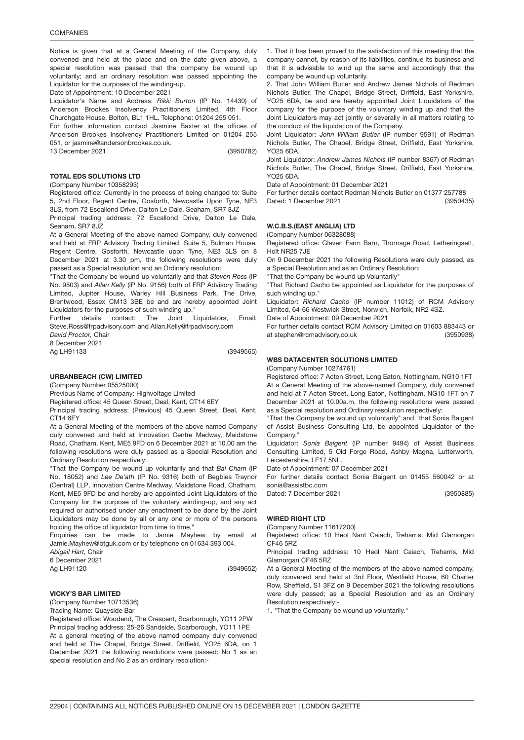Notice is given that at a General Meeting of the Company, duly convened and held at the place and on the date given above, a special resolution was passed that the company be wound up voluntarily; and an ordinary resolution was passed appointing the Liquidator for the purposes of the winding-up.

Date of Appointment: 10 December 2021

Liquidator's Name and Address: *Rikki Burton* (IP No. 14430) of Anderson Brookes Insolvency Practitioners Limited, 4th Floor Churchgate House, Bolton, BL1 1HL. Telephone: 01204 255 051.

For further information contact Jasmine Baxter at the offices of Anderson Brookes Insolvency Practitioners Limited on 01204 255 051, or jasmine@andersonbrookes.co.uk.

(3950782)

### TOTAL EDS SOLUTIONS LTD

13 December 2021

(Company Number 10358293)

Registered office: Currently in the process of being changed to: Suite 5, 2nd Floor, Regent Centre, Gosforth, Newcastle Upon Tyne, NE3 3LS, from 72 Escallond Drive, Dalton Le Dale, Seaham, SR7 8JZ

Principal trading address: 72 Escallond Drive, Dalton Le Dale, Seaham, SR7 8JZ

At a General Meeting of the above-named Company, duly convened and held at FRP Advisory Trading Limited, Suite 5, Bulman House, Regent Centre, Gosforth, Newcastle upon Tyne, NE3 3LS on 8 December 2021 at 3.30 pm, the following resolutions were duly passed as a Special resolution and an Ordinary resolution:

"That the Company be wound up voluntarily and that *Steven Ross* (IP No. 9503) and *Allan Kelly* (IP No. 9156) both of FRP Advisory Trading Limited, Jupiter House, Warley Hill Business Park, The Drive, Brentwood, Essex CM13 3BE be and are hereby appointed Joint Liquidators for the purposes of such winding up.'

Further details contact: The Joint Liquidators, Email: Steve.Ross@frpadvisory.com and Allan.Kelly@frpadvisory.com

*David Proctor,* Chair

8 December 2021 Ag LH91133

(3949565)

URBANBEACH (CW) LIMITED

(Company Number 05525000)

Previous Name of Company: Highvoltage Limited

Registered office: 45 Queen Street, Deal, Kent, CT14 6EY

Principal trading address: (Previous) 45 Queen Street, Deal, Kent, CT14 6EY

At a General Meeting of the members of the above named Company duly convened and held at Innovation Centre Medway, Maidstone Road, Chatham, Kent, ME5 9FD on 6 December 2021 at 10.00 am the following resolutions were duly passed as a Special Resolution and Ordinary Resolution respectively:

"That the Company be wound up voluntarily and that *Bai Cham* (IP No. 18052) and *Lee De'ath* (IP No. 9316) both of Begbies Traynor (Central) LLP, Innovation Centre Medway, Maidstone Road, Chatham, Kent, ME5 9FD be and hereby are appointed Joint Liquidators of the Company for the purpose of the voluntary winding-up, and any act required or authorised under any enactment to be done by the Joint Liquidators may be done by all or any one or more of the persons holding the office of liquidator from time to time."

Enquiries can be made to Jamie Mayhew by email at Jamie.Mayhew@btguk.com or by telephone on 01634 393 004. *Abigail Hart,* Chair

6 December 2021

Ag LH91120

(3949652)

### VICKY'S BAR LIMITED

(Company Number 10713536)

Trading Name: Quayside Bar

Registered office: Woodend, The Crescent, Scarborough, YO11 2PW Principal trading address: 25-26 Sandside, Scarborough, YO11 1PE At a general meeting of the above named company duly convened and held at The Chapel, Bridge Street, Driffield, YO25 6DA, on 1 December 2021 the following resolutions were passed: No 1 as an special resolution and No 2 as an ordinary resolution:-

1. That it has been proved to the satisfaction of this meeting that the company cannot, by reason of its liabilities, continue its business and that it is advisable to wind up the same and accordingly that the company be wound up voluntarily.

2. That John William Butler and Andrew James Nichols of Redman Nichols Butler, The Chapel, Bridge Street, Driffield, East Yorkshire, YO25 6DA, be and are hereby appointed Joint Liquidators of the company for the purpose of the voluntary winding up and that the Joint Liquidators may act jointly or severally in all matters relating to the conduct of the liquidation of the Company.

Joint Liquidator: *John William Butler* (IP number 9591) of Redman Nichols Butler, The Chapel, Bridge Street, Driffield, East Yorkshire, YO25 6DA.

Joint Liquidator: *Andrew James Nichols* (IP number 8367) of Redman Nichols Butler, The Chapel, Bridge Street, Driffield, East Yorkshire, YO25 6DA.

Date of Appointment: 01 December 2021

(3950435) For further details contact Redman Nichols Butler on 01377 257788 Dated: 1 December 2021

### 3950938 W.C.B.S.(EAST ANGLIA) LTD

(Company Number 06328088)

Registered office: Glaven Farm Barn, Thornage Road, Letheringsett, Holt NR25 7JE

On 9 December 2021 the following Resolutions were duly passed, as a Special Resolution and as an Ordinary Resolution:

"That the Company be wound up Voluntarily"

"That Richard Cacho be appointed as Liquidator for the purposes of such winding up."

Liquidator: *Richard Cacho* (IP number 11012) of RCM Advisory Limited, 64-66 Westwick Street, Norwich, Norfolk, NR2 4SZ.

Date of Appointment: 09 December 2021

(3950938) For further details contact RCM Advisory Limited on 01603 883443 or at stephen@rcmadvisory.co.uk

### WBS DATACENTER SOLUTIONS LIMITED

(Company Number 10274761)

Registered office: 7 Acton Street, Long Eaton, Nottingham, NG10 1FT At a General Meeting of the above-named Company, duly convened and held at 7 Acton Street, Long Eaton, Nottingham, NG10 1FT on 7 December 2021 at 10.00a.m, the following resolutions were passed as a Special resolution and Ordinary resolution respectively:

"That the Company be wound up voluntarily" and "that Sonia Baigent of Assist Business Consulting Ltd, be appointed Liquidator of the Company."

Liquidator: *Sonia Baigent* (IP number 9494) of Assist Business Consulting Limited, 5 Old Forge Road, Ashby Magna, Lutterworth, Leicestershire, LE17 5NL.

Date of Appointment: 07 December 2021

For further details contact Sonia Baigent on 01455 560042 or at sonia@assistbc.com

(3950885) Dated: 7 December 2021

### WIRED RIGHT LTD

(Company Number 11617200)

Registered office: 10 Heol Nant Caiach, Treharris, Mid Glamorgan CF46 5RZ

Principal trading address: 10 Heol Nant Caiach, Treharris, Mid Glamorgan CF46 5RZ

At a General Meeting of the members of the above named company, duly convened and held at 3rd Floor, Westfield House, 60 Charter Row, Sheffield, S1 3FZ on 9 December 2021 the following resolutions were duly passed; as a Special Resolution and as an Ordinary Resolution respectively:-

1. "That the Company be wound up voluntarily."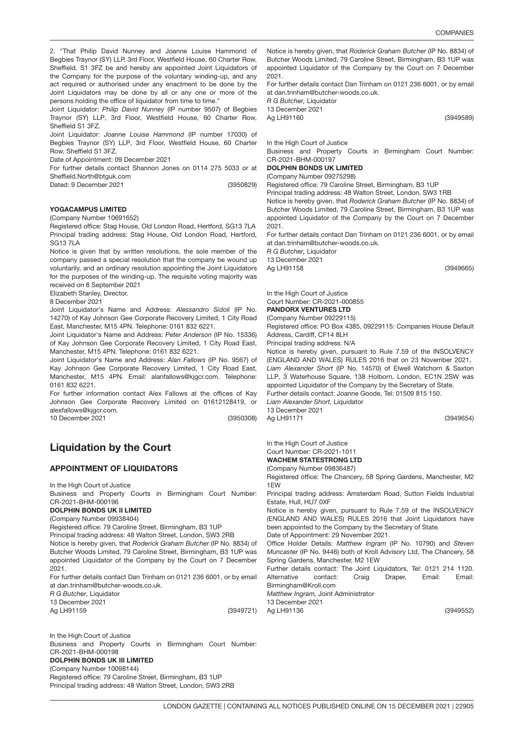2. "That Philip David Nunney and Joanne Louise Hammond of Begbies Traynor (SY) LLP, 3rd Floor, Westfield House, 60 Charter Row, Sheffield, S1 3FZ be and hereby are appointed Joint Liquidators of the Company for the purpose of the voluntary winding-up, and any act required or authorised under any enactment to be done by the Joint Liquidators may be done by all or any one or more of the persons holding the office of liquidator from time to time."

Joint Liquidator: *Philip David Nunney* (IP number 9507) of Begbies Traynor (SY) LLP, 3rd Floor, Westfield House, 60 Charter Row, Sheffield S1 3FZ.

Joint Liquidator: *Joanne Louise Hammond* (IP number 17030) of Begbies Traynor (SY) LLP, 3rd Floor, Westfield House, 60 Charter Row, Sheffield S1 3FZ.

Date of Appointment: 09 December 2021

For further details contact Shannon Jones on 0114 275 5033 or at Sheffield.North@btguk.com

(3950829) Dated: 9 December 2021

### YOGACAMPUS LIMITED

(Company Number 10691652)

Registered office: Stag House, Old London Road, Hertford, SG13 7LA Principal trading address: Stag House, Old London Road, Hertford, SG13 7LA

Notice is given that by written resolutions, the sole member of the company passed a special resolution that the company be wound up voluntarily, and an ordinary resolution appointing the Joint Liquidators for the purposes of the winding-up. The requisite voting majority was received on 8 September 2021

Elizabeth Stanley, Director.

8 December 2021

Joint Liquidator's Name and Address: *Alessandro Sidoli* (IP No. 14270) of Kay Johnson Gee Corporate Recovery Limited, 1 City Road East, Manchester, M15 4PN. Telephone: 0161 832 6221.

Joint Liquidator's Name and Address: *Peter Anderson* (IP No. 15336) of Kay Johnson Gee Corporate Recovery Limited, 1 City Road East, Manchester, M15 4PN. Telephone: 0161 832 6221.

Joint Liquidator's Name and Address: *Alan Fallows* (IP No. 9567) of Kay Johnson Gee Corporate Recovery Limited, 1 City Road East, Manchester, M15 4PN. Email: alanfallows@kjgcr.com. Telephone: 0161 832 6221.

For further information contact Alex Fallows at the offices of Kay Johnson Gee Corporate Recovery Limited on 01612128419, or alexfallows@kigcr.com.

10 December 2021

(3950308)

# Liquidation by the Court

### APPOINTMENT OF LIQUIDATORS

In the High Court of Justice

Business and Property Courts in Birmingham Court Number: CR-2021-BHM-000196

## DOLPHIN BONDS UK II LIMITED

(Company Number 09938404)

Registered office: 79 Caroline Street, Birmingham, B3 1UP

Principal trading address: 48 Walton Street, London, SW3 2RB

Notice is hereby given, that *Roderick Graham Butcher* (IP No. 8834) of Butcher Woods Limited, 79 Caroline Street, Birmingham, B3 1UP was appointed Liquidator of the Company by the Court on 7 December 2021.

For further details contact Dan Trinham on 0121 236 6001, or by email at dan.trinham@butcher-woods.co.uk

*R G Butcher,* Liquidator

13 December 2021

Ag LH91159

Notice is hereby given, that *Roderick Graham Butcher* (IP No. 8834) of Butcher Woods Limited, 79 Caroline Street, Birmingham, B3 1UP was appointed Liquidator of the Company by the Court on 7 December 2021.

For further details contact Dan Trinham on 0121 236 6001, or by email at dan.trinham@butcher-woods.co.uk.

*R G Butcher,* Liquidator

13 December 2021 Ag LH91160

(3949589)

In the High Court of Justice

Business and Property Courts in Birmingham Court Number: CR-2021-BHM-000197

### DOLPHIN BONDS UK LIMITED

(Company Number 09275298)

Registered office: 79 Caroline Street, Birmingham, B3 1UP

Principal trading address: 48 Walton Street, London, SW3 1RB

Notice is hereby given, that *Roderick Graham Butcher* (IP No. 8834) of Butcher Woods Limited, 79 Caroline Street, Birmingham, B3 1UP was appointed Liquidator of the Company by the Court on 7 December 2021.

For further details contact Dan Trinham on 0121 236 6001, or by email at dan.trinham@butcher-woods.co.uk.

*R G Butcher,* Liquidator 13 December 2021 Ag LH91158

(3949665)

In the High Court of Justice Court Number: CR-2021-000855

## PANDORX VENTURES LTD

(Company Number 09229115) Registered office: PO Box 4385, 09229115: Companies House Default

Address, Cardiff, CF14 8LH

Principal trading address: N/A

(3949654) Notice is hereby given, pursuant to Rule 7.59 of the INSOLVENCY (ENGLAND AND WALES) RULES 2016 that on 23 November 2021, *Liam Alexander Short* (IP No. 14570) of Elwell Watchorn & Saxton LLP, 3 Waterhouse Square, 138 Holborn, London, EC1N 2SW was appointed Liquidator of the Company by the Secretary of State. Further details contact: Joanne Goode, Tel: 01509 815 150. *Liam Alexander Short,* Liquidator 13 December 2021 Ag LH91171

In the High Court of Justice Court Number: CR-2021-1011 WACHEM STATESTRONG LTD

#### (Company Number 09836487)

Registered office: The Chancery, 58 Spring Gardens, Manchester, M2 1EW

Principal trading address: Amsterdam Road, Sutton Fields Industrial Estate, Hull, HU7 0XF

Notice is hereby given, pursuant to Rule 7.59 of the INSOLVENCY (ENGLAND AND WALES) RULES 2016 that Joint Liquidators have been appointed to the Company by the Secretary of State.

Date of Appointment: 29 November 2021.

Office Holder Details: *Matthew Ingram* (IP No. 10790) and *Steven Muncaster* (IP No. 9446) both of Kroll Advisory Ltd, The Chancery, 58 Spring Gardens, Manchester, M2 1EW

Further details contact: The Joint Liquidators, Tel: 0121 214 1120. Alternative contact: Craig Draper, Email: Email: Birmingham@Kroll.com *Matthew Ingram,* Joint Administrator 13 December 2021

(3949721) Ag LH91136

(3949552)

In the High Court of Justice Business and Property Courts in Birmingham Court Number: CR-2021-BHM-000198

#### DOLPHIN BONDS UK III LIMITED

(Company Number 10098144) Registered office: 79 Caroline Street, Birmingham, B3 1UP Principal trading address: 48 Walton Street, London, SW3 2RB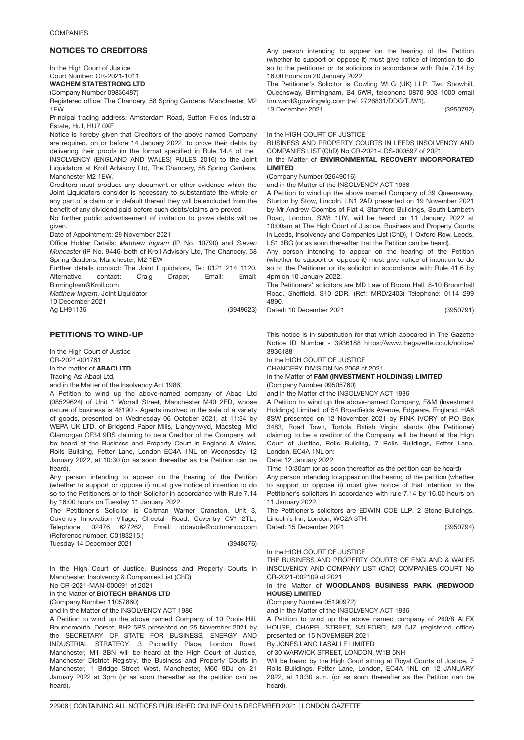### NOTICES TO CREDITORS

In the High Court of Justice Court Number: CR-2021-1011 WACHEM STATESTRONG LTD

(Company Number 09836487)

Registered office: The Chancery, 58 Spring Gardens, Manchester, M2 1EW

Principal trading address: Amsterdam Road, Sutton Fields Industrial Estate, Hull, HU7 0XF

Notice is hereby given that Creditors of the above named Company are required, on or before 14 January 2022, to prove their debts by delivering their proofs (in the format specified in Rule 14.4 of the INSOLVENCY (ENGLAND AND WALES) RULES 2016) to the Joint Liquidators at Kroll Advisory Ltd, The Chancery, 58 Spring Gardens, Manchester M2 1EW.

Creditors must produce any document or other evidence which the Joint Liquidators consider is necessary to substantiate the whole or any part of a claim or in default thereof they will be excluded from the benefit of any dividend paid before such debts/claims are proved.

No further public advertisement of invitation to prove debts will be given.

Date of Appointment: 29 November 2021

Office Holder Details: *Matthew Ingram* (IP No. 10790) and *Steven Muncaster* (IP No. 9446) both of Kroll Advisory Ltd, The Chancery, 58 Spring Gardens, Manchester, M2 1EW

Further details contact: The Joint Liquidators, Tel: 0121 214 1120. Alternative contact: Craig Draper, Email: Email: Birmingham@Kroll.com

*Matthew Ingram,* Joint Liquidator

10 December 2021 Ag LH91136

(3949623)

### PETITIONS TO WIND-UP

In the High Court of Justice CR-2021-001761 In the matter of ABACI LTD Trading As: Abaci Ltd,

and in the Matter of the Insolvency Act 1986,

A Petition to wind up the above-named company of Abaci Ltd (08529624) of Unit 1 Worrall Street, Manchester M40 2ED, whose nature of business is 46190 - Agents involved in the sale of a variety of goods, presented on Wednesday 06 October 2021, at 11:34 by WEPA UK LTD, of Bridgend Paper Mills, Llangynwyd, Maesteg, Mid Glamorgan CF34 9RS claiming to be a Creditor of the Company, will be heard at the Business and Property Court in England & Wales, Rolls Building, Fetter Lane, London EC4A 1NL on Wednesday 12 January 2022, at 10:30 (or as soon thereafter as the Petition can be heard).

Any person intending to appear on the hearing of the Petition (whether to support or oppose it) must give notice of intention to do so to the Petitioners or to their Solicitor in accordance with Rule 7.14 by 16:00 hours on Tuesday 11 January 2022

(3948676) The Petitioner's Solicitor is Coltman Warner Cranston, Unit 3, Coventry Innovation Village, Cheetah Road, Coventry CV1 2TL,, Telephone: 02476 627262, Email: ddavoile@coltmanco.com (Reference number: C0183215.) Tuesday 14 December 2021

In the High Court of Justice, Business and Property Courts in Manchester, Insolvency & Companies List (ChD)

No CR-2021-MAN-000691 of 2021

In the Matter of **BIOTECH BRANDS LTD** 

(Company Number 11057860)

and in the Matter of the INSOLVENCY ACT 1986

A Petition to wind up the above named Company of 10 Poole Hill, Bournemouth, Dorset, BH2 5PS presented on 25 November 2021 by the SECRETARY OF STATE FOR BUSINESS, ENERGY AND INDUSTRIAL STRATEGY, 3 Piccadilly Place, London Road, Manchester, M1 3BN will be heard at the High Court of Justice, Manchester District Registry, the Business and Property Courts in Manchester, 1 Bridge Street West, Manchester, M60 9DJ on 21 January 2022 at 3pm (or as soon thereafter as the petition can be heard).

Any person intending to appear on the hearing of the Petition (whether to support or oppose it) must give notice of intention to do so to the petitioner or its solicitors in accordance with Rule 7.14 by 16.00 hours on 20 January 2022.

The Petitioner's Solicitor is Gowling WLG (UK) LLP, Two Snowhill, Queensway, Birmingham, B4 6WR, telephone 0870 903 1000 email tim.ward@gowlingwlg.com (ref: 2726831/DDG/TJW1).

(3950792)

In the HIGH COURT OF JUSTICE

13 December 2021

BUSINESS AND PROPERTY COURTS IN LEEDS INSOLVENCY AND COMPANIES LIST (ChD) No CR-2021-LDS-000597 of 2021

In the Matter of ENVIRONMENTAL RECOVERY INCORPORATED LIMITED

(Company Number 02649016)

and in the Matter of the INSOLVENCY ACT 1986

A Petition to wind up the above named Company of 39 Queensway, Sturton by Stow, Lincoln, LN1 2AD presented on 19 November 2021 by Mr Andrew Coombs of Flat 4, Stamford Buildings, South Lambeth Road, London, SW8 1UY, will be heard on 11 January 2022 at 10:00am at The High Court of Justice, Business and Property Courts in Leeds, Insolvency and Companies List (ChD), 1 Oxford Row, Leeds, LS1 3BG (or as soon thereafter that the Petition can be heard).

Any person intending to appear on the hearing of the Petition (whether to support or oppose it) must give notice of intention to do so to the Petitioner or its solicitor in accordance with Rule 41.6 by 4pm on 10 January 2022.

The Petitioners' solicitors are MD Law of Broom Hall, 8-10 Broomhall Road, Sheffield, S10 2DR. (Ref: MRD/2403) Telephone: 0114 299 4890.

Dated: 10 December 2021

(3950791)

This notice is in substitution for that which appeared in The Gazette Notice ID Number - 3936188 https://www.thegazette.co.uk/notice/ 3936188

In the HIGH COURT OF JUSTICE

CHANCERY DIVISION No 2068 of 2021

In the Matter of F&M (INVESTMENT HOLDINGS) LIMITED (Company Number 09505760)

and in the Matter of the INSOLVENCY ACT 1986

A Petition to wind up the above-named Company, F&M (Investment Holdings) Limited, of 54 Broadfields Avenue, Edgware, England, HA8 8SW presented on 12 November 2021 by PINK IVORY of P.O Box 3483, Road Town, Tortola British Virgin Islands (the Petitioner) claiming to be a creditor of the Company will be heard at the High Court of Justice, Rolls Building, 7 Rolls Buildings, Fetter Lane, London, EC4A 1NL on:

Date: 12 January 2022

Time: 10:30am (or as soon thereafter as the petition can be heard)

Any person intending to appear on the hearing of the petition (whether to support or oppose it) must give notice of that intention to the Petitioner's solicitors in accordance with rule 7.14 by 16.00 hours on 11 January 2022.

The Petitioner's solicitors are EDWIN COE LLP, 2 Stone Buildings, Lincoln's Inn, London, WC2A 3TH. Dated: 15 December 2021

(3950794)

## In the HIGH COURT OF JUSTICE

THE BUSINESS AND PROPERTY COURTS OF ENGLAND & WALES INSOLVENCY AND COMPANY LIST (ChD) COMPANIES COURT No CR-2021-002109 of 2021

### In the Matter of WOODLANDS BUSINESS PARK (REDWOOD HOUSE) LIMITED

(Company Number 05190972)

and in the Matter of the INSOLVENCY ACT 1986

A Petition to wind up the above named company of 260/8 ALEX HOUSE, CHAPEL STREET, SALFORD, M3 5JZ (registered office) presented on 15 NOVEMBER 2021

By JONES LANG LASALLE LIMITED

of 30 WARWICK STREET, LONDON, W1B 5NH

Will be heard by the High Court sitting at Royal Courts of Justice, 7 Rolls Buildings, Fetter Lane, London, EC4A 1NL on 12 JANUARY 2022, at 10:30 a.m. (or as soon thereafter as the Petition can be heard).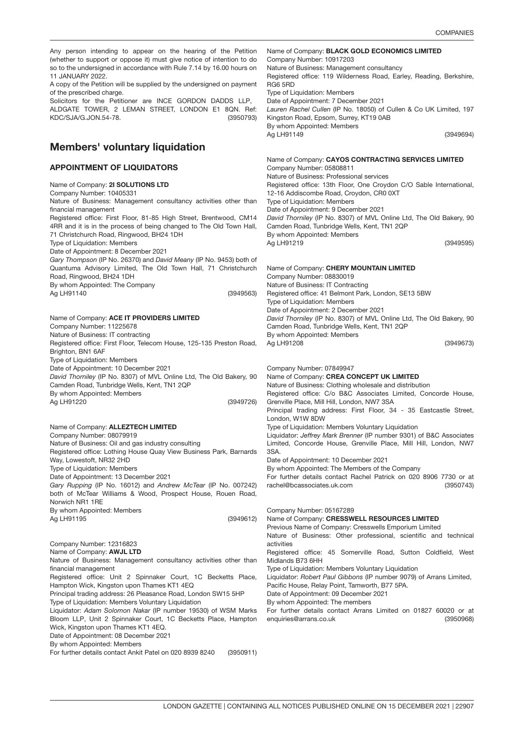Any person intending to appear on the hearing of the Petition (whether to support or oppose it) must give notice of intention to do so to the undersigned in accordance with Rule 7.14 by 16.00 hours on 11 JANUARY 2022.

A copy of the Petition will be supplied by the undersigned on payment of the prescribed charge.

(3950793) Solicitors for the Petitioner are INCE GORDON DADDS LLP, ALDGATE TOWER, 2 LEMAN STREET, LONDON E1 8QN. Ref: KDC/SJA/G.JON.54-78.

## Members' voluntary liquidation

### APPOINTMENT OF LIQUIDATORS

Name of Company: 2I SOLUTIONS LTD (3949563) Name of Company: **ACE IT PROVIDERS LIMITED** (3949726) Name of Company: **ALLEZTECH LIMITED** (3949612) Company Number: 12316823 Name of Co Company Number: 10405331 Nature of Business: Management consultancy activities other than financial management Registered office: First Floor, 81-85 High Street, Brentwood, CM14 4RR and it is in the process of being changed to The Old Town Hall, 71 Christchurch Road, Ringwood, BH24 1DH Type of Liquidation: Members Date of Appointment: 8 December 2021 *Gary Thompson* (IP No. 26370) and *David Meany* (IP No. 9453) both of Quantuma Advisory Limited, The Old Town Hall, 71 Christchurch Road, Ringwood, BH24 1DH By whom Appointed: The Company Ag LH91140 Company Number: 11225678 Nature of Business: IT contracting Registered office: First Floor, Telecom House, 125-135 Preston Road, Brighton, BN1 6AF Type of Liquidation: Members Date of Appointment: 10 December 2021 *David Thorniley* (IP No. 8307) of MVL Online Ltd, The Old Bakery, 90 Camden Road, Tunbridge Wells, Kent, TN1 2QP By whom Appointed: Members Ag LH91220 Company Number: 08079919 Nature of Business: Oil and gas industry consulting Registered office: Lothing House Quay View Business Park, Barnards Way, Lowestoft, NR32 2HD Type of Liquidation: Members Date of Appointment: 13 December 2021 *Gary Rupping* (IP No. 16012) and *Andrew McTear* (IP No. 007242) both of McTear Williams & Wood, Prospect House, Rouen Road, Norwich NR1 1RE By whom Appointed: Members Ag LH91195 Name of Company: AWJL LTD Nature of Business: Management consultancy activities other than financial management Registered office: Unit 2 Spinnaker Court, 1C Becketts Place, Hampton Wick, Kingston upon Thames KT1 4EQ Principal trading address: 26 Pleasance Road, London SW15 5HP Type of Liquidation: Members Voluntary Liquidation Ag LH91219 Ag LH91208 3SA. activities

Liquidator: *Adam Solomon Nakar* (IP number 19530) of WSM Marks Bloom LLP, Unit 2 Spinnaker Court, 1C Becketts Place, Hampton Wick, Kingston upon Thames KT1 4EQ. Date of Appointment: 08 December 2021

By whom Appointed: Members

(3950911) For further details contact Ankit Patel on 020 8939 8240

Name of Company: BLACK GOLD ECONOMICS LIMITED (3949694) Name of Company: CAYOS CONTRACTING SERVICES LIMITED Company Number: 10917203 Nature of Business: Management consultancy Registered office: 119 Wilderness Road, Earley, Reading, Berkshire, RG6 5RD Type of Liquidation: Members Date of Appointment: 7 December 2021 *Lauren Rachel Cullen* (IP No. 18050) of Cullen & Co UK Limited, 197 Kingston Road, Epsom, Surrey, KT19 0AB By whom Appointed: Members Ag LH91149 Company Number: 05808811

(3949595) Nature of Business: Professional services Registered office: 13th Floor, One Croydon C/O Sable International, 12-16 Addiscombe Road, Croydon, CR0 0XT Type of Liquidation: Members Date of Appointment: 9 December 2021 *David Thorniley* (IP No. 8307) of MVL Online Ltd, The Old Bakery, 90 Camden Road, Tunbridge Wells, Kent, TN1 2QP By whom Appointed: Members

| Name of Company: CHERY MOUNTAIN LIMITED                             |
|---------------------------------------------------------------------|
| Company Number: 08830019                                            |
| Nature of Business: IT Contracting                                  |
| Registered office: 41 Belmont Park, London, SE13 5BW                |
| Type of Liquidation: Members                                        |
| Date of Appointment: 2 December 2021                                |
| David Thorniley (IP No. 8307) of MVL Online Ltd, The Old Bakery, 90 |
| Camden Road, Tunbridge Wells, Kent, TN1 2QP                         |
| By whom Appointed: Members                                          |
| Ag LH91208<br>(3949673)                                             |
|                                                                     |

Company Number: 07849947 (3950743) Company Number: 05167289 Name of Company: CREA CONCEPT UK LIMITED Nature of Business: Clothing wholesale and distribution Registered office: C/o B&C Associates Limited, Concorde House, Grenville Place, Mill Hill, London, NW7 3SA Principal trading address: First Floor, 34 - 35 Eastcastle Street, London, W1W 8DW Type of Liquidation: Members Voluntary Liquidation Liquidator: *Jeffrey Mark Brenner* (IP number 9301) of B&C Associates Limited, Concorde House, Grenville Place, Mill Hill, London, NW7 Date of Appointment: 10 December 2021 By whom Appointed: The Members of the Company For further details contact Rachel Patrick on 020 8906 7730 or at rachel@bcassociates.uk.com Name of Company: CRESSWELL RESOURCES LIMITED Previous Name of Company: Cresswells Emporium Limited Nature of Business: Other professional, scientific and technical Registered office: 45 Somerville Road, Sutton Coldfield, West Midlands B73 6HH

Type of Liquidation: Members Voluntary Liquidation

Liquidator: *Robert Paul Gibbons* (IP number 9079) of Arrans Limited, Pacific House, Relay Point, Tamworth, B77 5PA.

Date of Appointment: 09 December 2021

By whom Appointed: The members

(3950968) For further details contact Arrans Limited on 01827 60020 or at enquiries@arrans.co.uk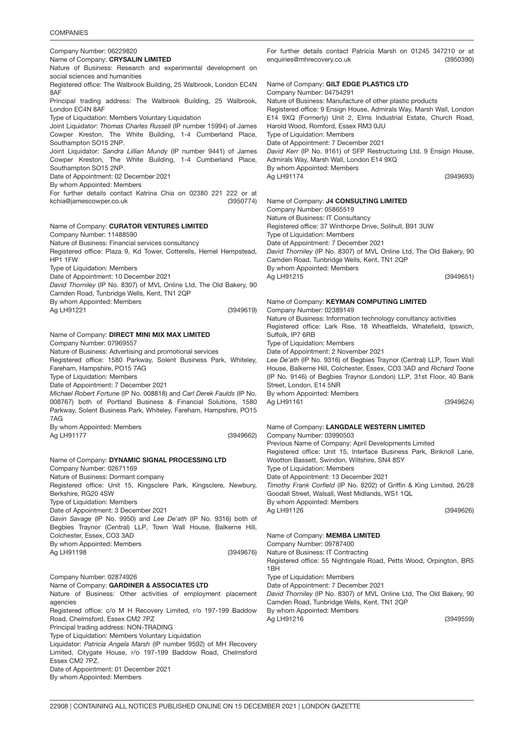## COMPANIES

| Company Number: 06229820<br>Name of Company: CRYSALIN LIMITED                                                                         | For further details contact Patricia Marsh on 01245 347210 or at<br>enquiries@mhrecovery.co.uk<br>(3950390)                              |
|---------------------------------------------------------------------------------------------------------------------------------------|------------------------------------------------------------------------------------------------------------------------------------------|
| Nature of Business: Research and experimental development on                                                                          |                                                                                                                                          |
| social sciences and humanities<br>Registered office: The Walbrook Building, 25 Walbrook, London EC4N                                  | Name of Company: GILT EDGE PLASTICS LTD                                                                                                  |
| 8AF                                                                                                                                   | Company Number: 04754291                                                                                                                 |
| Principal trading address: The Walbrook Building, 25 Walbrook,<br>London EC4N 8AF                                                     | Nature of Business: Manufacture of other plastic products<br>Registered office: 9 Ensign House, Admirals Way, Marsh Wall, London         |
| Type of Liquidation: Members Voluntary Liquidation                                                                                    | E14 9XQ (Formerly) Unit 2, Elms Industrial Estate, Church Road,                                                                          |
| Joint Liquidator: Thomas Charles Russell (IP number 15994) of James<br>Cowper Kreston, The White Building, 1-4 Cumberland Place,      | Harold Wood, Romford, Essex RM3 0JU<br>Type of Liquidation: Members                                                                      |
| Southampton SO15 2NP.                                                                                                                 | Date of Appointment: 7 December 2021                                                                                                     |
| Joint Liquidator: Sandra Lillian Mundy (IP number 9441) of James                                                                      | David Kerr (IP No. 9161) of SFP Restructuring Ltd, 9 Ensign House,                                                                       |
| Cowper Kreston, The White Building, 1-4 Cumberland Place,<br>Southampton SO15 2NP.                                                    | Admirals Way, Marsh Wall, London E14 9XQ<br>By whom Appointed: Members                                                                   |
| Date of Appointment: 02 December 2021                                                                                                 | (3949693)<br>Ag LH91174                                                                                                                  |
| By whom Appointed: Members<br>For further details contact Katrina Chia on 02380 221 222 or at                                         |                                                                                                                                          |
| kchia@jamescowper.co.uk<br>(3950774)                                                                                                  | Name of Company: J4 CONSULTING LIMITED                                                                                                   |
|                                                                                                                                       | Company Number: 05865519                                                                                                                 |
| Name of Company: CURATOR VENTURES LIMITED                                                                                             | Nature of Business: IT Consultancy<br>Registered office: 37 Winthorpe Drive, Solihull, B91 3UW                                           |
| Company Number: 11488590                                                                                                              | Type of Liquidation: Members                                                                                                             |
| Nature of Business: Financial services consultancy<br>Registered office: Plaza 9, Kd Tower, Cotterells, Hemel Hempstead,              | Date of Appointment: 7 December 2021<br>David Thorniley (IP No. 8307) of MVL Online Ltd, The Old Bakery, 90                              |
| HP1 1FW                                                                                                                               | Camden Road, Tunbridge Wells, Kent, TN1 2QP                                                                                              |
| Type of Liquidation: Members                                                                                                          | By whom Appointed: Members                                                                                                               |
| Date of Appointment: 10 December 2021<br>David Thorniley (IP No. 8307) of MVL Online Ltd, The Old Bakery, 90                          | (3949651)<br>Ag LH91215                                                                                                                  |
| Camden Road, Tunbridge Wells, Kent, TN1 2QP                                                                                           |                                                                                                                                          |
| By whom Appointed: Members                                                                                                            | Name of Company: KEYMAN COMPUTING LIMITED                                                                                                |
| (3949619)<br>Ag LH91221                                                                                                               | Company Number: 02389149<br>Nature of Business: Information technology conultancy activities                                             |
|                                                                                                                                       | Registered office: Lark Rise, 18 Wheatfields, Whatefield, Ipswich,                                                                       |
| Name of Company: DIRECT MINI MIX MAX LIMITED<br>Company Number: 07969557                                                              | Suffolk, IP7 6RB<br>Type of Liquidation: Members                                                                                         |
| Nature of Business: Advertising and promotional services                                                                              | Date of Appointment: 2 November 2021                                                                                                     |
| Registered office: 1580 Parkway, Solent Business Park, Whiteley,                                                                      | Lee De'ath (IP No. 9316) of Begbies Traynor (Central) LLP, Town Wall                                                                     |
| Fareham, Hampshire, PO15 7AG<br>Type of Liquidation: Members                                                                          | House, Balkerne Hill, Colchester, Essex, CO3 3AD and Richard Toone<br>(IP No. 9146) of Begbies Traynor (London) LLP, 31st Floor, 40 Bank |
| Date of Appointment: 7 December 2021                                                                                                  | Street, London, E14 5NR                                                                                                                  |
| Michael Robert Fortune (IP No. 008818) and Carl Derek Faulds (IP No.<br>008767) both of Portland Business & Financial Solutions, 1580 | By whom Appointed: Members<br>(3949624)<br>Ag LH91161                                                                                    |
| Parkway, Solent Business Park, Whiteley, Fareham, Hampshire, PO15                                                                     |                                                                                                                                          |
| 7AG                                                                                                                                   |                                                                                                                                          |
| By whom Appointed: Members<br>Ag LH91177<br>(3949662)                                                                                 | Name of Company: LANGDALE WESTERN LIMITED<br>Company Number: 03990503                                                                    |
|                                                                                                                                       | Previous Name of Company: April Developments Limited                                                                                     |
|                                                                                                                                       | Registered office: Unit 15, Interface Business Park, Binknoll Lane,                                                                      |
| Name of Company: DYNAMIC SIGNAL PROCESSING LTD<br>Company Number: 02671169                                                            | Wootton Bassett, Swindon, Wiltshire, SN4 8SY<br>Type of Liquidation: Members                                                             |
| Nature of Business: Dormant company                                                                                                   | Date of Appointment: 13 December 2021                                                                                                    |
| Registered office: Unit 15, Kingsclere Park, Kingsclere, Newbury,<br>Berkshire, RG20 4SW                                              | Timothy Frank Corfield (IP No. 8202) of Griffin & King Limited, 26/28<br>Goodall Street, Walsall, West Midlands, WS1 1QL                 |
| Type of Liquidation: Members                                                                                                          | By whom Appointed: Members                                                                                                               |
| Date of Appointment: 3 December 2021                                                                                                  | (3949626)<br>Ag LH91126                                                                                                                  |
| Gavin Savage (IP No. 9950) and Lee De'ath (IP No. 9316) both of<br>Begbies Traynor (Central) LLP, Town Wall House, Balkerne Hill,     |                                                                                                                                          |
| Colchester, Essex, CO3 3AD                                                                                                            | Name of Company: MEMBA LIMITED                                                                                                           |
| By whom Appointed: Members<br>Ag LH91198<br>(3949676)                                                                                 | Company Number: 09787400<br>Nature of Business: IT Contracting                                                                           |
|                                                                                                                                       | Registered office: 55 Nightingale Road, Petts Wood, Orpington, BR5<br>1BH                                                                |
| Company Number: 02874926                                                                                                              | Type of Liquidation: Members                                                                                                             |
| Name of Company: GARDINER & ASSOCIATES LTD<br>Nature of Business: Other activities of employment placement                            | Date of Appointment: 7 December 2021<br>David Thorniley (IP No. 8307) of MVL Online Ltd, The Old Bakery, 90                              |
| agencies                                                                                                                              | Camden Road, Tunbridge Wells, Kent, TN1 2QP                                                                                              |
| Registered office: c/o M H Recovery Limited, r/o 197-199 Baddow<br>Road, Chelmsford, Essex CM2 7PZ                                    | By whom Appointed: Members<br>Ag LH91216<br>(3949559)                                                                                    |
| Principal trading address: NON-TRADING                                                                                                |                                                                                                                                          |
| Type of Liquidation: Members Voluntary Liquidation                                                                                    |                                                                                                                                          |
| Liquidator: Patricia Angela Marsh (IP number 9592) of MH Recovery                                                                     |                                                                                                                                          |

Limited, Citygate House, r/o 197-199 Baddow Road, Chelmsford

Essex CM2 7PZ.

Date of Appointment: 01 December 2021 By whom Appointed: Members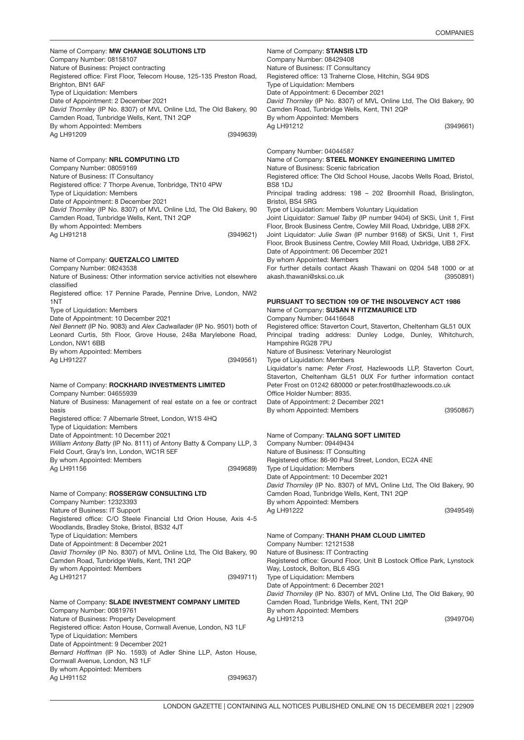(3950867)

Name of Company: MW CHANGE SOLUTIONS LTD (3949639) Company Number: 08158107 Nature of Business: Project contracting Registered office: First Floor, Telecom House, 125-135 Preston Road, Brighton, BN1 6AF Type of Liquidation: Members Date of Appointment: 2 December 2021 *David Thorniley* (IP No. 8307) of MVL Online Ltd, The Old Bakery, 90 Camden Road, Tunbridge Wells, Kent, TN1 2QP By whom Appointed: Members Ag LH91209

Name of Company: **NRL COMPUTING LTD** (3949621) Company Number: 08059169 Nature of Business: IT Consultancy Registered office: 7 Thorpe Avenue, Tonbridge, TN10 4PW Type of Liquidation: Members Date of Appointment: 8 December 2021 *David Thorniley* (IP No. 8307) of MVL Online Ltd, The Old Bakery, 90 Camden Road, Tunbridge Wells, Kent, TN1 2QP By whom Appointed: Members Ag LH91218

Name of Company: QUETZALCO LIMITED

Company Number: 08243538

Nature of Business: Other information service activities not elsewhere classified

Registered office: 17 Pennine Parade, Pennine Drive, London, NW2 1NT

Type of Liquidation: Members

Date of Appointment: 10 December 2021

(3949561) *Neil Bennett* (IP No. 9083) and *Alex Cadwallader* (IP No. 9501) both of Leonard Curtis, 5th Floor, Grove House, 248a Marylebone Road, London, NW1 6BB By whom Appointed: Members Ag LH91227

### Name of Company: ROCKHARD INVESTMENTS LIMITED

(3949689) Company Number: 04655939 Nature of Business: Management of real estate on a fee or contract basis Registered office: 7 Albemarle Street, London, W1S 4HQ Type of Liquidation: Members Date of Appointment: 10 December 2021 *William Antony Batty* (IP No. 8111) of Antony Batty & Company LLP, 3 Field Court, Gray's Inn, London, WC1R 5EF By whom Appointed: Members Ag LH91156

## Name of Company: ROSSERGW CONSULTING LTD

(3949711) Company Number: 12323393 Nature of Business: IT Support Registered office: C/O Steele Financial Ltd Orion House, Axis 4-5 Woodlands, Bradley Stoke, Bristol, BS32 4JT Type of Liquidation: Members Date of Appointment: 8 December 2021 *David Thorniley* (IP No. 8307) of MVL Online Ltd, The Old Bakery, 90 Camden Road, Tunbridge Wells, Kent, TN1 2QP By whom Appointed: Members Ag LH91217

Name of Company: SLADE INVESTMENT COMPANY LIMITED (3949637) Company Number: 00819761 Nature of Business: Property Development Registered office: Aston House, Cornwall Avenue, London, N3 1LF Type of Liquidation: Members Date of Appointment: 9 December 2021 *Bernard Hoffman* (IP No. 1593) of Adler Shine LLP, Aston House, Cornwall Avenue, London, N3 1LF By whom Appointed: Members Ag LH91152

Name of Company: STANSIS LTD (3949661) Company Number: 08429408 Nature of Business: IT Consultancy Registered office: 13 Traherne Close, Hitchin, SG4 9DS Type of Liquidation: Members Date of Appointment: 6 December 2021 *David Thorniley* (IP No. 8307) of MVL Online Ltd, The Old Bakery, 90 Camden Road, Tunbridge Wells, Kent, TN1 2QP By whom Appointed: Members Ag LH91212

Company Number: 04044587 (3950891) PURSUANT TO SECTION 109 OF THE INSOLVENCY ACT 1986 Name of Company: STEEL MONKEY ENGINEERING LIMITED Nature of Business: Scenic fabrication Registered office: The Old School House, Jacobs Wells Road, Bristol, BS8 1DJ Principal trading address: 198 – 202 Broomhill Road, Brislington, Bristol, BS4 5RG Type of Liquidation: Members Voluntary Liquidation Joint Liquidator: *Samuel Talby* (IP number 9404) of SKSi, Unit 1, First Floor, Brook Business Centre, Cowley Mill Road, Uxbridge, UB8 2FX. Joint Liquidator: *Julie Swan* (IP number 9168) of SKSi, Unit 1, First Floor, Brook Business Centre, Cowley Mill Road, Uxbridge, UB8 2FX. Date of Appointment: 06 December 2021 By whom Appointed: Members For further details contact Akash Thawani on 0204 548 1000 or at akash.thawani@sksi.co.uk Name of Company: SUSAN N FITZMAURICE LTD Company Number: 04416648 Registered office: Staverton Court, Staverton, Cheltenham GL51 0UX Principal trading address: Dunley Lodge, Dunley, Whitchurch, Hampshire RG28 7PU Nature of Business: Veterinary Neurologist Type of Liquidation: Members Liquidator's name: *Peter Frost,* Hazlewoods LLP, Staverton Court, Staverton, Cheltenham GL51 0UX For further information contact Peter Frost on 01242 680000 or peter.frost@hazlewoods.co.uk Office Holder Number: 8935. Date of Appointment: 2 December 2021

By whom Appointed: Members

Name of Company: TALANG SOFT LIMITED (3949549) Name of Company: THANH PHAM CLOUD LIMITED Company Number: 09449434 Nature of Business: IT Consulting Registered office: 86-90 Paul Street, London, EC2A 4NE Type of Liquidation: Members Date of Appointment: 10 December 2021 *David Thorniley* (IP No. 8307) of MVL Online Ltd, The Old Bakery, 90 Camden Road, Tunbridge Wells, Kent, TN1 2QP By whom Appointed: Members Ag LH91222 Company Number: 12121538

(3949704) Nature of Business: IT Contracting Registered office: Ground Floor, Unit B Lostock Office Park, Lynstock Way, Lostock, Bolton, BL6 4SG Type of Liquidation: Members Date of Appointment: 6 December 2021 *David Thorniley* (IP No. 8307) of MVL Online Ltd, The Old Bakery, 90 Camden Road, Tunbridge Wells, Kent, TN1 2QP By whom Appointed: Members Ag LH91213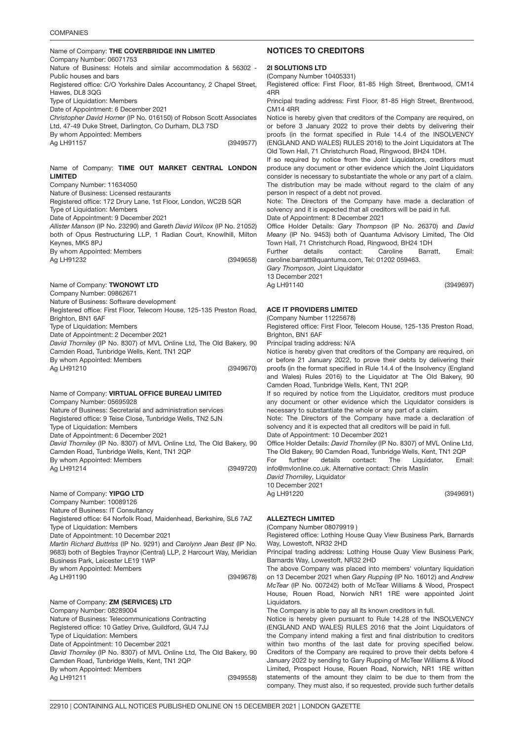#### **COMPANIES**

#### Name of Company: THE COVERBRIDGE INN LIMITED (3949577) Company Number: 06071753 Nature of Business: Hotels and similar accommodation & 56302 - Public houses and bars Registered office: C/O Yorkshire Dales Accountancy, 2 Chapel Street, Hawes, DL8 3QG Type of Liquidation: Members Date of Appointment: 6 December 2021 *Christopher David Horner* (IP No. 016150) of Robson Scott Associates Ltd, 47-49 Duke Street, Darlington, Co Durham, DL3 7SD By whom Appointed: Members Ag LH91157

Name of Company: TIME OUT MARKET CENTRAL LONDON LIMITED

(3949658) Company Number: 11634050 Nature of Business: Licensed restaurants Registered office: 172 Drury Lane, 1st Floor, London, WC2B 5QR Type of Liquidation: Members Date of Appointment: 9 December 2021 *Allister Manson* (IP No. 23290) and *Gareth David Wilcox* (IP No. 21052) both of Opus Restructuring LLP, 1 Radian Court, Knowlhill, Milton Keynes, MK5 8PJ By whom Appointed: Members Ag LH91232

Name of Company: **TWONOWT LTD** (3949670) Company Number: 09862671 Nature of Business: Software development Registered office: First Floor, Telecom House, 125-135 Preston Road, Brighton, BN1 6AF Type of Liquidation: Members Date of Appointment: 2 December 2021 *David Thorniley* (IP No. 8307) of MVL Online Ltd, The Old Bakery, 90 Camden Road, Tunbridge Wells, Kent, TN1 2QP By whom Appointed: Members Ag LH91210

Name of Company: VIRTUAL OFFICE BUREAU LIMITED (3949720) Company Number: 05695928 Nature of Business: Secretarial and administration services Registered office: 9 Teise Close, Tunbridge Wells, TN2 5JN Type of Liquidation: Members Date of Appointment: 6 December 2021 *David Thorniley* (IP No. 8307) of MVL Online Ltd, The Old Bakery, 90 Camden Road, Tunbridge Wells, Kent, TN1 2QP By whom Appointed: Members Ag LH91214

Name of Company: YIPGO LTD (3949678) Company Number: 10089126 Nature of Business: IT Consultancy Registered office: 64 Norfolk Road, Maidenhead, Berkshire, SL6 7AZ Type of Liquidation: Members Date of Appointment: 10 December 2021 *Martin Richard Buttriss* (IP No. 9291) and *Carolynn Jean Best* (IP No. 9683) both of Begbies Traynor (Central) LLP, 2 Harcourt Way, Meridian Business Park, Leicester LE19 1WP By whom Appointed: Members Ag LH91190

Name of Company: **ZM (SERVICES) LTD** (3949558) Company Number: 08289004 Nature of Business: Telecommunications Contracting Registered office: 10 Gatley Drive, Guildford, GU4 7JJ Type of Liquidation: Members Date of Appointment: 10 December 2021 *David Thorniley* (IP No. 8307) of MVL Online Ltd, The Old Bakery, 90 Camden Road, Tunbridge Wells, Kent, TN1 2QP By whom Appointed: Members Ag LH91211

### NOTICES TO CREDITORS

## 2<mark>I SOLUTIONS LTD</mark>

(Company Number 10405331)

Registered office: First Floor, 81-85 High Street, Brentwood, CM14 4RR

Principal trading address: First Floor, 81-85 High Street, Brentwood, CM14 4RR

Notice is hereby given that creditors of the Company are required, on or before 3 January 2022 to prove their debts by delivering their proofs (in the format specified in Rule 14.4 of the INSOLVENCY (ENGLAND AND WALES) RULES 2016) to the Joint Liquidators at The Old Town Hall, 71 Christchurch Road, Ringwood, BH24 1DH.

If so required by notice from the Joint Liquidators, creditors must produce any document or other evidence which the Joint Liquidators consider is necessary to substantiate the whole or any part of a claim. The distribution may be made without regard to the claim of any person in respect of a debt not proved.

Note: The Directors of the Company have made a declaration of solvency and it is expected that all creditors will be paid in full.

Date of Appointment: 8 December 2021

Office Holder Details: *Gary Thompson* (IP No. 26370) and *David Meany* (IP No. 9453) both of Quantuma Advisory Limited, The Old Town Hall, 71 Christchurch Road, Ringwood, BH24 1DH

Further details contact: Caroline Barratt, Email: caroline.barratt@quantuma.com, Tel: 01202 059463.

*Gary Thompson,* Joint Liquidator 13 December 2021

Ag LH91140

(3949697)

### ACE IT PROVIDERS LIMITED

(Company Number 11225678)

Registered office: First Floor, Telecom House, 125-135 Preston Road, Brighton, BN1 6AF

Principal trading address: N/A

Notice is hereby given that creditors of the Company are required, on or before 21 January 2022, to prove their debts by delivering their proofs (in the format specified in Rule 14.4 of the Insolvency (England and Wales) Rules 2016) to the Liquidator at The Old Bakery, 90 Camden Road, Tunbridge Wells, Kent, TN1 2QP.

If so required by notice from the Liquidator, creditors must produce any document or other evidence which the Liquidator considers is necessary to substantiate the whole or any part of a claim.

Note: The Directors of the Company have made a declaration of solvency and it is expected that all creditors will be paid in full.

Date of Appointment: 10 December 2021

Office Holder Details: *David Thorniley* (IP No. 8307) of MVL Online Ltd, The Old Bakery, 90 Camden Road, Tunbridge Wells, Kent, TN1 2QP

For further details contact: The Liquidator, Email: info@mvlonline.co.uk. Alternative contact: Chris Maslin

*David Thorniley,* Liquidator

10 December 2021 Ag LH91220

(3949691)

## ALLEZTECH LIMITE<mark>D</mark>

(Company Number 08079919 )

Registered office: Lothing House Quay View Business Park, Barnards Way, Lowestoft, NR32 2HD

Principal trading address: Lothing House Quay View Business Park, Barnards Way, Lowestoft, NR32 2HD

The above Company was placed into members' voluntary liquidation on 13 December 2021 when *Gary Rupping* (IP No. 16012) and *Andrew McTear* (IP No. 007242) both of McTear Williams & Wood, Prospect House, Rouen Road, Norwich NR1 1RE were appointed Joint Liquidators.

The Company is able to pay all its known creditors in full.

Notice is hereby given pursuant to Rule 14.28 of the INSOLVENCY (ENGLAND AND WALES) RULES 2016 that the Joint Liquidators of the Company intend making a first and final distribution to creditors within two months of the last date for proving specified below. Creditors of the Company are required to prove their debts before 4 January 2022 by sending to Gary Rupping of McTear Williams & Wood Limited, Prospect House, Rouen Road, Norwich, NR1 1RE written statements of the amount they claim to be due to them from the company. They must also, if so requested, provide such further details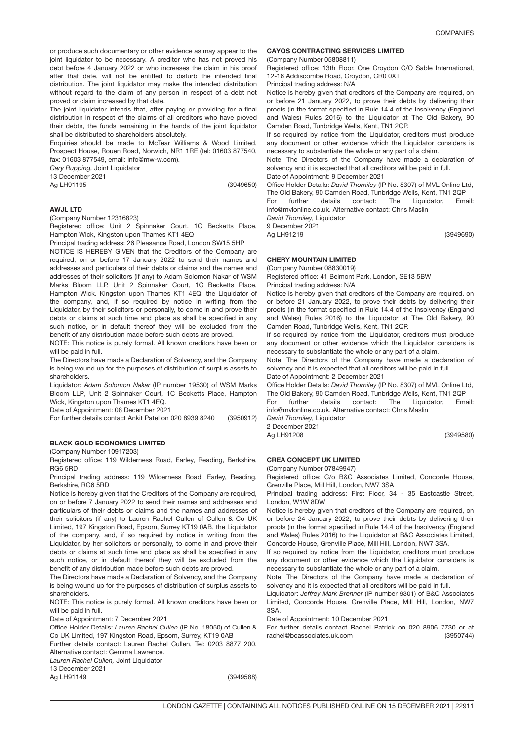(3949690)

(3949580)

or produce such documentary or other evidence as may appear to the joint liquidator to be necessary. A creditor who has not proved his debt before 4 January 2022 or who increases the claim in his proof after that date, will not be entitled to disturb the intended final distribution. The joint liquidator may make the intended distribution without regard to the claim of any person in respect of a debt not proved or claim increased by that date.

The joint liquidator intends that, after paying or providing for a final distribution in respect of the claims of all creditors who have proved their debts, the funds remaining in the hands of the joint liquidator shall be distributed to shareholders absolutely.

Enquiries should be made to McTear Williams & Wood Limited, Prospect House, Rouen Road, Norwich, NR1 1RE (tel: 01603 877540, fax: 01603 877549, email: info@mw-w.com).

*Gary Rupping,* Joint Liquidator

13 December 2021

Ag LH91195

(3949650)

### AWJL LTD

(Company Number 12316823)

Registered office: Unit 2 Spinnaker Court, 1C Becketts Place, Hampton Wick, Kingston upon Thames KT1 4EQ

Principal trading address: 26 Pleasance Road, London SW15 5HP

NOTICE IS HEREBY GIVEN that the Creditors of the Company are required, on or before 17 January 2022 to send their names and addresses and particulars of their debts or claims and the names and addresses of their solicitors (if any) to Adam Solomon Nakar of WSM Marks Bloom LLP, Unit 2 Spinnaker Court, 1C Becketts Place, Hampton Wick, Kingston upon Thames KT1 4EQ, the Liquidator of the company, and, if so required by notice in writing from the Liquidator, by their solicitors or personally, to come in and prove their debts or claims at such time and place as shall be specified in any such notice, or in default thereof they will be excluded from the benefit of any distribution made before such debts are proved.

NOTE: This notice is purely formal. All known creditors have been or will be paid in full.

The Directors have made a Declaration of Solvency, and the Company is being wound up for the purposes of distribution of surplus assets to shareholders.

Liquidator: *Adam Solomon Nakar* (IP number 19530) of WSM Marks Bloom LLP, Unit 2 Spinnaker Court, 1C Becketts Place, Hampton Wick, Kingston upon Thames KT1 4EQ.

Date of Appointment: 08 December 2021

(3950912) For further details contact Ankit Patel on 020 8939 8240

### BLACK GOLD ECONOMICS LIMITED

(Company Number 10917203)

Registered office: 119 Wilderness Road, Earley, Reading, Berkshire, RG6 5RD

Principal trading address: 119 Wilderness Road, Earley, Reading, Berkshire, RG6 5RD

Notice is hereby given that the Creditors of the Company are required, on or before 7 January 2022 to send their names and addresses and particulars of their debts or claims and the names and addresses of their solicitors (if any) to Lauren Rachel Cullen of Cullen & Co UK Limited, 197 Kingston Road, Epsom, Surrey KT19 0AB, the Liquidator of the company, and, if so required by notice in writing from the Liquidator, by her solicitors or personally, to come in and prove their debts or claims at such time and place as shall be specified in any such notice, or in default thereof they will be excluded from the benefit of any distribution made before such debts are proved.

The Directors have made a Declaration of Solvency, and the Company is being wound up for the purposes of distribution of surplus assets to shareholders.

NOTE: This notice is purely formal. All known creditors have been or will be paid in full.

Date of Appointment: 7 December 2021

Office Holder Details: *Lauren Rachel Cullen* (IP No. 18050) of Cullen & Co UK Limited, 197 Kingston Road, Epsom, Surrey, KT19 0AB

Further details contact: Lauren Rachel Cullen, Tel: 0203 8877 200.

Alternative contact: Gemma Lawrence.

*Lauren Rachel Cullen,* Joint Liquidator

13 December 2021

Ag LH91149

(3949588)

### CAYOS CONTRACTING SERVICES LIMITED

(Company Number 05808811)

Registered office: 13th Floor, One Croydon C/O Sable International, 12-16 Addiscombe Road, Croydon, CR0 0XT

Principal trading address: N/A

Notice is hereby given that creditors of the Company are required, on or before 21 January 2022, to prove their debts by delivering their proofs (in the format specified in Rule 14.4 of the Insolvency (England and Wales) Rules 2016) to the Liquidator at The Old Bakery, 90 Camden Road, Tunbridge Wells, Kent, TN1 2QP.

If so required by notice from the Liquidator, creditors must produce any document or other evidence which the Liquidator considers is necessary to substantiate the whole or any part of a claim.

Note: The Directors of the Company have made a declaration of solvency and it is expected that all creditors will be paid in full.

Date of Appointment: 9 December 2021

Office Holder Details: *David Thorniley* (IP No. 8307) of MVL Online Ltd, The Old Bakery, 90 Camden Road, Tunbridge Wells, Kent, TN1 2QP

For further details contact: The Liquidator. Email: info@mvlonline.co.uk. Alternative contact: Chris Maslin

*David Thorniley,* Liquidator 9 December 2021

Ag LH91219

### CHERY MOUNTAIN LIMITED

(Company Number 08830019)

Registered office: 41 Belmont Park, London, SE13 5BW Principal trading address: N/A

Notice is hereby given that creditors of the Company are required, on or before 21 January 2022, to prove their debts by delivering their proofs (in the format specified in Rule 14.4 of the Insolvency (England and Wales) Rules 2016) to the Liquidator at The Old Bakery, 90 Camden Road, Tunbridge Wells, Kent, TN1 2QP.

If so required by notice from the Liquidator, creditors must produce any document or other evidence which the Liquidator considers is necessary to substantiate the whole or any part of a claim.

Note: The Directors of the Company have made a declaration of solvency and it is expected that all creditors will be paid in full. Date of Appointment: 2 December 2021

Office Holder Details: *David Thorniley* (IP No. 8307) of MVL Online Ltd, The Old Bakery, 90 Camden Road, Tunbridge Wells, Kent, TN1 2QP

For further details contact: The Liquidator, Email: info@mvlonline.co.uk. Alternative contact: Chris Maslin

*David Thorniley,* Liquidator 2 December 2021

Ag LH91208

### 3950744 CREA CONCEPT UK LIMITED

(Company Number 07849947)

Registered office: C/o B&C Associates Limited, Concorde House, Grenville Place, Mill Hill, London, NW7 3SA

Principal trading address: First Floor, 34 - 35 Eastcastle Street, London, W1W 8DW

Notice is hereby given that creditors of the Company are required, on or before 24 January 2022, to prove their debts by delivering their proofs (in the format specified in Rule 14.4 of the Insolvency (England and Wales) Rules 2016) to the Liquidator at B&C Associates Limited, Concorde House, Grenville Place, Mill Hill, London, NW7 3SA.

If so required by notice from the Liquidator, creditors must produce any document or other evidence which the Liquidator considers is necessary to substantiate the whole or any part of a claim.

Note: The Directors of the Company have made a declaration of solvency and it is expected that all creditors will be paid in full.

Liquidator: *Jeffrey Mark Brenner* (IP number 9301) of B&C Associates Limited, Concorde House, Grenville Place, Mill Hill, London, NW7 3SA.

Date of Appointment: 10 December 2021

(3950744) For further details contact Rachel Patrick on 020 8906 7730 or at rachel@bcassociates.uk.com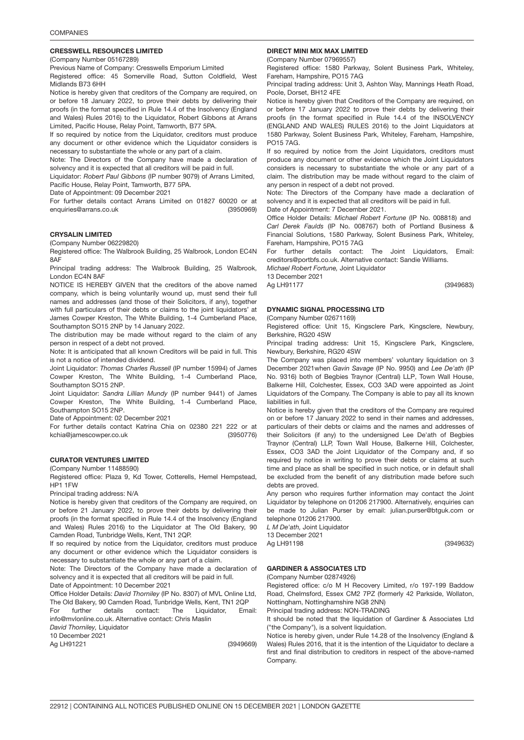## 3950969 CRESSWELL RESOURCES LIMITED

(Company Number 05167289)

Previous Name of Company: Cresswells Emporium Limited

Registered office: 45 Somerville Road, Sutton Coldfield, West Midlands B73 6HH

Notice is hereby given that creditors of the Company are required, on or before 18 January 2022, to prove their debts by delivering their proofs (in the format specified in Rule 14.4 of the Insolvency (England and Wales) Rules 2016) to the Liquidator, Robert Gibbons at Arrans Limited, Pacific House, Relay Point, Tamworth, B77 5PA.

If so required by notice from the Liquidator, creditors must produce any document or other evidence which the Liquidator considers is necessary to substantiate the whole or any part of a claim.

Note: The Directors of the Company have made a declaration of solvency and it is expected that all creditors will be paid in full.

Liquidator: *Robert Paul Gibbons* (IP number 9079) of Arrans Limited, Pacific House, Relay Point, Tamworth, B77 5PA.

Date of Appointment: 09 December 2021

(3950969) For further details contact Arrans Limited on 01827 60020 or at enquiries@arrans.co.uk

## CRYSALIN LIMITE<mark>D</mark>

(Company Number 06229820)

Registered office: The Walbrook Building, 25 Walbrook, London EC4N 8AF

Principal trading address: The Walbrook Building, 25 Walbrook, London EC4N 8AF

NOTICE IS HEREBY GIVEN that the creditors of the above named company, which is being voluntarily wound up, must send their full names and addresses (and those of their Solicitors, if any), together with full particulars of their debts or claims to the joint liquidators' at James Cowper Kreston, The White Building, 1-4 Cumberland Place, Southampton SO15 2NP by 14 January 2022.

The distribution may be made without regard to the claim of any person in respect of a debt not proved.

Note: It is anticipated that all known Creditors will be paid in full. This is not a notice of intended dividend.

Joint Liquidator: *Thomas Charles Russell* (IP number 15994) of James Cowper Kreston, The White Building, 1-4 Cumberland Place, Southampton SO15 2NP.

Joint Liquidator: *Sandra Lillian Mundy* (IP number 9441) of James Cowper Kreston, The White Building, 1-4 Cumberland Place, Southampton SO15 2NP.

Date of Appointment: 02 December 2021

(3950776) For further details contact Katrina Chia on 02380 221 222 or at kchia@jamescowper.co.uk

### 3949669 CURATOR VENTURES LIMITED

(Company Number 11488590)

Registered office: Plaza 9, Kd Tower, Cotterells, Hemel Hempstead, HP1 1FW

Principal trading address: N/A

Notice is hereby given that creditors of the Company are required, on or before 21 January 2022, to prove their debts by delivering their proofs (in the format specified in Rule 14.4 of the Insolvency (England and Wales) Rules 2016) to the Liquidator at The Old Bakery, 90 Camden Road, Tunbridge Wells, Kent, TN1 2QP.

If so required by notice from the Liquidator, creditors must produce any document or other evidence which the Liquidator considers is necessary to substantiate the whole or any part of a claim.

Note: The Directors of the Company have made a declaration of solvency and it is expected that all creditors will be paid in full.

Date of Appointment: 10 December 2021

Office Holder Details: *David Thorniley* (IP No. 8307) of MVL Online Ltd, The Old Bakery, 90 Camden Road, Tunbridge Wells, Kent, TN1 2QP

For further details contact: The Liquidator, Email: info@mvlonline.co.uk. Alternative contact: Chris Maslin

*David Thorniley,* Liquidator

10 December 2021

Ag LH91221

(3949669)

## DIRECT MINI MIX MAX LIMITED

(Company Number 07969557)

Registered office: 1580 Parkway, Solent Business Park, Whiteley, Fareham, Hampshire, PO15 7AG

Principal trading address: Unit 3, Ashton Way, Mannings Heath Road, Poole, Dorset, BH12 4FE

Notice is hereby given that Creditors of the Company are required, on or before 17 January 2022 to prove their debts by delivering their proofs (in the format specified in Rule 14.4 of the INSOLVENCY (ENGLAND AND WALES) RULES 2016) to the Joint Liquidators at 1580 Parkway, Solent Business Park, Whiteley, Fareham, Hampshire, PO15 7AG.

If so required by notice from the Joint Liquidators, creditors must produce any document or other evidence which the Joint Liquidators considers is necessary to substantiate the whole or any part of a claim. The distribution may be made without regard to the claim of any person in respect of a debt not proved.

Note: The Directors of the Company have made a declaration of solvency and it is expected that all creditors will be paid in full.

Date of Appointment: 7 December 2021.

Office Holder Details: *Michael Robert Fortune* (IP No. 008818) and *Carl Derek Faulds* (IP No. 008767) both of Portland Business & Financial Solutions, 1580 Parkway, Solent Business Park, Whiteley, Fareham, Hampshire, PO15 7AG

For further details contact: The Joint Liquidators, Email: creditors@portbfs.co.uk. Alternative contact: Sandie Williams.

*Michael Robert Fortune,* Joint Liquidator 13 December 2021

(3949683)

### DYNAMIC SIGNAL PROCESSING LTD

(Company Number 02671169)

Ag LH91177

Registered office: Unit 15, Kingsclere Park, Kingsclere, Newbury, Berkshire, RG20 4SW

Principal trading address: Unit 15, Kingsclere Park, Kingsclere, Newbury, Berkshire, RG20 4SW

The Company was placed into members' voluntary liquidation on 3 December 2021when *Gavin Savage* (IP No. 9950) and *Lee De'ath* (IP No. 9316) both of Begbies Traynor (Central) LLP, Town Wall House, Balkerne Hill, Colchester, Essex, CO3 3AD were appointed as Joint Liquidators of the Company. The Company is able to pay all its known liabilities in full.

Notice is hereby given that the creditors of the Company are required on or before 17 January 2022 to send in their names and addresses, particulars of their debts or claims and the names and addresses of their Solicitors (if any) to the undersigned Lee De'ath of Begbies Traynor (Central) LLP, Town Wall House, Balkerne Hill, Colchester, Essex, CO3 3AD the Joint Liquidator of the Company and, if so required by notice in writing to prove their debts or claims at such time and place as shall be specified in such notice, or in default shall be excluded from the benefit of any distribution made before such debts are proved.

Any person who requires further information may contact the Joint Liquidator by telephone on 01206 217900. Alternatively, enquiries can be made to Julian Purser by email: julian.purser@btguk.com or telephone 01206 217900.

*L M De'ath,* Joint Liquidator 13 December 2021

Ag LH91198

(3949632)

### GARDINER & ASSOCIATES LTD

(Company Number 02874926)

Registered office: c/o M H Recovery Limited, r/o 197-199 Baddow Road, Chelmsford, Essex CM2 7PZ (formerly 42 Parkside, Wollaton, Nottingham, Nottinghamshire NG8 2NN)

Principal trading address: NON-TRADING

It should be noted that the liquidation of Gardiner & Associates Ltd ("the Company"), is a solvent liquidation.

Notice is hereby given, under Rule 14.28 of the Insolvency (England & Wales) Rules 2016, that it is the intention of the Liquidator to declare a first and final distribution to creditors in respect of the above-named Company.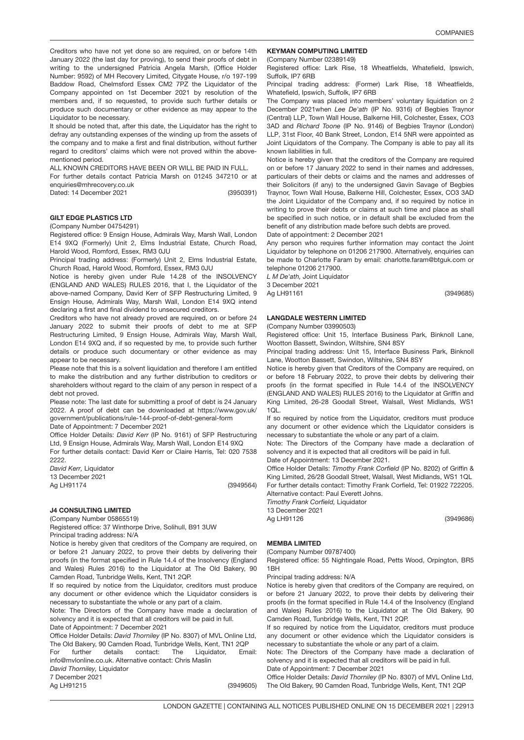Creditors who have not yet done so are required, on or before 14th January 2022 (the last day for proving), to send their proofs of debt in writing to the undersigned Patricia Angela Marsh, (Office Holder Number: 9592) of MH Recovery Limited, Citygate House, r/o 197-199 Baddow Road, Chelmsford Essex CM2 7PZ the Liquidator of the Company appointed on 1st December 2021 by resolution of the members and, if so requested, to provide such further details or produce such documentary or other evidence as may appear to the Liquidator to be necessary.

It should be noted that, after this date, the Liquidator has the right to defray any outstanding expenses of the winding up from the assets of the company and to make a first and final distribution, without further regard to creditors' claims which were not proved within the abovementioned period.

ALL KNOWN CREDITORS HAVE BEEN OR WILL BE PAID IN FULL.

For further details contact Patricia Marsh on 01245 347210 or at enquiries@mhrecovery.co.uk

Dated: 14 December 2021

(3950391)

### 3949564 GILT EDGE PLASTICS LTD

(Company Number 04754291)

Registered office: 9 Ensign House, Admirals Way, Marsh Wall, London E14 9XQ (Formerly) Unit 2, Elms Industrial Estate, Church Road, Harold Wood, Romford, Essex, RM3 0JU

Principal trading address: (Formerly) Unit 2, Elms Industrial Estate, Church Road, Harold Wood, Romford, Essex, RM3 0JU

Notice is hereby given under Rule 14.28 of the INSOLVENCY (ENGLAND AND WALES) RULES 2016, that I, the Liquidator of the above-named Company, David Kerr of SFP Restructuring Limited, 9 Ensign House, Admirals Way, Marsh Wall, London E14 9XQ intend declaring a first and final dividend to unsecured creditors.

Creditors who have not already proved are required, on or before 24 January 2022 to submit their proofs of debt to me at SFP Restructuring Limited, 9 Ensign House, Admirals Way, Marsh Wall, London E14 9XQ and, if so requested by me, to provide such further details or produce such documentary or other evidence as may appear to be necessary.

Please note that this is a solvent liquidation and therefore I am entitled to make the distribution and any further distribution to creditors or shareholders without regard to the claim of any person in respect of a debt not proved.

Please note: The last date for submitting a proof of debt is 24 January 2022. A proof of debt can be downloaded at https://www.gov.uk/ government/publications/rule-144-proof-of-debt-general-form

Date of Appointment: 7 December 2021

Office Holder Details: *David Kerr* (IP No. 9161) of SFP Restructuring Ltd, 9 Ensign House, Admirals Way, Marsh Wall, London E14 9XQ

For further details contact: David Kerr or Claire Harris, Tel: 020 7538 2222

*David Kerr,* Liquidator 13 December 2021 Ag LH91174

(3949564)

### 3949605 J4 CONSULTING LIMITED

(Company Number 05865519)

Registered office: 37 Winthorpe Drive, Solihull, B91 3UW

Principal trading address: N/A

Notice is hereby given that creditors of the Company are required, on or before 21 January 2022, to prove their debts by delivering their proofs (in the format specified in Rule 14.4 of the Insolvency (England and Wales) Rules 2016) to the Liquidator at The Old Bakery, 90 Camden Road, Tunbridge Wells, Kent, TN1 2QP.

If so required by notice from the Liquidator, creditors must produce any document or other evidence which the Liquidator considers is necessary to substantiate the whole or any part of a claim.

Note: The Directors of the Company have made a declaration of solvency and it is expected that all creditors will be paid in full. Date of Appointment: 7 December 2021

Office Holder Details: *David Thorniley* (IP No. 8307) of MVL Online Ltd, The Old Bakery, 90 Camden Road, Tunbridge Wells, Kent, TN1 2QP For further details contact: The Liquidator, Email: info@mvlonline.co.uk. Alternative contact: Chris Maslin

*David Thorniley,* Liquidator

7 December 2021

Ag LH91215

### KEYMAN COMPUTING LIMITED

(Company Number 02389149)

Registered office: Lark Rise, 18 Wheatfields, Whatefield, Ipswich, Suffolk, IP7 6RB

Principal trading address: (Former) Lark Rise, 18 Wheatfields, Whatefield, Ipswich, Suffolk, IP7 6RB

The Company was placed into members' voluntary liquidation on 2 December 2021when *Lee De'ath* (IP No. 9316) of Begbies Traynor (Central) LLP, Town Wall House, Balkerne Hill, Colchester, Essex, CO3 3AD and *Richard Toone* (IP No. 9146) of Begbies Traynor (London) LLP, 31st Floor, 40 Bank Street, London, E14 5NR were appointed as Joint Liquidators of the Company. The Company is able to pay all its known liabilities in full.

Notice is hereby given that the creditors of the Company are required on or before 17 January 2022 to send in their names and addresses, particulars of their debts or claims and the names and addresses of their Solicitors (if any) to the undersigned Gavin Savage of Begbies Traynor, Town Wall House, Balkerne Hill, Colchester, Essex, CO3 3AD the Joint Liquidator of the Company and, if so required by notice in writing to prove their debts or claims at such time and place as shall be specified in such notice, or in default shall be excluded from the benefit of any distribution made before such debts are proved.

Date of appointment: 2 December 2021

Any person who requires further information may contact the Joint Liquidator by telephone on 01206 217900. Alternatively, enquiries can be made to Charlotte Faram by email: charlotte.faram@btguk.com or telephone 01206 217900.

*L M De'ath,* Joint Liquidator

3 December 2021

Ag LH91161

### LANGDALE WESTERN LIMITED

(Company Number 03990503)

Registered office: Unit 15, Interface Business Park, Binknoll Lane, Wootton Bassett, Swindon, Wiltshire, SN4 8SY

Principal trading address: Unit 15, Interface Business Park, Binknoll Lane, Wootton Bassett, Swindon, Wiltshire, SN4 8SY

Notice is hereby given that Creditors of the Company are required, on or before 18 February 2022, to prove their debts by delivering their proofs (in the format specified in Rule 14.4 of the INSOLVENCY (ENGLAND AND WALES) RULES 2016) to the Liquidator at Griffin and King Limited, 26-28 Goodall Street, Walsall, West Midlands, WS1 1QL.

If so required by notice from the Liquidator, creditors must produce any document or other evidence which the Liquidator considers is necessary to substantiate the whole or any part of a claim.

Note: The Directors of the Company have made a declaration of solvency and it is expected that all creditors will be paid in full.

Date of Appointment: 13 December 2021.

Office Holder Details: *Timothy Frank Corfield* (IP No. 8202) of Griffin & King Limited, 26/28 Goodall Street, Walsall, West Midlands, WS1 1QL For further details contact: Timothy Frank Corfield, Tel: 01922 722205. Alternative contact: Paul Everett Johns.

*Timothy Frank Corfield,* Liquidator

13 December 2021 Ag LH91126

(3949686)

(3949685)

## MEMBA LIMITED

(Company Number 09787400)

Registered office: 55 Nightingale Road, Petts Wood, Orpington, BR5 1BH

Principal trading address: N/A

Notice is hereby given that creditors of the Company are required, on or before 21 January 2022, to prove their debts by delivering their proofs (in the format specified in Rule 14.4 of the Insolvency (England and Wales) Rules 2016) to the Liquidator at The Old Bakery, 90 Camden Road, Tunbridge Wells, Kent, TN1 2QP.

If so required by notice from the Liquidator, creditors must produce any document or other evidence which the Liquidator considers is necessary to substantiate the whole or any part of a claim.

Note: The Directors of the Company have made a declaration of solvency and it is expected that all creditors will be paid in full.

Date of Appointment: 7 December 2021

(3949605) Office Holder Details: *David Thorniley* (IP No. 8307) of MVL Online Ltd, The Old Bakery, 90 Camden Road, Tunbridge Wells, Kent, TN1 2QP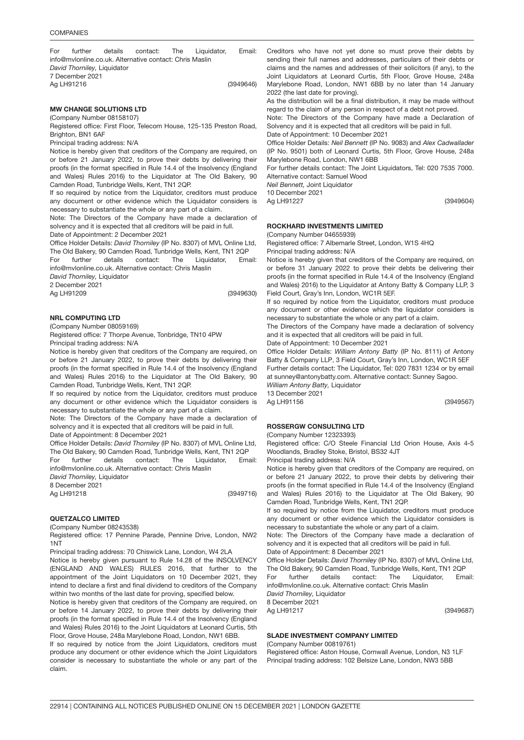(3949646) For further details contact: The Liquidator, Email: info@mvlonline.co.uk. Alternative contact: Chris Maslin *David Thorniley,* Liquidator 7 December 2021 Ag LH91216

#### MW CHANGE SOLUTIONS LTD (Company Number 08158107)

Registered office: First Floor, Telecom House, 125-135 Preston Road, Brighton, BN1 6AF

Principal trading address: N/A

Notice is hereby given that creditors of the Company are required, on or before 21 January 2022, to prove their debts by delivering their proofs (in the format specified in Rule 14.4 of the Insolvency (England and Wales) Rules 2016) to the Liquidator at The Old Bakery, 90 Camden Road, Tunbridge Wells, Kent, TN1 2QP.

If so required by notice from the Liquidator, creditors must produce any document or other evidence which the Liquidator considers is necessary to substantiate the whole or any part of a claim.

Note: The Directors of the Company have made a declaration of solvency and it is expected that all creditors will be paid in full.

Date of Appointment: 2 December 2021

Office Holder Details: *David Thorniley* (IP No. 8307) of MVL Online Ltd, The Old Bakery, 90 Camden Road, Tunbridge Wells, Kent, TN1 2QP

For further details contact: The Liquidator, Email: info@mvlonline.co.uk. Alternative contact: Chris Maslin

*David Thorniley,* Liquidator

2 December 2021

Ag LH91209

(3949630)

### NRL COMPUTING LT<mark>D</mark>

(Company Number 08059169) Registered office: 7 Thorpe Avenue, Tonbridge, TN10 4PW

Principal trading address: N/A

Notice is hereby given that creditors of the Company are required, on or before 21 January 2022, to prove their debts by delivering their proofs (in the format specified in Rule 14.4 of the Insolvency (England and Wales) Rules 2016) to the Liquidator at The Old Bakery, 90 Camden Road, Tunbridge Wells, Kent, TN1 2QP.

If so required by notice from the Liquidator, creditors must produce any document or other evidence which the Liquidator considers is necessary to substantiate the whole or any part of a claim.

Note: The Directors of the Company have made a declaration of solvency and it is expected that all creditors will be paid in full.

Date of Appointment: 8 December 2021

Office Holder Details: *David Thorniley* (IP No. 8307) of MVL Online Ltd, The Old Bakery, 90 Camden Road, Tunbridge Wells, Kent, TN1 2QP

For further details contact: The Liquidator, Email: info@mvlonline.co.uk. Alternative contact: Chris Maslin

*David Thorniley,* Liquidator 8 December 2021 Ag LH91218

(3949716)

### QUETZALCO LIMITE<mark>D</mark>

(Company Number 08243538)

Registered office: 17 Pennine Parade, Pennine Drive, London, NW2 1NT

Principal trading address: 70 Chiswick Lane, London, W4 2LA

Notice is hereby given pursuant to Rule 14.28 of the INSOLVENCY (ENGLAND AND WALES) RULES 2016, that further to the appointment of the Joint Liquidators on 10 December 2021, they intend to declare a first and final dividend to creditors of the Company within two months of the last date for proving, specified below.

Notice is hereby given that creditors of the Company are required, on or before 14 January 2022, to prove their debts by delivering their proofs (in the format specified in Rule 14.4 of the Insolvency (England and Wales) Rules 2016) to the Joint Liquidators at Leonard Curtis, 5th Floor, Grove House, 248a Marylebone Road, London, NW1 6BB.

If so required by notice from the Joint Liquidators, creditors must produce any document or other evidence which the Joint Liquidators consider is necessary to substantiate the whole or any part of the claim.

Creditors who have not yet done so must prove their debts by sending their full names and addresses, particulars of their debts or claims and the names and addresses of their solicitors (if any), to the Joint Liquidators at Leonard Curtis, 5th Floor, Grove House, 248a Marylebone Road, London, NW1 6BB by no later than 14 January 2022 (the last date for proving).

As the distribution will be a final distribution, it may be made without regard to the claim of any person in respect of a debt not proved.

Note: The Directors of the Company have made a Declaration of Solvency and it is expected that all creditors will be paid in full. Date of Appointment: 10 December 2021

Office Holder Details: *Neil Bennett* (IP No. 9083) and *Alex Cadwallader* (IP No. 9501) both of Leonard Curtis, 5th Floor, Grove House, 248a Marylebone Road, London, NW1 6BB

For further details contact: The Joint Liquidators, Tel: 020 7535 7000. Alternative contact: Samuel Wood

*Neil Bennett,* Joint Liquidator

10 December 2021

Ag LH91227

(3949604)

## ROCKHARD INVESTMENTS LIMITED

(Company Number 04655939)

Registered office: 7 Albemarle Street, London, W1S 4HQ

Principal trading address: N/A

Notice is hereby given that creditors of the Company are required, on or before 31 January 2022 to prove their debts be delivering their proofs (in the format specified in Rule 14.4 of the Insolvency (England and Wales) 2016) to the Liquidator at Antony Batty & Company LLP, 3 Field Court, Gray's Inn, London, WC1R 5EF.

If so required by notice from the Liquidator, creditors must produce any document or other evidence which the liquidator considers is necessary to substantiate the whole or any part of a claim.

The Directors of the Company have made a declaration of solvency and it is expected that all creditors will be paid in full.

Date of Appointment: 10 December 2021

Office Holder Details: *William Antony Batty* (IP No. 8111) of Antony Batty & Company LLP, 3 Field Court, Gray's Inn, London, WC1R 5EF Further details contact: The Liquidator, Tel: 020 7831 1234 or by email at sunney@antonybatty.com. Alternative contact: Sunney Sagoo.

*William Antony Batty,* Liquidator 13 December 2021

Ag LH91156

(3949567)

## ROSSERGW CONSULTING LTD

(Company Number 12323393)

Registered office: C/O Steele Financial Ltd Orion House, Axis 4-5 Woodlands, Bradley Stoke, Bristol, BS32 4JT

Principal trading address: N/A

Notice is hereby given that creditors of the Company are required, on or before 21 January 2022, to prove their debts by delivering their proofs (in the format specified in Rule 14.4 of the Insolvency (England and Wales) Rules 2016) to the Liquidator at The Old Bakery, 90 Camden Road, Tunbridge Wells, Kent, TN1 2QP.

If so required by notice from the Liquidator, creditors must produce any document or other evidence which the Liquidator considers is necessary to substantiate the whole or any part of a claim.

Note: The Directors of the Company have made a declaration of solvency and it is expected that all creditors will be paid in full.

Date of Appointment: 8 December 2021

Office Holder Details: *David Thorniley* (IP No. 8307) of MVL Online Ltd, The Old Bakery, 90 Camden Road, Tunbridge Wells, Kent, TN1 2QP For further details contact: The Liquidator, Email: info@mvlonline.co.uk. Alternative contact: Chris Maslin

*David Thorniley,* Liquidator 8 December 2021

Ag LH91217

(3949687)

## SLADE INVESTMENT COMPANY LIMITED

#### (Company Number 00819761)

Registered office: Aston House, Cornwall Avenue, London, N3 1LF Principal trading address: 102 Belsize Lane, London, NW3 5BB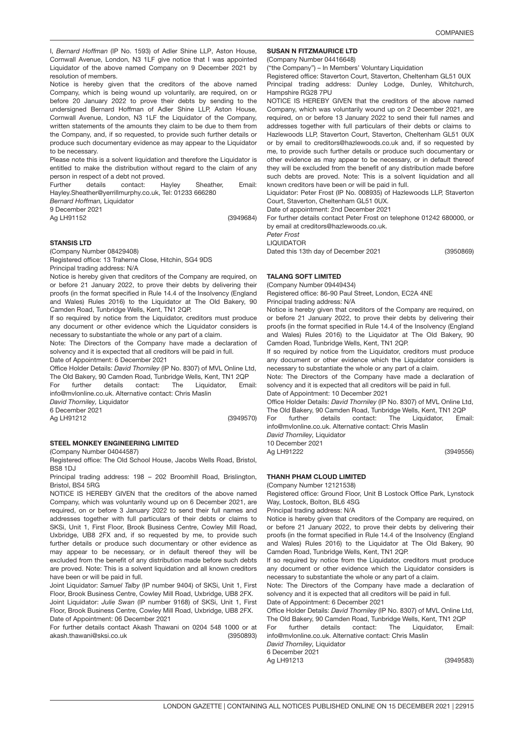(3950869)

(3949556)

I, *Bernard Hoffman* (IP No. 1593) of Adler Shine LLP, Aston House, Cornwall Avenue, London, N3 1LF give notice that I was appointed Liquidator of the above named Company on 9 December 2021 by resolution of members.

Notice is hereby given that the creditors of the above named Company, which is being wound up voluntarily, are required, on or before 20 January 2022 to prove their debts by sending to the undersigned Bernard Hoffman of Adler Shine LLP, Aston House, Cornwall Avenue, London, N3 1LF the Liquidator of the Company, written statements of the amounts they claim to be due to them from the Company, and, if so requested, to provide such further details or produce such documentary evidence as may appear to the Liquidator to be necessary.

Please note this is a solvent liquidation and therefore the Liquidator is entitled to make the distribution without regard to the claim of any person in respect of a debt not proved.

Further details contact: Hayley Sheather, Email: Hayley.Sheather@yerrillmurphy.co.uk, Tel: 01233 666280

*Bernard Hoffman,* Liquidator

9 December 2021

Ag LH91152

(3949684)

## STANSIS LT<mark>D</mark>

(Company Number 08429408)

Registered office: 13 Traherne Close, Hitchin, SG4 9DS Principal trading address: N/A

Notice is hereby given that creditors of the Company are required, on or before 21 January 2022, to prove their debts by delivering their proofs (in the format specified in Rule 14.4 of the Insolvency (England and Wales) Rules 2016) to the Liquidator at The Old Bakery, 90 Camden Road, Tunbridge Wells, Kent, TN1 2QP.

If so required by notice from the Liquidator, creditors must produce any document or other evidence which the Liquidator considers is necessary to substantiate the whole or any part of a claim.

Note: The Directors of the Company have made a declaration of solvency and it is expected that all creditors will be paid in full.

Date of Appointment: 6 December 2021

Office Holder Details: *David Thorniley* (IP No. 8307) of MVL Online Ltd, The Old Bakery, 90 Camden Road, Tunbridge Wells, Kent, TN1 2QP For further details contact: The Liquidator, Email:

info@mvlonline.co.uk. Alternative contact: Chris Maslin *David Thorniley,* Liquidator

6 December 2021

Ag LH91212

(3949570)

### STEEL MONKEY ENGINEERING LIMITED

(Company Number 04044587)

Registered office: The Old School House, Jacobs Wells Road, Bristol, **BS8 1DJ** 

Principal trading address: 198 – 202 Broomhill Road, Brislington, Bristol, BS4 5RG

NOTICE IS HEREBY GIVEN that the creditors of the above named Company, which was voluntarily wound up on 6 December 2021, are required, on or before 3 January 2022 to send their full names and addresses together with full particulars of their debts or claims to SKSi, Unit 1, First Floor, Brook Business Centre, Cowley Mill Road, Uxbridge, UB8 2FX and, if so requested by me, to provide such further details or produce such documentary or other evidence as may appear to be necessary, or in default thereof they will be excluded from the benefit of any distribution made before such debts are proved. Note: This is a solvent liquidation and all known creditors have been or will be paid in full.

Joint Liquidator: *Samuel Talby* (IP number 9404) of SKSi, Unit 1, First Floor, Brook Business Centre, Cowley Mill Road, Uxbridge, UB8 2FX. Joint Liquidator: *Julie Swan* (IP number 9168) of SKSi, Unit 1, First Floor, Brook Business Centre, Cowley Mill Road, Uxbridge, UB8 2FX. Date of Appointment: 06 December 2021

(3950893) For further details contact Akash Thawani on 0204 548 1000 or at akash.thawani@sksi.co.uk

### SUSAN N FITZMAURICE LTD

(Company Number 04416648)

("the Company") – In Members' Voluntary Liquidation

Registered office: Staverton Court, Staverton, Cheltenham GL51 0UX Principal trading address: Dunley Lodge, Dunley, Whitchurch, Hampshire RG28 7PU

NOTICE IS HEREBY GIVEN that the creditors of the above named Company, which was voluntarily wound up on 2 December 2021, are required, on or before 13 January 2022 to send their full names and addresses together with full particulars of their debts or claims to Hazlewoods LLP, Staverton Court, Staverton, Cheltenham GL51 0UX or by email to creditors@hazlewoods.co.uk and, if so requested by me, to provide such further details or produce such documentary or other evidence as may appear to be necessary, or in default thereof they will be excluded from the benefit of any distribution made before such debts are proved. Note: This is a solvent liquidation and all known creditors have been or will be paid in full.

Liquidator: Peter Frost (IP No. 008935) of Hazlewoods LLP, Staverton Court, Staverton, Cheltenham GL51 0UX.

Date of appointment: 2nd December 2021

For further details contact Peter Frost on telephone 01242 680000, or by email at creditors@hazlewoods.co.uk.

*Peter Frost*

LIQUIDATOR

Dated this 13th day of December 2021

## TALANG SOFT LIMITED

(Company Number 09449434)

Registered office: 86-90 Paul Street, London, EC2A 4NE Principal trading address: N/A

Notice is hereby given that creditors of the Company are required, on or before 21 January 2022, to prove their debts by delivering their proofs (in the format specified in Rule 14.4 of the Insolvency (England and Wales) Rules 2016) to the Liquidator at The Old Bakery, 90 Camden Road, Tunbridge Wells, Kent, TN1 2QP.

If so required by notice from the Liquidator, creditors must produce any document or other evidence which the Liquidator considers is necessary to substantiate the whole or any part of a claim.

Note: The Directors of the Company have made a declaration of solvency and it is expected that all creditors will be paid in full.

Date of Appointment: 10 December 2021

Office Holder Details: *David Thorniley* (IP No. 8307) of MVL Online Ltd, The Old Bakery, 90 Camden Road, Tunbridge Wells, Kent, TN1 2QP

For further details contact: The Liquidator, Email: info@mvlonline.co.uk. Alternative contact: Chris Maslin

*David Thorniley,* Liquidator 10 December 2021

Ag LH91222

THANH PHAM CLOUD LIMITED

(Company Number 12121538)

Registered office: Ground Floor, Unit B Lostock Office Park, Lynstock Way, Lostock, Bolton, BL6 4SG

Principal trading address: N/A

Notice is hereby given that creditors of the Company are required, on or before 21 January 2022, to prove their debts by delivering their proofs (in the format specified in Rule 14.4 of the Insolvency (England and Wales) Rules 2016) to the Liquidator at The Old Bakery, 90 Camden Road, Tunbridge Wells, Kent, TN1 2QP.

If so required by notice from the Liquidator, creditors must produce any document or other evidence which the Liquidator considers is necessary to substantiate the whole or any part of a claim.

Note: The Directors of the Company have made a declaration of solvency and it is expected that all creditors will be paid in full. Date of Appointment: 6 December 2021

Office Holder Details: *David Thorniley* (IP No. 8307) of MVL Online Ltd, The Old Bakery, 90 Camden Road, Tunbridge Wells, Kent, TN1 2QP

For further details contact: The Liquidator, Email: info@mvlonline.co.uk. Alternative contact: Chris Maslin

*David Thorniley,* Liquidator 6 December 2021

Ag LH91213

(3949583)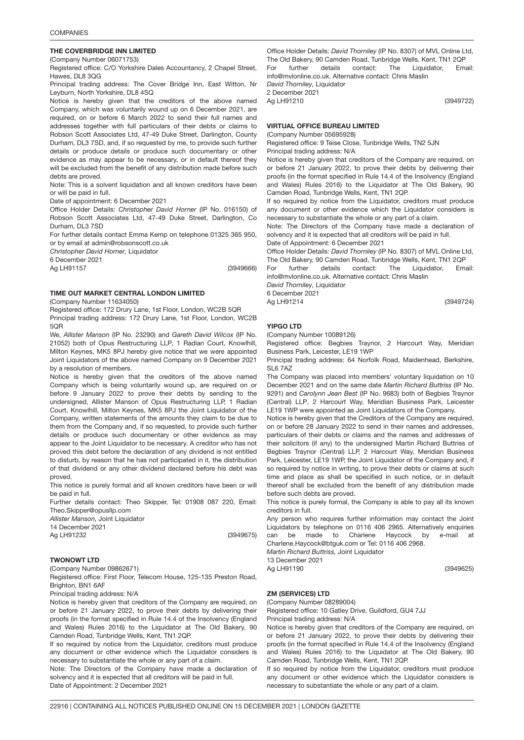## THE COVERBRIDGE INN LIMITED

(Company Number 06071753)

Registered office: C/O Yorkshire Dales Accountancy, 2 Chapel Street, Hawes, DL8 3QG

Principal trading address: The Cover Bridge Inn, East Witton, Nr Leyburn, North Yorkshire, DL8 4SQ

Notice is hereby given that the creditors of the above named Company, which was voluntarily wound up on 6 December 2021, are required, on or before 6 March 2022 to send their full names and addresses together with full particulars of their debts or claims to Robson Scott Associates Ltd, 47-49 Duke Street, Darlington, County Durham, DL3 7SD, and, if so requested by me, to provide such further details or produce details or produce such documentary or other evidence as may appear to be necessary, or in default thereof they will be excluded from the benefit of any distribution made before such debts are proved.

Note: This is a solvent liquidation and all known creditors have been or will be paid in full.

Date of appointment: 6 December 2021

Office Holder Details: *Christopher David Horner* (IP No. 016150) of Robson Scott Associates Ltd, 47-49 Duke Street, Darlington, Co Durham, DL3 7SD

For further details contact Emma Kemp on telephone 01325 365 950, or by email at admin@robsonscott.co.uk

*Christopher David Horner,* Liquidator

6 December 2021

Ag LH91157

(3949666)

## TIME OUT MARKET CENTRAL LONDON LIMITED

(Company Number 11634050)

Registered office: 172 Drury Lane, 1st Floor, London, WC2B 5QR

Principal trading address: 172 Drury Lane, 1st Floor, London, WC2B  $5OR$ 

We, *Allister Manson* (IP No. 23290) and *Gareth David Wilcox* (IP No. 21052) both of Opus Restructuring LLP, 1 Radian Court, Knowlhill, Milton Keynes, MK5 8PJ hereby give notice that we were appointed Joint Liquidators of the above named Company on 9 December 2021 by a resolution of members.

Notice is hereby given that the creditors of the above named Company which is being voluntarily wound up, are required on or before 9 January 2022 to prove their debts by sending to the undersigned, Allister Manson of Opus Restructuring LLP, 1 Radian Court, Knowlhill, Milton Keynes, MK5 8PJ the Joint Liquidator of the Company, written statements of the amounts they claim to be due to them from the Company and, if so requested, to provide such further details or produce such documentary or other evidence as may appear to the Joint Liquidator to be necessary. A creditor who has not proved this debt before the declaration of any dividend is not entitled to disturb, by reason that he has not participated in it, the distribution of that dividend or any other dividend declared before his debt was proved.

This notice is purely formal and all known creditors have been or will be paid in full.

Further details contact: Theo Skipper, Tel: 01908 087 220, Email: Theo.Skipper@opusllp.com

*Allister Manson,* Joint Liquidator

14 December 2021

Ag LH91232

(3949675)

### TWONOWT <mark>LTD</mark>

(Company Number 09862671)

Registered office: First Floor, Telecom House, 125-135 Preston Road, Brighton, BN1 6AF

Principal trading address: N/A

Notice is hereby given that creditors of the Company are required, on or before 21 January 2022, to prove their debts by delivering their proofs (in the format specified in Rule 14.4 of the Insolvency (England and Wales) Rules 2016) to the Liquidator at The Old Bakery, 90 Camden Road, Tunbridge Wells, Kent, TN1 2QP.

If so required by notice from the Liquidator, creditors must produce any document or other evidence which the Liquidator considers is necessary to substantiate the whole or any part of a claim.

Note: The Directors of the Company have made a declaration of solvency and it is expected that all creditors will be paid in full. Date of Appointment: 2 December 2021

Office Holder Details: *David Thorniley* (IP No. 8307) of MVL Online Ltd, The Old Bakery, 90 Camden Road, Tunbridge Wells, Kent, TN1 2QP For further details contact: The Liquidator, Email: info@mvlonline.co.uk. Alternative contact: Chris Maslin *David Thorniley,* Liquidator

2 December 2021

Ag LH91210

## VIRTUAL OFFICE BUREAU LIMITED

(Company Number 05695928)

Registered office: 9 Teise Close, Tunbridge Wells, TN2 5JN Principal trading address: N/A

Notice is hereby given that creditors of the Company are required, on or before 21 January 2022, to prove their debts by delivering their proofs (in the format specified in Rule 14.4 of the Insolvency (England and Wales) Rules 2016) to the Liquidator at The Old Bakery, 90 Camden Road, Tunbridge Wells, Kent, TN1 2QP.

If so required by notice from the Liquidator, creditors must produce any document or other evidence which the Liquidator considers is necessary to substantiate the whole or any part of a claim.

Note: The Directors of the Company have made a declaration of solvency and it is expected that all creditors will be paid in full.

Date of Appointment: 6 December 2021

Office Holder Details: *David Thorniley* (IP No. 8307) of MVL Online Ltd, The Old Bakery, 90 Camden Road, Tunbridge Wells, Kent, TN1 2QP

For further details contact: The Liquidator, Email: info@mvlonline.co.uk. Alternative contact: Chris Maslin

*David Thorniley,* Liquidator 6 December 2021

Ag LH91214

## YIPGO <mark>LTD</mark>

(Company Number 10089126)

Registered office: Begbies Traynor, 2 Harcourt Way, Meridian Business Park, Leicester, LE19 1WP

Principal trading address: 64 Norfolk Road, Maidenhead, Berkshire, SL6 7AZ

The Company was placed into members' voluntary liquidation on 10 December 2021 and on the same date *Martin Richard Buttriss* (IP No. 9291) and *Carolynn Jean Best* (IP No. 9683) both of Begbies Traynor (Central) LLP, 2 Harcourt Way, Meridian Business Park, Leicester LE19 1WP were appointed as Joint Liquidators of the Company.

Notice is hereby given that the Creditors of the Company are required, on or before 28 January 2022 to send in their names and addresses, particulars of their debts or claims and the names and addresses of their solicitors (if any) to the undersigned Martin Richard Buttriss of Begbies Traynor (Central) LLP, 2 Harcourt Way, Meridian Business Park, Leicester, LE19 1WP, the Joint Liquidator of the Company and, if so required by notice in writing, to prove their debts or claims at such time and place as shall be specified in such notice, or in default thereof shall be excluded from the benefit of any distribution made before such debts are proved.

This notice is purely formal, the Company is able to pay all its known creditors in full.

Any person who requires further information may contact the Joint Liquidators by telephone on 0116 406 2965. Alternatively enquiries can be made to Charlene Haycock by e-mail at Charlene.Haycock@btguk.com or Tel: 0116 406 2968.

*Martin Richard Buttriss,* Joint Liquidator

13 December 2021

Ag LH91190

# ZM (SERVICES) LTD

(Company Number 08289004)

Registered office: 10 Gatley Drive, Guildford, GU4 7JJ

Principal trading address: N/A

Notice is hereby given that creditors of the Company are required, on or before 21 January 2022, to prove their debts by delivering their proofs (in the format specified in Rule 14.4 of the Insolvency (England and Wales) Rules 2016) to the Liquidator at The Old Bakery, 90 Camden Road, Tunbridge Wells, Kent, TN1 2QP.

If so required by notice from the Liquidator, creditors must produce any document or other evidence which the Liquidator considers is necessary to substantiate the whole or any part of a claim.

(3949625)

(3949724)

(3949722)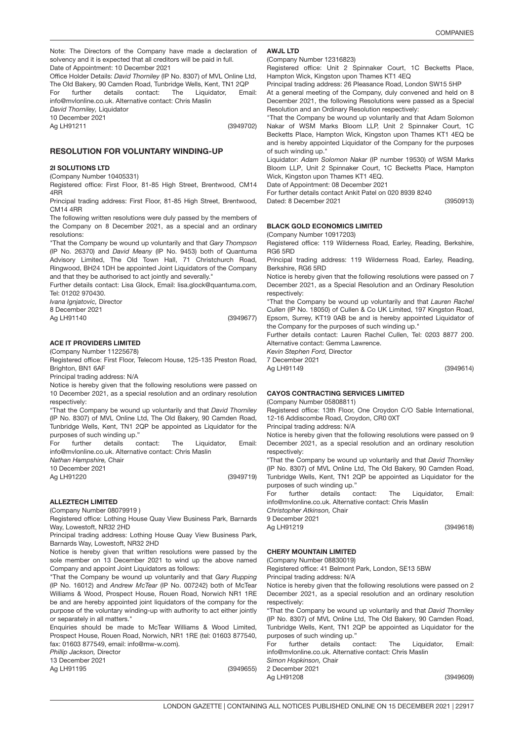Note: The Directors of the Company have made a declaration of solvency and it is expected that all creditors will be paid in full. Date of Appointment: 10 December 2021

Office Holder Details: *David Thorniley* (IP No. 8307) of MVL Online Ltd, The Old Bakery, 90 Camden Road, Tunbridge Wells, Kent, TN1 2QP For further details contact: The Liquidator, Email: info@mvlonline.co.uk. Alternative contact: Chris Maslin

*David Thorniley,* Liquidator

10 December 2021

Ag LH91211

(3949702)

## RESOLUTION FOR VOLUNTARY WINDING-UP

## 2I SOLUTIONS LT<mark>D</mark>

(Company Number 10405331)

Registered office: First Floor, 81-85 High Street, Brentwood, CM14 4RR

Principal trading address: First Floor, 81-85 High Street, Brentwood, CM14 4RR

The following written resolutions were duly passed by the members of the Company on 8 December 2021, as a special and an ordinary resolutions:

"That the Company be wound up voluntarily and that *Gary Thompson* (IP No. 26370) and *David Meany* (IP No. 9453) both of Quantuma Advisory Limited, The Old Town Hall, 71 Christchurch Road, Ringwood, BH24 1DH be appointed Joint Liquidators of the Company and that they be authorised to act jointly and severally."

Further details contact: Lisa Glock, Email: lisa.glock@quantuma.com, Tel: 01202 970430.

*Ivana Ignjatovic,* Director

(3949677) 8 December 2021 Ag LH91140

### ACE IT PROVIDERS LIMITED

(Company Number 11225678)

Registered office: First Floor, Telecom House, 125-135 Preston Road, Brighton, BN1 6AF

Principal trading address: N/A

Notice is hereby given that the following resolutions were passed on 10 December 2021, as a special resolution and an ordinary resolution respectively:

"That the Company be wound up voluntarily and that *David Thorniley* (IP No. 8307) of MVL Online Ltd, The Old Bakery, 90 Camden Road, Tunbridge Wells, Kent, TN1 2QP be appointed as Liquidator for the purposes of such winding up."

For further details contact: The Liquidator, Email: info@mvlonline.co.uk. Alternative contact: Chris Maslin

*Nathan Hampshire,* Chair

10 December 2021 Ag LH91220

(3949719)

## ALLEZTECH LIMITE<mark>D</mark>

(Company Number 08079919 )

Registered office: Lothing House Quay View Business Park, Barnards Way, Lowestoft, NR32 2HD

Principal trading address: Lothing House Quay View Business Park, Barnards Way, Lowestoft, NR32 2HD

Notice is hereby given that written resolutions were passed by the sole member on 13 December 2021 to wind up the above named Company and appoint Joint Liquidators as follows:

"That the Company be wound up voluntarily and that *Gary Rupping* (IP No. 16012) and *Andrew McTear* (IP No. 007242) both of McTear Williams & Wood, Prospect House, Rouen Road, Norwich NR1 1RE be and are hereby appointed joint liquidators of the company for the purpose of the voluntary winding-up with authority to act either jointly or separately in all matters."

Enquiries should be made to McTear Williams & Wood Limited, Prospect House, Rouen Road, Norwich, NR1 1RE (tel: 01603 877540, fax: 01603 877549, email: info@mw-w.com).

*Phillip Jackson,* Director

13 December 2021

Ag LH91195

(3949655)

#### AWJL LTD (Company Number 12316823)

Registered office: Unit 2 Spinnaker Court, 1C Becketts Place, Hampton Wick, Kingston upon Thames KT1 4EQ

Principal trading address: 26 Pleasance Road, London SW15 5HP

At a general meeting of the Company, duly convened and held on 8 December 2021, the following Resolutions were passed as a Special Resolution and an Ordinary Resolution respectively:

"That the Company be wound up voluntarily and that Adam Solomon Nakar of WSM Marks Bloom LLP, Unit 2 Spinnaker Court, 1C Becketts Place, Hampton Wick, Kingston upon Thames KT1 4EQ be and is hereby appointed Liquidator of the Company for the purposes of such winding up."

Liquidator: *Adam Solomon Nakar* (IP number 19530) of WSM Marks Bloom LLP, Unit 2 Spinnaker Court, 1C Becketts Place, Hampton Wick, Kingston upon Thames KT1 4EQ.

Date of Appointment: 08 December 2021

For further details contact Ankit Patel on 020 8939 8240 Dated: 8 December 2021

## BLACK GOLD ECONOMICS LIMITED

(Company Number 10917203)

Registered office: 119 Wilderness Road, Earley, Reading, Berkshire, RG6 5RD

Principal trading address: 119 Wilderness Road, Earley, Reading, Berkshire, RG6 5RD

Notice is hereby given that the following resolutions were passed on 7 December 2021, as a Special Resolution and an Ordinary Resolution respectively:

"That the Company be wound up voluntarily and that *Lauren Rachel Cullen* (IP No. 18050) of Cullen & Co UK Limited, 197 Kingston Road, Epsom, Surrey, KT19 0AB be and is hereby appointed Liquidator of the Company for the purposes of such winding up."

Further details contact: Lauren Rachel Cullen, Tel: 0203 8877 200. Alternative contact: Gemma Lawrence.

*Kevin Stephen Ford,* Director

7 December 2021

Ag LH91149

(3949614)

(3950913)

## CAYOS CONTRACTING SERVICES LIMITED

(Company Number 05808811)

Registered office: 13th Floor, One Croydon C/O Sable International, 12-16 Addiscombe Road, Croydon, CR0 0XT

Principal trading address: N/A

Notice is hereby given that the following resolutions were passed on 9 December 2021, as a special resolution and an ordinary resolution respectively:

"That the Company be wound up voluntarily and that *David Thorniley* (IP No. 8307) of MVL Online Ltd, The Old Bakery, 90 Camden Road, Tunbridge Wells, Kent, TN1 2QP be appointed as Liquidator for the purposes of such winding up."

For further details contact: The Liquidator, Email: info@mvlonline.co.uk. Alternative contact: Chris Maslin

*Christopher Atkinson,* Chair

9 December 2021 Ag LH91219

(3949618)

## CHERY MOUNTAIN LIMITED

(Company Number 08830019)

Registered office: 41 Belmont Park, London, SE13 5BW

Principal trading address: N/A Notice is hereby given that the following resolutions were passed on 2 December 2021, as a special resolution and an ordinary resolution respectively:

"That the Company be wound up voluntarily and that *David Thorniley* (IP No. 8307) of MVL Online Ltd, The Old Bakery, 90 Camden Road, Tunbridge Wells, Kent, TN1 2QP be appointed as Liquidator for the purposes of such winding up."

For further details contact: The Liquidator, Email: info@mvlonline.co.uk. Alternative contact: Chris Maslin

*Simon Hopkinson,* Chair

2 December 2021 Ag LH91208

(3949609)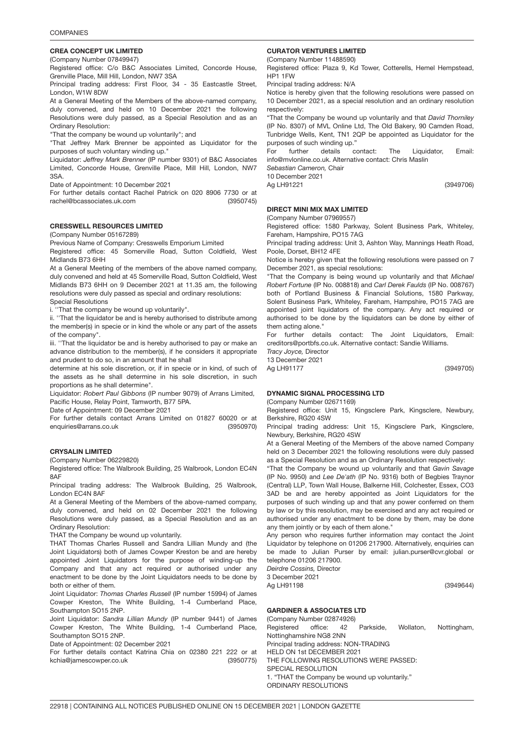## 3950745 CREA CONCEPT UK LIMITED

(Company Number 07849947)

Registered office: C/o B&C Associates Limited, Concorde House, Grenville Place, Mill Hill, London, NW7 3SA

Principal trading address: First Floor, 34 - 35 Eastcastle Street, London, W1W 8DW

At a General Meeting of the Members of the above-named company, duly convened, and held on 10 December 2021 the following Resolutions were duly passed, as a Special Resolution and as an Ordinary Resolution:

"That the company be wound up voluntarily"; and

"That Jeffrey Mark Brenner be appointed as Liquidator for the purposes of such voluntary winding up."

Liquidator: *Jeffrey Mark Brenner* (IP number 9301) of B&C Associates Limited, Concorde House, Grenville Place, Mill Hill, London, NW7 3SA.

Date of Appointment: 10 December 2021

(3950745) For further details contact Rachel Patrick on 020 8906 7730 or at rachel@bcassociates.uk.com

3950970 CRESSWELL RESOURCES LIMITED

(Company Number 05167289)

Previous Name of Company: Cresswells Emporium Limited

Registered office: 45 Somerville Road, Sutton Coldfield, West Midlands B73 6HH

At a General Meeting of the members of the above named company, duly convened and held at 45 Somerville Road, Sutton Coldfield, West Midlands B73 6HH on 9 December 2021 at 11.35 am, the following resolutions were duly passed as special and ordinary resolutions: Special Resolutions

i. ''That the company be wound up voluntarily".

ii. ''That the liquidator be and is hereby authorised to distribute among the member(s) in specie or in kind the whole or any part of the assets of the company".

iii. ''That the liquidator be and is hereby authorised to pay or make an advance distribution to the member(s), if he considers it appropriate and prudent to do so, in an amount that he shall

determine at his sole discretion, or, if in specie or in kind, of such of the assets as he shall determine in his sole discretion, in such proportions as he shall determine".

Liquidator: *Robert Paul Gibbons* (IP number 9079) of Arrans Limited, Pacific House, Relay Point, Tamworth, B77 5PA.

Date of Appointment: 09 December 2021

(3950970) For further details contact Arrans Limited on 01827 60020 or at enquiries@arrans.co.uk

## CRYSALIN LIMITE<mark>D</mark>

(Company Number 06229820)

Registered office: The Walbrook Building, 25 Walbrook, London EC4N 8AF

Principal trading address: The Walbrook Building, 25 Walbrook, London EC4N 8AF

At a General Meeting of the Members of the above-named company, duly convened, and held on 02 December 2021 the following Resolutions were duly passed, as a Special Resolution and as an Ordinary Resolution:

THAT the Company be wound up voluntarily.

THAT Thomas Charles Russell and Sandra Lillian Mundy and (the Joint Liquidators) both of James Cowper Kreston be and are hereby appointed Joint Liquidators for the purpose of winding-up the Company and that any act required or authorised under any enactment to be done by the Joint Liquidators needs to be done by both or either of them.

Joint Liquidator: *Thomas Charles Russell* (IP number 15994) of James Cowper Kreston, The White Building, 1-4 Cumberland Place, Southampton SO15 2NP.

Joint Liquidator: *Sandra Lillian Mundy* (IP number 9441) of James Cowper Kreston, The White Building, 1-4 Cumberland Place, Southampton SO15 2NP.

Date of Appointment: 02 December 2021

(3950775) For further details contact Katrina Chia on 02380 221 222 or at kchia@jamescowper.co.uk

## CURATOR VENTURES LIMITED

(Company Number 11488590) Registered office: Plaza 9, Kd Tower, Cotterells, Hemel Hempstead, HP1 1FW

Principal trading address: N/A

Notice is hereby given that the following resolutions were passed on 10 December 2021, as a special resolution and an ordinary resolution respectively:

"That the Company be wound up voluntarily and that *David Thorniley* (IP No. 8307) of MVL Online Ltd, The Old Bakery, 90 Camden Road, Tunbridge Wells, Kent, TN1 2QP be appointed as Liquidator for the purposes of such winding up."

For further details contact: The Liquidator, Email: info@mvlonline.co.uk. Alternative contact: Chris Maslin

*Sebastian Cameron,* Chair

10 December 2021

Ag LH91221

(3949706)

## DIRECT MINI MIX MAX LIMITED

(Company Number 07969557)

Registered office: 1580 Parkway, Solent Business Park, Whiteley, Fareham, Hampshire, PO15 7AG

Principal trading address: Unit 3, Ashton Way, Mannings Heath Road, Poole, Dorset, BH12 4FE

Notice is hereby given that the following resolutions were passed on 7 December 2021, as special resolutions:

"That the Company is being wound up voluntarily and that *Michael Robert Fortune* (IP No. 008818) and *Carl Derek Faulds* (IP No. 008767) both of Portland Business & Financial Solutions, 1580 Parkway, Solent Business Park, Whiteley, Fareham, Hampshire, PO15 7AG are appointed joint liquidators of the company. Any act required or authorised to be done by the liquidators can be done by either of them acting alone."

For further details contact: The Joint Liquidators, Email: creditors@portbfs.co.uk. Alternative contact: Sandie Williams.

*Tracy Joyce,* Director 13 December 2021

Ag LH91177

(3949705)

## DYNAMIC SIGNAL PROCESSING LTD

(Company Number 02671169)

Registered office: Unit 15, Kingsclere Park, Kingsclere, Newbury, Berkshire, RG20 4SW

Principal trading address: Unit 15, Kingsclere Park, Kingsclere, Newbury, Berkshire, RG20 4SW

At a General Meeting of the Members of the above named Company held on 3 December 2021 the following resolutions were duly passed as a Special Resolution and as an Ordinary Resolution respectively:

"That the Company be wound up voluntarily and that *Gavin Savage* (IP No. 9950) and *Lee De'ath* (IP No. 9316) both of Begbies Traynor (Central) LLP, Town Wall House, Balkerne Hill, Colchester, Essex, CO3 3AD be and are hereby appointed as Joint Liquidators for the purposes of such winding up and that any power conferred on them by law or by this resolution, may be exercised and any act required or authorised under any enactment to be done by them, may be done any them jointly or by each of them alone."

Any person who requires further information may contact the Joint Liquidator by telephone on 01206 217900. Alternatively, enquiries can be made to Julian Purser by email: julian.purser@cvr.global or telephone 01206 217900.

*Deirdre Cossins,* Director 3 December 2021 Ag LH91198

(3949644)

## GARDINER & ASSOCIATES LTD

(Company Number 02874926) Registered office: 42 Parkside, Wollaton, Nottingham, Nottinghamshire NG8 2NN Principal trading address: NON-TRADING HELD ON 1st DECEMBER 2021 THE FOLLOWING RESOLUTIONS WERE PASSED: SPECIAL RESOLUTION 1. "THAT the Company be wound up voluntarily." ORDINARY RESOLUTIONS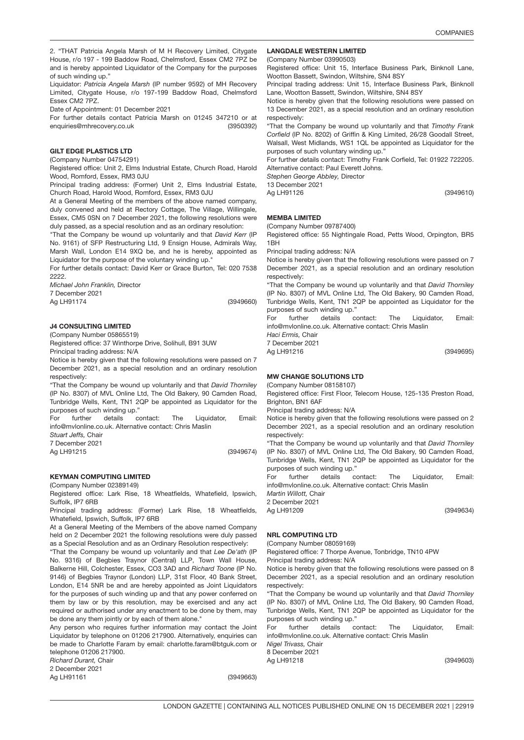2. "THAT Patricia Angela Marsh of M H Recovery Limited, Citygate House, r/o 197 - 199 Baddow Road, Chelmsford, Essex CM2 7PZ be and is hereby appointed Liquidator of the Company for the purposes of such winding up."

Liquidator: *Patricia Angela Marsh* (IP number 9592) of MH Recovery Limited, Citygate House, r/o 197-199 Baddow Road, Chelmsford Essex CM2 7PZ.

Date of Appointment: 01 December 2021

(3950392) For further details contact Patricia Marsh on 01245 347210 or at enquiries@mhrecovery.co.uk

### 3949660 GILT EDGE PLASTICS LTD

(Company Number 04754291)

Registered office: Unit 2, Elms Industrial Estate, Church Road, Harold Wood, Romford, Essex, RM3 0JU

Principal trading address: (Former) Unit 2, Elms Industrial Estate, Church Road, Harold Wood, Romford, Essex, RM3 0JU

At a General Meeting of the members of the above named company, duly convened and held at Rectory Cottage, The Village, Willingale, Essex, CM5 0SN on 7 December 2021, the following resolutions were duly passed, as a special resolution and as an ordinary resolution:

"That the Company be wound up voluntarily and that *David Kerr* (IP No. 9161) of SFP Restructuring Ltd, 9 Ensign House, Admirals Way, Marsh Wall, London E14 9XQ be, and he is hereby, appointed as Liquidator for the purpose of the voluntary winding up."

For further details contact: David Kerr or Grace Burton, Tel: 020 7538 2222.

*Michael John Franklin,* Director

7 December 2021 Ag LH91174

(3949660)

### 3949674 J4 CONSULTING LIMITED

(Company Number 05865519)

Registered office: 37 Winthorpe Drive, Solihull, B91 3UW Principal trading address: N/A

Notice is hereby given that the following resolutions were passed on 7 December 2021, as a special resolution and an ordinary resolution respectively:

"That the Company be wound up voluntarily and that *David Thorniley* (IP No. 8307) of MVL Online Ltd, The Old Bakery, 90 Camden Road, Tunbridge Wells, Kent, TN1 2QP be appointed as Liquidator for the purposes of such winding up."

For further details contact: The Liquidator, Email: info@mvlonline.co.uk. Alternative contact: Chris Maslin

*Stuart Jeffs,* Chair 7 December 2021

Ag LH91215

(3949674)

## KEYMAN COMPUTING LIMIT<mark>ED</mark>

(Company Number 02389149)

Registered office: Lark Rise, 18 Wheatfields, Whatefield, Ipswich, Suffolk, IP7 6RB

Principal trading address: (Former) Lark Rise, 18 Wheatfields, Whatefield, Ipswich, Suffolk, IP7 6RB

At a General Meeting of the Members of the above named Company held on 2 December 2021 the following resolutions were duly passed as a Special Resolution and as an Ordinary Resolution respectively:

"That the Company be wound up voluntarily and that *Lee De'ath* (IP No. 9316) of Begbies Traynor (Central) LLP, Town Wall House, Balkerne Hill, Colchester, Essex, CO3 3AD and *Richard Toone* (IP No. 9146) of Begbies Traynor (London) LLP, 31st Floor, 40 Bank Street, London, E14 5NR be and are hereby appointed as Joint Liquidators for the purposes of such winding up and that any power conferred on them by law or by this resolution, may be exercised and any act required or authorised under any enactment to be done by them, may

be done any them jointly or by each of them alone." Any person who requires further information may contact the Joint Liquidator by telephone on 01206 217900. Alternatively, enquiries can be made to Charlotte Faram by email: charlotte.faram@btguk.com or telephone 01206 217900.

*Richard Durant,* Chair 2 December 2021

Ag LH91161

(3949663)

### LANGDALE WESTERN LIMITED

(Company Number 03990503)

Registered office: Unit 15, Interface Business Park, Binknoll Lane, Wootton Bassett, Swindon, Wiltshire, SN4 8SY

Principal trading address: Unit 15, Interface Business Park, Binknoll Lane, Wootton Bassett, Swindon, Wiltshire, SN4 8SY

Notice is hereby given that the following resolutions were passed on 13 December 2021, as a special resolution and an ordinary resolution respectively:

"That the Company be wound up voluntarily and that *Timothy Frank Corfield* (IP No. 8202) of Griffin & King Limited, 26/28 Goodall Street, Walsall, West Midlands, WS1 1QL be appointed as Liquidator for the purposes of such voluntary winding up."

For further details contact: Timothy Frank Corfield, Tel: 01922 722205. Alternative contact: Paul Everett Johns.

*Stephen George Abbley,* Director

13 December 2021

Ag LH91126

### MEMBA LIMITED

(Company Number 09787400)

Registered office: 55 Nightingale Road, Petts Wood, Orpington, BR5 1BH

Principal trading address: N/A

Notice is hereby given that the following resolutions were passed on 7 December 2021, as a special resolution and an ordinary resolution respectively:

"That the Company be wound up voluntarily and that *David Thorniley* (IP No. 8307) of MVL Online Ltd, The Old Bakery, 90 Camden Road, Tunbridge Wells, Kent, TN1 2QP be appointed as Liquidator for the purposes of such winding up."

For further details contact: The Liquidator, Email: info@mvlonline.co.uk. Alternative contact: Chris Maslin

*Haci Ermis,* Chair

7 December 2021 Ag LH91216

(3949695)

## MW CHANGE SOLUTIONS LTD

(Company Number 08158107)

Registered office: First Floor, Telecom House, 125-135 Preston Road, Brighton, BN1 6AF

Principal trading address: N/A

Notice is hereby given that the following resolutions were passed on 2 December 2021, as a special resolution and an ordinary resolution respectively:

"That the Company be wound up voluntarily and that *David Thorniley* (IP No. 8307) of MVL Online Ltd, The Old Bakery, 90 Camden Road, Tunbridge Wells, Kent, TN1 2QP be appointed as Liquidator for the purposes of such winding up."

For further details contact: The Liquidator, Email: info@mvlonline.co.uk. Alternative contact: Chris Maslin

*Martin Willott,* Chair 2 December 2021

Ag LH91209

# NRL COMPUTING LTD

(Company Number 08059169) Registered office: 7 Thorpe Avenue, Tonbridge, TN10 4PW

Principal trading address: N/A

Notice is hereby given that the following resolutions were passed on 8 December 2021, as a special resolution and an ordinary resolution respectively:

"That the Company be wound up voluntarily and that *David Thorniley* (IP No. 8307) of MVL Online Ltd, The Old Bakery, 90 Camden Road, Tunbridge Wells, Kent, TN1 2QP be appointed as Liquidator for the purposes of such winding up."

For further details contact: The Liquidator, Email: info@mvlonline.co.uk. Alternative contact: Chris Maslin

*Nigel Trivass,* Chair

8 December 2021 Ag LH91218

(3949603)

(3949634)

(3949610)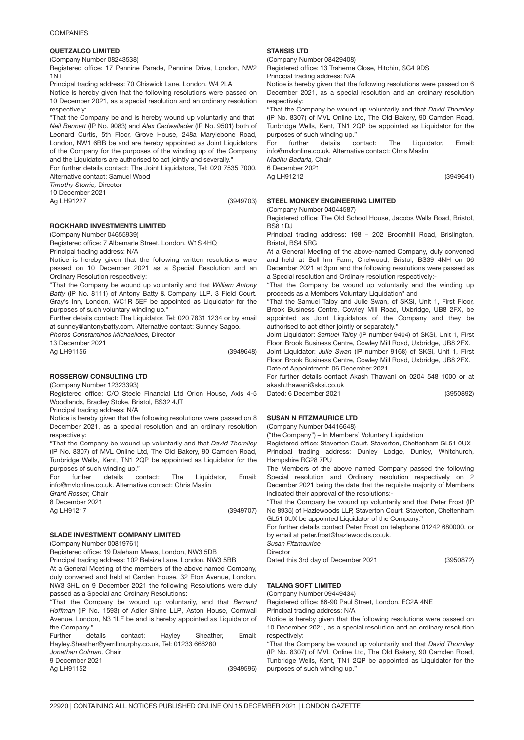## QUETZALCO LIMITE<mark>D</mark>

(Company Number 08243538)

Registered office: 17 Pennine Parade, Pennine Drive, London, NW2 1NT

Principal trading address: 70 Chiswick Lane, London, W4 2LA

Notice is hereby given that the following resolutions were passed on 10 December 2021, as a special resolution and an ordinary resolution respectively:

"That the Company be and is hereby wound up voluntarily and that *Neil Bennett* (IP No. 9083) and *Alex Cadwallader* (IP No. 9501) both of Leonard Curtis, 5th Floor, Grove House, 248a Marylebone Road, London, NW1 6BB be and are hereby appointed as Joint Liquidators of the Company for the purposes of the winding up of the Company and the Liquidators are authorised to act jointly and severally."

For further details contact: The Joint Liquidators, Tel: 020 7535 7000. Alternative contact: Samuel Wood

*Timothy Storrie,* Director

10 December 2021

Ag LH91227

(3949703)

ROCKHARD INVESTMENTS LIMITED

#### (Company Number 04655939)

Registered office: 7 Albemarle Street, London, W1S 4HQ Principal trading address: N/A

Notice is hereby given that the following written resolutions were passed on 10 December 2021 as a Special Resolution and an Ordinary Resolution respectively:

"That the Company be wound up voluntarily and that *William Antony Batty* (IP No. 8111) of Antony Batty & Company LLP, 3 Field Court, Gray's Inn, London, WC1R 5EF be appointed as Liquidator for the purposes of such voluntary winding up.'

Further details contact: The Liquidator, Tel: 020 7831 1234 or by email at sunney@antonybatty.com. Alternative contact: Sunney Sagoo.

*Photos Constantinos Michaelides,* Director

13 December 2021 Ag LH91156

(3949648)

ROSSERGW CONSULTING LT<mark>D</mark>

(Company Number 12323393)

Registered office: C/O Steele Financial Ltd Orion House, Axis 4-5 Woodlands, Bradley Stoke, Bristol, BS32 4JT

December 2021, as a special resolution and an ordinary resolution respectively:

"That the Company be wound up voluntarily and that *David Thorniley* (IP No. 8307) of MVL Online Ltd, The Old Bakery, 90 Camden Road, Tunbridge Wells, Kent, TN1 2QP be appointed as Liquidator for the purposes of such winding up."

For further details contact: The Liquidator, Email: info@mvlonline.co.uk. Alternative contact: Chris Maslin

*Grant Rosser,* Chair

8 December 2021

Ag LH91217

(3949707)

(3949596)

## SLADE INVESTMENT COMPANY LIMITED

(Company Number 00819761)

Registered office: 19 Daleham Mews, London, NW3 5DB

Principal trading address: 102 Belsize Lane, London, NW3 5BB

At a General Meeting of the members of the above named Company, duly convened and held at Garden House, 32 Eton Avenue, London, NW3 3HL on 9 December 2021 the following Resolutions were duly passed as a Special and Ordinary Resolutions:

"That the Company be wound up voluntarily, and that *Bernard Hoffman* (IP No. 1593) of Adler Shine LLP, Aston House, Cornwall Avenue, London, N3 1LF be and is hereby appointed as Liquidator of the Company."

Further details contact: Hayley Sheather, Email: Hayley.Sheather@yerrillmurphy.co.uk, Tel: 01233 666280 *Jonathan Colman,* Chair

9 December 2021

Ag LH91152

STANSIS LT<mark>D</mark>

(Company Number 08429408) Registered office: 13 Traherne Close, Hitchin, SG4 9DS

Principal trading address: N/A

Notice is hereby given that the following resolutions were passed on 6 December 2021, as a special resolution and an ordinary resolution respectively:

"That the Company be wound up voluntarily and that *David Thorniley* (IP No. 8307) of MVL Online Ltd, The Old Bakery, 90 Camden Road, Tunbridge Wells, Kent, TN1 2QP be appointed as Liquidator for the purposes of such winding up."

For further details contact: The Liquidator, Email: info@mvlonline.co.uk. Alternative contact: Chris Maslin

*Madhu Badarla,* Chair

6 December 2021 Ag LH91212

### STEEL MONKEY ENGINEERING LIMITED

(Company Number 04044587)

Registered office: The Old School House, Jacobs Wells Road, Bristol, BS8 1DJ

Principal trading address: 198 – 202 Broomhill Road, Brislington, Bristol, BS4 5RG

At a General Meeting of the above-named Company, duly convened and held at Bull Inn Farm, Chelwood, Bristol, BS39 4NH on 06 December 2021 at 3pm and the following resolutions were passed as a Special resolution and Ordinary resolution respectively:-

"That the Company be wound up voluntarily and the winding up proceeds as a Members Voluntary Liquidation" and

"That the Samuel Talby and Julie Swan, of SKSi, Unit 1, First Floor, Brook Business Centre, Cowley Mill Road, Uxbridge, UB8 2FX, be appointed as Joint Liquidators of the Company and they be authorised to act either jointly or separately."

Joint Liquidator: *Samuel Talby* (IP number 9404) of SKSi, Unit 1, First Floor, Brook Business Centre, Cowley Mill Road, Uxbridge, UB8 2FX.

Joint Liquidator: *Julie Swan* (IP number 9168) of SKSi, Unit 1, First Floor, Brook Business Centre, Cowley Mill Road, Uxbridge, UB8 2FX. Date of Appointment: 06 December 2021

For further details contact Akash Thawani on 0204 548 1000 or at akash.thawani@sksi.co.uk

(3950892)

(3949641)

### SUSAN N FITZMAURICE LTD

("the Company") – In Members' Voluntary Liquidation

Registered office: Staverton Court, Staverton, Cheltenham GL51 0UX Principal trading address: Dunley Lodge, Dunley, Whitchurch, Hampshire RG28 7PU

The Members of the above named Company passed the following Special resolution and Ordinary resolution respectively on 2 December 2021 being the date that the requisite majority of Members indicated their approval of the resolutions:-

"That the Company be wound up voluntarily and that Peter Frost (IP No 8935) of Hazlewoods LLP, Staverton Court, Staverton, Cheltenham GL51 0UX be appointed Liquidator of the Company."

For further details contact Peter Frost on telephone 01242 680000, or by email at peter.frost@hazlewoods.co.uk.

*Susan Fitzmaurice*

**Director** 

Dated this 3rd day of December 2021

## TALANG SOFT LIMITED

(Company Number 09449434) Registered office: 86-90 Paul Street, London, EC2A 4NE

Principal trading address: N/A

Notice is hereby given that the following resolutions were passed on 10 December 2021, as a special resolution and an ordinary resolution respectively:

"That the Company be wound up voluntarily and that *David Thorniley* (IP No. 8307) of MVL Online Ltd, The Old Bakery, 90 Camden Road, Tunbridge Wells, Kent, TN1 2QP be appointed as Liquidator for the purposes of such winding up."

(3950872)

(Company Number 04416648)

Dated: 6 December 2021

Principal trading address: N/A

Notice is hereby given that the following resolutions were passed on 8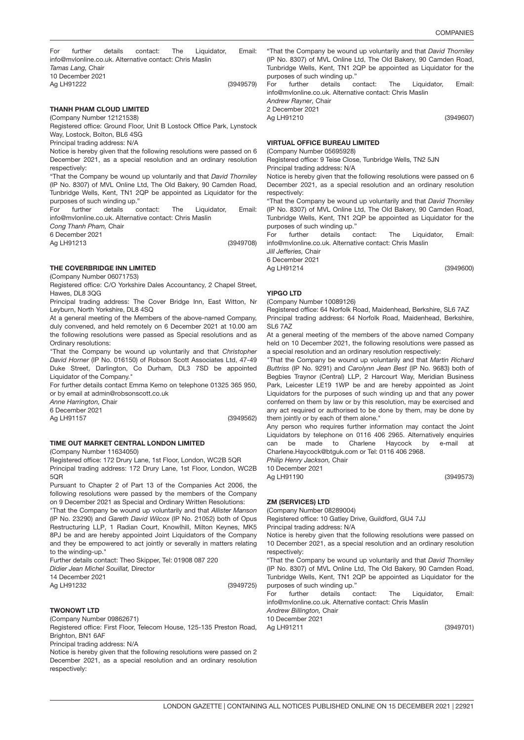(3949600)

(3949579) For further details contact: The Liquidator, Email: info@mvlonline.co.uk. Alternative contact: Chris Maslin *Tamas Lang,* Chair 10 December 2021 Ag LH91222

### THANH PHAM CLOUD LIMITE<mark>D</mark>

(Company Number 12121538)

Registered office: Ground Floor, Unit B Lostock Office Park, Lynstock Way, Lostock, Bolton, BL6 4SG

Principal trading address: N/A

Notice is hereby given that the following resolutions were passed on 6 December 2021, as a special resolution and an ordinary resolution respectively:

"That the Company be wound up voluntarily and that *David Thorniley* (IP No. 8307) of MVL Online Ltd, The Old Bakery, 90 Camden Road, Tunbridge Wells, Kent, TN1 2QP be appointed as Liquidator for the purposes of such winding up."

For further details contact: The Liquidator, Email: info@mvlonline.co.uk. Alternative contact: Chris Maslin

*Cong Thanh Pham,* Chair

6 December 2021 Ag LH91213

(3949708)

## THE COVERBRIDGE INN LIMITED

(Company Number 06071753)

Registered office: C/O Yorkshire Dales Accountancy, 2 Chapel Street, Hawes, DL8 3QG

Principal trading address: The Cover Bridge Inn, East Witton, Nr Leyburn, North Yorkshire, DL8 4SQ

At a general meeting of the Members of the above-named Company, duly convened, and held remotely on 6 December 2021 at 10.00 am the following resolutions were passed as Special resolutions and as Ordinary resolutions:

"That the Company be wound up voluntarily and that *Christopher David Horner* (IP No. 016150) of Robson Scott Associates Ltd, 47-49 Duke Street, Darlington, Co Durham, DL3 7SD be appointed Liquidator of the Company."

For further details contact Emma Kemo on telephone 01325 365 950, or by email at admin@robsonscott.co.uk

*Anne Harrington,* Chair

6 December 2021

Ag LH91157

(3949562)

### TIME OUT MARKET CENTRAL LONDON LIMITED

(Company Number 11634050)

Registered office: 172 Drury Lane, 1st Floor, London, WC2B 5QR

Principal trading address: 172 Drury Lane, 1st Floor, London, WC2B 5QR

Pursuant to Chapter 2 of Part 13 of the Companies Act 2006, the following resolutions were passed by the members of the Company on 9 December 2021 as Special and Ordinary Written Resolutions:

"That the Company be wound up voluntarily and that *Allister Manson* (IP No. 23290) and *Gareth David Wilcox* (IP No. 21052) both of Opus Restructuring LLP, 1 Radian Court, Knowlhill, Milton Keynes, MK5 8PJ be and are hereby appointed Joint Liquidators of the Company and they be empowered to act jointly or severally in matters relating to the winding-up."

Further details contact: Theo Skipper, Tel: 01908 087 220

*Didier Jean Michel Souillat,* Director

14 December 2021

Ag LH91232

(3949725)

## TWONOWT <mark>LTD</mark>

(Company Number 09862671)

Registered office: First Floor, Telecom House, 125-135 Preston Road, Brighton, BN1 6AF

Principal trading address: N/A

Notice is hereby given that the following resolutions were passed on 2 December 2021, as a special resolution and an ordinary resolution respectively:

"That the Company be wound up voluntarily and that *David Thorniley* (IP No. 8307) of MVL Online Ltd, The Old Bakery, 90 Camden Road, Tunbridge Wells, Kent, TN1 2QP be appointed as Liquidator for the purposes of such winding up." For further details contact: The Liquidator, Email:

(3949607) info@mvlonline.co.uk. Alternative contact: Chris Maslin *Andrew Rayner,* Chair 2 December 2021 Ag LH91210

## VIRTUAL OFFICE BUREAU LIMITED

(Company Number 05695928)

Registered office: 9 Teise Close, Tunbridge Wells, TN2 5JN Principal trading address: N/A

Notice is hereby given that the following resolutions were passed on 6 December 2021, as a special resolution and an ordinary resolution respectively:

"That the Company be wound up voluntarily and that *David Thorniley* (IP No. 8307) of MVL Online Ltd, The Old Bakery, 90 Camden Road, Tunbridge Wells, Kent, TN1 2QP be appointed as Liquidator for the purposes of such winding up."

For further details contact: The Liquidator, Email: info@mvlonline.co.uk. Alternative contact: Chris Maslin

*Jill Jefferies,* Chair 6 December 2021

Ag LH91214

## YIPGO LTD

(Company Number 10089126)

Registered office: 64 Norfolk Road, Maidenhead, Berkshire, SL6 7AZ Principal trading address: 64 Norfolk Road, Maidenhead, Berkshire, SL6 7AZ

At a general meeting of the members of the above named Company held on 10 December 2021, the following resolutions were passed as a special resolution and an ordinary resolution respectively:

"That the Company be wound up voluntarily and that *Martin Richard Buttriss* (IP No. 9291) and *Carolynn Jean Best* (IP No. 9683) both of Begbies Traynor (Central) LLP, 2 Harcourt Way, Meridian Business Park, Leicester LE19 1WP be and are hereby appointed as Joint Liquidators for the purposes of such winding up and that any power conferred on them by law or by this resolution, may be exercised and any act required or authorised to be done by them, may be done by them jointly or by each of them alone."

Any person who requires further information may contact the Joint Liquidators by telephone on 0116 406 2965. Alternatively enquiries can be made to Charlene Haycock by e-mail Charlene.Haycock@btguk.com or Tel: 0116 406 2968.

*Philip Henry Jackson,* Chair

10 December 2021 Ag LH91190

# ZM (SERVICES) LTD

(Company Number 08289004) Registered office: 10 Gatley Drive, Guildford, GU4 7JJ

Principal trading address: N/A

Notice is hereby given that the following resolutions were passed on 10 December 2021, as a special resolution and an ordinary resolution respectively:

"That the Company be wound up voluntarily and that *David Thorniley* (IP No. 8307) of MVL Online Ltd, The Old Bakery, 90 Camden Road, Tunbridge Wells, Kent, TN1 2QP be appointed as Liquidator for the purposes of such winding up."

For further details contact: The Liquidator, Email: info@mvlonline.co.uk. Alternative contact: Chris Maslin *Andrew Billington,* Chair

10 December 2021

Ag LH91211

(3949701)

(3949573)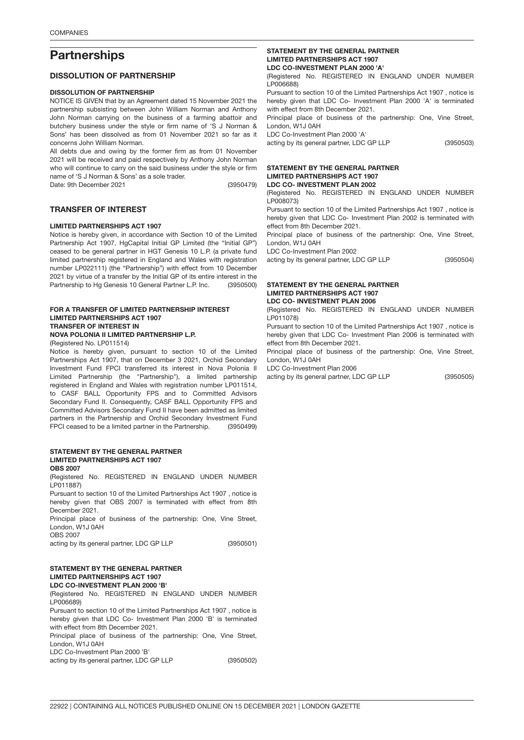# **Partnerships**

### DISSOLUTION OF PARTNERSHIP

## DISSOLUTION OF PARTNERSHIP

NOTICE IS GIVEN that by an Agreement dated 15 November 2021 the partnership subsisting between John William Norman and Anthony John Norman carrying on the business of a farming abattoir and butchery business under the style or firm name of 'S J Norman & Sons' has been dissolved as from 01 November 2021 so far as it concerns John William Norman.

(3950479) All debts due and owing by the former firm as from 01 November 2021 will be received and paid respectively by Anthony John Norman who will continue to carry on the said business under the style or firm name of 'S J Norman & Sons' as a sole trader.

Date: 9th December 2021

### TRANSFER OF INTEREST

## LIMITED PARTNERSHIPS ACT 1907

(3950500) Notice is hereby given, in accordance with Section 10 of the Limited Partnership Act 1907, HgCapital Initial GP Limited (the "Initial GP") ceased to be general partner in HGT Genesis 10 L.P. (a private fund limited partnership registered in England and Wales with registration number LP022111) (the "Partnership") with effect from 10 December 2021 by virtue of a transfer by the Initial GP of its entire interest in the Partnership to Hg Genesis 10 General Partner L.P. Inc.

### FOR A TRANSFER OF LIMITED PARTNERSHIP INTEREST LIMITED PARTNERSHIPS ACT 1907 TRANSFER OF INTEREST IN NOVA POLONIA II LIMITED PARTNERSHIP L.P.

(Registered No. LP011514)

(3950499) Notice is hereby given, pursuant to section 10 of the Limited Partnerships Act 1907, that on December 3 2021, Orchid Secondary Investment Fund FPCI transferred its interest in Nova Polonia II Limited Partnership (the "Partnership"), a limited partnership registered in England and Wales with registration number LP011514, to CASF BALL Opportunity FPS and to Committed Advisors Secondary Fund II. Consequently, CASF BALL Opportunity FPS and Committed Advisors Secondary Fund II have been admitted as limited partners in the Partnership and Orchid Secondary Investment Fund FPCI ceased to be a limited partner in the Partnership.

#### STATEMENT BY THE GENERAL PARTNER LIMITED PARTNERSHIPS ACT 1907 OBS 2007

(Registered No. REGISTERED IN ENGLAND UNDER NUMBER LP011887)

Pursuant to section 10 of the Limited Partnerships Act 1907 , notice is hereby given that OBS 2007 is terminated with effect from 8th December 2021.

Principal place of business of the partnership: One, Vine Street, London, W1J 0AH

OBS 2007

(3950501) acting by its general partner, LDC GP LLP

#### STATEMENT BY THE GENERAL PARTNER LIMITED PARTNERSHIPS ACT 1907 LDC CO-INVESTMENT PLAN 2000 'B'

(Registered No. REGISTERED IN ENGLAND UNDER NUMBER LP006689)

Pursuant to section 10 of the Limited Partnerships Act 1907 , notice is hereby given that LDC Co- Investment Plan 2000 'B' is terminated with effect from 8th December 2021.

Principal place of business of the partnership: One, Vine Street, London, W1J 0AH

LDC Co-Investment Plan 2000 'B'

acting by its general partner, LDC GP LLP

#### STATEMENT BY THE GENERAL PARTNER LIMITED PARTNERSHIPS ACT 1907 LDC CO-INVESTMENT PLAN 2000 'A'

(Registered No. REGISTERED IN ENGLAND UNDER NUMBER LP006688)

Pursuant to section 10 of the Limited Partnerships Act 1907 , notice is hereby given that LDC Co- Investment Plan 2000 'A' is terminated with effect from 8th December 2021.

Principal place of business of the partnership: One, Vine Street, London, W1J 0AH

LDC Co-Investment Plan 2000 'A'

acting by its general partner, LDC GP LLP

## STATEMENT BY THE GENERAL PARTNER LIMITED PARTNERSHIPS ACT 1907

LDC CO- INVESTMENT PLAN 2002

(Registered No. REGISTERED IN ENGLAND UNDER NUMBER LP008073)

Pursuant to section 10 of the Limited Partnerships Act 1907 , notice is hereby given that LDC Co- Investment Plan 2002 is terminated with effect from 8th December 2021.

Principal place of business of the partnership: One, Vine Street, London, W1J 0AH

LDC Co-Investment Plan 2002

(3950504) acting by its general partner, LDC GP LLP

#### STATEMENT BY THE GENERAL PARTNER LIMITED PARTNERSHIPS ACT 1907 LDC CO- INVESTMENT PLAN 2006

(Registered No. REGISTERED IN ENGLAND UNDER NUMBER LP011078)

Pursuant to section 10 of the Limited Partnerships Act 1907 , notice is hereby given that LDC Co- Investment Plan 2006 is terminated with effect from 8th December 2021.

Principal place of business of the partnership: One, Vine Street, London, W1J 0AH

LDC Co-Investment Plan 2006

acting by its general partner, LDC GP LLP

(3950503)

(3950502)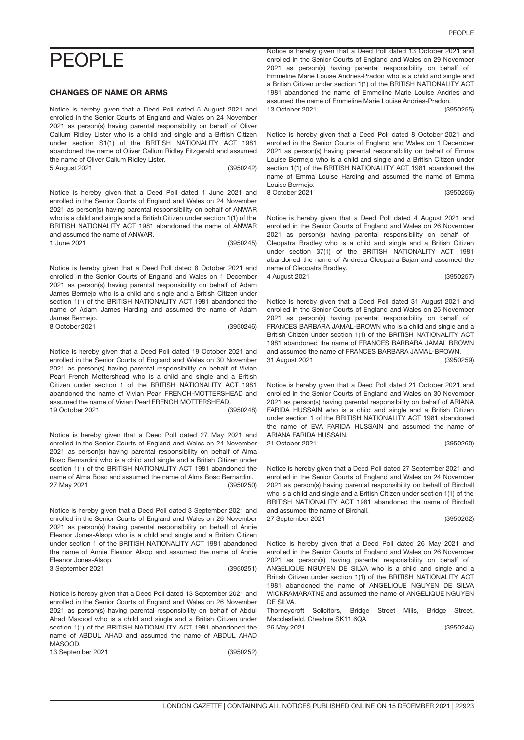# PEOPLE

### CHANGES OF NAME OR ARMS

Notice is hereby given that a Deed Poll dated 5 August 2021 and enrolled in the Senior Courts of England and Wales on 24 November 2021 as person(s) having parental responsibility on behalf of Oliver Callum Ridley Lister who is a child and single and a British Citizen under section S1(1) of the BRITISH NATIONALITY ACT 1981 abandoned the name of Oliver Callum Ridley Fitzgerald and assumed the name of Oliver Callum Ridley Lister. 5 August 2021

(3950242)

Notice is hereby given that a Deed Poll dated 1 June 2021 and (3950245) enrolled in the Senior Courts of England and Wales on 24 November 2021 as person(s) having parental responsibility on behalf of ANWAR who is a child and single and a British Citizen under section 1(1) of the BRITISH NATIONALITY ACT 1981 abandoned the name of ANWAR and assumed the name of ANWAR. 1 June 2021

Notice is hereby given that a Deed Poll dated 8 October 2021 and enrolled in the Senior Courts of England and Wales on 1 December 2021 as person(s) having parental responsibility on behalf of Adam James Bermejo who is a child and single and a British Citizen under section 1(1) of the BRITISH NATIONALITY ACT 1981 abandoned the name of Adam James Harding and assumed the name of Adam

(3950246) James Bermejo. 8 October 2021

Notice is hereby given that a Deed Poll dated 19 October 2021 and (3950248) enrolled in the Senior Courts of England and Wales on 30 November 2021 as person(s) having parental responsibility on behalf of Vivian Pearl French Mottershead who is a child and single and a British Citizen under section 1 of the BRITISH NATIONALITY ACT 1981 abandoned the name of Vivian Pearl FRENCH-MOTTERSHEAD and assumed the name of Vivian Pearl FRENCH MOTTERSHEAD. 19 October 2021

Notice is hereby given that a Deed Poll dated 27 May 2021 and (3950250) enrolled in the Senior Courts of England and Wales on 24 November 2021 as person(s) having parental responsibility on behalf of Alma Bosc Bernardini who is a child and single and a British Citizen under section 1(1) of the BRITISH NATIONALITY ACT 1981 abandoned the name of Alma Bosc and assumed the name of Alma Bosc Bernardini. 27 May 2021

Notice is hereby given that a Deed Poll dated 3 September 2021 and (3950251) enrolled in the Senior Courts of England and Wales on 26 November 2021 as person(s) having parental responsibility on behalf of Annie Eleanor Jones-Alsop who is a child and single and a British Citizen under section 1 of the BRITISH NATIONALITY ACT 1981 abandoned the name of Annie Eleanor Alsop and assumed the name of Annie Eleanor Jones-Alsop. 3 September 2021

Notice is hereby given that a Deed Poll dated 13 September 2021 and enrolled in the Senior Courts of England and Wales on 26 November 2021 as person(s) having parental responsibility on behalf of Abdul Ahad Masood who is a child and single and a British Citizen under section 1(1) of the BRITISH NATIONALITY ACT 1981 abandoned the name of ABDUL AHAD and assumed the name of ABDUL AHAD MASOOD.

13 September 2021

PEOPLE

Notice is hereby given that a Deed Poll dated 13 October 2021 and (3950255) enrolled in the Senior Courts of England and Wales on 29 November 2021 as person(s) having parental responsibility on behalf of Emmeline Marie Louise Andries-Pradon who is a child and single and a British Citizen under section 1(1) of the BRITISH NATIONALITY ACT 1981 abandoned the name of Emmeline Marie Louise Andries and assumed the name of Emmeline Marie Louise Andries-Pradon. 13 October 2021

Notice is hereby given that a Deed Poll dated 8 October 2021 and (3950256) enrolled in the Senior Courts of England and Wales on 1 December 2021 as person(s) having parental responsibility on behalf of Emma Louise Bermejo who is a child and single and a British Citizen under section 1(1) of the BRITISH NATIONALITY ACT 1981 abandoned the name of Emma Louise Harding and assumed the name of Emma Louise Bermejo. 8 October 2021

Notice is hereby given that a Deed Poll dated 4 August 2021 and (3950257) enrolled in the Senior Courts of England and Wales on 26 November 2021 as person(s) having parental responsibility on behalf of Cleopatra Bradley who is a child and single and a British Citizen under section 37(1) of the BRITISH NATIONALITY ACT 1981 abandoned the name of Andreea Cleopatra Bajan and assumed the name of Cleopatra Bradley. 4 August 2021

Notice is hereby given that a Deed Poll dated 31 August 2021 and (3950259) enrolled in the Senior Courts of England and Wales on 25 November 2021 as person(s) having parental responsibility on behalf of FRANCES BARBARA JAMAL-BROWN who is a child and single and a British Citizen under section 1(1) of the BRITISH NATIONALITY ACT 1981 abandoned the name of FRANCES BARBARA JAMAL BROWN and assumed the name of FRANCES BARBARA JAMAL-BROWN. 31 August 2021

Notice is hereby given that a Deed Poll dated 21 October 2021 and enrolled in the Senior Courts of England and Wales on 30 November 2021 as person(s) having parental responsibility on behalf of ARIANA FARIDA HUSSAIN who is a child and single and a British Citizen under section 1 of the BRITISH NATIONALITY ACT 1981 abandoned the name of EVA FARIDA HUSSAIN and assumed the name of ARIANA FARIDA HUSSAIN.

21 October 2021

(3950260)

Notice is hereby given that a Deed Poll dated 27 September 2021 and enrolled in the Senior Courts of England and Wales on 24 November 2021 as person(s) having parental responsibility on behalf of Birchall who is a child and single and a British Citizen under section 1(1) of the BRITISH NATIONALITY ACT 1981 abandoned the name of Birchall and assumed the name of Birchall. 27 September 2021

(3950262)

Notice is hereby given that a Deed Poll dated 26 May 2021 and enrolled in the Senior Courts of England and Wales on 26 November 2021 as person(s) having parental responsibility on behalf of ANGELIQUE NGUYEN DE SILVA who is a child and single and a British Citizen under section 1(1) of the BRITISH NATIONALITY ACT 1981 abandoned the name of ANGELIQUE NGUYEN DE SILVA

WICKRAMARATNE and assumed the name of ANGELIQUE NGUYEN DE SILVA. Thorneycroft Solicitors, Bridge Street Mills, Bridge Street,

(3950244) Macclesfield, Cheshire SK11 6QA 26 May 2021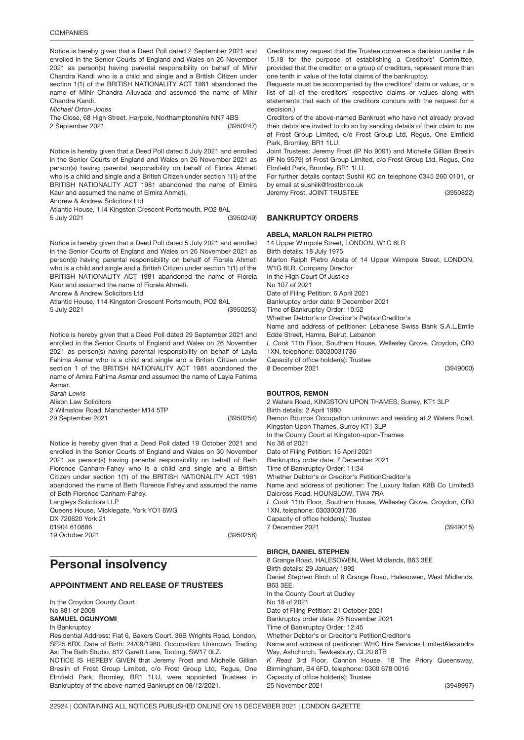Notice is hereby given that a Deed Poll dated 2 September 2021 and enrolled in the Senior Courts of England and Wales on 26 November 2021 as person(s) having parental responsibility on behalf of Mihir Chandra Kandi who is a child and single and a British Citizen under section 1(1) of the BRITISH NATIONALITY ACT 1981 abandoned the name of Mihir Chandra Alluvada and assumed the name of Mihir Chandra Kandi.

*Michael Orton-Jones*

(3950247) The Close, 68 High Street, Harpole, Northamptonshire NN7 4BS

2 September 2021

Notice is hereby given that a Deed Poll dated 5 July 2021 and enrolled in the Senior Courts of England and Wales on 26 November 2021 as person(s) having parental responsibility on behalf of Elmira Ahmeti who is a child and single and a British Citizen under section 1(1) of the BRITISH NATIONALITY ACT 1981 abandoned the name of Elmira Kaur and assumed the name of Elmira Ahmeti.

Andrew & Andrew Solicitors Ltd

Atlantic House, 114 Kingston Crescent Portsmouth, PO2 8AL

5 July 2021

Notice is hereby given that a Deed Poll dated 5 July 2021 and enrolled in the Senior Courts of England and Wales on 26 November 2021 as person(s) having parental responsibility on behalf of Fiorela Ahmeti who is a child and single and a British Citizen under section 1(1) of the BRITISH NATIONALITY ACT 1981 abandoned the name of Fiorela Kaur and assumed the name of Fiorela Ahmeti.

Andrew & Andrew Solicitors Ltd

Atlantic House, 114 Kingston Crescent Portsmouth, PO2 8AL

(3950253) 5 July 2021

Notice is hereby given that a Deed Poll dated 29 September 2021 and enrolled in the Senior Courts of England and Wales on 26 November 2021 as person(s) having parental responsibility on behalf of Layla Fahima Asmar who is a child and single and a British Citizen under section 1 of the BRITISH NATIONALITY ACT 1981 abandoned the name of Amira Fahima Asmar and assumed the name of Layla Fahima Asmar.

*Sarah Lewis* Alison Law Solicitors 2 Wilmslow Road, Manchester M14 5TP 29 September 2021

(3950254)

(3950249)

Notice is hereby given that a Deed Poll dated 19 October 2021 and (3950258) enrolled in the Senior Courts of England and Wales on 30 November 2021 as person(s) having parental responsibility on behalf of Beth Florence Canham-Fahey who is a child and single and a British Citizen under section 1(1) of the BRITISH NATIONALITY ACT 1981 abandoned the name of Beth Florence Fahey and assumed the name of Beth Florence Canham-Fahey. Langleys Solicitors LLP Queens House, Micklegate, York YO1 6WG DX 720620 York 21 01904 610886 19 October 2021

## Personal insolvency

### APPOINTMENT AND RELEASE OF TRUSTEES

In the Croydon County Court No 881 of 2008 SAMUEL OGUNYOMI In Bankruptcy

Residential Address: Flat 6, Bakers Court, 36B Wrights Road, London, SE25 6RX. Date of Birth: 24/09/1980. Occupation: Unknown. Trading As: The Bath Studio, 812 Garett Lane, Tooting, SW17 0LZ.

NOTICE IS HEREBY GIVEN that Jeremy Frost and Michelle Gillian Breslin of Frost Group Limited, c/o Frost Group Ltd, Regus, One Elmfield Park, Bromley, BR1 1LU, were appointed Trustees in Bankruptcy of the above-named Bankrupt on 08/12/2021.

Creditors may request that the Trustee convenes a decision under rule 15.18 for the purpose of establishing a Creditors' Committee, provided that the creditor, or a group of creditors, represent more than one tenth in value of the total claims of the bankruptcy.

Requests must be accompanied by the creditors' claim or values, or a list of all of the creditors` respective claims or values along with statements that each of the creditors concurs with the request for a decision.)

Creditors of the above-named Bankrupt who have not already proved their debts are invited to do so by sending details of their claim to me at Frost Group Limited, c/o Frost Group Ltd, Regus, One Elmfield Park, Bromley, BR1 1LU.

Joint Trustees: Jeremy Frost (IP No 9091) and Michelle Gillian Breslin (IP No 9579) of Frost Group Limited, c/o Frost Group Ltd, Regus, One Elmfield Park, Bromley, BR1 1LU.

(3950822) For further details contact Sushil KC on telephone 0345 260 0101, or by email at sushilk@frostbr.co.uk

Jeremy Frost, JOINT TRUSTEE

## BANKRUPTCY ORDERS

ABELA, MARLON RALPH PIETRO (3949000) 14 Upper Wimpole Street, LONDON, W1G 6LR Birth details: 18 July 1975 Marlon Ralph Pietro Abela of 14 Upper Wimpole Street, LONDON, W1G 6LR. Company Director In the High Court Of Justice No 107 of 2021 Date of Filing Petition: 6 April 2021 Bankruptcy order date: 8 December 2021 Time of Bankruptcy Order: 10:52 Whether Debtor's or Creditor's PetitionCreditor's Name and address of petitioner: Lebanese Swiss Bank S.A.L.Emile Edde Street, Hamra, Beirut, Lebanon *L Cook* 11th Floor, Southern House, Wellesley Grove, Croydon, CR0 1XN, telephone: 03030031736 Capacity of office holder(s): Trustee 8 December 2021

### BOUTROS, REMON

(3949015) 2 Waters Road, KINGSTON UPON THAMES, Surrey, KT1 3LP Birth details: 2 April 1980 Remon Boutros Occupation unknown and residing at 2 Waters Road, Kingston Upon Thames, Surrey KT1 3LP In the County Court at Kingston-upon-Thames No 36 of 2021 Date of Filing Petition: 15 April 2021 Bankruptcy order date: 7 December 2021 Time of Bankruptcy Order: 11:34 Whether Debtor's or Creditor's PetitionCreditor's Name and address of petitioner: The Luxury Italian K8B Co Limited3 Dalcross Road, HOUNSLOW, TW4 7RA *L Cook* 11th Floor, Southern House, Wellesley Grove, Croydon, CR0 1XN, telephone: 03030031736 Capacity of office holder(s): Trustee 7 December 2021

### BIRCH, DANIEL STEPHEN

(3948997) 8 Grange Road, HALESOWEN, West Midlands, B63 3EE Birth details: 29 January 1992 Daniel Stephen Birch of 8 Grange Road, Halesowen, West Midlands, B63 3EE. In the County Court at Dudley No 18 of 2021 Date of Filing Petition: 21 October 2021 Bankruptcy order date: 25 November 2021 Time of Bankruptcy Order: 12:45 Whether Debtor's or Creditor's PetitionCreditor's Name and address of petitioner: WHC Hire Services LimitedAlexandra Way, Ashchurch, Tewkesbury, GL20 8TB *K Read* 3rd Floor, Cannon House, 18 The Priory Queensway, Birmingham, B4 6FD, telephone: 0300 678 0016 Capacity of office holder(s): Trustee 25 November 2021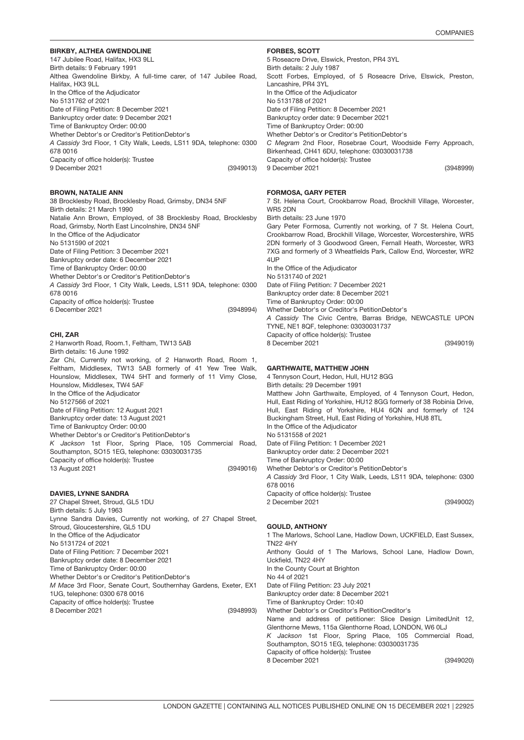### BIRKBY, ALTHEA GWENDOLIN<mark>E</mark>

147 Jubilee Road, Halifax, HX3 9LL Birth details: 9 February 1991 Althea Gwendoline Birkby, A full-time carer, of 147 Jubilee Road, Halifax, HX3 9LL In the Office of the Adjudicator No 5131762 of 2021 Date of Filing Petition: 8 December 2021 Bankruptcy order date: 9 December 2021 Time of Bankruptcy Order: 00:00 Whether Debtor's or Creditor's PetitionDebtor's *A Cassidy* 3rd Floor, 1 City Walk, Leeds, LS11 9DA, telephone: 0300 678 0016

Capacity of office holder(s): Trustee 9 December 2021

#### BROWN, NATALI<mark>E</mark> ANN

(3948994) 38 Brocklesby Road, Brocklesby Road, Grimsby, DN34 5NF Birth details: 21 March 1990 Natalie Ann Brown, Employed, of 38 Brocklesby Road, Brocklesby Road, Grimsby, North East Lincolnshire, DN34 5NF In the Office of the Adjudicator No 5131590 of 2021 Date of Filing Petition: 3 December 2021 Bankruptcy order date: 6 December 2021 Time of Bankruptcy Order: 00:00 Whether Debtor's or Creditor's PetitionDebtor's *A Cassidy* 3rd Floor, 1 City Walk, Leeds, LS11 9DA, telephone: 0300 678 0016 Capacity of office holder(s): Trustee 6 December 2021

#### CHI, ZAR

(3949016) 2 Hanworth Road, Room.1, Feltham, TW13 5AB Birth details: 16 June 1992 Zar Chi, Currently not working, of 2 Hanworth Road, Room 1, Feltham, Middlesex, TW13 5AB formerly of 41 Yew Tree Walk, Hounslow, Middlesex, TW4 5HT and formerly of 11 Vimy Close, Hounslow, Middlesex, TW4 5AF In the Office of the Adjudicator No 5127566 of 2021 Date of Filing Petition: 12 August 2021 Bankruptcy order date: 13 August 2021 Time of Bankruptcy Order: 00:00 Whether Debtor's or Creditor's PetitionDebtor's *K Jackson* 1st Floor, Spring Place, 105 Commercial Road, Southampton, SO15 1EG, telephone: 03030031735 Capacity of office holder(s): Trustee 13 August 2021

#### DAVIES, LYNNE SANDRA

(3948993) 27 Chapel Street, Stroud, GL5 1DU Birth details: 5 July 1963 Lynne Sandra Davies, Currently not working, of 27 Chapel Street, Stroud, Gloucestershire, GL5 1DU In the Office of the Adjudicator No 5131724 of 2021 Date of Filing Petition: 7 December 2021 Bankruptcy order date: 8 December 2021 Time of Bankruptcy Order: 00:00 Whether Debtor's or Creditor's PetitionDebtor's *M Mace* 3rd Floor, Senate Court, Southernhay Gardens, Exeter, EX1 1UG, telephone: 0300 678 0016 Capacity of office holder(s): Trustee 8 December 2021

### FORBES, SCOTT

(3948999) 5 Roseacre Drive, Elswick, Preston, PR4 3YL Birth details: 2 July 1987 Scott Forbes, Employed, of 5 Roseacre Drive, Elswick, Preston, Lancashire, PR4 3YL In the Office of the Adjudicator No 5131788 of 2021 Date of Filing Petition: 8 December 2021 Bankruptcy order date: 9 December 2021 Time of Bankruptcy Order: 00:00 Whether Debtor's or Creditor's PetitionDebtor's *C Megram* 2nd Floor, Rosebrae Court, Woodside Ferry Approach, Birkenhead, CH41 6DU, telephone: 03030031738 Capacity of office holder(s): Trustee 9 December 2021

### FORMOSA, GARY PETER

(3949013)

(3949019) 7 St. Helena Court, Crookbarrow Road, Brockhill Village, Worcester, WR5 2DN Birth details: 23 June 1970 Gary Peter Formosa, Currently not working, of 7 St. Helena Court, Crookbarrow Road, Brockhill Village, Worcester, Worcestershire, WR5 2DN formerly of 3 Goodwood Green, Fernall Heath, Worcester, WR3 7XG and formerly of 3 Wheatfields Park, Callow End, Worcester, WR2 4UP In the Office of the Adjudicator No 5131740 of 2021 Date of Filing Petition: 7 December 2021 Bankruptcy order date: 8 December 2021 Time of Bankruptcy Order: 00:00 Whether Debtor's or Creditor's PetitionDebtor's *A Cassidy* The Civic Centre, Barras Bridge, NEWCASTLE UPON TYNE, NE1 8QF, telephone: 03030031737 Capacity of office holder(s): Trustee

### GARTHWAITE, MATTHEW JOHN

8 December 2021

(3949002) 4 Tennyson Court, Hedon, Hull, HU12 8GG Birth details: 29 December 1991 Matthew John Garthwaite, Employed, of 4 Tennyson Court, Hedon, Hull, East Riding of Yorkshire, HU12 8GG formerly of 38 Robinia Drive, Hull, East Riding of Yorkshire, HU4 6QN and formerly of 124 Buckingham Street, Hull, East Riding of Yorkshire, HU8 8TL In the Office of the Adjudicator No 5131558 of 2021 Date of Filing Petition: 1 December 2021 Bankruptcy order date: 2 December 2021 Time of Bankruptcy Order: 00:00 Whether Debtor's or Creditor's PetitionDebtor's *A Cassidy* 3rd Floor, 1 City Walk, Leeds, LS11 9DA, telephone: 0300 678 0016 Capacity of office holder(s): Trustee

#### GOULD, ANTHONY

2 December 2021

(3949020) 1 The Marlows, School Lane, Hadlow Down, UCKFIELD, East Sussex, TN22 4HY Anthony Gould of 1 The Marlows, School Lane, Hadlow Down, Uckfield, TN22 4HY In the County Court at Brighton No 44 of 2021 Date of Filing Petition: 23 July 2021 Bankruptcy order date: 8 December 2021 Time of Bankruptcy Order: 10:40 Whether Debtor's or Creditor's PetitionCreditor's Name and address of petitioner: Slice Design LimitedUnit 12, Glenthorne Mews, 115a Glenthorne Road, LONDON, W6 0LJ *K Jackson* 1st Floor, Spring Place, 105 Commercial Road, Southampton, SO15 1EG, telephone: 03030031735 Capacity of office holder(s): Trustee 8 December 2021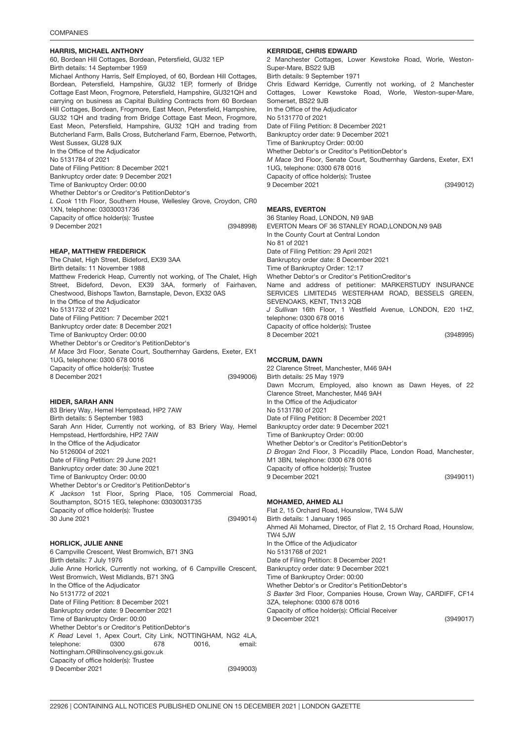### HARRIS, MICHAEL ANTHONY

(3948998) 60, Bordean Hill Cottages, Bordean, Petersfield, GU32 1EP Birth details: 14 September 1959 Michael Anthony Harris, Self Employed, of 60, Bordean Hill Cottages, Bordean, Petersfield, Hampshire, GU32 1EP, formerly of Bridge Cottage East Meon, Frogmore, Petersfield, Hampshire, GU321QH and carrying on business as Capital Building Contracts from 60 Bordean Hill Cottages, Bordean, Frogmore, East Meon, Petersfield, Hampshire, GU32 1QH and trading from Bridge Cottage East Meon, Frogmore, East Meon, Petersfield, Hampshire, GU32 1QH and trading from Butcherland Farm, Balls Cross, Butcherland Farm, Ebernoe, Petworth, West Sussex, GU28 9JX In the Office of the Adjudicator No 5131784 of 2021 Date of Filing Petition: 8 December 2021 Bankruptcy order date: 9 December 2021 Time of Bankruptcy Order: 00:00 Whether Debtor's or Creditor's PetitionDebtor's *L Cook* 11th Floor, Southern House, Wellesley Grove, Croydon, CR0 1XN, telephone: 03030031736 Capacity of office holder(s): Trustee 9 December 2021

### HEAP, MATTHEW FREDERICK

(3949006) The Chalet, High Street, Bideford, EX39 3AA Birth details: 11 November 1988 Matthew Frederick Heap, Currently not working, of The Chalet, High Street, Bideford, Devon, EX39 3AA, formerly of Fairhaven, Chestwood, Bishops Tawton, Barnstaple, Devon, EX32 0AS In the Office of the Adjudicator No 5131732 of 2021 Date of Filing Petition: 7 December 2021 Bankruptcy order date: 8 December 2021 Time of Bankruptcy Order: 00:00 Whether Debtor's or Creditor's PetitionDebtor's *M Mace* 3rd Floor, Senate Court, Southernhay Gardens, Exeter, EX1 1UG, telephone: 0300 678 0016 Capacity of office holder(s): Trustee 8 December 2021

### HIDER, SARAH ANN

(3949014) 83 Briery Way, Hemel Hempstead, HP2 7AW Birth details: 5 September 1983 Sarah Ann Hider, Currently not working, of 83 Briery Way, Hemel Hempstead, Hertfordshire, HP2 7AW In the Office of the Adjudicator No 5126004 of 2021 Date of Filing Petition: 29 June 2021 Bankruptcy order date: 30 June 2021 Time of Bankruptcy Order: 00:00 Whether Debtor's or Creditor's PetitionDebtor's *K Jackson* 1st Floor, Spring Place, 105 Commercial Road, Southampton, SO15 1EG, telephone: 03030031735 Capacity of office holder(s): Trustee 30 June 2021

### 3949003 HORLICK, JULIE ANNE

(3949003) 6 Campville Crescent, West Bromwich, B71 3NG Birth details: 7 July 1976 Julie Anne Horlick, Currently not working, of 6 Campville Crescent, West Bromwich, West Midlands, B71 3NG In the Office of the Adjudicator No 5131772 of 2021 Date of Filing Petition: 8 December 2021 Bankruptcy order date: 9 December 2021 Time of Bankruptcy Order: 00:00 Whether Debtor's or Creditor's PetitionDebtor's *K Read* Level 1, Apex Court, City Link, NOTTINGHAM, NG2 4LA, telephone: 0300 678 0016, email: Nottingham.OR@insolvency.gsi.gov.uk Capacity of office holder(s): Trustee 9 December 2021

### KERRIDGE, CHRIS EDWARD

(3949012) 2 Manchester Cottages, Lower Kewstoke Road, Worle, Weston-Super-Mare, BS22 9.IR Birth details: 9 September 1971 Chris Edward Kerridge, Currently not working, of 2 Manchester Cottages, Lower Kewstoke Road, Worle, Weston-super-Mare, Somerset, BS22 9JB In the Office of the Adjudicator No 5131770 of 2021 Date of Filing Petition: 8 December 2021 Bankruptcy order date: 9 December 2021 Time of Bankruptcy Order: 00:00 Whether Debtor's or Creditor's PetitionDebtor's *M Mace* 3rd Floor, Senate Court, Southernhay Gardens, Exeter, EX1 1UG, telephone: 0300 678 0016 Capacity of office holder(s): Trustee 9 December 2021

### MEARS, EVERTON

(3948995) 36 Stanley Road, LONDON, N9 9AB EVERTON Mears OF 36 STANLEY ROAD,LONDON,N9 9AB In the County Court at Central London No 81 of 2021 Date of Filing Petition: 29 April 2021 Bankruptcy order date: 8 December 2021 Time of Bankruptcy Order: 12:17 Whether Debtor's or Creditor's PetitionCreditor's Name and address of petitioner: MARKERSTUDY INSURANCE SERVICES LIMITED45 WESTERHAM ROAD, BESSELS GREEN, SEVENOAKS, KENT, TN13 2QB *J Sullivan* 16th Floor, 1 Westfield Avenue, LONDON, E20 1HZ, telephone: 0300 678 0016 Capacity of office holder(s): Trustee 8 December 2021

### MCCRUM, DAWN

(3949011) 22 Clarence Street, Manchester, M46 9AH Birth details: 25 May 1979 Dawn Mccrum, Employed, also known as Dawn Heyes, of 22 Clarence Street, Manchester, M46 9AH In the Office of the Adjudicator No 5131780 of 2021 Date of Filing Petition: 8 December 2021 Bankruptcy order date: 9 December 2021 Time of Bankruptcy Order: 00:00 Whether Debtor's or Creditor's PetitionDebtor's *D Brogan* 2nd Floor, 3 Piccadilly Place, London Road, Manchester, M1 3BN, telephone: 0300 678 0016 Capacity of office holder(s): Trustee 9 December 2021

### MOHAMED, AHMED ALI

(3949017) Flat 2, 15 Orchard Road, Hounslow, TW4 5JW Birth details: 1 January 1965 Ahmed Ali Mohamed, Director, of Flat 2, 15 Orchard Road, Hounslow, TW4 5JW In the Office of the Adjudicator No 5131768 of 2021 Date of Filing Petition: 8 December 2021 Bankruptcy order date: 9 December 2021 Time of Bankruptcy Order: 00:00 Whether Debtor's or Creditor's PetitionDebtor's *S Baxter* 3rd Floor, Companies House, Crown Way, CARDIFF, CF14 3ZA, telephone: 0300 678 0016 Capacity of office holder(s): Official Receiver 9 December 2021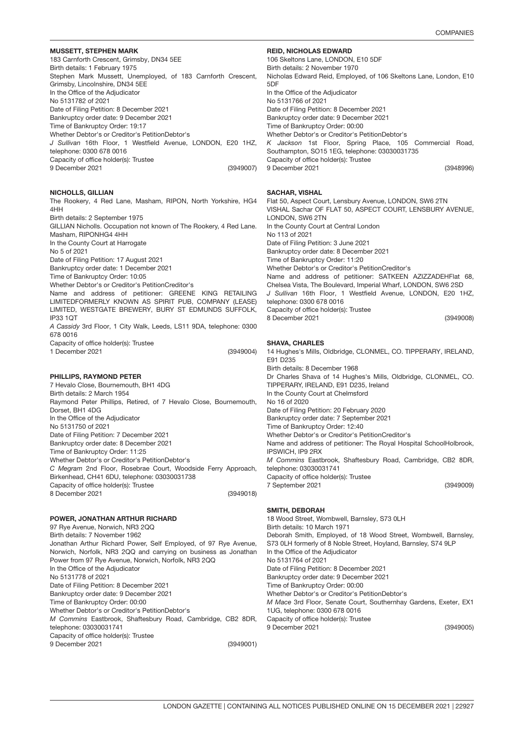### MUSSETT, STEPHEN MARK

(3949007) 183 Carnforth Crescent, Grimsby, DN34 5EE Birth details: 1 February 1975 Stephen Mark Mussett, Unemployed, of 183 Carnforth Crescent, Grimsby, Lincolnshire, DN34 5EE In the Office of the Adjudicator No 5131782 of 2021 Date of Filing Petition: 8 December 2021 Bankruptcy order date: 9 December 2021 Time of Bankruptcy Order: 19:17 Whether Debtor's or Creditor's PetitionDebtor's *J Sullivan* 16th Floor, 1 Westfield Avenue, LONDON, E20 1HZ, telephone: 0300 678 0016 Capacity of office holder(s): Trustee 9 December 2021

### NICHOLLS, GILLIAN

The Rookery, 4 Red Lane, Masham, RIPON, North Yorkshire, HG4 4HH Birth details: 2 September 1975 GILLIAN Nicholls. Occupation not known of The Rookery, 4 Red Lane. Masham, RIPONHG4 4HH In the County Court at Harrogate

No 5 of 2021

Date of Filing Petition: 17 August 2021

Bankruptcy order date: 1 December 2021

Time of Bankruptcy Order: 10:05

Whether Debtor's or Creditor's PetitionCreditor's

Name and address of petitioner: GREENE KING RETAILING LIMITEDFORMERLY KNOWN AS SPIRIT PUB, COMPANY (LEASE) LIMITED, WESTGATE BREWERY, BURY ST EDMUNDS SUFFOLK, IP33 1QT

*A Cassidy* 3rd Floor, 1 City Walk, Leeds, LS11 9DA, telephone: 0300 678 0016

Capacity of office holder(s): Trustee 1 December 2021

### PHILLIPS, RAYMOND PETE<mark>R</mark>

(3949018) 7 Hevalo Close, Bournemouth, BH1 4DG Birth details: 2 March 1954 Raymond Peter Phillips, Retired, of 7 Hevalo Close, Bournemouth, Dorset, BH1 4DG In the Office of the Adjudicator No 5131750 of 2021 Date of Filing Petition: 7 December 2021 Bankruptcy order date: 8 December 2021 Time of Bankruptcy Order: 11:25 Whether Debtor's or Creditor's PetitionDebtor's *C Megram* 2nd Floor, Rosebrae Court, Woodside Ferry Approach, Birkenhead, CH41 6DU, telephone: 03030031738 Capacity of office holder(s): Trustee 8 December 2021

#### POWER, JONATHAN ARTHUR RICHAR<mark>D</mark>

(3949001) 97 Rye Avenue, Norwich, NR3 2QQ Birth details: 7 November 1962 Jonathan Arthur Richard Power, Self Employed, of 97 Rye Avenue, Norwich, Norfolk, NR3 2QQ and carrying on business as Jonathan Power from 97 Rye Avenue, Norwich, Norfolk, NR3 2QQ In the Office of the Adjudicator No 5131778 of 2021 Date of Filing Petition: 8 December 2021 Bankruptcy order date: 9 December 2021 Time of Bankruptcy Order: 00:00 Whether Debtor's or Creditor's PetitionDebtor's *M Commins* Eastbrook, Shaftesbury Road, Cambridge, CB2 8DR, telephone: 03030031741 Capacity of office holder(s): Trustee 9 December 2021

#### REID, NICHOLAS EDWARD

(3948996) 106 Skeltons Lane, LONDON, E10 5DF Birth details: 2 November 1970 Nicholas Edward Reid, Employed, of 106 Skeltons Lane, London, E10 5DF In the Office of the Adjudicator No 5131766 of 2021 Date of Filing Petition: 8 December 2021 Bankruptcy order date: 9 December 2021 Time of Bankruptcy Order: 00:00 Whether Debtor's or Creditor's PetitionDebtor's *K Jackson* 1st Floor, Spring Place, 105 Commercial Road, Southampton, SO15 1EG, telephone: 03030031735 Capacity of office holder(s): Trustee 9 December 2021

### SACHAR, VISHAL

| Flat 50, Aspect Court, Lensbury Avenue, LONDON, SW6 2TN       |
|---------------------------------------------------------------|
| VISHAL Sachar OF FLAT 50, ASPECT COURT, LENSBURY AVENUE,      |
| LONDON, SW6 2TN                                               |
| In the County Court at Central London                         |
| No 113 of 2021                                                |
| Date of Filing Petition: 3 June 2021                          |
| Bankruptcy order date: 8 December 2021                        |
| Time of Bankruptcy Order: 11:20                               |
| Whether Debtor's or Creditor's PetitionCreditor's             |
| Name and address of petitioner: SATKEEN AZIZZADEHFlat 68,     |
| Chelsea Vista, The Boulevard, Imperial Wharf, LONDON, SW6 2SD |
| J Sullivan 16th Floor, 1 Westfield Avenue, LONDON, E20 1HZ,   |
| telephone: 0300 678 0016                                      |
| Capacity of office holder(s): Trustee                         |
| 8 December 2021<br>(3949008)                                  |
|                                                               |

### SHAVA, CHARLES

(3949004)

(3949009) 14 Hughes's Mills, Oldbridge, CLONMEL, CO. TIPPERARY, IRELAND, E91 D235 Birth details: 8 December 1968 Dr Charles Shava of 14 Hughes's Mills, Oldbridge, CLONMEL, CO. TIPPERARY, IRELAND, E91 D235, Ireland In the County Court at Chelmsford No 16 of 2020 Date of Filing Petition: 20 February 2020 Bankruptcy order date: 7 September 2021 Time of Bankruptcy Order: 12:40 Whether Debtor's or Creditor's PetitionCreditor's Name and address of petitioner: The Royal Hospital SchoolHolbrook, IPSWICH, IP9 2RX *M Commins* Eastbrook, Shaftesbury Road, Cambridge, CB2 8DR, telephone: 03030031741 Capacity of office holder(s): Trustee 7 September 2021

#### SMITH, DEBORAH

(3949005) 18 Wood Street, Wombwell, Barnsley, S73 0LH Birth details: 10 March 1971 Deborah Smith, Employed, of 18 Wood Street, Wombwell, Barnsley, S73 0LH formerly of 8 Noble Street, Hoyland, Barnsley, S74 9LP In the Office of the Adjudicator No 5131764 of 2021 Date of Filing Petition: 8 December 2021 Bankruptcy order date: 9 December 2021 Time of Bankruptcy Order: 00:00 Whether Debtor's or Creditor's PetitionDebtor's *M Mace* 3rd Floor, Senate Court, Southernhay Gardens, Exeter, EX1 1UG, telephone: 0300 678 0016 Capacity of office holder(s): Trustee 9 December 2021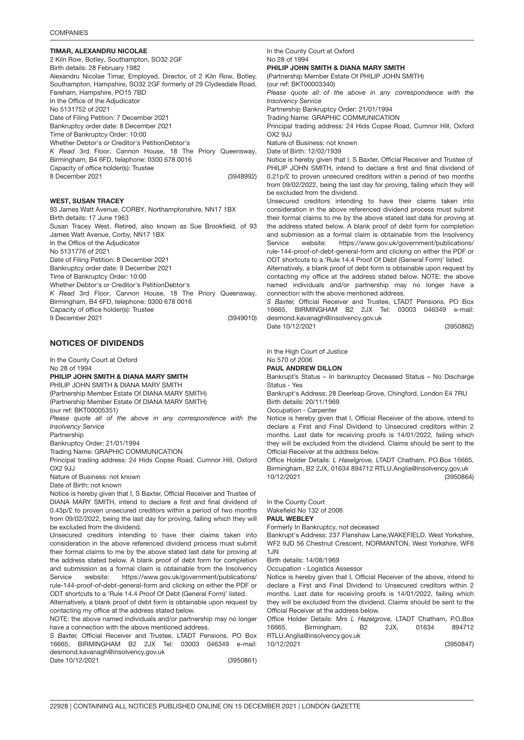### TIMAR, ALEXANDRU NICOLA<mark>E</mark>

(3948992) 2 Kiln Row, Botley, Southampton, SO32 2GF Birth details: 28 February 1982 Alexandru Nicolae Timar, Employed, Director, of 2 Kiln Row, Botley, Southampton, Hampshire, SO32 2GF formerly of 29 Clydesdale Road, Fareham, Hampshire, PO15 7BD In the Office of the Adjudicator No 5131752 of 2021 Date of Filing Petition: 7 December 2021 Bankruptcy order date: 8 December 2021 Time of Bankruptcy Order: 10:00 Whether Debtor's or Creditor's PetitionDebtor's *K Read* 3rd Floor, Cannon House, 18 The Priory Queensway, Birmingham, B4 6FD, telephone: 0300 678 0016 Capacity of office holder(s): Trustee 8 December 2021

### WEST, SUSAN TRACEY

(3949010) 93 James Watt Avenue, CORBY, Northamptonshire, NN17 1BX Birth details: 17 June 1963 Susan Tracey West, Retired, also known as Sue Brookfield, of 93 James Watt Avenue, Corby, NN17 1BX In the Office of the Adjudicator No 5131776 of 2021 Date of Filing Petition: 8 December 2021 Bankruptcy order date: 9 December 2021 Time of Bankruptcy Order: 10:00 Whether Debtor's or Creditor's PetitionDebtor's *K Read* 3rd Floor, Cannon House, 18 The Priory Queensway, Birmingham, B4 6FD, telephone: 0300 678 0016 Capacity of office holder(s): Trustee 9 December 2021

### NOTICES OF DIVIDENDS

In the County Court at Oxford No 28 of 1994 PHILIP JOHN SMITH & DIANA MARY SMITH PHILIP JOHN SMITH & DIANA MARY SMITH (Partnership Member Estate Of DIANA MARY SMITH) (Partnership Member Estate Of DIANA MARY SMITH) (our ref: BKT00005351) *Please quote all of the above in any correspondence with the Insolvency Service* Partnership Bankruptcy Order: 21/01/1994 Trading Name: GRAPHIC COMMUNICATION Principal trading address: 24 Hids Copse Road, Cumnor Hill, Oxford  $OX29JJJ$ 

Nature of Business: not known

Date of Birth: not known

Notice is hereby given that I, S Baxter, Official Receiver and Trustee of DIANA MARY SMITH, intend to declare a first and final dividend of 0.43p/£ to proven unsecured creditors within a period of two months from 09/02/2022, being the last day for proving, failing which they will be excluded from the dividend.

Unsecured creditors intending to have their claims taken into consideration in the above referenced dividend process must submit their formal claims to me by the above stated last date for proving at the address stated below. A blank proof of debt form for completion and submission as a formal claim is obtainable from the Insolvency Service website: https://www.gov.uk/government/publications/ rule-144-proof-of-debt-general-form and clicking on either the PDF or ODT shortcuts to a 'Rule 14.4 Proof Of Debt (General Form)' listed.

Alternatively, a blank proof of debt form is obtainable upon request by contacting my office at the address stated below.

NOTE: the above named individuals and/or partnership may no longer have a connection with the above mentioned address.

*S Baxter,* Official Receiver and Trustee, LTADT Pensions, PO Box 16665, BIRMINGHAM B2 2JX Tel: 03003 046349 e-mail: desmond.kavanagh@insolvency.gov.uk

Date 10/12/2021

(3950861)

In the County Court at Oxford No 28 of 1994 PHILIP JOHN SMITH & DIANA MARY SMITH (Partnership Member Estate Of PHILIP JOHN SMITH) (our ref: BKT00003340) *Please quote all of the above in any correspondence with the Insolvency Service* Partnership Bankruptcy Order: 21/01/1994 Trading Name: GRAPHIC COMMUNICATION Principal trading address: 24 Hids Copse Road, Cumnor Hill, Oxford  $OX29$ , I.I. Nature of Business: not known Date of Birth: 12/02/1939 Notice is hereby given that I, S Baxter, Official Receiver and Trustee of PHILIP JOHN SMITH, intend to declare a first and final dividend of 0.21p/£ to proven unsecured creditors within a period of two months from 09/02/2022, being the last day for proving, failing which they will be excluded from the dividend. Unsecured creditors intending to have their claims taken into consideration in the above referenced dividend process must submit their formal claims to me by the above stated last date for proving at the address stated below. A blank proof of debt form for completion and submission as a formal claim is obtainable from the Insolvency Service website: https://www.gov.uk/government/publications/ rule-144-proof-of-debt-general-form and clicking on either the PDF or ODT shortcuts to a 'Rule 14.4 Proof Of Debt (General Form)' listed. Alternatively, a blank proof of debt form is obtainable upon request by contacting my office at the address stated below. NOTE: the above named individuals and/or partnership may no longer have a connection with the above mentioned address. *S Baxter,* Official Receiver and Trustee, LTADT Pensions, PO Box 16665, BIRMINGHAM B2 2JX Tel: 03003 046349 e-mail: desmond.kavanagh@insolvency.gov.uk Date 10/12/2021

(3950862)

In the High Court of Justice

#### No 570 of 2006 PAUL ANDREW DILLON

Bankrupt's Status – In bankruptcy Deceased Status – No Discharge Status - Yes

Bankrupt's Address: 28 Deerleap Grove, Chingford, London E4 7RU Birth details: 20/11/1969

Occupation - Carpenter

Notice is hereby given that I, Official Receiver of the above, intend to declare a First and Final Dividend to Unsecured creditors within 2 months. Last date for receiving proofs is 14/01/2022, failing which they will be excluded from the dividend. Claims should be sent to the Official Receiver at the address below.

(3950864) Office Holder Details: *L Haselgrove,* LTADT Chatham, PO.Box 16665, Birmingham, B2 2JX, 01634 894712 RTLU.Anglia@insolvency.gov.uk 10/12/2021

In the County Court

Wakefield No 132 of 2006

#### PAUL WEBLEY

Formerly In Bankruptcy, not deceased

Bankrupt's Address: 237 Flanshaw Lane,WAKEFIELD, West Yorkshire, WF2 9JD 56 Chestnut Crescent, NORMANTON, West Yorkshire, WF6 1JN

#### Birth details: 14/08/1969

Occupation - Logistics Assessor

Notice is hereby given that I, Official Receiver of the above, intend to declare a First and Final Dividend to Unsecured creditors within 2 months. Last date for receiving proofs is 14/01/2022, failing which they will be excluded from the dividend. Claims should be sent to the Official Receiver at the address below.

Office Holder Details: Mrs *L Hazelgrove,* LTADT Chatham, P.O.Box 16665, Birmingham, B2 2JX, 01634 894712 RTLU.Anglia@insolvency.gov.uk

10/12/2021

(3950847)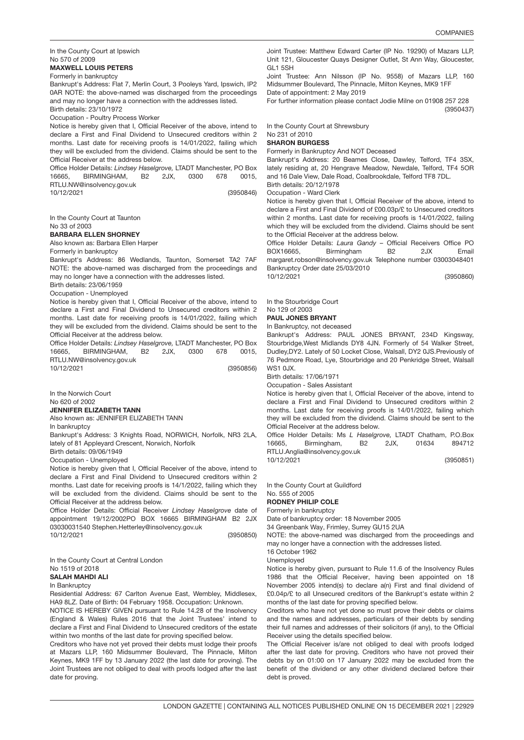In the County Court at Ipswich No 570 of 2009

### MAXWELL LOUIS PETERS

Formerly in bankruptcy

Bankrupt's Address: Flat 7, Merlin Court, 3 Pooleys Yard, Ipswich, IP2 0AR NOTE: the above-named was discharged from the proceedings and may no longer have a connection with the addresses listed. Birth details: 23/10/1972

Occupation - Poultry Process Worker

Notice is hereby given that I, Official Receiver of the above, intend to declare a First and Final Dividend to Unsecured creditors within 2 months. Last date for receiving proofs is 14/01/2022, failing which they will be excluded from the dividend. Claims should be sent to the Official Receiver at the address below.

Office Holder Details: *Lindsey Haselgrove,* LTADT Manchester, PO Box 16665, BIRMINGHAM, B2 2JX, 0300 678 0015, RTLU.NW@insolvency.gov.uk 10/12/2021

(3950846)

In the County Court at Taunton No 33 of 2003

#### BARBARA ELLEN SHORNEY

Also known as: Barbara Ellen Harper

Formerly in bankruptcy

Bankrupt's Address: 86 Wedlands, Taunton, Somerset TA2 7AF NOTE: the above-named was discharged from the proceedings and may no longer have a connection with the addresses listed.

Birth details: 23/06/1959

Occupation - Unemployed

Notice is hereby given that I, Official Receiver of the above, intend to declare a First and Final Dividend to Unsecured creditors within 2 months. Last date for receiving proofs is 14/01/2022, failing which they will be excluded from the dividend. Claims should be sent to the Official Receiver at the address below.

Office Holder Details: *Lindsey Haselgrove,* LTADT Manchester, PO Box 16665, BIRMINGHAM, B2 2JX, 0300 678 0015, RTLU.NW@insolvency.gov.uk 10/12/2021

(3950856)

In the Norwich Court No 620 of 2002

#### JENNIFER ELIZABETH TANN

Also known as: JENNIFER ELIZABETH TANN

In bankruptcy

Bankrupt's Address: 3 Knights Road, NORWICH, Norfolk, NR3 2LA, lately of 81 Appleyard Crescent, Norwich, Norfolk

Birth details: 09/06/1949

Occupation - Unemployed

Notice is hereby given that I, Official Receiver of the above, intend to declare a First and Final Dividend to Unsecured creditors within 2 months. Last date for receiving proofs is 14/1/2022, failing which they will be excluded from the dividend. Claims should be sent to the Official Receiver at the address below.

Office Holder Details: Official Receiver *Lindsey Haselgrove* date of appointment 19/12/2002PO BOX 16665 BIRMINGHAM B2 2JX 03030031540 Stephen.Hetterley@insolvency.gov.uk 10/12/2021

(3950850)

In the County Court at Central London No 1519 of 2018

### SALAH MAHDI ALI

In Bankruptcy

Residential Address: 67 Carlton Avenue East, Wembley, Middlesex, HA9 8LZ. Date of Birth: 04 February 1958. Occupation: Unknown.

NOTICE IS HEREBY GIVEN pursuant to Rule 14.28 of the Insolvency (England & Wales) Rules 2016 that the Joint Trustees' intend to declare a First and Final Dividend to Unsecured creditors of the estate within two months of the last date for proving specified below.

Creditors who have not yet proved their debts must lodge their proofs at Mazars LLP, 160 Midsummer Boulevard, The Pinnacle, Milton Keynes, MK9 1FF by 13 January 2022 (the last date for proving). The Joint Trustees are not obliged to deal with proofs lodged after the last date for proving.

Joint Trustee: Matthew Edward Carter (IP No. 19290) of Mazars LLP, Unit 121, Gloucester Quays Designer Outlet, St Ann Way, Gloucester, GL1 5SH

Joint Trustee: Ann Nilsson (IP No. 9558) of Mazars LLP, 160 Midsummer Boulevard, The Pinnacle, Milton Keynes, MK9 1FF

Date of appointment: 2 May 2019

(3950437) For further information please contact Jodie Milne on 01908 257 228

In the County Court at Shrewsbury

#### No 231 of 2010 SHARON BURGESS

Formerly in Bankruptcy And NOT Deceased

Bankrupt's Address: 20 Beames Close, Dawley, Telford, TF4 3SX, lately residing at, 20 Hengrave Meadow, Newdale, Telford, TF4 5OR and 16 Dale View, Dale Road, Coalbrookdale, Telford TF8 7DL.

Birth details: 20/12/1978 Occupation - Ward Clerk

Notice is hereby given that I, Official Receiver of the above, intend to declare a First and Final Dividend of £00.03p/£ to Unsecured creditors within 2 months. Last date for receiving proofs is 14/01/2022, failing which they will be excluded from the dividend. Claims should be sent to the Official Receiver at the address below.

Office Holder Details: *Laura Gandy* – Official Receivers Office PO BOX16665, Birmingham B2 2JX Email margaret.robson@insolvency.gov.uk Telephone number 03003048401 Bankruptcy Order date 25/03/2010 10/12/2021

(3950860)

In the Stourbridge Court

#### No 129 of 2003 PAUL JONES BRYANT

In Bankruptcy, not deceased

Bankrupt's Address: PAUL JONES BRYANT, 234D Kingsway, Stourbridge,West Midlands DY8 4JN. Formerly of 54 Walker Street, Dudley,DY2. Lately of 50 Locket Close, Walsall, DY2 0JS.Previously of 76 Pedmore Road, Lye, Stourbridge and 20 Penkridge Street, Walsall  $WS1$   $0.1X$ .

Birth details: 17/06/1971

Occupation - Sales Assistant

Notice is hereby given that I, Official Receiver of the above, intend to declare a First and Final Dividend to Unsecured creditors within 2 months. Last date for receiving proofs is 14/01/2022, failing which they will be excluded from the dividend. Claims should be sent to the Official Receiver at the address below.

Office Holder Details: Ms *L Haselgrove,* LTADT Chatham, P.O.Box 16665, Birmingham, B2 2JX, 01634 894712 RTLU.Anglia@insolvency.gov.uk

(3950851)

In the County Court at Guildford No. 555 of 2005

### RODNEY PHILIP COLE

Formerly in bankruptcy

Date of bankruptcy order: 18 November 2005

34 Greenbank Way, Frimley, Surrey GU15 2UA

NOTE: the above-named was discharged from the proceedings and may no longer have a connection with the addresses listed.

16 October 1962 Unemployed

10/12/2021

Notice is hereby given, pursuant to Rule 11.6 of the Insolvency Rules 1986 that the Official Receiver, having been appointed on 18 November 2005 intend(s) to declare a(n) First and final dividend of £0.04p/£ to all Unsecured creditors of the Bankrupt's estate within 2 months of the last date for proving specified below.

Creditors who have not yet done so must prove their debts or claims and the names and addresses, particulars of their debts by sending their full names and addresses of their solicitors (if any), to the Official Receiver using the details specified below.

The Official Receiver is/are not obliged to deal with proofs lodged after the last date for proving. Creditors who have not proved their debts by on 01:00 on 17 January 2022 may be excluded from the benefit of the dividend or any other dividend declared before their debt is proved.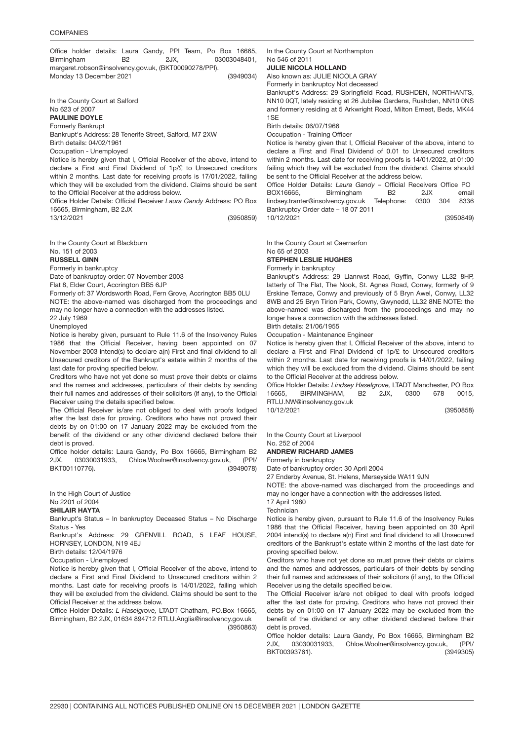(3949034) Office holder details: Laura Gandy, PPI Team, Po Box 16665, Birmingham B2 2JX, 03003048401, margaret.robson@insolvency.gov.uk, (BKT00090278/PPI). Monday 13 December 2021

In the County Court at Salford No 623 of 2007

PAULINE DOYLE

Formerly Bankrupt

Bankrupt's Address: 28 Tenerife Street, Salford, M7 2XW Birth details: 04/02/1961

Occupation - Unemployed

Notice is hereby given that I, Official Receiver of the above, intend to declare a First and Final Dividend of 1p/£ to Unsecured creditors within 2 months. Last date for receiving proofs is 17/01/2022, failing which they will be excluded from the dividend. Claims should be sent to the Official Receiver at the address below.

(3950859) Office Holder Details: Official Receiver *Laura Gandy* Address: PO Box 16665, Birmingham, B2 2JX

13/12/2021

In the County Court at Blackburn

### No. 151 of 2003

RUSSELL GINN

Formerly in bankruptcy

Date of bankruptcy order: 07 November 2003

Flat 8, Elder Court, Accrington BB5 6JP

Formerly of: 37 Wordsworth Road, Fern Grove, Accrington BB5 0LU NOTE: the above-named was discharged from the proceedings and may no longer have a connection with the addresses listed.

22 July 1969

Unemployed

Notice is hereby given, pursuant to Rule 11.6 of the Insolvency Rules 1986 that the Official Receiver, having been appointed on 07 November 2003 intend(s) to declare a(n) First and final dividend to all Unsecured creditors of the Bankrupt's estate within 2 months of the last date for proving specified below.

Creditors who have not yet done so must prove their debts or claims and the names and addresses, particulars of their debts by sending their full names and addresses of their solicitors (if any), to the Official Receiver using the details specified below.

The Official Receiver is/are not obliged to deal with proofs lodged after the last date for proving. Creditors who have not proved their debts by on 01:00 on 17 January 2022 may be excluded from the benefit of the dividend or any other dividend declared before their debt is proved.

(3949078) Office holder details: Laura Gandy, Po Box 16665, Birmingham B2 2JX, 03030031933, Chloe.Woolner@insolvency.gov.uk, (PPI/ BKT00110776).

In the High Court of Justice

#### No 2201 of 2004 SHILAIR HAYTA

Bankrupt's Status – In bankruptcy Deceased Status – No Discharge Status - Yes

Bankrupt's Address: 29 GRENVILL ROAD, 5 LEAF HOUSE, HORNSEY, LONDON, N19 4EJ

Birth details: 12/04/1976

Occupation - Unemployed

Notice is hereby given that I, Official Receiver of the above, intend to declare a First and Final Dividend to Unsecured creditors within 2 months. Last date for receiving proofs is 14/01/2022, failing which they will be excluded from the dividend. Claims should be sent to the Official Receiver at the address below.

(3950863) Office Holder Details: *L Haselgrove,* LTADT Chatham, PO.Box 16665, Birmingham, B2 2JX, 01634 894712 RTLU.Anglia@insolvency.gov.uk

In the County Court at Northampton No 546 of 2011

#### JULIE NICOLA HOLLAND

Also known as: JULIE NICOLA GRAY

Formerly in bankruptcy Not deceased

Bankrupt's Address: 29 Springfield Road, RUSHDEN, NORTHANTS, NN10 0QT, lately residing at 26 Jubilee Gardens, Rushden, NN10 0NS and formerly residing at 5 Arkwright Road, Milton Ernest, Beds, MK44 1SE

Birth details: 06/07/1966

Occupation - Training Officer

Notice is hereby given that I, Official Receiver of the above, intend to declare a First and Final Dividend of 0.01 to Unsecured creditors within 2 months. Last date for receiving proofs is 14/01/2022, at 01:00 failing which they will be excluded from the dividend. Claims should be sent to the Official Receiver at the address below.

Office Holder Details: *Laura Gandy* – Official Receivers Office PO BOX16665, Birmingham B2 2JX email lindsey.tranter@insolvency.gov.uk Telephone: 0300 304 8336 Bankruptcy Order date – 18 07 2011 10/12/2021

(3950849)

In the County Court at Caernarfon No 65 of 2003

#### STEPHEN LESLIE HUGHES

Formerly in bankruptcy

Bankrupt's Address: 29 Llanrwst Road, Gyffin, Conwy LL32 8HP, latterly of The Flat, The Nook, St. Agnes Road, Conwy, formerly of 9 Erskine Terrace, Conwy and previously of 5 Bryn Awel, Conwy, LL32 8WB and 25 Bryn Tirion Park, Cowny, Gwynedd, LL32 8NE NOTE: the above-named was discharged from the proceedings and may no longer have a connection with the addresses listed.

Birth details: 21/06/1955 Occupation - Maintenance Engineer

Notice is hereby given that I, Official Receiver of the above, intend to declare a First and Final Dividend of 1p/£ to Unsecured creditors within 2 months. Last date for receiving proofs is 14/01/2022, failing which they will be excluded from the dividend. Claims should be sent to the Official Receiver at the address below.

(3950858) Office Holder Details: *Lindsey Haselgrove,* LTADT Manchester, PO Box 16665, BIRMINGHAM, B2 2JX, 0300 678 0015, RTLU.NW@insolvency.gov.uk

10/12/2021

In the County Court at Liverpool No. 252 of 2004

### ANDREW RICHARD JAMES

Formerly in bankruptcy

Date of bankruptcy order: 30 April 2004

27 Enderby Avenue, St. Helens, Merseyside WA11 9JN

NOTE: the above-named was discharged from the proceedings and may no longer have a connection with the addresses listed.

17 April 1980

**Technician** 

Notice is hereby given, pursuant to Rule 11.6 of the Insolvency Rules 1986 that the Official Receiver, having been appointed on 30 April 2004 intend(s) to declare a(n) First and final dividend to all Unsecured creditors of the Bankrupt's estate within 2 months of the last date for proving specified below.

Creditors who have not yet done so must prove their debts or claims and the names and addresses, particulars of their debts by sending their full names and addresses of their solicitors (if any), to the Official Receiver using the details specified below.

The Official Receiver is/are not obliged to deal with proofs lodged after the last date for proving. Creditors who have not proved their debts by on 01:00 on 17 January 2022 may be excluded from the benefit of the dividend or any other dividend declared before their debt is proved.

(3949305) Office holder details: Laura Gandy, Po Box 16665, Birmingham B2 2JX, 03030031933, Chloe.Woolner@insolvency.gov.uk, (PPI/ BKT00393761).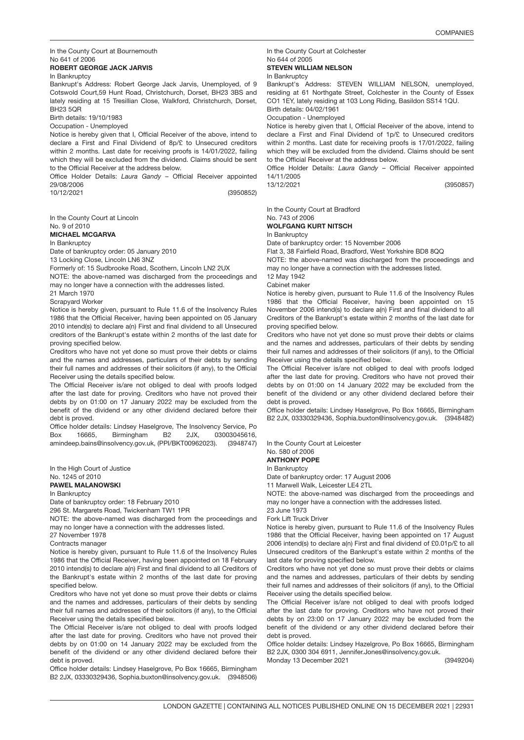In the County Court at Bournemouth No 641 of 2006

#### ROBERT GEORGE JACK JARVIS

#### In Bankruptcy

Bankrupt's Address: Robert George Jack Jarvis, Unemployed, of 9 Cotswold Court,59 Hunt Road, Christchurch, Dorset, BH23 3BS and lately residing at 15 Tresillian Close, Walkford, Christchurch, Dorset, BH23 5QR

Birth details: 19/10/1983

Occupation - Unemployed

Notice is hereby given that I, Official Receiver of the above, intend to declare a First and Final Dividend of 8p/£ to Unsecured creditors within 2 months. Last date for receiving proofs is 14/01/2022, failing which they will be excluded from the dividend. Claims should be sent to the Official Receiver at the address below.

Office Holder Details: *Laura Gandy* – Official Receiver appointed 29/08/2006

10/12/2021

(3950852)

In the County Court at Lincoln

No. 9 of 2010

### MICHAEL MCGARVA

In Bankruptcy

Date of bankruptcy order: 05 January 2010

13 Locking Close, Lincoln LN6 3NZ

Formerly of: 15 Sudbrooke Road, Scothern, Lincoln LN2 2UX

NOTE: the above-named was discharged from the proceedings and may no longer have a connection with the addresses listed.

21 March 1970

Scrapyard Worker

Notice is hereby given, pursuant to Rule 11.6 of the Insolvency Rules 1986 that the Official Receiver, having been appointed on 05 January 2010 intend(s) to declare a(n) First and final dividend to all Unsecured creditors of the Bankrupt's estate within 2 months of the last date for proving specified below.

Creditors who have not yet done so must prove their debts or claims and the names and addresses, particulars of their debts by sending their full names and addresses of their solicitors (if any), to the Official Receiver using the details specified below.

The Official Receiver is/are not obliged to deal with proofs lodged after the last date for proving. Creditors who have not proved their debts by on 01:00 on 17 January 2022 may be excluded from the benefit of the dividend or any other dividend declared before their debt is proved.

(3948747) Office holder details: Lindsey Haselgrove, The Insolvency Service, Po Box 16665, Birmingham B2 2JX, 03003045616, amindeep.bains@insolvency.gov.uk, (PPI/BKT00962023).

In the High Court of Justice

#### No. 1245 of 2010

### PAWEL MALANOWSKI

In Bankruptcy

Date of bankruptcy order: 18 February 2010

296 St. Margarets Road, Twickenham TW1 1PR

NOTE: the above-named was discharged from the proceedings and may no longer have a connection with the addresses listed.

27 November 1978

Contracts manager

Notice is hereby given, pursuant to Rule 11.6 of the Insolvency Rules 1986 that the Official Receiver, having been appointed on 18 February 2010 intend(s) to declare a(n) First and final dividend to all Creditors of the Bankrupt's estate within 2 months of the last date for proving specified below.

Creditors who have not yet done so must prove their debts or claims and the names and addresses, particulars of their debts by sending their full names and addresses of their solicitors (if any), to the Official Receiver using the details specified below.

The Official Receiver is/are not obliged to deal with proofs lodged after the last date for proving. Creditors who have not proved their debts by on 01:00 on 14 January 2022 may be excluded from the benefit of the dividend or any other dividend declared before their debt is proved.

B2 2JX, 03330329436, Sophia.buxton@insolvency.gov.uk. (3948506) Office holder details: Lindsey Haselgrove, Po Box 16665, Birmingham

#### In the County Court at Colchester No 644 of 2005 STEVEN WILLIAM NELSON

#### In Bankruptcy

Bankrupt's Address: STEVEN WILLIAM NELSON, unemployed, residing at 61 Northgate Street, Colchester in the County of Essex CO1 1EY, lately residing at 103 Long Riding, Basildon SS14 1QU. Birth details: 04/02/1961

Occupation - Unemployed

Notice is hereby given that I, Official Receiver of the above, intend to declare a First and Final Dividend of 1p/£ to Unsecured creditors within 2 months. Last date for receiving proofs is 17/01/2022, failing which they will be excluded from the dividend. Claims should be sent to the Official Receiver at the address below.

Office Holder Details: *Laura Gandy* – Official Receiver appointed 14/11/2005

(3950857)

In the County Court at Bradford

#### No. 743 of 2006 WOLFGANG KURT NITSCH

In Bankruptcy

13/12/2021

Date of bankruptcy order: 15 November 2006

Flat 3, 38 Fairfield Road, Bradford, West Yorkshire BD8 8QQ

NOTE: the above-named was discharged from the proceedings and may no longer have a connection with the addresses listed.

12 May 1942

#### Cabinet maker

Notice is hereby given, pursuant to Rule 11.6 of the Insolvency Rules 1986 that the Official Receiver, having been appointed on 15 November 2006 intend(s) to declare a(n) First and final dividend to all Creditors of the Bankrupt's estate within 2 months of the last date for proving specified below.

Creditors who have not yet done so must prove their debts or claims and the names and addresses, particulars of their debts by sending their full names and addresses of their solicitors (if any), to the Official Receiver using the details specified below.

The Official Receiver is/are not obliged to deal with proofs lodged after the last date for proving. Creditors who have not proved their debts by on 01:00 on 14 January 2022 may be excluded from the benefit of the dividend or any other dividend declared before their debt is proved.

B2 2JX, 03330329436, Sophia.buxton@insolvency.gov.uk. (3948482) Office holder details: Lindsey Haselgrove, Po Box 16665, Birmingham

In the County Court at Leicester

#### No. 580 of 2006 ANTHONY POPE

### In Bankruptcy

Date of bankruptcy order: 17 August 2006

11 Marwell Walk, Leicester LE4 2TL

NOTE: the above-named was discharged from the proceedings and may no longer have a connection with the addresses listed.

23 June 1973 Fork Lift Truck Driver

Notice is hereby given, pursuant to Rule 11.6 of the Insolvency Rules 1986 that the Official Receiver, having been appointed on 17 August 2006 intend(s) to declare a(n) First and final dividend of £0.01p/£ to all Unsecured creditors of the Bankrupt's estate within 2 months of the last date for proving specified below.

Creditors who have not yet done so must prove their debts or claims and the names and addresses, particulars of their debts by sending their full names and addresses of their solicitors (if any), to the Official Receiver using the details specified below.

The Official Receiver is/are not obliged to deal with proofs lodged after the last date for proving. Creditors who have not proved their debts by on 23:00 on 17 January 2022 may be excluded from the benefit of the dividend or any other dividend declared before their debt is proved.

Office holder details: Lindsey Hazelgrove, Po Box 16665, Birmingham B2 2JX, 0300 304 6911, Jennifer.Jones@insolvency.gov.uk.

(3949204) Monday 13 December 2021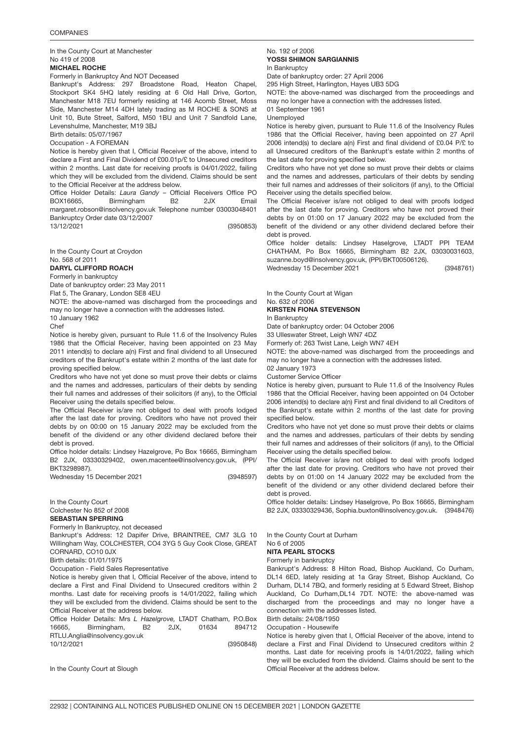In the County Court at Manchester No 419 of 2008

#### MICHAEL ROCHE

Formerly in Bankruptcy And NOT Deceased

Bankrupt's Address: 297 Broadstone Road, Heaton Chapel, Stockport SK4 5HQ lately residing at 6 Old Hall Drive, Gorton, Manchester M18 7EU formerly residing at 146 Acomb Street, Moss Side, Manchester M14 4DH lately trading as M ROCHE & SONS at Unit 10, Bute Street, Salford, M50 1BU and Unit 7 Sandfold Lane, Levenshulme, Manchester, M19 3BJ

Birth details: 05/07/1967

#### Occupation - A FOREMAN

Notice is hereby given that I, Official Receiver of the above, intend to declare a First and Final Dividend of £00.01p/£ to Unsecured creditors within 2 months. Last date for receiving proofs is 04/01/2022, failing which they will be excluded from the dividend. Claims should be sent to the Official Receiver at the address below.

Office Holder Details: *Laura Gandy* – Official Receivers Office PO BOX16665, Birmingham B2 2JX Email margaret.robson@insolvency.gov.uk Telephone number 03003048401 Bankruptcy Order date 03/12/2007

13/12/2021

(3950853)

In the County Court at Croydon

#### No. 568 of 2011

DARYL CLIFFORD ROACH

Formerly in bankruptcy

Date of bankruptcy order: 23 May 2011

Flat 5, The Granary, London SE8 4EU

NOTE: the above-named was discharged from the proceedings and may no longer have a connection with the addresses listed.

10 January 1962

Chef

Notice is hereby given, pursuant to Rule 11.6 of the Insolvency Rules 1986 that the Official Receiver, having been appointed on 23 May 2011 intend(s) to declare a(n) First and final dividend to all Unsecured creditors of the Bankrupt's estate within 2 months of the last date for proving specified below.

Creditors who have not yet done so must prove their debts or claims and the names and addresses, particulars of their debts by sending their full names and addresses of their solicitors (if any), to the Official Receiver using the details specified below.

The Official Receiver is/are not obliged to deal with proofs lodged after the last date for proving. Creditors who have not proved their debts by on 00:00 on 15 January 2022 may be excluded from the benefit of the dividend or any other dividend declared before their debt is proved.

Office holder details: Lindsey Hazelgrove, Po Box 16665, Birmingham B2 2JX, 03330329402, owen.macentee@insolvency.gov.uk, (PPI/ BKT3298987).

Wednesday 15 December 2021

In the County Court

#### Colchester No 852 of 2008

SEBASTIAN SPERRING

Formerly In Bankruptcy, not deceased

Bankrupt's Address: 12 Dapifer Drive, BRAINTREE, CM7 3LG 10 Willingham Way, COLCHESTER, CO4 3YG 5 Guy Cook Close, GREAT CORNARD, CO10 0JX

Birth details: 01/01/1975

Occupation - Field Sales Representative

Notice is hereby given that I, Official Receiver of the above, intend to declare a First and Final Dividend to Unsecured creditors within 2 months. Last date for receiving proofs is 14/01/2022, failing which they will be excluded from the dividend. Claims should be sent to the Official Receiver at the address below.

Office Holder Details: Mrs *L Hazelgrove,* LTADT Chatham, P.O.Box 16665, Birmingham, B2 2JX, 01634 894712 RTLU.Anglia@insolvency.gov.uk

10/12/2021

(3950848)

(3948597)

In the County Court at Slough

#### No. 192 of 2006 YOSSI SHIMON SARGIANNIS In Bankruptcy

Date of bankruptcy order: 27 April 2006

295 High Street, Harlington, Hayes UB3 5DG

NOTE: the above-named was discharged from the proceedings and may no longer have a connection with the addresses listed.

01 September 1961

Unemployed

Notice is hereby given, pursuant to Rule 11.6 of the Insolvency Rules 1986 that the Official Receiver, having been appointed on 27 April 2006 intend(s) to declare a(n) First and final dividend of £0.04 P/£ to all Unsecured creditors of the Bankrupt's estate within 2 months of the last date for proving specified below.

Creditors who have not yet done so must prove their debts or claims and the names and addresses, particulars of their debts by sending their full names and addresses of their solicitors (if any), to the Official Receiver using the details specified below.

The Official Receiver is/are not obliged to deal with proofs lodged after the last date for proving. Creditors who have not proved their debts by on 01:00 on 17 January 2022 may be excluded from the benefit of the dividend or any other dividend declared before their debt is proved.

Office holder details: Lindsey Haselgrove, LTADT PPI TEAM CHATHAM, Po Box 16665, Birmingham B2 2JX, 03030031603, suzanne.boyd@insolvency.gov.uk, (PPI/BKT00506126).

(3948761)

In the County Court at Wigan No. 632 of 2006 KIRSTEN FIONA STEVENSON

Wednesday 15 December 2021

#### In Bankruptcy

Date of bankruptcy order: 04 October 2006 33 Ulleswater Street, Leigh WN7 4DZ

Formerly of: 263 Twist Lane, Leigh WN7 4EH

NOTE: the above-named was discharged from the proceedings and may no longer have a connection with the addresses listed.

02 January 1973

Customer Service Officer

Notice is hereby given, pursuant to Rule 11.6 of the Insolvency Rules 1986 that the Official Receiver, having been appointed on 04 October 2006 intend(s) to declare a(n) First and final dividend to all Creditors of the Bankrupt's estate within 2 months of the last date for proving specified below.

Creditors who have not yet done so must prove their debts or claims and the names and addresses, particulars of their debts by sending their full names and addresses of their solicitors (if any), to the Official Receiver using the details specified below.

The Official Receiver is/are not obliged to deal with proofs lodged after the last date for proving. Creditors who have not proved their debts by on 01:00 on 14 January 2022 may be excluded from the benefit of the dividend or any other dividend declared before their debt is proved.

B2 2JX, 03330329436, Sophia.buxton@insolvency.gov.uk. (3948476) Office holder details: Lindsey Haselgrove, Po Box 16665, Birmingham

In the County Court at Durham

### No 6 of 2005

#### NITA PEARL STOCKS Formerly in bankruptcy

Bankrupt's Address: 8 Hilton Road, Bishop Auckland, Co Durham, DL14 6ED, lately residing at 1a Gray Street, Bishop Auckland, Co Durham, DL14 7BQ, and formerly residing at 5 Edward Street, Bishop Auckland, Co Durham,DL14 7DT. NOTE: the above-named was discharged from the proceedings and may no longer have a connection with the addresses listed.

Birth details: 24/08/1950

Occupation - Housewife

Notice is hereby given that I, Official Receiver of the above, intend to declare a First and Final Dividend to Unsecured creditors within 2 months. Last date for receiving proofs is 14/01/2022, failing which they will be excluded from the dividend. Claims should be sent to the Official Receiver at the address below.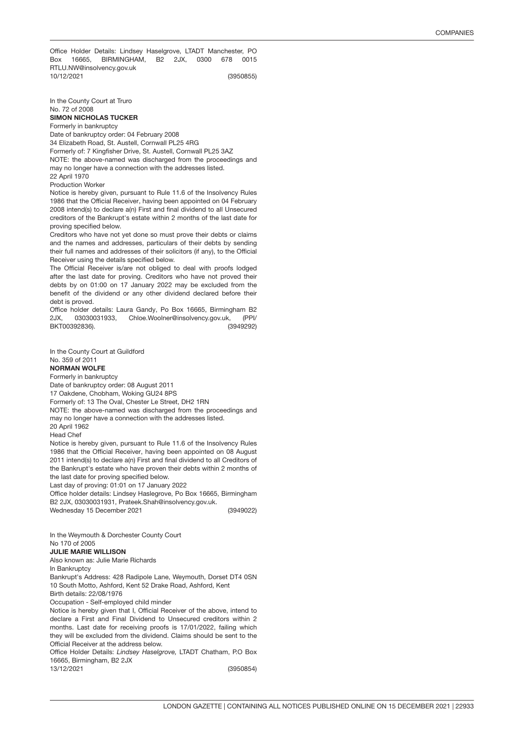(3950855) Office Holder Details: Lindsey Haselgrove, LTADT Manchester, PO Box 16665, BIRMINGHAM, B2 2JX, 0300 678 0015 RTLU.NW@insolvency.gov.uk 10/12/2021

In the County Court at Truro No. 72 of 2008

SIMON NICHOLAS TUCKER Formerly in bankruptcy

Date of bankruptcy order: 04 February 2008 34 Elizabeth Road, St. Austell, Cornwall PL25 4RG Formerly of: 7 Kingfisher Drive, St. Austell, Cornwall PL25 3AZ NOTE: the above-named was discharged from the proceedings and may no longer have a connection with the addresses listed. 22 April 1970

Production Worker

Notice is hereby given, pursuant to Rule 11.6 of the Insolvency Rules 1986 that the Official Receiver, having been appointed on 04 February 2008 intend(s) to declare a(n) First and final dividend to all Unsecured creditors of the Bankrupt's estate within 2 months of the last date for proving specified below.

Creditors who have not yet done so must prove their debts or claims and the names and addresses, particulars of their debts by sending their full names and addresses of their solicitors (if any), to the Official Receiver using the details specified below.

The Official Receiver is/are not obliged to deal with proofs lodged after the last date for proving. Creditors who have not proved their debts by on 01:00 on 17 January 2022 may be excluded from the benefit of the dividend or any other dividend declared before their debt is proved.

(3949292) Office holder details: Laura Gandy, Po Box 16665, Birmingham B2 2JX, 03030031933, Chloe.Woolner@insolvency.gov.uk, (PPI/ BKT00392836).

In the County Court at Guildford

### No. 359 of 2011

### NORMAN WOLFE

Formerly in bankruptcy

Date of bankruptcy order: 08 August 2011

17 Oakdene, Chobham, Woking GU24 8PS

Formerly of: 13 The Oval, Chester Le Street, DH2 1RN

NOTE: the above-named was discharged from the proceedings and may no longer have a connection with the addresses listed.

20 April 1962

Head Chef

Notice is hereby given, pursuant to Rule 11.6 of the Insolvency Rules 1986 that the Official Receiver, having been appointed on 08 August 2011 intend(s) to declare a(n) First and final dividend to all Creditors of the Bankrupt's estate who have proven their debts within 2 months of the last date for proving specified below.

Last day of proving: 01:01 on 17 January 2022

Office holder details: Lindsey Haslegrove, Po Box 16665, Birmingham B2 2JX, 03030031931, Prateek.Shah@insolvency.gov.uk.

(3949022) Wednesday 15 December 2021

3950854 In the Weymouth & Dorchester County Court No 170 of 2005

#### JULIE MARIE WILLISON

Also known as: Julie Marie Richards

In Bankruptcy

Bankrupt's Address: 428 Radipole Lane, Weymouth, Dorset DT4 0SN 10 South Motto, Ashford, Kent 52 Drake Road, Ashford, Kent

Birth details: 22/08/1976

Occupation - Self-employed child minder

Notice is hereby given that I, Official Receiver of the above, intend to declare a First and Final Dividend to Unsecured creditors within 2 months. Last date for receiving proofs is 17/01/2022, failing which they will be excluded from the dividend. Claims should be sent to the Official Receiver at the address below.

Office Holder Details: *Lindsey Haselgrove,* LTADT Chatham, P.O Box 16665, Birmingham, B2 2JX 13/12/2021

(3950854)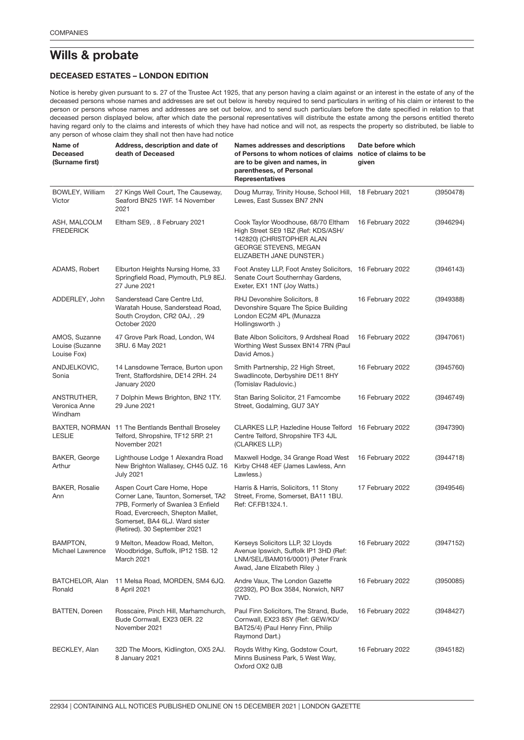## Wills & probate

### DECEASED ESTATES – LONDON EDITION

Notice is hereby given pursuant to s. 27 of the Trustee Act 1925, that any person having a claim against or an interest in the estate of any of the deceased persons whose names and addresses are set out below is hereby required to send particulars in writing of his claim or interest to the person or persons whose names and addresses are set out below, and to send such particulars before the date specified in relation to that deceased person displayed below, after which date the personal representatives will distribute the estate among the persons entitled thereto having regard only to the claims and interests of which they have had notice and will not, as respects the property so distributed, be liable to any person of whose claim they shall not then have had notice

| Name of<br><b>Deceased</b><br>(Surname first)   | Address, description and date of<br>death of Deceased                                                                                                                                                           | Names addresses and descriptions<br>of Persons to whom notices of claims<br>are to be given and names, in<br>parentheses, of Personal<br><b>Representatives</b>    | Date before which<br>notice of claims to be<br>given |           |
|-------------------------------------------------|-----------------------------------------------------------------------------------------------------------------------------------------------------------------------------------------------------------------|--------------------------------------------------------------------------------------------------------------------------------------------------------------------|------------------------------------------------------|-----------|
| BOWLEY, William<br>Victor                       | 27 Kings Well Court, The Causeway,<br>Seaford BN25 1WF. 14 November<br>2021                                                                                                                                     | Doug Murray, Trinity House, School Hill, 18 February 2021<br>Lewes, East Sussex BN7 2NN                                                                            |                                                      | (3950478) |
| ASH, MALCOLM<br><b>FREDERICK</b>                | Eltham SE9, . 8 February 2021                                                                                                                                                                                   | Cook Taylor Woodhouse, 68/70 Eltham<br>High Street SE9 1BZ (Ref: KDS/ASH/<br>142820) (CHRISTOPHER ALAN<br><b>GEORGE STEVENS, MEGAN</b><br>ELIZABETH JANE DUNSTER.) | 16 February 2022                                     | (3946294) |
| ADAMS, Robert                                   | Elburton Heights Nursing Home, 33<br>Springfield Road, Plymouth, PL9 8EJ.<br>27 June 2021                                                                                                                       | Foot Anstey LLP, Foot Anstey Solicitors, 16 February 2022<br>Senate Court Southernhay Gardens,<br>Exeter, EX1 1NT (Joy Watts.)                                     |                                                      | (3946143) |
| ADDERLEY, John                                  | Sanderstead Care Centre Ltd,<br>Waratah House, Sanderstead Road,<br>South Croydon, CR2 0AJ, . 29<br>October 2020                                                                                                | RHJ Devonshire Solicitors, 8<br>Devonshire Square The Spice Building<br>London EC2M 4PL (Munazza<br>Hollingsworth .)                                               | 16 February 2022                                     | (3949388) |
| AMOS, Suzanne<br>Louise (Suzanne<br>Louise Fox) | 47 Grove Park Road, London, W4<br>3RU. 6 May 2021                                                                                                                                                               | Bate Albon Solicitors, 9 Ardsheal Road<br>Worthing West Sussex BN14 7RN (Paul<br>David Amos.)                                                                      | 16 February 2022                                     | (3947061) |
| ANDJELKOVIC,<br>Sonia                           | 14 Lansdowne Terrace, Burton upon<br>Trent, Staffordshire, DE14 2RH. 24<br>January 2020                                                                                                                         | Smith Partnership, 22 High Street,<br>Swadlincote, Derbyshire DE11 8HY<br>(Tomislav Radulovic.)                                                                    | 16 February 2022                                     | (3945760) |
| ANSTRUTHER,<br>Veronica Anne<br>Windham         | 7 Dolphin Mews Brighton, BN2 1TY.<br>29 June 2021                                                                                                                                                               | Stan Baring Solicitor, 21 Famcombe<br>Street, Godalming, GU7 3AY                                                                                                   | 16 February 2022                                     | (3946749) |
| <b>LESLIE</b>                                   | BAXTER, NORMAN 11 The Bentlands Benthall Broseley<br>Telford, Shropshire, TF12 5RP. 21<br>November 2021                                                                                                         | CLARKES LLP, Hazledine House Telford 16 February 2022<br>Centre Telford, Shropshire TF3 4JL<br>(CLARKES LLP.)                                                      |                                                      | (3947390) |
| BAKER, George<br>Arthur                         | Lighthouse Lodge 1 Alexandra Road<br>New Brighton Wallasey, CH45 0JZ. 16<br><b>July 2021</b>                                                                                                                    | Maxwell Hodge, 34 Grange Road West<br>Kirby CH48 4EF (James Lawless, Ann<br>Lawless.)                                                                              | 16 February 2022                                     | (3944718) |
| <b>BAKER, Rosalie</b><br>Ann                    | Aspen Court Care Home, Hope<br>Corner Lane, Taunton, Somerset, TA2<br>7PB, Formerly of Swanlea 3 Enfield<br>Road, Evercreech, Shepton Mallet,<br>Somerset, BA4 6LJ. Ward sister<br>(Retired). 30 September 2021 | Harris & Harris, Solicitors, 11 Stony<br>Street, Frome, Somerset, BA11 1BU.<br>Ref: CF.FB1324.1.                                                                   | 17 February 2022                                     | (3949546) |
| BAMPTON,<br>Michael Lawrence                    | 9 Melton, Meadow Road, Melton,<br>Woodbridge, Suffolk, IP12 1SB. 12<br>March 2021                                                                                                                               | Kerseys Solicitors LLP, 32 Lloyds<br>Avenue Ipswich, Suffolk IP1 3HD (Ref:<br>LNM/SEL/BAM016/0001) (Peter Frank<br>Awad, Jane Elizabeth Riley .)                   | 16 February 2022                                     | (3947152) |
| BATCHELOR, Alan<br>Ronald                       | 11 Melsa Road, MORDEN, SM4 6JQ.<br>8 April 2021                                                                                                                                                                 | Andre Vaux, The London Gazette<br>(22392), PO Box 3584, Norwich, NR7<br>7WD.                                                                                       | 16 February 2022                                     | (3950085) |
| <b>BATTEN, Doreen</b>                           | Rosscaire, Pinch Hill, Marhamchurch,<br>Bude Cornwall, EX23 0ER. 22<br>November 2021                                                                                                                            | Paul Finn Solicitors, The Strand, Bude,<br>Cornwall, EX23 8SY (Ref: GEW/KD/<br>BAT25/4) (Paul Henry Finn, Philip<br>Raymond Dart.)                                 | 16 February 2022                                     | (3948427) |
| BECKLEY, Alan                                   | 32D The Moors, Kidlington, OX5 2AJ.<br>8 January 2021                                                                                                                                                           | Royds Withy King, Godstow Court,<br>Minns Business Park, 5 West Way,<br>Oxford OX2 0JB                                                                             | 16 February 2022                                     | (3945182) |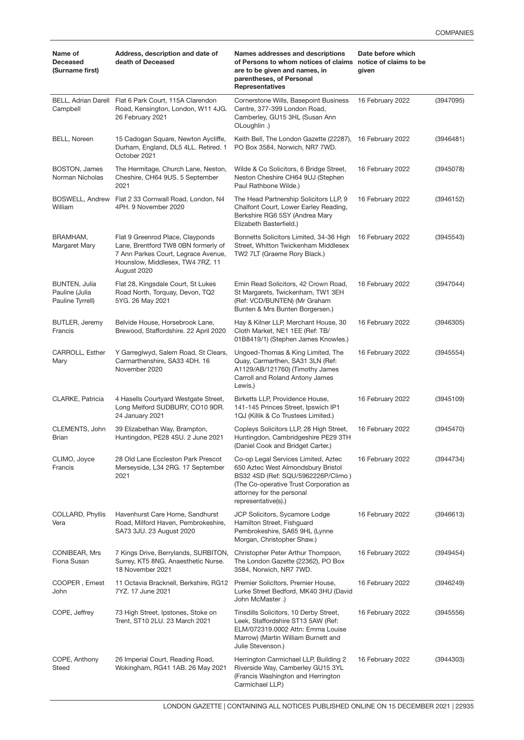| Name of<br><b>Deceased</b><br>(Surname first)              | Address, description and date of<br>death of Deceased                                                                                                             | Names addresses and descriptions<br>of Persons to whom notices of claims<br>are to be given and names, in<br>parentheses, of Personal<br><b>Representatives</b>                                               | Date before which<br>notice of claims to be<br>given |           |  |
|------------------------------------------------------------|-------------------------------------------------------------------------------------------------------------------------------------------------------------------|---------------------------------------------------------------------------------------------------------------------------------------------------------------------------------------------------------------|------------------------------------------------------|-----------|--|
| Campbell                                                   | BELL, Adrian Darell Flat 6 Park Court, 115A Clarendon<br>Road, Kensington, London, W11 4JG.<br>26 February 2021                                                   | Cornerstone Wills, Basepoint Business<br>Centre, 377-399 London Road,<br>Camberley, GU15 3HL (Susan Ann<br>OLoughlin.)                                                                                        | 16 February 2022                                     | (3947095) |  |
| <b>BELL, Noreen</b>                                        | 15 Cadogan Square, Newton Aycliffe,<br>Durham, England, DL5 4LL. Retired. 1<br>October 2021                                                                       | Keith Bell, The London Gazette (22287),<br>PO Box 3584, Norwich, NR7 7WD.                                                                                                                                     | 16 February 2022                                     | (3946481) |  |
| <b>BOSTON, James</b><br>Norman Nicholas                    | The Hermitage, Church Lane, Neston,<br>Cheshire, CH64 9US. 5 September<br>2021                                                                                    | Wilde & Co Solicitors, 6 Bridge Street,<br>Neston Cheshire CH64 9UJ (Stephen<br>Paul Rathbone Wilde.)                                                                                                         | 16 February 2022                                     | (3945078) |  |
| BOSWELL, Andrew<br>William                                 | Flat 2 33 Cornwall Road, London, N4<br>4PH. 9 November 2020                                                                                                       | The Head Partnership Solicitors LLP, 9<br>Chalfont Court, Lower Earley Reading,<br>Berkshire RG6 5SY (Andrea Mary<br>Elizabeth Basterfield.)                                                                  | 16 February 2022                                     | (3946152) |  |
| BRAMHAM,<br>Margaret Mary                                  | Flat 9 Greenrod Place, Clayponds<br>Lane, Brentford TW8 0BN formerly of<br>7 Ann Parkes Court, Legrace Avenue,<br>Hounslow, Middlesex, TW4 7RZ. 11<br>August 2020 | Bonnetts Solicitors Limited, 34-36 High<br>Street, Whitton Twickenham Middlesex<br>TW2 7LT (Graeme Rory Black.)                                                                                               | 16 February 2022                                     | (3945543) |  |
| <b>BUNTEN, Julia</b><br>Pauline (Julia<br>Pauline Tyrrell) | Flat 28, Kingsdale Court, St Lukes<br>Road North, Torquay, Devon, TQ2<br>5YG. 26 May 2021                                                                         | Emin Read Solicitors, 42 Crown Road,<br>St Margarets, Twickenham, TW1 3EH<br>(Ref: VCD/BUNTEN) (Mr Graham<br>Bunten & Mrs Bunten Borgersen.)                                                                  | 16 February 2022                                     | (3947044) |  |
| <b>BUTLER, Jeremy</b><br>Francis                           | Belvide House, Horsebrook Lane,<br>Brewood, Staffordshire. 22 April 2020                                                                                          | Hay & Kilner LLP, Merchant House, 30<br>Cloth Market, NE1 1EE (Ref: TB/<br>01B8419/1) (Stephen James Knowles.)                                                                                                | 16 February 2022                                     | (3946305) |  |
| CARROLL, Esther<br>Mary                                    | Y Garreglwyd, Salem Road, St Clears,<br>Carmarthenshire, SA33 4DH. 16<br>November 2020                                                                            | Ungoed-Thomas & King Limited, The<br>Quay, Carmarthen, SA31 3LN (Ref:<br>A1129/AB/121760) (Timothy James<br>Carroll and Roland Antony James<br>Lewis.)                                                        | 16 February 2022                                     | (3945554) |  |
| CLARKE, Patricia                                           | 4 Hasells Courtyard Westgate Street,<br>Long Melford SUDBURY, CO10 9DR.<br>24 January 2021                                                                        | Birketts LLP, Providence House,<br>141-145 Princes Street, Ipswich IP1<br>1QJ (Killik & Co Trustees Limited.)                                                                                                 | 16 February 2022                                     | (3945109) |  |
| CLEMENTS, John<br>Brian                                    | 39 Elizabethan Way, Brampton,<br>Huntingdon, PE28 4SU. 2 June 2021                                                                                                | Copleys Solicitors LLP, 28 High Street,<br>Huntingdon, Cambridgeshire PE29 3TH<br>(Daniel Cook and Bridget Carter.)                                                                                           | 16 February 2022                                     | (3945470) |  |
| CLIMO, Joyce<br>Francis                                    | 28 Old Lane Eccleston Park Prescot<br>Merseyside, L34 2RG. 17 September<br>2021                                                                                   | Co-op Legal Services Limited, Aztec<br>650 Aztec West Almondsbury Bristol<br>BS32 4SD (Ref: SQU/5962226P/Climo)<br>(The Co-operative Trust Corporation as<br>attorney for the personal<br>representative(s).) | 16 February 2022                                     | (3944734) |  |
| COLLARD, Phyllis<br>Vera                                   | Havenhurst Care Home, Sandhurst<br>Road, Milford Haven, Pembrokeshire,<br>SA73 3JU. 23 August 2020                                                                | JCP Solicitors, Sycamore Lodge<br>Hamilton Street, Fishguard<br>Pembrokeshire, SA65 9HL (Lynne<br>Morgan, Christopher Shaw.)                                                                                  | 16 February 2022                                     | (3946613) |  |
| CONIBEAR, Mrs<br>Fiona Susan                               | 7 Kings Drive, Berrylands, SURBITON,<br>Surrey, KT5 8NG. Anaesthetic Nurse.<br>18 November 2021                                                                   | Christopher Peter Arthur Thompson,<br>The London Gazette (22362), PO Box<br>3584, Norwich, NR7 7WD.                                                                                                           | 16 February 2022                                     | (3949454) |  |
| COOPER, Ernest<br>John                                     | 11 Octavia Bracknell, Berkshire, RG12<br>7YZ. 17 June 2021                                                                                                        | Premier Solicitors, Premier House,<br>16 February 2022<br>Lurke Street Bedford, MK40 3HU (David<br>John McMaster .)                                                                                           |                                                      | (3946249) |  |
| COPE, Jeffrey                                              | 73 High Street, Ipstones, Stoke on<br>Trent, ST10 2LU. 23 March 2021                                                                                              | Tinsdills Solicitors, 10 Derby Street,<br>16 February 2022<br>Leek, Staffordshire ST13 5AW (Ref:<br>ELM/072319.0002 Attn: Emma Louise<br>Marrow) (Martin William Burnett and<br>Julie Stevenson.)             |                                                      | (3945556) |  |
| COPE, Anthony<br>Steed                                     | 26 Imperial Court, Reading Road,<br>Wokingham, RG41 1AB. 26 May 2021                                                                                              | Herrington Carmichael LLP, Building 2<br>Riverside Way, Camberley GU15 3YL<br>(Francis Washington and Herrington<br>Carmichael LLP.)                                                                          | 16 February 2022                                     | (3944303) |  |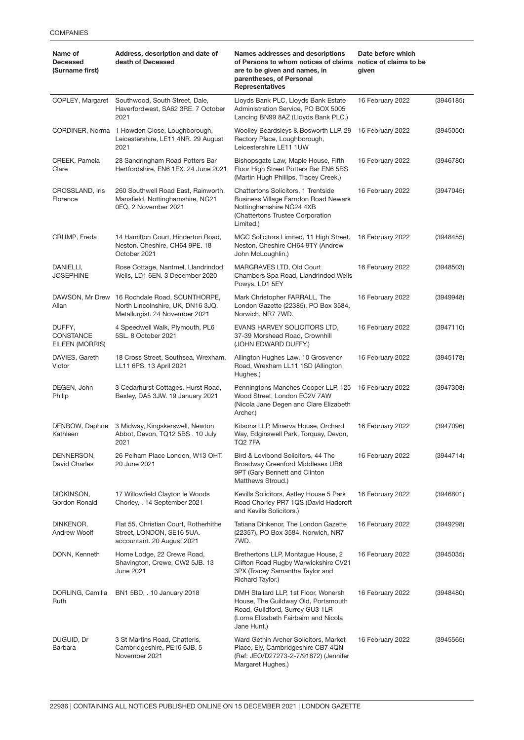| Name of<br><b>Deceased</b><br>(Surname first) | Address, description and date of<br>death of Deceased                                                | Names addresses and descriptions<br>Date before which<br>of Persons to whom notices of claims<br>notice of claims to be<br>are to be given and names, in<br>given<br>parentheses, of Personal<br><b>Representatives</b> |                  |           |
|-----------------------------------------------|------------------------------------------------------------------------------------------------------|-------------------------------------------------------------------------------------------------------------------------------------------------------------------------------------------------------------------------|------------------|-----------|
| COPLEY, Margaret                              | Southwood, South Street, Dale,<br>Haverfordwest, SA62 3RE. 7 October<br>2021                         | Lloyds Bank PLC, Lloyds Bank Estate<br>Administration Service, PO BOX 5005<br>Lancing BN99 8AZ (Lloyds Bank PLC.)                                                                                                       | 16 February 2022 | (3946185) |
|                                               | CORDINER, Norma 1 Howden Close, Loughborough,<br>Leicestershire, LE11 4NR. 29 August<br>2021         | Woolley Beardsleys & Bosworth LLP, 29<br>Rectory Place, Loughborough,<br>Leicestershire LE11 1UW                                                                                                                        | 16 February 2022 | (3945050) |
| CREEK, Pamela<br>Clare                        | 28 Sandringham Road Potters Bar<br>Hertfordshire, EN6 1EX. 24 June 2021                              | Bishopsgate Law, Maple House, Fifth<br>Floor High Street Potters Bar EN6 5BS<br>(Martin Hugh Phillips, Tracey Creek.)                                                                                                   | 16 February 2022 | (3946780) |
| CROSSLAND, Iris<br>Florence                   | 260 Southwell Road East, Rainworth,<br>Mansfield, Nottinghamshire, NG21<br>0EQ. 2 November 2021      | Chattertons Solicitors, 1 Trentside<br>Business Village Farndon Road Newark<br>Nottinghamshire NG24 4XB<br>(Chattertons Trustee Corporation<br>Limited.)                                                                | 16 February 2022 | (3947045) |
| CRUMP, Freda                                  | 14 Hamilton Court, Hinderton Road,<br>Neston, Cheshire, CH64 9PE. 18<br>October 2021                 | MGC Solicitors Limited, 11 High Street,<br>Neston, Cheshire CH64 9TY (Andrew<br>John McLoughlin.)                                                                                                                       | 16 February 2022 | (3948455) |
| DANIELLI,<br><b>JOSEPHINE</b>                 | Rose Cottage, Nantmel, Llandrindod<br>Wells, LD1 6EN. 3 December 2020                                | MARGRAVES LTD, Old Court<br>Chambers Spa Road, Llandrindod Wells<br>Powys, LD1 5EY                                                                                                                                      | 16 February 2022 | (3948503) |
| DAWSON, Mr Drew<br>Allan                      | 16 Rochdale Road, SCUNTHORPE,<br>North Lincolnshire, UK, DN16 3JQ.<br>Metallurgist. 24 November 2021 | Mark Christopher FARRALL, The<br>London Gazette (22385), PO Box 3584,<br>Norwich, NR7 7WD.                                                                                                                              | 16 February 2022 | (3949948) |
| DUFFY,<br>CONSTANCE<br>EILEEN (MORRIS)        | 4 Speedwell Walk, Plymouth, PL6<br>5SL. 8 October 2021                                               | EVANS HARVEY SOLICITORS LTD,<br>37-39 Morshead Road, Crownhill<br>(JOHN EDWARD DUFFY.)                                                                                                                                  | 16 February 2022 | (3947110) |
| DAVIES, Gareth<br>Victor                      | 18 Cross Street, Southsea, Wrexham,<br>LL11 6PS. 13 April 2021                                       | Allington Hughes Law, 10 Grosvenor<br>Road, Wrexham LL11 1SD (Allington<br>Hughes.)                                                                                                                                     | 16 February 2022 | (3945178) |
| DEGEN, John<br>Philip                         | 3 Cedarhurst Cottages, Hurst Road,<br>Bexley, DA5 3JW. 19 January 2021                               | Penningtons Manches Cooper LLP, 125<br>Wood Street, London EC2V 7AW<br>(Nicola Jane Degen and Clare Elizabeth<br>Archer.)                                                                                               | 16 February 2022 | (3947308) |
| DENBOW, Daphne<br>Kathleen                    | 3 Midway, Kingskerswell, Newton<br>Abbot, Devon, TQ12 5BS . 10 July<br>2021                          | Kitsons LLP, Minerva House, Orchard<br>Way, Edginswell Park, Torquay, Devon,<br>TQ2 7FA                                                                                                                                 | 16 February 2022 | (3947096) |
| DENNERSON,<br><b>David Charles</b>            | 26 Pelham Place London, W13 OHT.<br>20 June 2021                                                     | Bird & Lovibond Solicitors, 44 The<br>Broadway Greenford Middlesex UB6<br>9PT (Gary Bennett and Clinton<br>Matthews Stroud.)                                                                                            | 16 February 2022 | (3944714) |
| DICKINSON,<br>Gordon Ronald                   | 17 Willowfield Clayton le Woods<br>Chorley, . 14 September 2021                                      | Kevills Solicitors, Astley House 5 Park<br>Road Chorley PR7 1QS (David Hadcroft<br>and Kevills Solicitors.)                                                                                                             | 16 February 2022 | (3946801) |
| DINKENOR,<br>Andrew Woolf                     | Flat 55, Christian Court, Rotherhithe<br>Street, LONDON, SE16 5UA.<br>accountant. 20 August 2021     | Tatiana Dinkenor, The London Gazette<br>(22357), PO Box 3584, Norwich, NR7<br>7WD.                                                                                                                                      | 16 February 2022 | (3949298) |
| DONN, Kenneth                                 | Home Lodge, 22 Crewe Road,<br>Shavington, Crewe, CW2 5JB. 13<br>June 2021                            | Brethertons LLP, Montague House, 2<br>Clifton Road Rugby Warwickshire CV21<br>3PX (Tracey Samantha Taylor and<br>Richard Taylor.)                                                                                       | 16 February 2022 | (3945035) |
| DORLING, Camilla<br>Ruth                      | BN1 5BD, . 10 January 2018                                                                           | DMH Stallard LLP, 1st Floor, Wonersh<br>16 February 2022<br>House, The Guildway Old, Portsmouth<br>Road, Guildford, Surrey GU3 1LR<br>(Lorna Elizabeth Fairbairn and Nicola<br>Jane Hunt.)                              |                  | (3948480) |
| DUGUID, Dr<br>Barbara                         | 3 St Martins Road, Chatteris,<br>Cambridgeshire, PE16 6JB. 5<br>November 2021                        | Ward Gethin Archer Solicitors, Market<br>Place, Ely, Cambridgeshire CB7 4QN<br>(Ref: JEO/D27273-2-7/91872) (Jennifer<br>Margaret Hughes.)                                                                               | 16 February 2022 | (3945565) |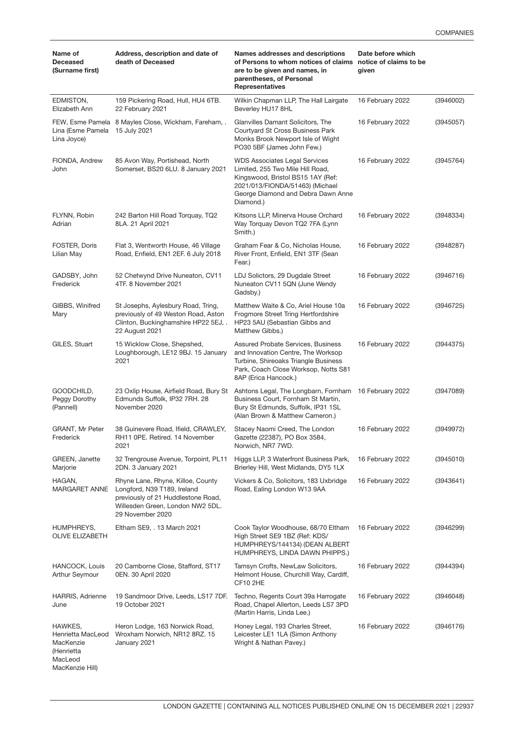| Name of<br><b>Deceased</b><br>(Surname first)                      | Address, description and date of<br>death of Deceased                                                                                                          | Names addresses and descriptions<br>of Persons to whom notices of claims notice of claims to be<br>are to be given and names, in<br>parentheses, of Personal<br><b>Representatives</b>              | Date before which<br>given |           |
|--------------------------------------------------------------------|----------------------------------------------------------------------------------------------------------------------------------------------------------------|-----------------------------------------------------------------------------------------------------------------------------------------------------------------------------------------------------|----------------------------|-----------|
| EDMISTON,<br>Elizabeth Ann                                         | 159 Pickering Road, Hull, HU4 6TB.<br>22 February 2021                                                                                                         | Wilkin Chapman LLP, The Hall Lairgate<br>Beverley HU17 8HL                                                                                                                                          | 16 February 2022           | (3946002) |
| Lina (Esme Pamela 15 July 2021<br>Lina Joyce)                      | FEW, Esme Pamela 8 Mayles Close, Wickham, Fareham,.                                                                                                            | Glanvilles Damant Solicitors, The<br>Courtyard St Cross Business Park<br>Monks Brook Newport Isle of Wight<br>PO30 5BF (James John Few.)                                                            | 16 February 2022           | (3945057) |
| FIONDA, Andrew<br>John                                             | 85 Avon Way, Portishead, North<br>Somerset, BS20 6LU. 8 January 2021                                                                                           | <b>WDS Associates Legal Services</b><br>Limited, 255 Two Mile Hill Road,<br>Kingswood, Bristol BS15 1AY (Ref:<br>2021/013/FIONDA/51463) (Michael<br>George Diamond and Debra Dawn Anne<br>Diamond.) | 16 February 2022           | (3945764) |
| FLYNN, Robin<br>Adrian                                             | 242 Barton Hill Road Torquay, TQ2<br>8LA. 21 April 2021                                                                                                        | Kitsons LLP, Minerva House Orchard<br>Way Torquay Devon TQ2 7FA (Lynn<br>Smith.)                                                                                                                    | 16 February 2022           | (3948334) |
| FOSTER, Doris<br>Lilian May                                        | Flat 3, Wentworth House, 46 Village<br>Road, Enfield, EN1 2EF. 6 July 2018                                                                                     | Graham Fear & Co, Nicholas House,<br>River Front, Enfield, EN1 3TF (Sean<br>Fear.)                                                                                                                  | 16 February 2022           | (3948287) |
| GADSBY, John<br>Frederick                                          | 52 Chetwynd Drive Nuneaton, CV11<br>4TF. 8 November 2021                                                                                                       | LDJ Solictors, 29 Dugdale Street<br>Nuneaton CV11 5QN (June Wendy<br>Gadsby.)                                                                                                                       | 16 February 2022           | (3946716) |
| GIBBS, Winifred<br>Mary                                            | St Josephs, Aylesbury Road, Tring,<br>previously of 49 Weston Road, Aston<br>Clinton, Buckinghamshire HP22 5EJ,.<br>22 August 2021                             | Matthew Waite & Co, Ariel House 10a<br>Frogmore Street Tring Hertfordshire<br>HP23 5AU (Sebastian Gibbs and<br>Matthew Gibbs.)                                                                      | 16 February 2022           | (3946725) |
| GILES, Stuart                                                      | 15 Wicklow Close, Shepshed,<br>Loughborough, LE12 9BJ. 15 January<br>2021                                                                                      | Assured Probate Services, Business<br>and Innovation Centre, The Worksop<br>Turbine, Shireoaks Triangle Business<br>Park, Coach Close Worksop, Notts S81<br>8AP (Erica Hancock.)                    | 16 February 2022           | (3944375) |
| GOODCHILD,<br>Peggy Dorothy<br>(Pannell)                           | 23 Oxlip House, Airfield Road, Bury St<br>Edmunds Suffolk, IP32 7RH. 28<br>November 2020                                                                       | Ashtons Legal, The Longbarn, Fornham 16 February 2022<br>Business Court, Fornham St Martin,<br>Bury St Edmunds, Suffolk, IP31 1SL<br>(Alan Brown & Matthew Cameron.)                                |                            | (3947089) |
| GRANT, Mr Peter<br>Frederick                                       | 38 Guinevere Road, Ifield, CRAWLEY,<br>RH11 OPE, Retired, 14 November<br>2021                                                                                  | Stacey Naomi Creed, The London<br>Gazette (22387), PO Box 3584,<br>Norwich, NR7 7WD.                                                                                                                | 16 February 2022           | (3949972) |
| <b>GREEN, Janette</b><br>Marjorie                                  | 32 Trengrouse Avenue, Torpoint, PL11<br>2DN. 3 January 2021                                                                                                    | Higgs LLP, 3 Waterfront Business Park,<br>Brierley Hill, West Midlands, DY5 1LX                                                                                                                     | 16 February 2022           | (3945010) |
| HAGAN,<br>MARGARET ANNE                                            | Rhyne Lane, Rhyne, Killoe, County<br>Longford, N39 T189, Ireland<br>previously of 21 Huddlestone Road,<br>Willesden Green, London NW2 5DL.<br>29 November 2020 | Vickers & Co. Solicitors, 183 Uxbridge<br>16 February 2022<br>Road, Ealing London W13 9AA                                                                                                           |                            | (3943641) |
| HUMPHREYS,<br><b>OLIVE ELIZABETH</b>                               | Eltham SE9, . 13 March 2021                                                                                                                                    | Cook Taylor Woodhouse, 68/70 Eltham<br>High Street SE9 1BZ (Ref: KDS/<br>HUMPHREYS/144134) (DEAN ALBERT<br>HUMPHREYS, LINDA DAWN PHIPPS.)                                                           | 16 February 2022           | (3946299) |
| HANCOCK, Louis<br>Arthur Seymour                                   | 20 Camborne Close, Stafford, ST17<br>0EN. 30 April 2020                                                                                                        | Tamsyn Crofts, NewLaw Solicitors,<br>Helmont House, Churchill Way, Cardiff,<br>CF102HE                                                                                                              | 16 February 2022           | (3944394) |
| HARRIS, Adrienne<br>June                                           | 19 Sandmoor Drive, Leeds, LS17 7DF.<br>19 October 2021                                                                                                         | Techno, Regents Court 39a Harrogate<br>Road, Chapel Allerton, Leeds LS7 3PD<br>(Martin Harris, Linda Lee.)                                                                                          | 16 February 2022           | (3946048) |
| HAWKES,<br>Henrietta MacLeod<br>MacKenzie<br>(Henrietta<br>MacLeod | Heron Lodge, 163 Norwick Road,<br>Wroxham Norwich, NR12 8RZ. 15<br>January 2021                                                                                | Honey Legal, 193 Charles Street,<br>Leicester LE1 1LA (Simon Anthony<br>Wright & Nathan Pavey.)                                                                                                     | 16 February 2022           | (3946176) |

MacKenzie Hill)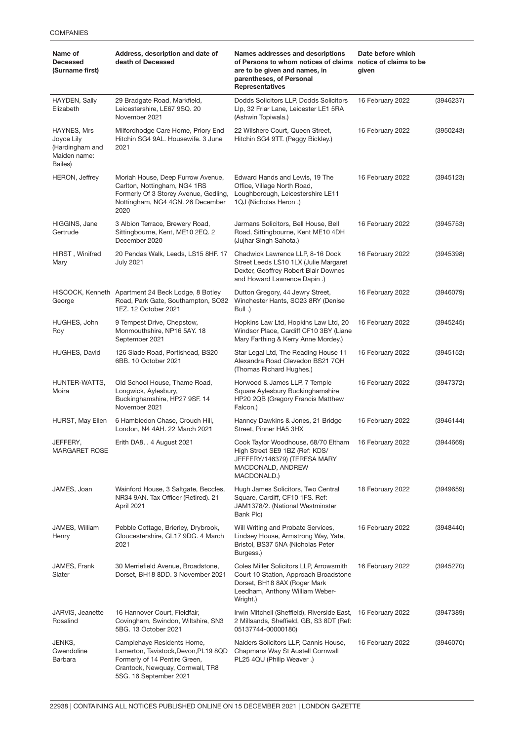| Name of<br><b>Deceased</b><br>(Surname first)                           | Address, description and date of<br>death of Deceased                                                                                                             | <b>Names addresses and descriptions</b><br>of Persons to whom notices of claims notice of claims to be<br>are to be given and names, in<br>parentheses, of Personal<br>Representatives | Date before which<br>given |           |
|-------------------------------------------------------------------------|-------------------------------------------------------------------------------------------------------------------------------------------------------------------|----------------------------------------------------------------------------------------------------------------------------------------------------------------------------------------|----------------------------|-----------|
| HAYDEN, Sally<br>Elizabeth                                              | 29 Bradgate Road, Markfield,<br>Leicestershire, LE67 9SQ. 20<br>November 2021                                                                                     | Dodds Solicitors LLP, Dodds Solicitors<br>Llp, 32 Friar Lane, Leicester LE1 5RA<br>(Ashwin Topiwala.)                                                                                  | 16 February 2022           | (3946237) |
| HAYNES, Mrs<br>Joyce Lily<br>(Hardingham and<br>Maiden name:<br>Bailes) | Milfordhodge Care Home, Priory End<br>Hitchin SG4 9AL, Housewife, 3 June<br>2021                                                                                  | 22 Wilshere Court, Queen Street,<br>Hitchin SG4 9TT. (Peggy Bickley.)                                                                                                                  | 16 February 2022           | (3950243) |
| <b>HERON, Jeffrey</b>                                                   | Moriah House, Deep Furrow Avenue,<br>Carlton, Nottingham, NG4 1RS<br>Formerly Of 3 Storey Avenue, Gedling,<br>Nottingham, NG4 4GN. 26 December<br>2020            | Edward Hands and Lewis, 19 The<br>Office, Village North Road,<br>Loughborough, Leicestershire LE11<br>1QJ (Nicholas Heron.)                                                            | 16 February 2022           | (3945123) |
| HIGGINS, Jane<br>Gertrude                                               | 3 Albion Terrace, Brewery Road,<br>Sittingbourne, Kent, ME10 2EQ. 2<br>December 2020                                                                              | Jarmans Solicitors, Bell House, Bell<br>Road, Sittingbourne, Kent ME10 4DH<br>(Jujhar Singh Sahota.)                                                                                   | 16 February 2022           | (3945753) |
| HIRST, Winifred<br>Mary                                                 | 20 Pendas Walk, Leeds, LS15 8HF. 17<br>July 2021                                                                                                                  | Chadwick Lawrence LLP, 8-16 Dock<br>Street Leeds LS10 1LX (Julie Margaret<br>Dexter, Geoffrey Robert Blair Downes<br>and Howard Lawrence Dapin.)                                       | 16 February 2022           | (3945398) |
| George                                                                  | HISCOCK, Kenneth Apartment 24 Beck Lodge, 8 Botley<br>Road, Park Gate, Southampton, SO32<br>1EZ. 12 October 2021                                                  | Dutton Gregory, 44 Jewry Street,<br>Winchester Hants, SO23 8RY (Denise<br>Bull .)                                                                                                      | 16 February 2022           | (3946079) |
| HUGHES, John<br>Roy                                                     | 9 Tempest Drive, Chepstow,<br>Monmouthshire, NP16 5AY. 18<br>September 2021                                                                                       | Hopkins Law Ltd, Hopkins Law Ltd, 20<br>Windsor Place, Cardiff CF10 3BY (Liane<br>Mary Farthing & Kerry Anne Mordey.)                                                                  | 16 February 2022           | (3945245) |
| <b>HUGHES, David</b>                                                    | 126 Slade Road, Portishead, BS20<br>6BB. 10 October 2021                                                                                                          | Star Legal Ltd, The Reading House 11<br>Alexandra Road Clevedon BS21 7QH<br>(Thomas Richard Hughes.)                                                                                   | 16 February 2022           | (3945152) |
| HUNTER-WATTS,<br>Moira                                                  | Old School House, Thame Road,<br>Longwick, Aylesbury,<br>Buckinghamshire, HP27 9SF. 14<br>November 2021                                                           | Horwood & James LLP, 7 Temple<br>Square Aylesbury Buckinghamshire<br>HP20 2QB (Gregory Francis Matthew<br>Falcon.)                                                                     | 16 February 2022           | (3947372) |
| HURST, May Ellen                                                        | 6 Hambledon Chase, Crouch Hill,<br>London, N4 4AH. 22 March 2021                                                                                                  | Hanney Dawkins & Jones, 21 Bridge<br>Street. Pinner HA5 3HX                                                                                                                            | 16 February 2022           | (3946144) |
| JEFFERY,<br><b>MARGARET ROSE</b>                                        | Erith DA8, . 4 August 2021                                                                                                                                        | Cook Taylor Woodhouse, 68/70 Eltham<br>High Street SE9 1BZ (Ref: KDS/<br>JEFFERY/146379) (TERESA MARY<br>MACDONALD, ANDREW<br>MACDONALD.)                                              | 16 February 2022           | (3944669) |
| JAMES, Joan                                                             | Wainford House, 3 Saltgate, Beccles,<br>NR34 9AN. Tax Officer (Retired). 21<br>April 2021                                                                         | Hugh James Solicitors, Two Central<br>Square, Cardiff, CF10 1FS. Ref:<br>JAM1378/2. (National Westminster<br>Bank Plc)                                                                 | 18 February 2022           | (3949659) |
| JAMES, William<br>Henry                                                 | Pebble Cottage, Brierley, Drybrook,<br>Gloucestershire, GL17 9DG. 4 March<br>2021                                                                                 | Will Writing and Probate Services,<br>16 February 2022<br>Lindsey House, Armstrong Way, Yate,<br>Bristol, BS37 5NA (Nicholas Peter<br>Burgess.)                                        |                            | (3948440) |
| JAMES, Frank<br>Slater                                                  | 30 Merriefield Avenue, Broadstone,<br>Dorset, BH18 8DD. 3 November 2021                                                                                           | Coles Miller Solicitors LLP, Arrowsmith<br>16 February 2022<br>Court 10 Station, Approach Broadstone<br>Dorset, BH18 8AX (Roger Mark<br>Leedham, Anthony William Weber-<br>Wright.)    |                            | (3945270) |
| JARVIS, Jeanette<br>Rosalind                                            | 16 Hannover Court, Fieldfair,<br>Covingham, Swindon, Wiltshire, SN3<br>5BG. 13 October 2021                                                                       | Irwin Mitchell (Sheffield), Riverside East, 16 February 2022<br>2 Millsands, Sheffield, GB, S3 8DT (Ref:<br>05137744-00000180)                                                         |                            | (3947389) |
| JENKS,<br>Gwendoline<br>Barbara                                         | Camplehaye Residents Home,<br>Lamerton, Tavistock, Devon, PL19 8QD<br>Formerly of 14 Pentire Green,<br>Crantock, Newquay, Cornwall, TR8<br>5SG. 16 September 2021 | Nalders Solicitors LLP, Cannis House,<br>Chapmans Way St Austell Cornwall<br>PL25 4QU (Philip Weaver.)                                                                                 | 16 February 2022           | (3946070) |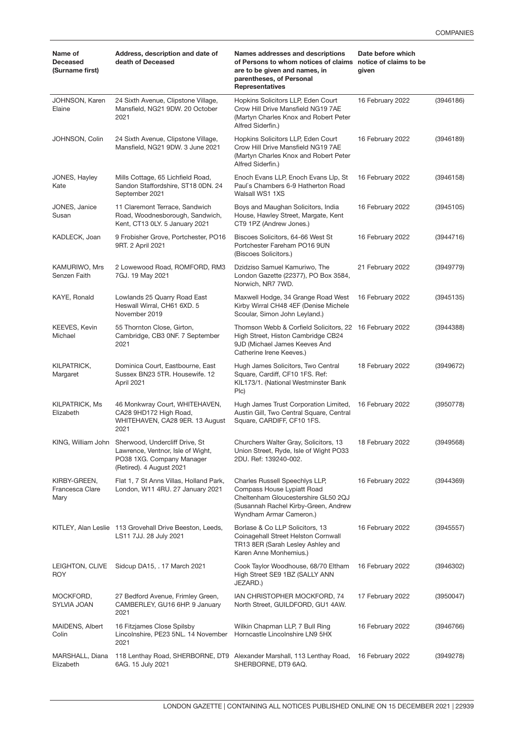| Name of<br><b>Deceased</b><br>(Surname first) | Address, description and date of<br>death of Deceased                                                                                           | Names addresses and descriptions<br>of Persons to whom notices of claims<br>are to be given and names, in<br>parentheses, of Personal<br><b>Representatives</b>        | Date before which<br>notice of claims to be<br>given |           |  |
|-----------------------------------------------|-------------------------------------------------------------------------------------------------------------------------------------------------|------------------------------------------------------------------------------------------------------------------------------------------------------------------------|------------------------------------------------------|-----------|--|
| JOHNSON, Karen<br>Elaine                      | 24 Sixth Avenue, Clipstone Village,<br>Mansfield, NG21 9DW. 20 October<br>2021                                                                  | Hopkins Solicitors LLP, Eden Court<br>Crow Hill Drive Mansfield NG19 7AE<br>(Martyn Charles Knox and Robert Peter<br>Alfred Siderfin.)                                 | 16 February 2022                                     | (3946186) |  |
| JOHNSON, Colin                                | 24 Sixth Avenue, Clipstone Village,<br>Mansfield, NG21 9DW. 3 June 2021                                                                         | Hopkins Solicitors LLP, Eden Court<br>Crow Hill Drive Mansfield NG19 7AE<br>(Martyn Charles Knox and Robert Peter<br>Alfred Siderfin.)                                 | 16 February 2022                                     | (3946189) |  |
| JONES, Hayley<br>Kate                         | Mills Cottage, 65 Lichfield Road,<br>Sandon Staffordshire, ST18 0DN. 24<br>September 2021                                                       | Enoch Evans LLP, Enoch Evans Llp, St<br>Paul's Chambers 6-9 Hatherton Road<br>Walsall WS1 1XS                                                                          | 16 February 2022                                     | (3946158) |  |
| JONES, Janice<br>Susan                        | 11 Claremont Terrace, Sandwich<br>Road, Woodnesborough, Sandwich,<br>Kent, CT13 0LY. 5 January 2021                                             | Boys and Maughan Solicitors, India<br>House, Hawley Street, Margate, Kent<br>CT9 1PZ (Andrew Jones.)                                                                   | 16 February 2022                                     | (3945105) |  |
| KADLECK, Joan                                 | 9 Frobisher Grove, Portchester, PO16<br>9RT. 2 April 2021                                                                                       | Biscoes Solicitors, 64-66 West St<br>Portchester Fareham PO16 9UN<br>(Biscoes Solicitors.)                                                                             | 16 February 2022                                     | (3944716) |  |
| KAMURIWO, Mrs<br>Senzen Faith                 | 2 Lowewood Road, ROMFORD, RM3<br>7GJ. 19 May 2021                                                                                               | Dzidziso Samuel Kamuriwo, The<br>London Gazette (22377), PO Box 3584,<br>Norwich, NR7 7WD.                                                                             | 21 February 2022                                     | (3949779) |  |
| KAYE, Ronald                                  | Lowlands 25 Quarry Road East<br>Heswall Wirral, CH61 6XD. 5<br>November 2019                                                                    | Maxwell Hodge, 34 Grange Road West<br>Kirby Wirral CH48 4EF (Denise Michele<br>Scoular, Simon John Leyland.)                                                           | 16 February 2022                                     | (3945135) |  |
| KEEVES, Kevin<br>Michael                      | 55 Thornton Close, Girton,<br>Cambridge, CB3 0NF. 7 September<br>2021                                                                           | Thomson Webb & Corfield Solicitors, 22 16 February 2022<br>High Street, Histon Cambridge CB24<br>9JD (Michael James Keeves And<br>Catherine Irene Keeves.)             |                                                      | (3944388) |  |
| KILPATRICK,<br>Margaret                       | Dominica Court, Eastbourne, East<br>Sussex BN23 5TR. Housewife. 12<br>April 2021                                                                | Hugh James Solicitors, Two Central<br>Square, Cardiff, CF10 1FS. Ref:<br>KIL173/1. (National Westminster Bank<br>Plc)                                                  | 18 February 2022                                     | (3949672) |  |
| <b>KILPATRICK, Ms</b><br>Elizabeth            | 46 Monkwray Court, WHITEHAVEN,<br>CA28 9HD172 High Road,<br>WHITEHAVEN, CA28 9ER. 13 August<br>2021                                             | Hugh James Trust Corporation Limited,<br>Austin Gill, Two Central Square, Central<br>Square, CARDIFF, CF10 1FS.                                                        | 16 February 2022                                     | (3950778) |  |
|                                               | KING, William John Sherwood, Undercliff Drive, St<br>Lawrence, Ventnor, Isle of Wight,<br>PO38 1XG. Company Manager<br>(Retired). 4 August 2021 | Churchers Walter Gray, Solicitors, 13<br>Union Street, Ryde, Isle of Wight PO33<br>2DU. Ref: 139240-002.                                                               | 18 February 2022                                     | (3949568) |  |
| KIRBY-GREEN,<br>Francesca Clare<br>Mary       | Flat 1, 7 St Anns Villas, Holland Park,<br>London, W11 4RU. 27 January 2021                                                                     | Charles Russell Speechlys LLP,<br>Compass House Lypiatt Road<br>Cheltenham Gloucestershire GL50 2QJ<br>(Susannah Rachel Kirby-Green, Andrew<br>Wyndham Armar Cameron.) | 16 February 2022                                     | (3944369) |  |
|                                               | KITLEY, Alan Leslie 113 Grovehall Drive Beeston, Leeds,<br>LS11 7JJ. 28 July 2021                                                               | Borlase & Co LLP Solicitors, 13<br>Coinagehall Street Helston Cornwall<br>TR13 8ER (Sarah Lesley Ashley and<br>Karen Anne Monhemius.)                                  | 16 February 2022                                     | (3945557) |  |
| LEIGHTON, CLIVE<br>ROY                        | Sidcup DA15, . 17 March 2021                                                                                                                    | Cook Taylor Woodhouse, 68/70 Eltham<br>High Street SE9 1BZ (SALLY ANN<br>JEZARD.)                                                                                      | 16 February 2022                                     | (3946302) |  |
| MOCKFORD,<br>SYLVIA JOAN                      | 27 Bedford Avenue, Frimley Green,<br>CAMBERLEY, GU16 6HP. 9 January<br>2021                                                                     | IAN CHRISTOPHER MOCKFORD, 74<br>North Street, GUILDFORD, GU1 4AW.                                                                                                      | 17 February 2022                                     | (3950047) |  |
| MAIDENS, Albert<br>Colin                      | 16 Fitzjames Close Spilsby<br>Lincolnshire, PE23 5NL. 14 November<br>2021                                                                       | Wilkin Chapman LLP, 7 Bull Ring<br>Horncastle Lincolnshire LN9 5HX                                                                                                     | 16 February 2022                                     | (3946766) |  |
| MARSHALL, Diana<br>Elizabeth                  | 118 Lenthay Road, SHERBORNE, DT9<br>6AG. 15 July 2021                                                                                           | Alexander Marshall, 113 Lenthay Road,<br>SHERBORNE, DT9 6AQ.                                                                                                           | 16 February 2022                                     | (3949278) |  |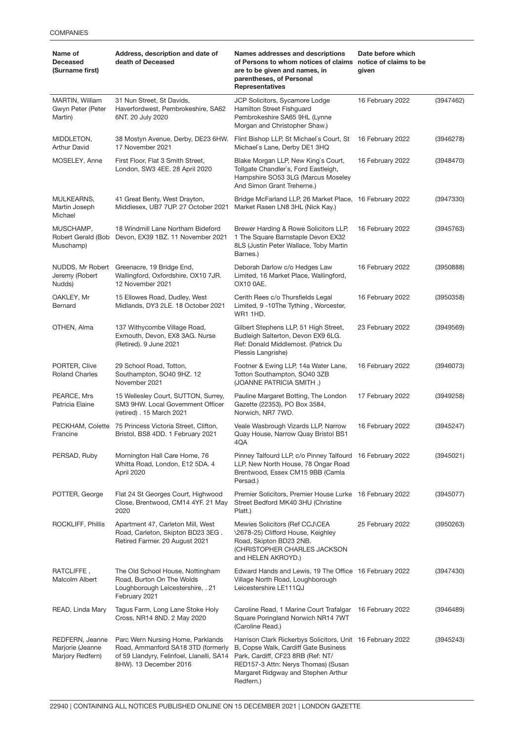| Name of<br><b>Deceased</b><br>(Surname first)           | Address, description and date of<br>death of Deceased                                                                                          | Names addresses and descriptions<br>of Persons to whom notices of claims notice of claims to be<br>are to be given and names, in<br>parentheses, of Personal<br><b>Representatives</b>                                             | Date before which<br>given |           |
|---------------------------------------------------------|------------------------------------------------------------------------------------------------------------------------------------------------|------------------------------------------------------------------------------------------------------------------------------------------------------------------------------------------------------------------------------------|----------------------------|-----------|
| MARTIN, William<br>Gwyn Peter (Peter<br>Martin)         | 31 Nun Street, St Davids,<br>Haverfordwest, Pembrokeshire, SA62<br>6NT. 20 July 2020                                                           | JCP Solicitors, Sycamore Lodge<br>Hamilton Street Fishguard<br>Pembrokeshire SA65 9HL (Lynne<br>Morgan and Christopher Shaw.)                                                                                                      | 16 February 2022           | (3947462) |
| MIDDLETON,<br><b>Arthur David</b>                       | 38 Mostyn Avenue, Derby, DE23 6HW.<br>17 November 2021                                                                                         | Flint Bishop LLP, St Michael's Court, St<br>Michael's Lane, Derby DE1 3HQ                                                                                                                                                          | 16 February 2022           | (3946278) |
| MOSELEY, Anne                                           | First Floor, Flat 3 Smith Street,<br>London, SW3 4EE. 28 April 2020                                                                            | Blake Morgan LLP, New King's Court,<br>Tollgate Chandler's, Ford Eastleigh,<br>Hampshire SO53 3LG (Marcus Moseley<br>And Simon Grant Treherne.)                                                                                    | 16 February 2022           | (3948470) |
| MULKEARNS,<br>Martin Joseph<br>Michael                  | 41 Great Benty, West Drayton,<br>Middlesex, UB7 7UP. 27 October 2021                                                                           | Bridge McFarland LLP, 26 Market Place, 16 February 2022<br>Market Rasen LN8 3HL (Nick Kay.)                                                                                                                                        |                            | (3947330) |
| MUSCHAMP,<br>Robert Gerald (Bob<br>Muschamp)            | 18 Windmill Lane Northam Bideford<br>Devon, EX39 1BZ. 11 November 2021                                                                         | Brewer Harding & Rowe Solicitors LLP,<br>1 The Square Barnstaple Devon EX32<br>8LS (Justin Peter Wallace, Toby Martin<br>Barnes.)                                                                                                  | 16 February 2022           | (3945763) |
| NUDDS, Mr Robert<br>Jeremy (Robert<br>Nudds)            | Greenacre, 19 Bridge End,<br>Wallingford, Oxfordshire, OX10 7JR.<br>12 November 2021                                                           | Deborah Darlow c/o Hedges Law<br>Limited, 16 Market Place, Wallingford,<br>OX10 0AE.                                                                                                                                               | 16 February 2022           | (3950888) |
| OAKLEY, Mr<br>Bernard                                   | 15 Ellowes Road, Dudley, West<br>Midlands, DY3 2LE. 18 October 2021                                                                            | Cerith Rees c/o Thursfields Legal<br>Limited, 9 -10The Tything, Worcester,<br><b>WR1 1HD.</b>                                                                                                                                      | 16 February 2022           | (3950358) |
| OTHEN, Alma                                             | 137 Withycombe Village Road,<br>Exmouth, Devon, EX8 3AG. Nurse<br>(Retired). 9 June 2021                                                       | Gilbert Stephens LLP, 51 High Street,<br>Budleigh Salterton, Devon EX9 6LG.<br>Ref: Donald Middlemost. (Patrick Du<br>Plessis Langrishe)                                                                                           | 23 February 2022           | (3949569) |
| PORTER, Clive<br><b>Roland Charles</b>                  | 29 School Road, Totton,<br>Southampton, SO40 9HZ. 12<br>November 2021                                                                          | Footner & Ewing LLP, 14a Water Lane,<br>Totton Southampton, SO40 3ZB<br>(JOANNE PATRICIA SMITH.)                                                                                                                                   | 16 February 2022           | (3946073) |
| PEARCE, Mrs<br>Patricia Elaine                          | 15 Wellesley Court, SUTTON, Surrey,<br>SM3 9HW. Local Govemment Officer<br>(retired). 15 March 2021                                            | Pauline Margaret Botting, The London<br>Gazette (22353), PO Box 3584,<br>Norwich, NR7 7WD.                                                                                                                                         | 17 February 2022           | (3949258) |
| Francine                                                | PECKHAM, Colette 75 Princess Victoria Street, Clifton,<br>Bristol, BS8 4DD. 1 February 2021                                                    | Veale Wasbrough Vizards LLP, Narrow<br>Quay House, Narrow Quay Bristol BS1<br>4QA                                                                                                                                                  | 16 February 2022           | (3945247) |
| PERSAD, Ruby                                            | Mornington Hall Care Home, 76<br>Whitta Road, London, E12 5DA. 4<br>April 2020                                                                 | Pinney Talfourd LLP, c/o Pinney Talfourd 16 February 2022<br>LLP, New North House, 78 Ongar Road<br>Brentwood, Essex CM15 9BB (Camla<br>Persad.)                                                                                   |                            | (3945021) |
| POTTER, George                                          | Flat 24 St Georges Court, Highwood<br>Close, Brentwood, CM14 4YF. 21 May<br>2020                                                               | Premier Solicitors, Premier House Lurke 16 February 2022<br>Street Bedford MK40 3HU (Christine<br>Platt.)                                                                                                                          |                            | (3945077) |
| ROCKLIFF, Phillis                                       | Apartment 47, Carleton Mill, West<br>Road, Carleton, Skipton BD23 3EG.<br>Retired Farmer. 20 August 2021                                       | Mewies Solicitors (Ref CCJ\CEA<br>\2678-25) Clifford House, Keighley<br>Road, Skipton BD23 2NB.<br>(CHRISTOPHER CHARLES JACKSON<br>and HELEN AKROYD.)                                                                              | 25 February 2022           | (3950263) |
| RATCLIFFE,<br>Malcolm Albert                            | The Old School House, Nottingham<br>Road, Burton On The Wolds<br>Loughborough Leicestershire, . 21<br>February 2021                            | Edward Hands and Lewis, 19 The Office 16 February 2022<br>Village North Road, Loughborough<br>Leicestershire LE111QJ                                                                                                               |                            | (3947430) |
| READ, Linda Mary                                        | Tagus Farm, Long Lane Stoke Holy<br>Cross, NR14 8ND. 2 May 2020                                                                                | Caroline Read, 1 Marine Court Trafalgar 16 February 2022<br>Square Poringland Norwich NR14 7WT<br>(Caroline Read.)                                                                                                                 |                            | (3946489) |
| REDFERN, Jeanne<br>Marjorie (Jeanne<br>Marjory Redfern) | Parc Wern Nursing Home, Parklands<br>Road, Ammanford SA18 3TD (formerly<br>of 59 Llandyry, Felinfoel, Llanelli, SA14<br>8HW). 13 December 2016 | Harrison Clark Rickerbys Solicitors, Unit 16 February 2022<br>B, Copse Walk, Cardiff Gate Business<br>Park, Cardiff, CF23 8RB (Ref: NT/<br>RED157-3 Attn: Nerys Thomas) (Susan<br>Margaret Ridgway and Stephen Arthur<br>Redfern.) |                            | (3945243) |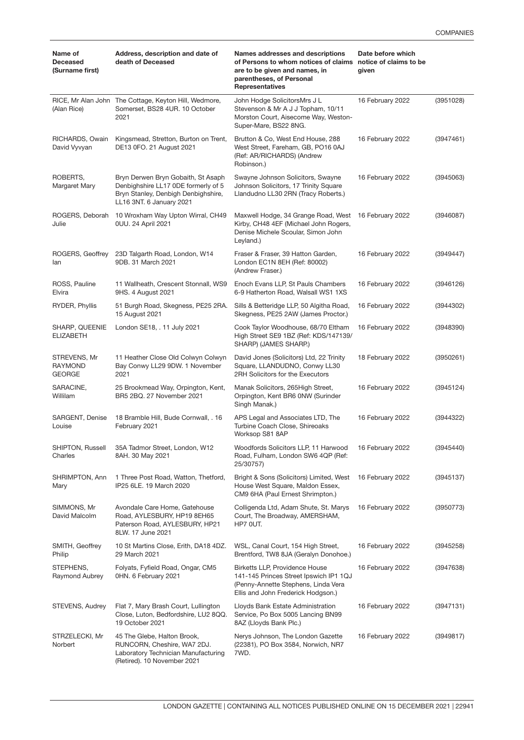| Name of<br><b>Deceased</b><br>(Surname first)   | Address, description and date of<br>death of Deceased                                                                                        | Names addresses and descriptions<br>of Persons to whom notices of claims<br>are to be given and names, in<br>parentheses, of Personal<br><b>Representatives</b> | Date before which<br>notice of claims to be<br>aiven |           |
|-------------------------------------------------|----------------------------------------------------------------------------------------------------------------------------------------------|-----------------------------------------------------------------------------------------------------------------------------------------------------------------|------------------------------------------------------|-----------|
| (Alan Rice)                                     | RICE, Mr Alan John The Cottage, Keyton Hill, Wedmore,<br>Somerset, BS28 4UR. 10 October<br>2021                                              | John Hodge SolicitorsMrs J L<br>Stevenson & Mr A J J Topham, 10/11<br>Morston Court, Aisecome Way, Weston-<br>Super-Mare, BS22 8NG.                             | 16 February 2022                                     | (3951028) |
| RICHARDS, Owain<br>David Vyvyan                 | Kingsmead, Stretton, Burton on Trent,<br>DE13 0FO. 21 August 2021                                                                            | Brutton & Co, West End House, 288<br>West Street, Fareham, GB, PO16 0AJ<br>(Ref: AR/RICHARDS) (Andrew<br>Robinson.)                                             | 16 February 2022                                     | (3947461) |
| ROBERTS,<br>Margaret Mary                       | Bryn Derwen Bryn Gobaith, St Asaph<br>Denbighshire LL17 0DE formerly of 5<br>Bryn Stanley, Denbigh Denbighshire,<br>LL16 3NT. 6 January 2021 | Swayne Johnson Solicitors, Swayne<br>Johnson Solicitors, 17 Trinity Square<br>Llandudno LL30 2RN (Tracy Roberts.)                                               | 16 February 2022                                     | (3945063) |
| ROGERS, Deborah<br>Julie                        | 10 Wroxham Way Upton Wirral, CH49<br>0UU. 24 April 2021                                                                                      | Maxwell Hodge, 34 Grange Road, West 16 February 2022<br>Kirby, CH48 4EF (Michael John Rogers,<br>Denise Michele Scoular, Simon John<br>Leyland.)                |                                                      | (3946087) |
| ROGERS, Geoffrey<br>lan                         | 23D Talgarth Road, London, W14<br>9DB, 31 March 2021                                                                                         | Fraser & Fraser, 39 Hatton Garden,<br>London EC1N 8EH (Ref: 80002)<br>(Andrew Fraser.)                                                                          | 16 February 2022                                     | (3949447) |
| ROSS, Pauline<br>Elvira                         | 11 Wallheath, Crescent Stonnall, WS9<br>9HS. 4 August 2021                                                                                   | Enoch Evans LLP, St Pauls Chambers<br>6-9 Hatherton Road, Walsall WS1 1XS                                                                                       | 16 February 2022                                     | (3946126) |
| RYDER, Phyllis                                  | 51 Burgh Road, Skegness, PE25 2RA.<br>15 August 2021                                                                                         | Sills & Betteridge LLP, 50 Algitha Road,<br>Skegness, PE25 2AW (James Proctor.)                                                                                 | 16 February 2022                                     | (3944302) |
| SHARP, QUEENIE<br><b>ELIZABETH</b>              | London SE18, . 11 July 2021                                                                                                                  | Cook Taylor Woodhouse, 68/70 Eltham<br>High Street SE9 1BZ (Ref: KDS/147139/<br>SHARP) (JAMES SHARP.)                                                           | 16 February 2022                                     | (3948390) |
| STREVENS, Mr<br><b>RAYMOND</b><br><b>GEORGE</b> | 11 Heather Close Old Colwyn Colwyn<br>Bay Conwy LL29 9DW. 1 November<br>2021                                                                 | David Jones (Solicitors) Ltd, 22 Trinity<br>Square, LLANDUDNO, Conwy LL30<br>2RH Solicitors for the Executors                                                   | 18 February 2022                                     | (3950261) |
| SARACINE,<br>Willilam                           | 25 Brookmead Way, Orpington, Kent,<br>BR5 2BQ. 27 November 2021                                                                              | Manak Solicitors, 265 High Street,<br>Orpington, Kent BR6 0NW (Surinder<br>Singh Manak.)                                                                        | 16 February 2022                                     | (3945124) |
| SARGENT, Denise<br>Louise                       | 18 Bramble Hill, Bude Cornwall, . 16<br>February 2021                                                                                        | APS Legal and Associates LTD, The<br>Turbine Coach Close, Shireoaks<br>Worksop S81 8AP                                                                          | 16 February 2022                                     | (3944322) |
| SHIPTON, Russell<br>Charles                     | 35A Tadmor Street, London, W12<br>8AH. 30 May 2021                                                                                           | Woodfords Solicitors LLP, 11 Harwood<br>Road, Fulham, London SW6 4QP (Ref:<br>25/30757)                                                                         | 16 February 2022                                     | (3945440) |
| SHRIMPTON, Ann<br>Mary                          | 1 Three Post Road, Watton, Thetford,<br>IP25 6LE. 19 March 2020                                                                              | Bright & Sons (Solicitors) Limited, West<br>House West Square, Maldon Essex,<br>CM9 6HA (Paul Ernest Shrimpton.)                                                | 16 February 2022                                     | (3945137) |
| SIMMONS, Mr<br>David Malcolm                    | Avondale Care Home, Gatehouse<br>Road, AYLESBURY, HP19 8EH65<br>Paterson Road, AYLESBURY, HP21<br>8LW. 17 June 2021                          | Colligenda Ltd, Adam Shute, St. Marys<br>Court, The Broadway, AMERSHAM,<br>HP7 OUT.                                                                             | 16 February 2022                                     | (3950773) |
| SMITH, Geoffrey<br>Philip                       | 10 St Martins Close, Erith, DA18 4DZ.<br>29 March 2021                                                                                       | WSL, Canal Court, 154 High Street,<br>Brentford, TW8 8JA (Geralyn Donohoe.)                                                                                     | 16 February 2022                                     | (3945258) |
| STEPHENS,<br>Raymond Aubrey                     | Folyats, Fyfield Road, Ongar, CM5<br>0HN. 6 February 2021                                                                                    | Birketts LLP, Providence House<br>141-145 Princes Street Ipswich IP1 1QJ<br>(Penny-Annette Stephens, Linda Vera<br>Ellis and John Frederick Hodgson.)           | 16 February 2022                                     | (3947638) |
| STEVENS, Audrey                                 | Flat 7, Mary Brash Court, Lullington<br>Close, Luton, Bedfordshire, LU2 8QQ.<br>19 October 2021                                              | Lloyds Bank Estate Administration<br>Service, Po Box 5005 Lancing BN99<br>8AZ (Lloyds Bank Plc.)                                                                | 16 February 2022                                     | (3947131) |
| STRZELECKI, Mr<br>Norbert                       | 45 The Glebe, Halton Brook,<br>RUNCORN, Cheshire, WA7 2DJ.<br>Laboratory Technician Manufacturing<br>(Retired). 10 November 2021             | Nerys Johnson, The London Gazette<br>(22381), PO Box 3584, Norwich, NR7<br>7WD.                                                                                 | 16 February 2022                                     | (3949817) |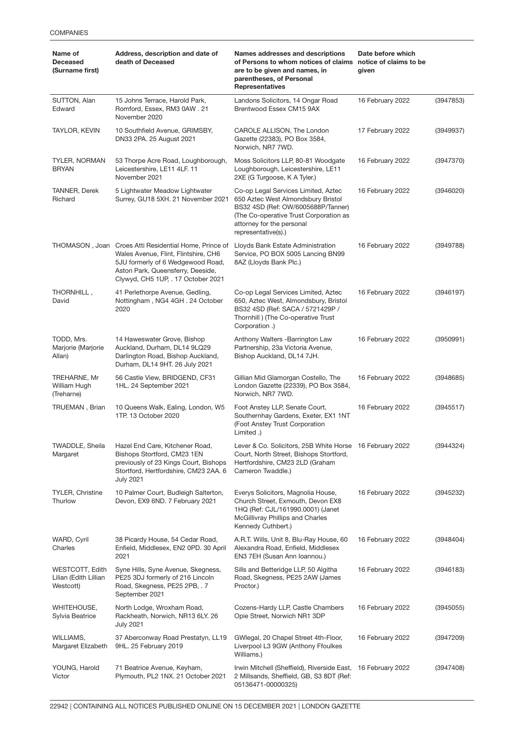| Name of<br><b>Deceased</b><br>(Surname first)         | Address, description and date of<br>death of Deceased                                                                                                                                                         | Names addresses and descriptions<br>of Persons to whom notices of claims notice of claims to be<br>are to be given and names, in<br>parentheses, of Personal<br><b>Representatives</b>                        | Date before which<br>given |           |
|-------------------------------------------------------|---------------------------------------------------------------------------------------------------------------------------------------------------------------------------------------------------------------|---------------------------------------------------------------------------------------------------------------------------------------------------------------------------------------------------------------|----------------------------|-----------|
| SUTTON, Alan<br>Edward                                | 15 Johns Terrace, Harold Park,<br>Romford, Essex, RM3 0AW. 21<br>November 2020                                                                                                                                | Landons Solicitors, 14 Ongar Road<br>Brentwood Essex CM15 9AX                                                                                                                                                 | 16 February 2022           | (3947853) |
| TAYLOR, KEVIN                                         | 10 Southfield Avenue, GRIMSBY,<br>DN33 2PA. 25 August 2021                                                                                                                                                    | CAROLE ALLISON, The London<br>Gazette (22383), PO Box 3584,<br>Norwich, NR7 7WD.                                                                                                                              | 17 February 2022           | (3949937) |
| <b>TYLER, NORMAN</b><br><b>BRYAN</b>                  | 53 Thorpe Acre Road, Loughborough,<br>Leicestershire, LE11 4LF. 11<br>November 2021                                                                                                                           | Moss Solicitors LLP, 80-81 Woodgate<br>Loughborough, Leicestershire, LE11<br>2XE (G Turgoose, K A Tyler.)                                                                                                     | 16 February 2022           | (3947370) |
| <b>TANNER, Derek</b><br>Richard                       | 5 Lightwater Meadow Lightwater<br>Surrey, GU18 5XH. 21 November 2021                                                                                                                                          | Co-op Legal Services Limited, Aztec<br>650 Aztec West Almondsbury Bristol<br>BS32 4SD (Ref: OW/6005688P/Tanner)<br>(The Co-operative Trust Corporation as<br>attorney for the personal<br>representative(s).) | 16 February 2022           | (3946020) |
|                                                       | THOMASON, Joan Croes Atti Residential Home, Prince of<br>Wales Avenue, Flint, Flintshire, CH6<br>5JU formerly of 6 Wedgewood Road,<br>Aston Park, Queensferry, Deeside,<br>Clywyd, CH5 1UP, . 17 October 2021 | Lloyds Bank Estate Administration<br>Service, PO BOX 5005 Lancing BN99<br>8AZ (Lloyds Bank Plc.)                                                                                                              | 16 February 2022           | (3949788) |
| THORNHILL,<br>David                                   | 41 Perlethorpe Avenue, Gedling,<br>Nottingham, NG4 4GH. 24 October<br>2020                                                                                                                                    | Co-op Legal Services Limited, Aztec<br>650, Aztec West, Almondsbury, Bristol<br>BS32 4SD (Ref: SACA / 5721429P /<br>Thornhill ) (The Co-operative Trust<br>Corporation.)                                      | 16 February 2022           | (3946197) |
| TODD, Mrs.<br>Marjorie (Marjorie<br>Allan)            | 14 Haweswater Grove, Bishop<br>Auckland, Durham, DL14 9LQ29<br>Darlington Road, Bishop Auckland,<br>Durham, DL14 9HT. 26 July 2021                                                                            | Anthony Walters - Barrington Law<br>Partnership, 23a Victoria Avenue,<br>Bishop Auckland, DL14 7JH.                                                                                                           | 16 February 2022           | (3950991) |
| TREHARNE, Mr<br>William Hugh<br>(Treharne)            | 56 Castle View, BRIDGEND, CF31<br>1HL. 24 September 2021                                                                                                                                                      | Gillian Mid Glamorgan Costello, The<br>London Gazette (22339), PO Box 3584,<br>Norwich, NR7 7WD.                                                                                                              | 16 February 2022           | (3948685) |
| TRUEMAN, Brian                                        | 10 Queens Walk, Ealing, London, W5<br>1TP. 13 October 2020                                                                                                                                                    | Foot Anstey LLP, Senate Court,<br>Southernhay Gardens, Exeter, EX1 1NT<br>(Foot Anstey Trust Corporation<br>Limited .)                                                                                        | 16 February 2022           | (3945517) |
| <b>TWADDLE, Sheila</b><br>Margaret                    | Hazel End Care, Kitchener Road,<br>Bishops Stortford, CM23 1EN<br>previously of 23 Kings Court, Bishops<br>Stortford, Hertfordshire, CM23 2AA. 6<br><b>July 2021</b>                                          | Lever & Co. Solicitors, 25B White Horse 16 February 2022<br>Court, North Street, Bishops Stortford,<br>Hertfordshire, CM23 2LD (Graham<br>Cameron Twaddle.)                                                   |                            | (3944324) |
| <b>TYLER, Christine</b><br>Thurlow                    | 10 Palmer Court, Budleigh Salterton,<br>Devon, EX9 6ND. 7 February 2021                                                                                                                                       | Everys Solicitors, Magnolia House,<br>Church Street, Exmouth, Devon EX8<br>1HQ (Ref: CJL/161990.0001) (Janet<br>McGillivray Phillips and Charles<br>Kennedy Cuthbert.)                                        | 16 February 2022           | (3945232) |
| WARD, Cyril<br>Charles                                | 38 Picardy House, 54 Cedar Road,<br>Enfield, Middlesex, EN2 0PD. 30 April<br>2021                                                                                                                             | A.R.T. Wills, Unit 8, Blu-Ray House, 60<br>Alexandra Road, Enfield, Middlesex<br>EN3 7EH (Susan Ann Ioannou.)                                                                                                 | 16 February 2022           | (3948404) |
| WESTCOTT, Edith<br>Lilian (Edith Lillian<br>Westcott) | Syne Hills, Syne Avenue, Skegness,<br>PE25 3DJ formerly of 216 Lincoln<br>Road, Skegness, PE25 2PB, . 7<br>September 2021                                                                                     | Sills and Betteridge LLP, 50 Algitha<br>Road, Skegness, PE25 2AW (James<br>Proctor.)                                                                                                                          | 16 February 2022           | (3946183) |
| WHITEHOUSE,<br>Sylvia Beatrice                        | North Lodge, Wroxham Road,<br>Rackheath, Norwich, NR13 6LY. 26<br><b>July 2021</b>                                                                                                                            | Cozens-Hardy LLP, Castle Chambers<br>Opie Street, Norwich NR1 3DP                                                                                                                                             | 16 February 2022           | (3945055) |
| WILLIAMS,<br>Margaret Elizabeth                       | 37 Aberconway Road Prestatyn, LL19<br>9HL. 25 February 2019                                                                                                                                                   | GWlegal, 20 Chapel Street 4th-Floor,<br>Liverpool L3 9GW (Anthony Ffoulkes<br>Williams.)                                                                                                                      | 16 February 2022           | (3947209) |
| YOUNG, Harold<br>Victor                               | 71 Beatrice Avenue, Keyham,<br>Plymouth, PL2 1NX. 21 October 2021                                                                                                                                             | Irwin Mitchell (Sheffield), Riverside East, 16 February 2022<br>2 Millsands, Sheffield, GB, S3 8DT (Ref:<br>05136471-00000325)                                                                                |                            | (3947408) |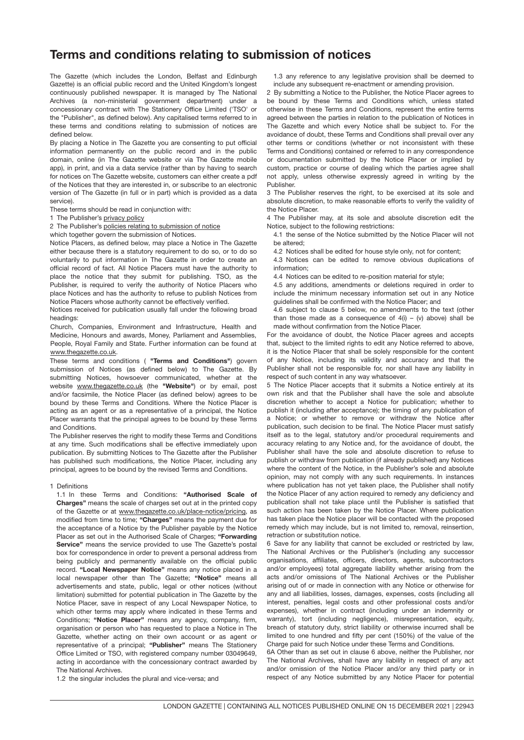## Terms and conditions relating to submission of notices

The Gazette (which includes the London, Belfast and Edinburgh Gazette) is an official public record and the United Kingdom's longest continuously published newspaper. It is managed by The National Archives (a non-ministerial government department) under a concessionary contract with The Stationery Office Limited ('TSO' or the "Publisher", as defined below). Any capitalised terms referred to in these terms and conditions relating to submission of notices are defined below.

By placing a Notice in The Gazette you are consenting to put official information permanently on the public record and in the public domain, online (in The Gazette website or via The Gazette mobile app), in print, and via a data service (rather than by having to search for notices on The Gazette website, customers can either create a pdf of the Notices that they are interested in, or subscribe to an electronic version of The Gazette (in full or in part) which is provided as a data service).

These terms should be read in conjunction with:

1 The Publisher's [privacy policy](https://www.thegazette.co.uk/privacy)

2 The Publisher's [policies relating to submission of notice](https://www.thegazette.co.uk/place-notice/policy)

which together govern the submission of Notices.

Notice Placers, as defined below, may place a Notice in The Gazette either because there is a statutory requirement to do so, or to do so voluntarily to put information in The Gazette in order to create an official record of fact. All Notice Placers must have the authority to place the notice that they submit for publishing. TSO, as the Publisher, is required to verify the authority of Notice Placers who place Notices and has the authority to refuse to publish Notices from Notice Placers whose authority cannot be effectively verified.

Notices received for publication usually fall under the following broad headings:

Church, Companies, Environment and Infrastructure, Health and Medicine, Honours and awards, Money, Parliament and Assemblies, People, Royal Family and State. Further information can be found at [www.thegazette.co.uk.](https://www.thegazette.co.uk)

These terms and conditions ( "Terms and Conditions") govern submission of Notices (as defined below) to The Gazette. By submitting Notices, howsoever communicated, whether at the website [www.thegazette.co.uk](http://www.thegazette.co.uk) (the "Website") or by email, post and/or facsimile, the Notice Placer (as defined below) agrees to be bound by these Terms and Conditions. Where the Notice Placer is acting as an agent or as a representative of a principal, the Notice Placer warrants that the principal agrees to be bound by these Terms and Conditions.

The Publisher reserves the right to modify these Terms and Conditions at any time. Such modifications shall be effective immediately upon publication. By submitting Notices to The Gazette after the Publisher has published such modifications, the Notice Placer, including any principal, agrees to be bound by the revised Terms and Conditions.

#### 1 Definitions

1.1 In these Terms and Conditions: "Authorised Scale of Charges" means the scale of charges set out at in the printed copy of the Gazette or at [www.thegazette.co.uk/place-notice/pricing](https://www.thegazette.co.uk/place-notice/pricing), as modified from time to time; "Charges" means the payment due for the acceptance of a Notice by the Publisher payable by the Notice Placer as set out in the Authorised Scale of Charges; "Forwarding Service" means the service provided to use The Gazette's postal box for correspondence in order to prevent a personal address from being publicly and permanently available on the official public record. "Local Newspaper Notice" means any notice placed in a local newspaper other than The Gazette; "Notice" means all advertisements and state, public, legal or other notices (without limitation) submitted for potential publication in The Gazette by the Notice Placer, save in respect of any Local Newspaper Notice, to which other terms may apply where indicated in these Terms and Conditions; "Notice Placer" means any agency, company, firm, organisation or person who has requested to place a Notice in The Gazette, whether acting on their own account or as agent or representative of a principal; "Publisher" means The Stationery Office Limited or TSO, with registered company number 03049649, acting in accordance with the concessionary contract awarded by The National Archives.

1.2 the singular includes the plural and vice-versa; and

1.3 any reference to any legislative provision shall be deemed to include any subsequent re-enactment or amending provision.

2 By submitting a Notice to the Publisher, the Notice Placer agrees to be bound by these Terms and Conditions which, unless stated otherwise in these Terms and Conditions, represent the entire terms agreed between the parties in relation to the publication of Notices in The Gazette and which every Notice shall be subject to. For the avoidance of doubt, these Terms and Conditions shall prevail over any other terms or conditions (whether or not inconsistent with these Terms and Conditions) contained or referred to in any correspondence or documentation submitted by the Notice Placer or implied by custom, practice or course of dealing which the parties agree shall not apply, unless otherwise expressly agreed in writing by the Publisher.

3 The Publisher reserves the right, to be exercised at its sole and absolute discretion, to make reasonable efforts to verify the validity of the Notice Placer.

4 The Publisher may, at its sole and absolute discretion edit the Notice, subject to the following restrictions:

4.1 the sense of the Notice submitted by the Notice Placer will not be altered;

4.2 Notices shall be edited for house style only, not for content;

4.3 Notices can be edited to remove obvious duplications of information;

4.4 Notices can be edited to re-position material for style;

4.5 any additions, amendments or deletions required in order to include the minimum necessary information set out in any Notice guidelines shall be confirmed with the Notice Placer; and

4.6 subject to clause 5 below, no amendments to the text (other than those made as a consequence of  $4(i) - (v)$  above) shall be made without confirmation from the Notice Placer.

For the avoidance of doubt, the Notice Placer agrees and accepts that, subject to the limited rights to edit any Notice referred to above, it is the Notice Placer that shall be solely responsible for the content of any Notice, including its validity and accuracy and that the Publisher shall not be responsible for, nor shall have any liability in respect of such content in any way whatsoever.

5 The Notice Placer accepts that it submits a Notice entirely at its own risk and that the Publisher shall have the sole and absolute discretion whether to accept a Notice for publication; whether to publish it (including after acceptance); the timing of any publication of a Notice; or whether to remove or withdraw the Notice after publication, such decision to be final. The Notice Placer must satisfy itself as to the legal, statutory and/or procedural requirements and accuracy relating to any Notice and, for the avoidance of doubt, the Publisher shall have the sole and absolute discretion to refuse to publish or withdraw from publication (if already published) any Notices where the content of the Notice, in the Publisher's sole and absolute opinion, may not comply with any such requirements. In instances where publication has not yet taken place, the Publisher shall notify the Notice Placer of any action required to remedy any deficiency and publication shall not take place until the Publisher is satisfied that such action has been taken by the Notice Placer. Where publication has taken place the Notice placer will be contacted with the proposed remedy which may include, but is not limited to, removal, reinsertion, retraction or substitution notice.

6 Save for any liability that cannot be excluded or restricted by law, The National Archives or the Publisher's (including any successor organisations, affiliates, officers, directors, agents, subcontractors and/or employees) total aggregate liability whether arising from the acts and/or omissions of The National Archives or the Publisher arising out of or made in connection with any Notice or otherwise for any and all liabilities, losses, damages, expenses, costs (including all interest, penalties, legal costs and other professional costs and/or expenses), whether in contract (including under an indemnity or warranty), tort (including negligence), misrepresentation, equity, breach of statutory duty, strict liability or otherwise incurred shall be limited to one hundred and fifty per cent (150%) of the value of the Charge paid for such Notice under these Terms and Conditions.

6A Other than as set out in clause 6 above, neither the Publisher, nor The National Archives, shall have any liability in respect of any act and/or omission of the Notice Placer and/or any third party or in respect of any Notice submitted by any Notice Placer for potential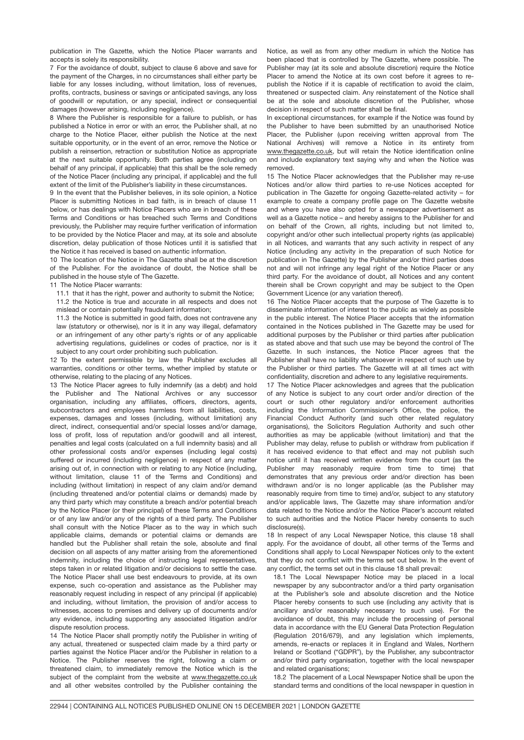publication in The Gazette, which the Notice Placer warrants and accepts is solely its responsibility.

7 For the avoidance of doubt, subject to clause 6 above and save for the payment of the Charges, in no circumstances shall either party be liable for any losses including, without limitation, loss of revenues, profits, contracts, business or savings or anticipated savings, any loss of goodwill or reputation, or any special, indirect or consequential damages (however arising, including negligence).

8 Where the Publisher is responsible for a failure to publish, or has published a Notice in error or with an error, the Publisher shall, at no charge to the Notice Placer, either publish the Notice at the next suitable opportunity, or in the event of an error, remove the Notice or publish a reinsertion, retraction or substitution Notice as appropriate at the next suitable opportunity. Both parties agree (including on behalf of any principal, if applicable) that this shall be the sole remedy of the Notice Placer (including any principal, if applicable) and the full extent of the limit of the Publisher's liability in these circumstances.

9 In the event that the Publisher believes, in its sole opinion, a Notice Placer is submitting Notices in bad faith, is in breach of clause 11 below, or has dealings with Notice Placers who are in breach of these Terms and Conditions or has breached such Terms and Conditions previously, the Publisher may require further verification of information to be provided by the Notice Placer and may, at its sole and absolute discretion, delay publication of those Notices until it is satisfied that the Notice it has received is based on authentic information.

10 The location of the Notice in The Gazette shall be at the discretion of the Publisher. For the avoidance of doubt, the Notice shall be published in the house style of The Gazette.

#### 11 The Notice Placer warrants:

11.1 that it has the right, power and authority to submit the Notice; 11.2 the Notice is true and accurate in all respects and does not

mislead or contain potentially fraudulent information;

11.3 the Notice is submitted in good faith, does not contravene any law (statutory or otherwise), nor is it in any way illegal, defamatory or an infringement of any other party's rights or of any applicable advertising regulations, guidelines or codes of practice, nor is it subject to any court order prohibiting such publication.

12 To the extent permissible by law the Publisher excludes all warranties, conditions or other terms, whether implied by statute or otherwise, relating to the placing of any Notices.

13 The Notice Placer agrees to fully indemnify (as a debt) and hold the Publisher and The National Archives or any successor organisation, including any affiliates, officers, directors, agents, subcontractors and employees harmless from all liabilities, costs, expenses, damages and losses (including, without limitation) any direct, indirect, consequential and/or special losses and/or damage, loss of profit, loss of reputation and/or goodwill and all interest, penalties and legal costs (calculated on a full indemnity basis) and all other professional costs and/or expenses (including legal costs) suffered or incurred (including negligence) in respect of any matter arising out of, in connection with or relating to any Notice (including, without limitation, clause 11 of the Terms and Conditions) and including (without limitation) in respect of any claim and/or demand (including threatened and/or potential claims or demands) made by any third party which may constitute a breach and/or potential breach by the Notice Placer (or their principal) of these Terms and Conditions or of any law and/or any of the rights of a third party. The Publisher shall consult with the Notice Placer as to the way in which such applicable claims, demands or potential claims or demands are handled but the Publisher shall retain the sole, absolute and final decision on all aspects of any matter arising from the aforementioned indemnity, including the choice of instructing legal representatives, steps taken in or related litigation and/or decisions to settle the case. The Notice Placer shall use best endeavours to provide, at its own expense, such co-operation and assistance as the Publisher may reasonably request including in respect of any principal (if applicable) and including, without limitation, the provision of and/or access to witnesses, access to premises and delivery up of documents and/or any evidence, including supporting any associated litigation and/or dispute resolution process.

14 The Notice Placer shall promptly notify the Publisher in writing of any actual, threatened or suspected claim made by a third party or parties against the Notice Placer and/or the Publisher in relation to a Notice. The Publisher reserves the right, following a claim or threatened claim, to immediately remove the Notice which is the subject of the complaint from the website at [www.thegazette.co.uk](https://www.thegazette.co.uk) and all other websites controlled by the Publisher containing the Notice, as well as from any other medium in which the Notice has been placed that is controlled by The Gazette, where possible. The Publisher may (at its sole and absolute discretion) require the Notice Placer to amend the Notice at its own cost before it agrees to republish the Notice if it is capable of rectification to avoid the claim, threatened or suspected claim. Any reinstatement of the Notice shall be at the sole and absolute discretion of the Publisher, whose decision in respect of such matter shall be final.

In exceptional circumstances, for example if the Notice was found by the Publisher to have been submitted by an unauthorised Notice Placer, the Publisher (upon receiving written approval from The National Archives) will remove a Notice in its entirety from [www.thegazette.co.uk,](https://www.thegazette.co.uk) but will retain the Notice identification online and include explanatory text saying why and when the Notice was removed.

15 The Notice Placer acknowledges that the Publisher may re-use Notices and/or allow third parties to re-use Notices accepted for publication in The Gazette for ongoing Gazette-related activity – for example to create a company profile page on The Gazette website and where you have also opted for a newspaper advertisement as well as a Gazette notice – and hereby assigns to the Publisher for and on behalf of the Crown, all rights, including but not limited to, copyright and/or other such intellectual property rights (as applicable) in all Notices, and warrants that any such activity in respect of any Notice (including any activity in the preparation of such Notice for publication in The Gazette) by the Publisher and/or third parties does not and will not infringe any legal right of the Notice Placer or any third party. For the avoidance of doubt, all Notices and any content therein shall be Crown copyright and may be subject to the Open Government Licence (or any variation thereof).

16 The Notice Placer accepts that the purpose of The Gazette is to disseminate information of interest to the public as widely as possible in the public interest. The Notice Placer accepts that the information contained in the Notices published in The Gazette may be used for additional purposes by the Publisher or third parties after publication as stated above and that such use may be beyond the control of The Gazette. In such instances, the Notice Placer agrees that the Publisher shall have no liability whatsoever in respect of such use by the Publisher or third parties. The Gazette will at all times act with confidentiality, discretion and adhere to any legislative requirements.

17 The Notice Placer acknowledges and agrees that the publication of any Notice is subject to any court order and/or direction of the court or such other regulatory and/or enforcement authorities including the Information Commissioner's Office, the police, the Financial Conduct Authority (and such other related regulatory organisations), the Solicitors Regulation Authority and such other authorities as may be applicable (without limitation) and that the Publisher may delay, refuse to publish or withdraw from publication if it has received evidence to that effect and may not publish such notice until it has received written evidence from the court (as the Publisher may reasonably require from time to time) that demonstrates that any previous order and/or direction has been withdrawn and/or is no longer applicable (as the Publisher may reasonably require from time to time) and/or, subject to any statutory and/or applicable laws, The Gazette may share information and/or data related to the Notice and/or the Notice Placer's account related to such authorities and the Notice Placer hereby consents to such disclosure(s).

18 In respect of any Local Newspaper Notice, this clause 18 shall apply. For the avoidance of doubt, all other terms of the Terms and Conditions shall apply to Local Newspaper Notices only to the extent that they do not conflict with the terms set out below. In the event of any conflict, the terms set out in this clause 18 shall prevail:

18.1 The Local Newspaper Notice may be placed in a local newspaper by any subcontractor and/or a third party organisation at the Publisher's sole and absolute discretion and the Notice Placer hereby consents to such use (including any activity that is ancillary and/or reasonably necessary to such use). For the avoidance of doubt, this may include the processing of personal data in accordance with the EU General Data Protection Regulation (Regulation 2016/679), and any legislation which implements, amends, re-enacts or replaces it in England and Wales, Northern Ireland or Scotland ("GDPR"), by the Publisher, any subcontractor and/or third party organisation, together with the local newspaper and related organisations;

18.2 The placement of a Local Newspaper Notice shall be upon the standard terms and conditions of the local newspaper in question in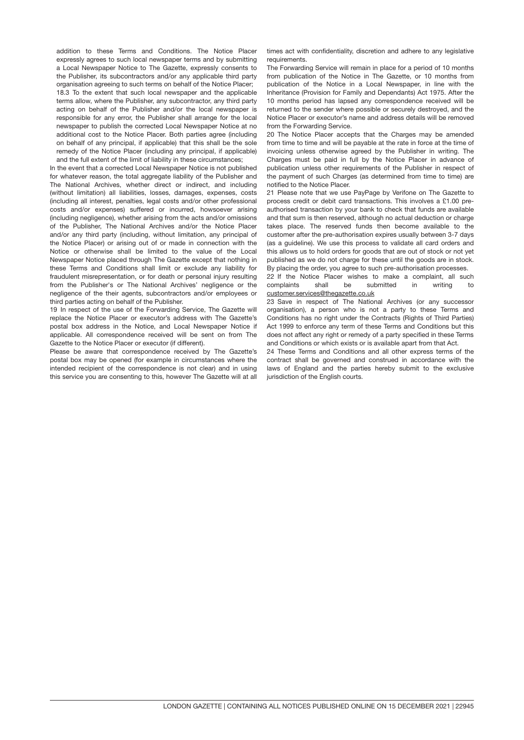18.3 To the extent that such local newspaper and the applicable addition to these Terms and Conditions. The Notice Placer expressly agrees to such local newspaper terms and by submitting a Local Newspaper Notice to The Gazette, expressly consents to the Publisher, its subcontractors and/or any applicable third party organisation agreeing to such terms on behalf of the Notice Placer; terms allow, where the Publisher, any subcontractor, any third party acting on behalf of the Publisher and/or the local newspaper is responsible for any error, the Publisher shall arrange for the local newspaper to publish the corrected Local Newspaper Notice at no additional cost to the Notice Placer. Both parties agree (including on behalf of any principal, if applicable) that this shall be the sole remedy of the Notice Placer (including any principal, if applicable) and the full extent of the limit of liability in these circumstances;

In the event that a corrected Local Newspaper Notice is not published for whatever reason, the total aggregate liability of the Publisher and The National Archives, whether direct or indirect, and including (without limitation) all liabilities, losses, damages, expenses, costs (including all interest, penalties, legal costs and/or other professional costs and/or expenses) suffered or incurred, howsoever arising (including negligence), whether arising from the acts and/or omissions of the Publisher, The National Archives and/or the Notice Placer and/or any third party (including, without limitation, any principal of the Notice Placer) or arising out of or made in connection with the Notice or otherwise shall be limited to the value of the Local Newspaper Notice placed through The Gazette except that nothing in these Terms and Conditions shall limit or exclude any liability for fraudulent misrepresentation, or for death or personal injury resulting from the Publisher's or The National Archives' negligence or the negligence of the their agents, subcontractors and/or employees or third parties acting on behalf of the Publisher.

19 In respect of the use of the Forwarding Service, The Gazette will replace the Notice Placer or executor's address with The Gazette's postal box address in the Notice, and Local Newspaper Notice if applicable. All correspondence received will be sent on from The Gazette to the Notice Placer or executor (if different).

Please be aware that correspondence received by The Gazette's postal box may be opened (for example in circumstances where the intended recipient of the correspondence is not clear) and in using this service you are consenting to this, however The Gazette will at all times act with confidentiality, discretion and adhere to any legislative requirements.

The Forwarding Service will remain in place for a period of 10 months from publication of the Notice in The Gazette, or 10 months from publication of the Notice in a Local Newspaper, in line with the Inheritance (Provision for Family and Dependants) Act 1975. After the 10 months period has lapsed any correspondence received will be returned to the sender where possible or securely destroyed, and the Notice Placer or executor's name and address details will be removed from the Forwarding Service.

20 The Notice Placer accepts that the Charges may be amended from time to time and will be payable at the rate in force at the time of invoicing unless otherwise agreed by the Publisher in writing. The Charges must be paid in full by the Notice Placer in advance of publication unless other requirements of the Publisher in respect of the payment of such Charges (as determined from time to time) are notified to the Notice Placer.

21 Please note that we use PayPage by Verifone on The Gazette to process credit or debit card transactions. This involves a £1.00 preauthorised transaction by your bank to check that funds are available and that sum is then reserved, although no actual deduction or charge takes place. The reserved funds then become available to the customer after the pre-authorisation expires usually between 3-7 days (as a guideline). We use this process to validate all card orders and this allows us to hold orders for goods that are out of stock or not yet published as we do not charge for these until the goods are in stock. By placing the order, you agree to such pre-authorisation processes.

22 If the Notice Placer wishes to make a complaint, all such complaints shall be submitted in writing to [customer.services@thegazette.co.uk](mailto:customer.services@thegazette.co.uk)

23 Save in respect of The National Archives (or any successor organisation), a person who is not a party to these Terms and Conditions has no right under the Contracts (Rights of Third Parties) Act 1999 to enforce any term of these Terms and Conditions but this does not affect any right or remedy of a party specified in these Terms and Conditions or which exists or is available apart from that Act.

24 These Terms and Conditions and all other express terms of the contract shall be governed and construed in accordance with the laws of England and the parties hereby submit to the exclusive jurisdiction of the English courts.